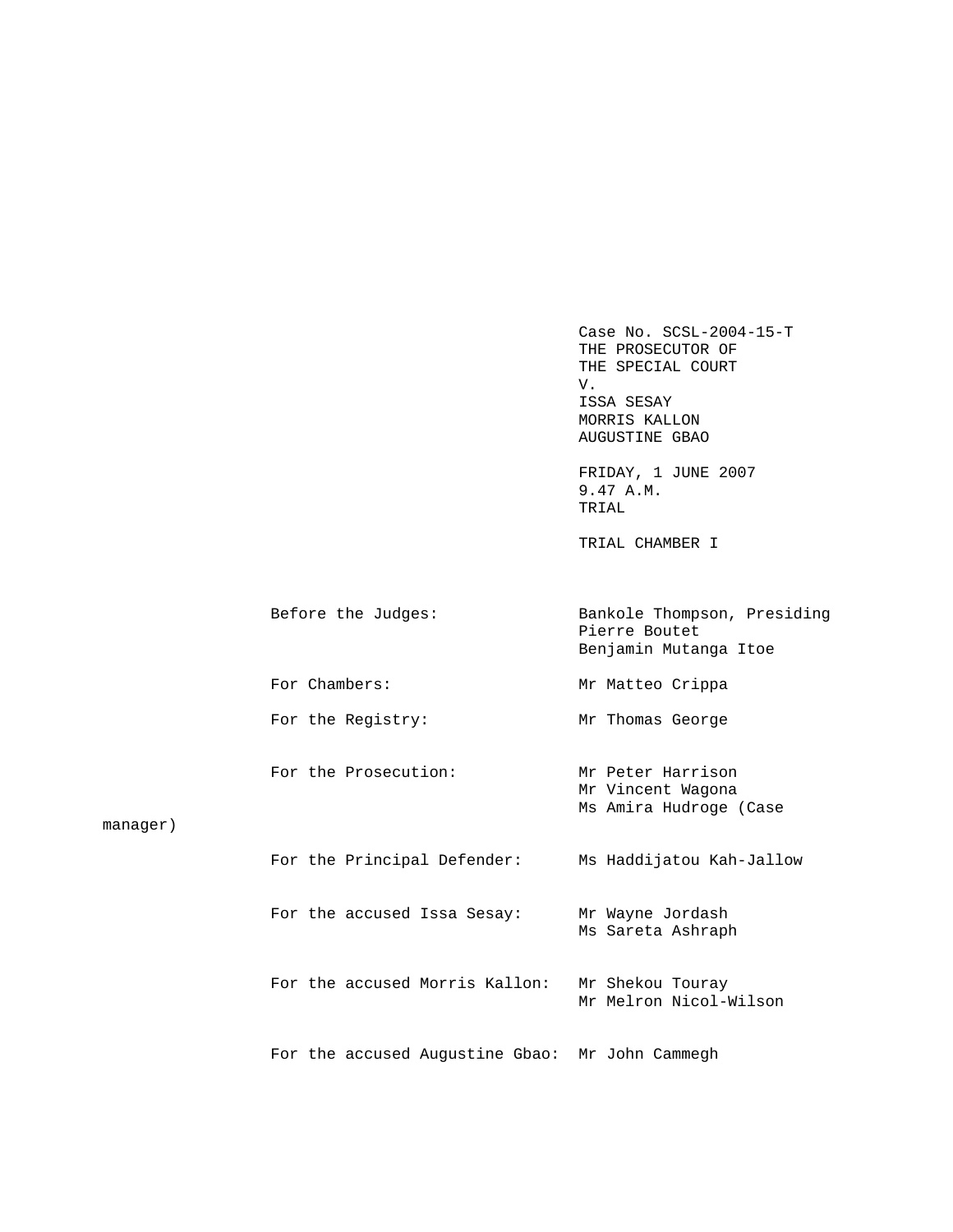Case No. SCSL-2004-15-T THE PROSECUTOR OF THE SPECIAL COURT V. V. ISSA SESAY MORRIS KALLON AUGUSTINE GBAO

 FRIDAY, 1 JUNE 2007 9.47 A.M. TRIAL

TRIAL CHAMBER I

|          | Before the Judges:             | Bankole Thompson, Presiding<br>Pierre Boutet<br>Benjamin Mutanga Itoe |
|----------|--------------------------------|-----------------------------------------------------------------------|
|          | For Chambers:                  | Mr Matteo Crippa                                                      |
|          | For the Registry:              | Mr Thomas George                                                      |
| manaqer) | For the Prosecution:           | Mr Peter Harrison<br>Mr Vincent Wagona<br>Ms Amira Hudroge (Case      |
|          | For the Principal Defender:    | Ms Haddijatou Kah-Jallow                                              |
|          | For the accused Issa Sesay:    | Mr Wayne Jordash<br>Ms Sareta Ashraph                                 |
|          | For the accused Morris Kallon: | Mr Shekou Touray<br>Mr Melron Nicol-Wilson                            |

For the accused Augustine Gbao: Mr John Cammegh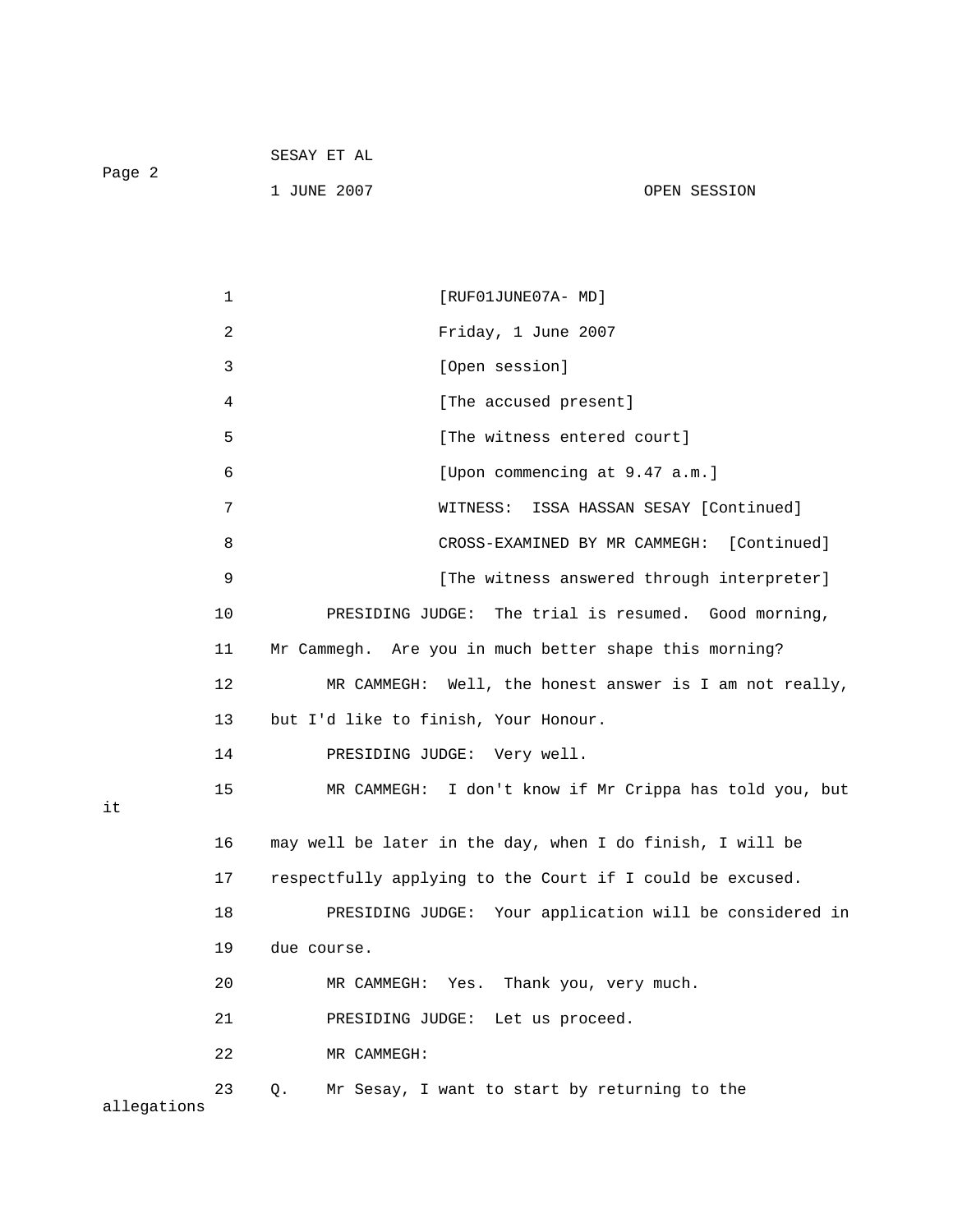|        | SESAY ET AL |              |
|--------|-------------|--------------|
| Page 2 |             |              |
|        | 1 JUNE 2007 | OPEN SESSION |

|             | 1            | [RUF01JUNE07A- MD]                                        |
|-------------|--------------|-----------------------------------------------------------|
|             | $\sqrt{2}$   | Friday, 1 June 2007                                       |
|             | $\mathbf{3}$ | [Open session]                                            |
|             | 4            | [The accused present]                                     |
|             | 5            | [The witness entered court]                               |
|             | 6            | [Upon commencing at 9.47 a.m.]                            |
|             | 7            | ISSA HASSAN SESAY [Continued]<br>WITNESS:                 |
|             | 8            | [Continued]<br>CROSS-EXAMINED BY MR CAMMEGH:              |
|             | 9            | [The witness answered through interpreter]                |
|             | 10           | PRESIDING JUDGE: The trial is resumed. Good morning,      |
|             | 11           | Mr Cammegh. Are you in much better shape this morning?    |
|             | 12           | MR CAMMEGH: Well, the honest answer is I am not really,   |
|             | 13           | but I'd like to finish, Your Honour.                      |
|             | 14           | PRESIDING JUDGE: Very well.                               |
| it          | 15           | MR CAMMEGH: I don't know if Mr Crippa has told you, but   |
|             | 16           | may well be later in the day, when I do finish, I will be |
|             | 17           | respectfully applying to the Court if I could be excused. |
|             | 18           | PRESIDING JUDGE: Your application will be considered in   |
|             | 19           | due course.                                               |
|             | 20           | MR CAMMEGH: Yes. Thank you, very much.                    |
|             | 21           | PRESIDING JUDGE: Let us proceed.                          |
|             | 22           | MR CAMMEGH:                                               |
| allegations | 23           | Mr Sesay, I want to start by returning to the<br>Q.       |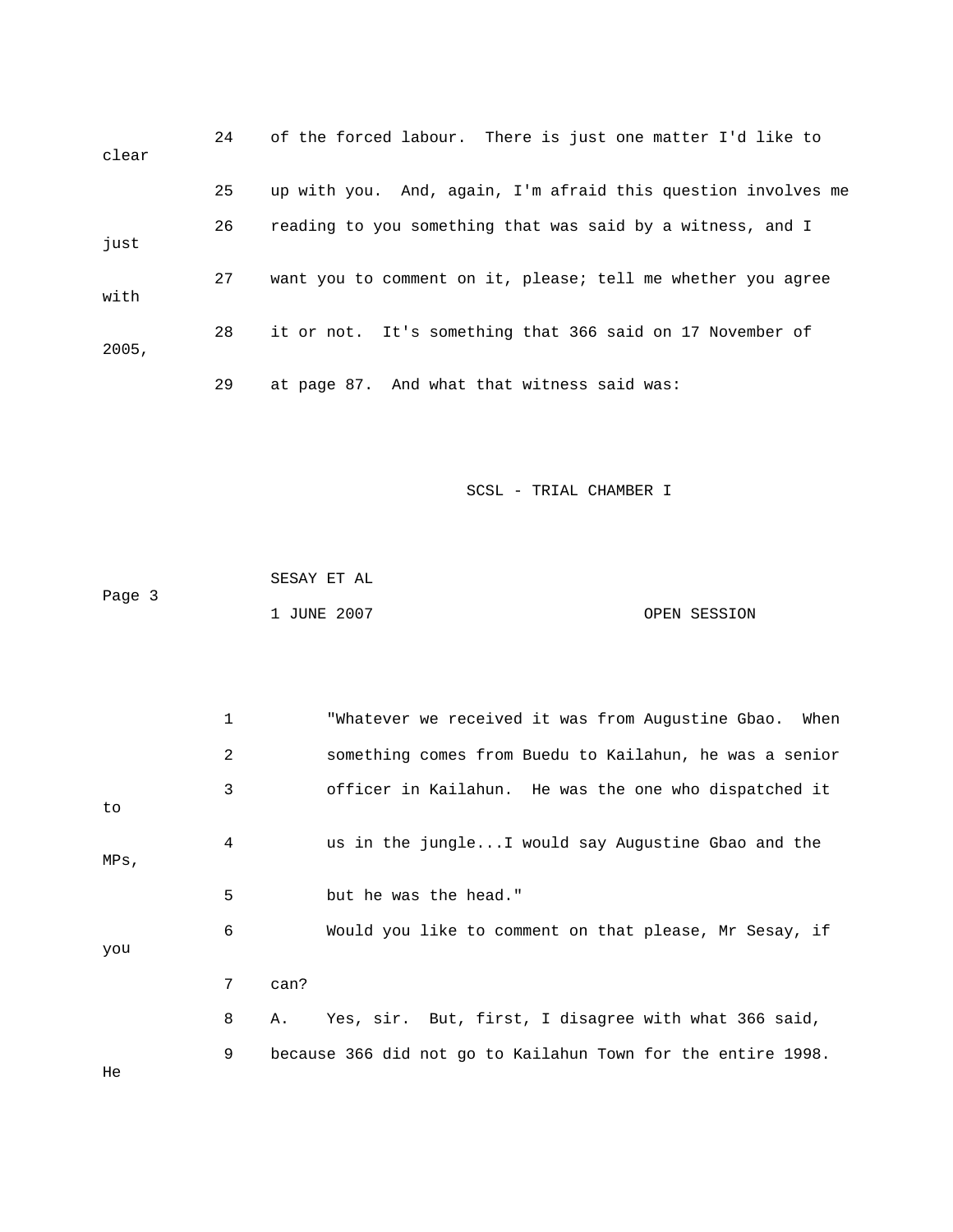| clear | 24 | of the forced labour. There is just one matter I'd like to    |
|-------|----|---------------------------------------------------------------|
|       | 25 | up with you. And, again, I'm afraid this question involves me |
| just  | 26 | reading to you something that was said by a witness, and I    |
| with  | 27 | want you to comment on it, please; tell me whether you agree  |
| 2005, | 28 | it or not. It's something that 366 said on 17 November of     |
|       | 29 | at page 87. And what that witness said was:                   |

|        | SESAY ET AL |              |
|--------|-------------|--------------|
| Page 3 |             |              |
|        | 1 JUNE 2007 | OPEN SESSION |

|         | 1 | "Whatever we received it was from Augustine Gbao.<br>When    |  |
|---------|---|--------------------------------------------------------------|--|
|         | 2 | something comes from Buedu to Kailahun, he was a senior      |  |
| to      | 3 | officer in Kailahun. He was the one who dispatched it        |  |
| $MPs$ , | 4 | us in the jungleI would say Augustine Gbao and the           |  |
|         | 5 | but he was the head."                                        |  |
| you     | 6 | Would you like to comment on that please, Mr Sesay, if       |  |
|         | 7 | can?                                                         |  |
|         | 8 | Yes, sir. But, first, I disagree with what 366 said,<br>Α.   |  |
|         | 9 | because 366 did not go to Kailahun Town for the entire 1998. |  |

He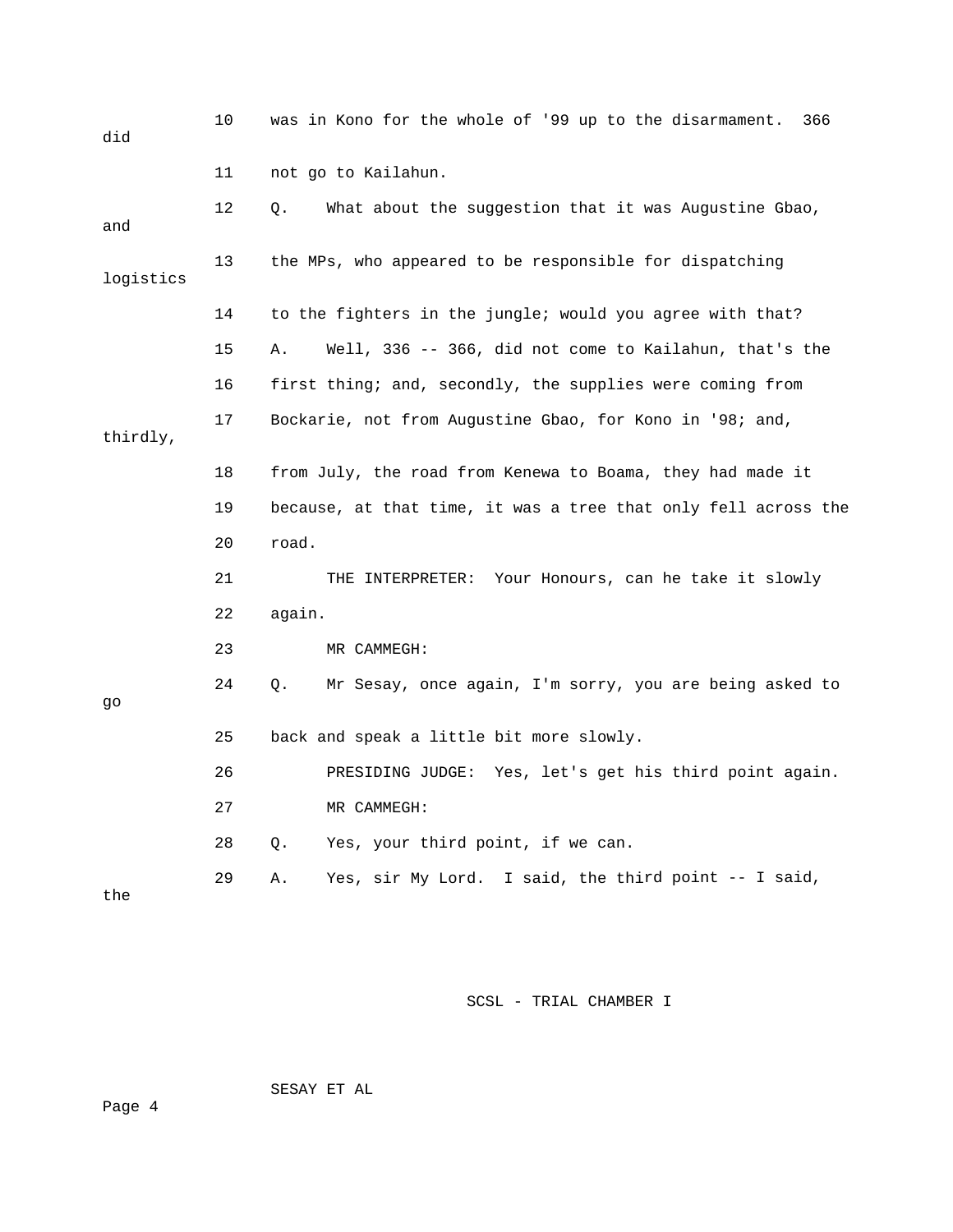| did       | 10 | was in Kono for the whole of '99 up to the disarmament.<br>366 |
|-----------|----|----------------------------------------------------------------|
|           | 11 | not go to Kailahun.                                            |
| and       | 12 | What about the suggestion that it was Augustine Gbao,<br>О.    |
| logistics | 13 | the MPs, who appeared to be responsible for dispatching        |
|           | 14 | to the fighters in the jungle; would you agree with that?      |
|           | 15 | Well, 336 -- 366, did not come to Kailahun, that's the<br>Α.   |
|           | 16 | first thing; and, secondly, the supplies were coming from      |
| thirdly,  | 17 | Bockarie, not from Augustine Gbao, for Kono in '98; and,       |
|           | 18 | from July, the road from Kenewa to Boama, they had made it     |
|           | 19 | because, at that time, it was a tree that only fell across the |
|           | 20 | road.                                                          |
|           | 21 | THE INTERPRETER: Your Honours, can he take it slowly           |
|           | 22 | again.                                                         |
|           | 23 | MR CAMMEGH:                                                    |
| go        | 24 | Mr Sesay, once again, I'm sorry, you are being asked to<br>Q.  |
|           | 25 | back and speak a little bit more slowly.                       |
|           | 26 | PRESIDING JUDGE: Yes, let's get his third point again.         |
|           | 27 | MR CAMMEGH:                                                    |
|           | 28 | Yes, your third point, if we can.<br>Q.                        |
| the       | 29 | Yes, sir My Lord. I said, the third point -- I said,<br>Α.     |

SESAY ET AL

Page 4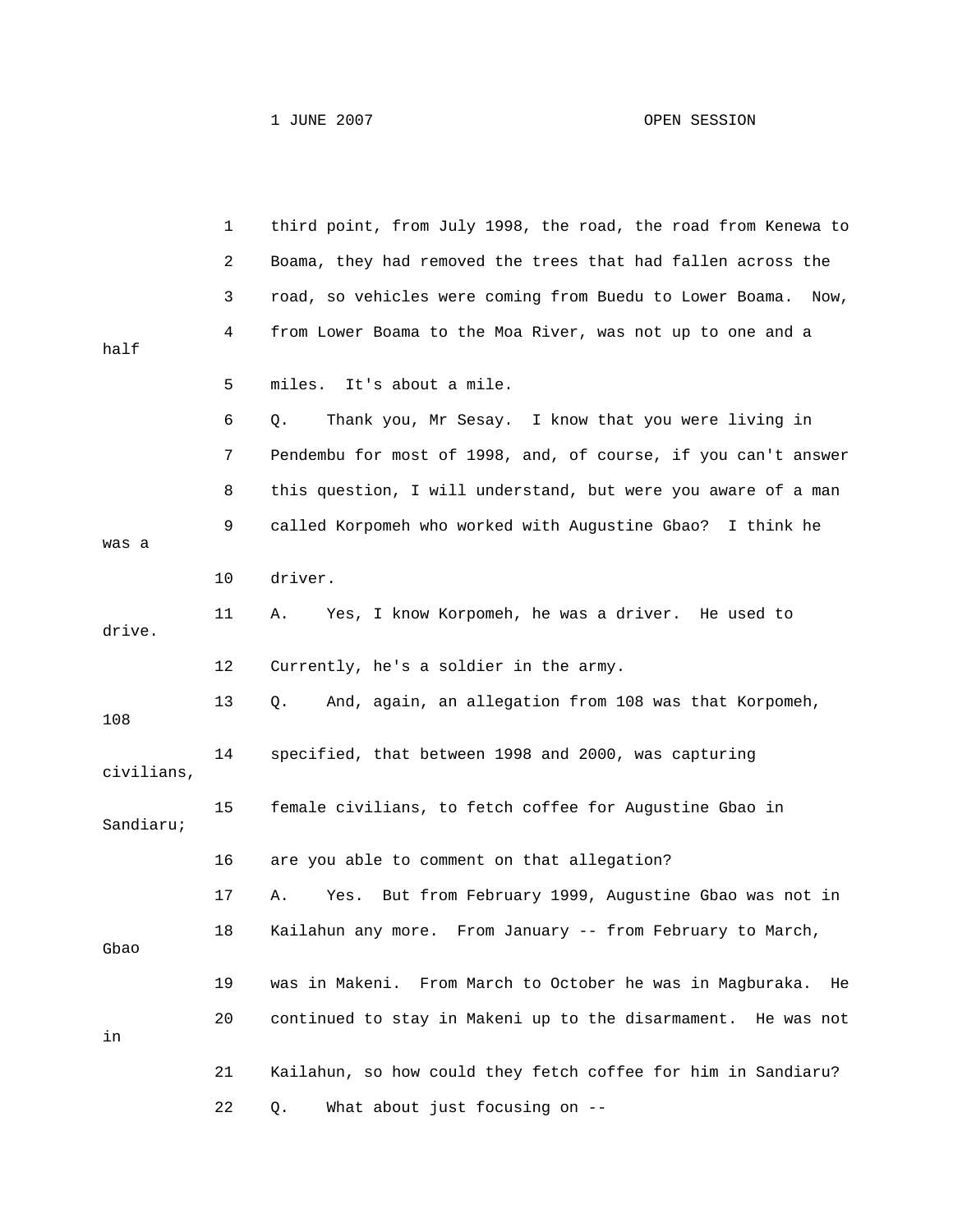|            | 1  | third point, from July 1998, the road, the road from Kenewa to   |
|------------|----|------------------------------------------------------------------|
|            | 2  | Boama, they had removed the trees that had fallen across the     |
|            | 3  | road, so vehicles were coming from Buedu to Lower Boama.<br>Now, |
| half       | 4  | from Lower Boama to the Moa River, was not up to one and a       |
|            | 5  | It's about a mile.<br>miles.                                     |
|            | 6  | Thank you, Mr Sesay. I know that you were living in<br>Q.        |
|            | 7  | Pendembu for most of 1998, and, of course, if you can't answer   |
|            | 8  | this question, I will understand, but were you aware of a man    |
| was a      | 9  | called Korpomeh who worked with Augustine Gbao?<br>I think he    |
|            | 10 | driver.                                                          |
| drive.     | 11 | Yes, I know Korpomeh, he was a driver. He used to<br>Α.          |
|            | 12 | Currently, he's a soldier in the army.                           |
| 108        | 13 | And, again, an allegation from 108 was that Korpomeh,<br>Q.      |
| civilians, | 14 | specified, that between 1998 and 2000, was capturing             |
| Sandiaru;  | 15 | female civilians, to fetch coffee for Augustine Gbao in          |
|            | 16 | are you able to comment on that allegation?                      |
|            | 17 | But from February 1999, Augustine Gbao was not in<br>Α.<br>Yes.  |
| Gbao       | 18 | Kailahun any more. From January -- from February to March,       |
|            | 19 | was in Makeni. From March to October he was in Magburaka.<br>He  |
| in         | 20 | continued to stay in Makeni up to the disarmament. He was not    |
|            | 21 | Kailahun, so how could they fetch coffee for him in Sandiaru?    |
|            | 22 | What about just focusing on --<br>Q.                             |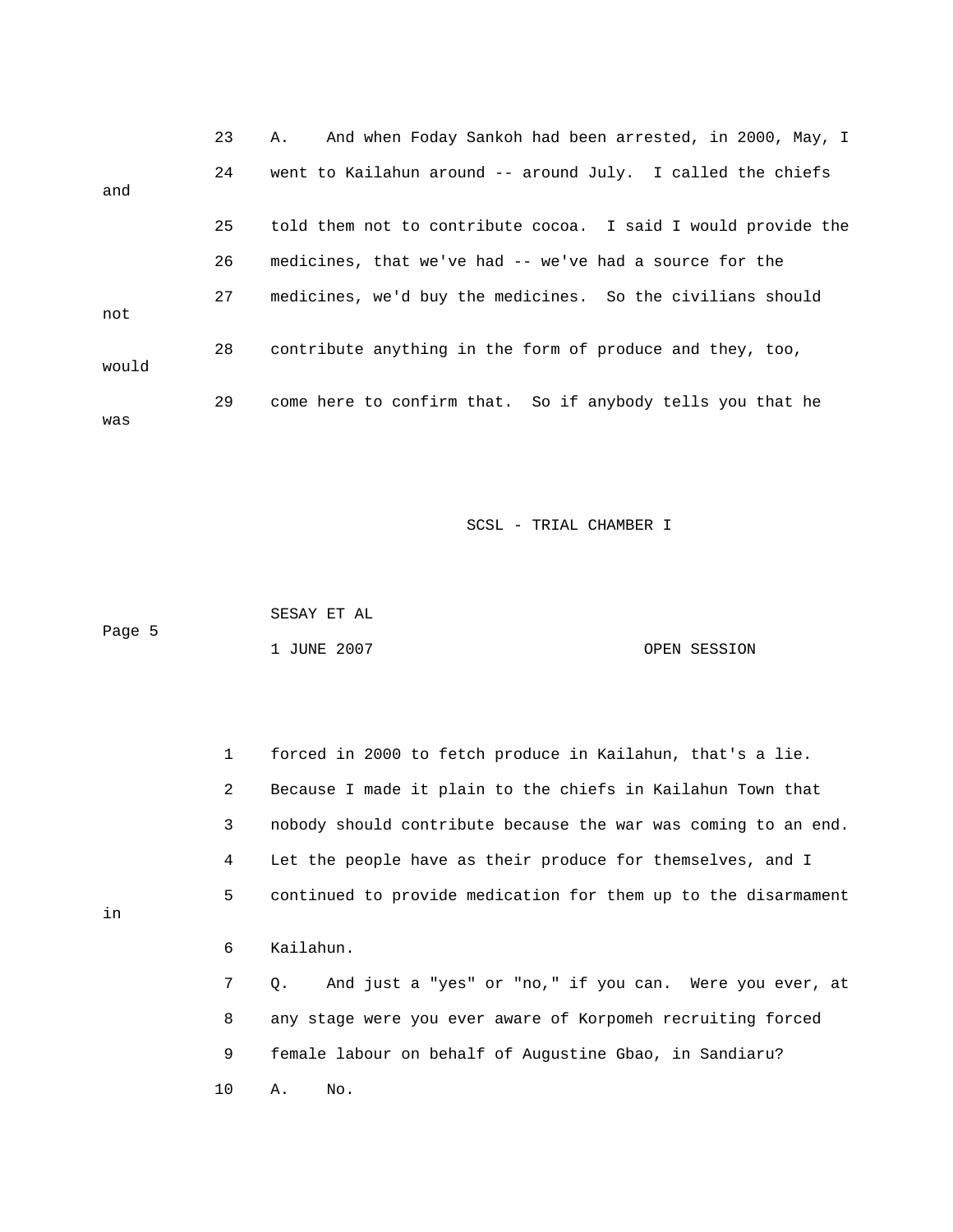23 A. And when Foday Sankoh had been arrested, in 2000, May, I 25 told them not to contribute cocoa. I said I would provide the 27 medicines, we'd buy the medicines. So the civilians should not 28 contribute anything in the form of produce and they, too, would 29 come here to confirm that. So if anybody tells you that he was 24 went to Kailahun around -- around July. I called the chiefs and 26 medicines, that we've had -- we've had a source for the

SCSL - TRIAL CHAMBER I

 SESAY ET AL Page 5 1 JUNE 2007 OPEN SESSION

 1 forced in 2000 to fetch produce in Kailahun, that's a lie. . 3 nobody should contribute because the war was coming to an end 5 continued to provide medication for them up to the disarmament 6 Kailahun. 7 Q. And just a "yes" or "no," if you can. Were you ever, at 2 Because I made it plain to the chiefs in Kailahun Town that 4 Let the people have as their produce for themselves, and I 8 any stage were you ever aware of Korpomeh recruiting forced 9 female labour on behalf of Augustine Gbao, in Sandiaru?

in

10 A. No.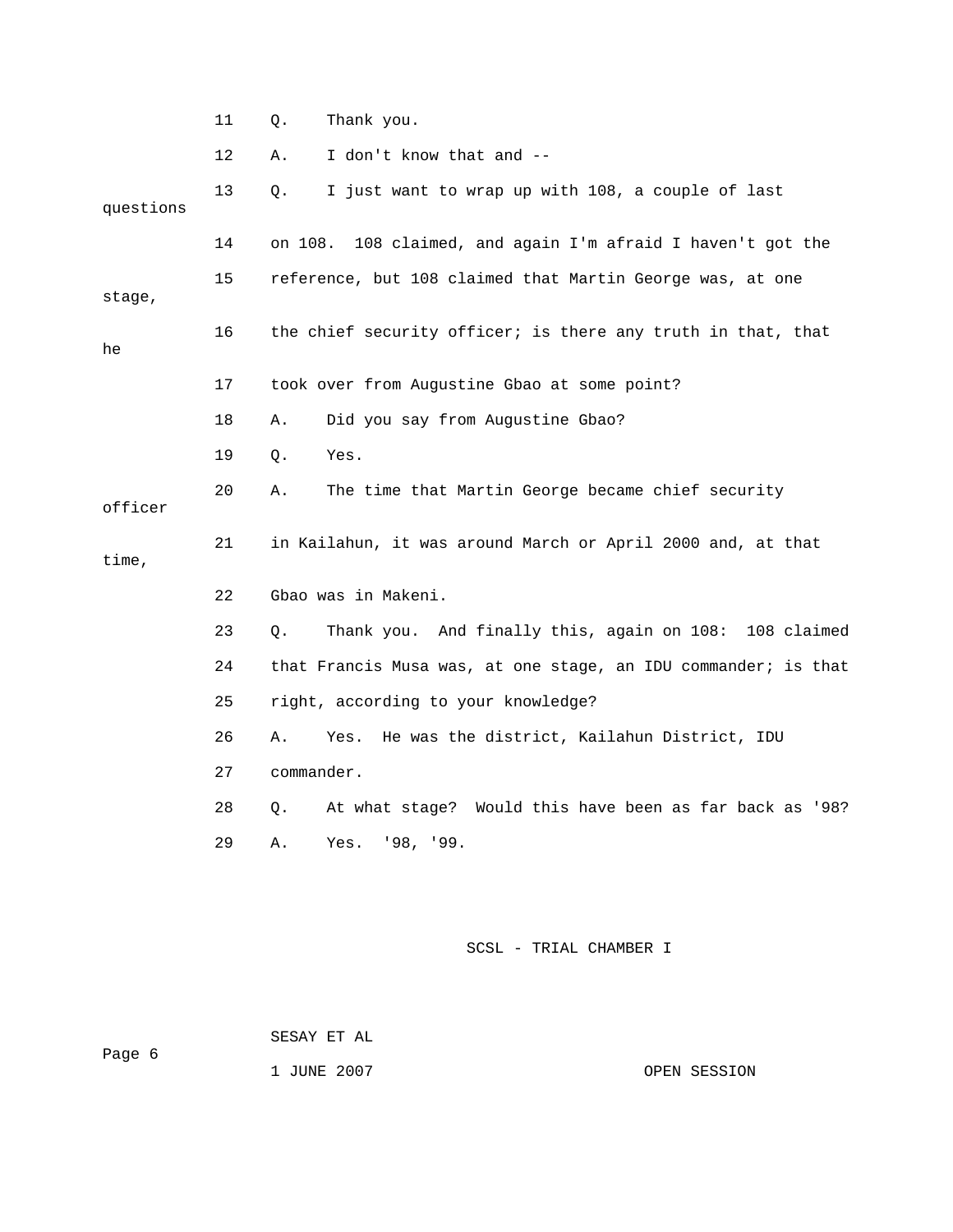|           | 11 | Thank you.<br>Q.                                               |
|-----------|----|----------------------------------------------------------------|
|           | 12 | I don't know that and --<br>Α.                                 |
| questions | 13 | I just want to wrap up with 108, a couple of last<br>Q.        |
|           | 14 | 108 claimed, and again I'm afraid I haven't got the<br>on 108. |
| stage,    | 15 | reference, but 108 claimed that Martin George was, at one      |
| he        | 16 | the chief security officer; is there any truth in that, that   |
|           | 17 | took over from Augustine Gbao at some point?                   |
|           | 18 | Did you say from Augustine Gbao?<br>Α.                         |
|           | 19 | Yes.<br>Q.                                                     |
| officer   | 20 | The time that Martin George became chief security<br>Α.        |
| time,     | 21 | in Kailahun, it was around March or April 2000 and, at that    |
|           | 22 | Gbao was in Makeni.                                            |
|           | 23 | Thank you. And finally this, again on 108: 108 claimed<br>Q.   |
|           | 24 | that Francis Musa was, at one stage, an IDU commander; is that |
|           | 25 | right, according to your knowledge?                            |
|           | 26 | He was the district, Kailahun District, IDU<br>Α.<br>Yes.      |
|           | 27 | commander.                                                     |
|           | 28 | At what stage? Would this have been as far back as '98?<br>Q.  |
|           | 29 | Yes. '98, '99.<br>Α.                                           |
|           |    |                                                                |
|           |    | SCSL - TRIAL CHAMBER I                                         |

SESAY ET AL

ge 6 Pa

1 JUNE 2007 OPEN SESSION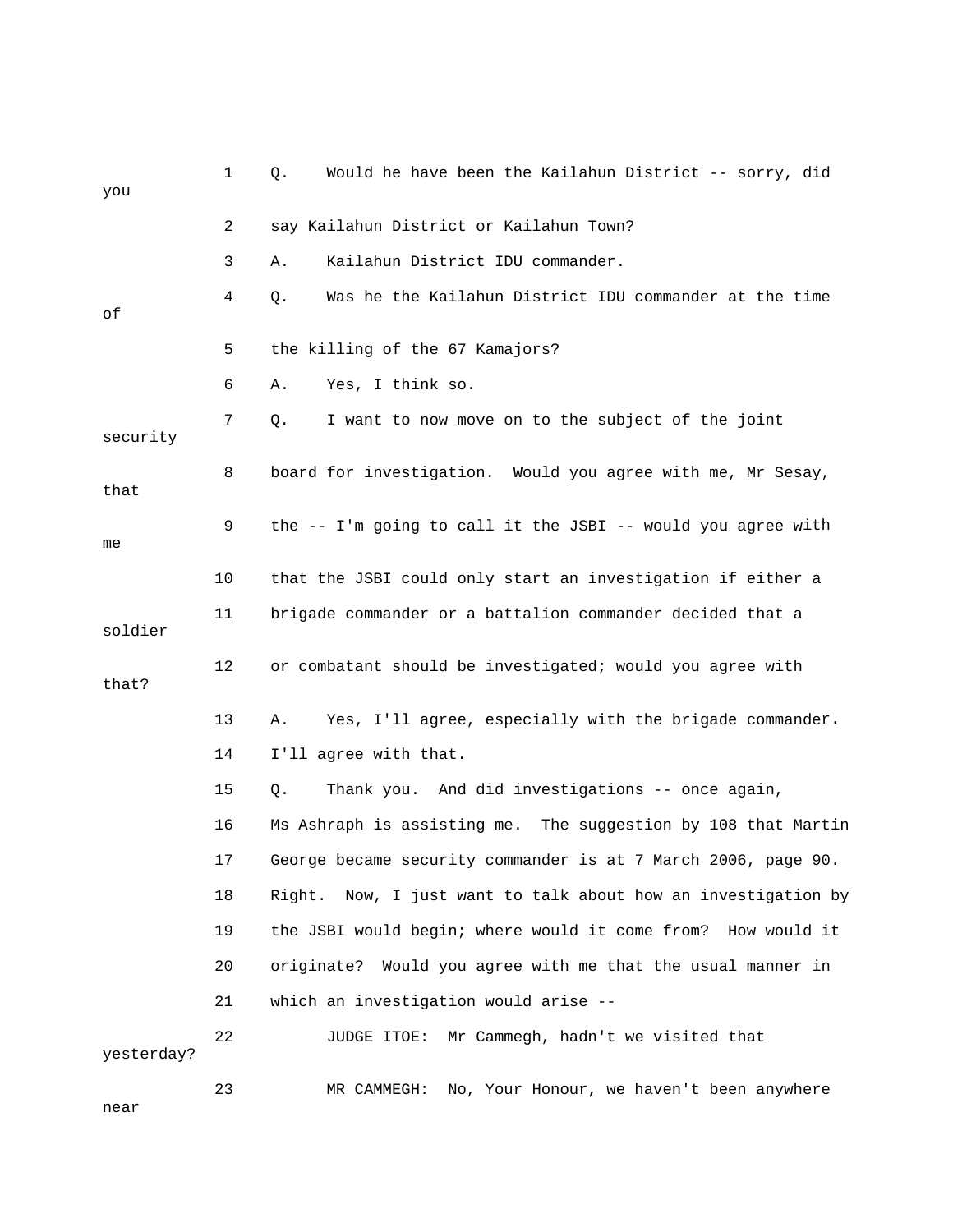| you        | 1  | Would he have been the Kailahun District -- sorry, did<br>Q.     |
|------------|----|------------------------------------------------------------------|
|            | 2  | say Kailahun District or Kailahun Town?                          |
|            | 3  | Kailahun District IDU commander.<br>Α.                           |
| оf         | 4  | Was he the Kailahun District IDU commander at the time<br>Q.     |
|            | 5  | the killing of the 67 Kamajors?                                  |
|            | 6  | Yes, I think so.<br>Α.                                           |
| security   | 7  | I want to now move on to the subject of the joint<br>Q.          |
| that       | 8  | board for investigation. Would you agree with me, Mr Sesay,      |
| me         | 9  | the -- I'm going to call it the JSBI -- would you agree with     |
|            | 10 | that the JSBI could only start an investigation if either a      |
| soldier    | 11 | brigade commander or a battalion commander decided that a        |
| that?      | 12 | or combatant should be investigated; would you agree with        |
|            | 13 | Yes, I'll agree, especially with the brigade commander.<br>Α.    |
|            | 14 | I'll agree with that.                                            |
|            | 15 | Thank you. And did investigations -- once again,<br>Q.           |
|            | 16 | Ms Ashraph is assisting me. The suggestion by 108 that Martin    |
|            | 17 | George became security commander is at 7 March 2006, page 90.    |
|            | 18 | Right.<br>Now, I just want to talk about how an investigation by |
|            | 19 | the JSBI would begin; where would it come from? How would it     |
|            | 20 | originate?<br>Would you agree with me that the usual manner in   |
|            | 21 | which an investigation would arise --                            |
| yesterday? | 22 | Mr Cammegh, hadn't we visited that<br>JUDGE ITOE:                |
| near       | 23 | No, Your Honour, we haven't been anywhere<br>MR CAMMEGH:         |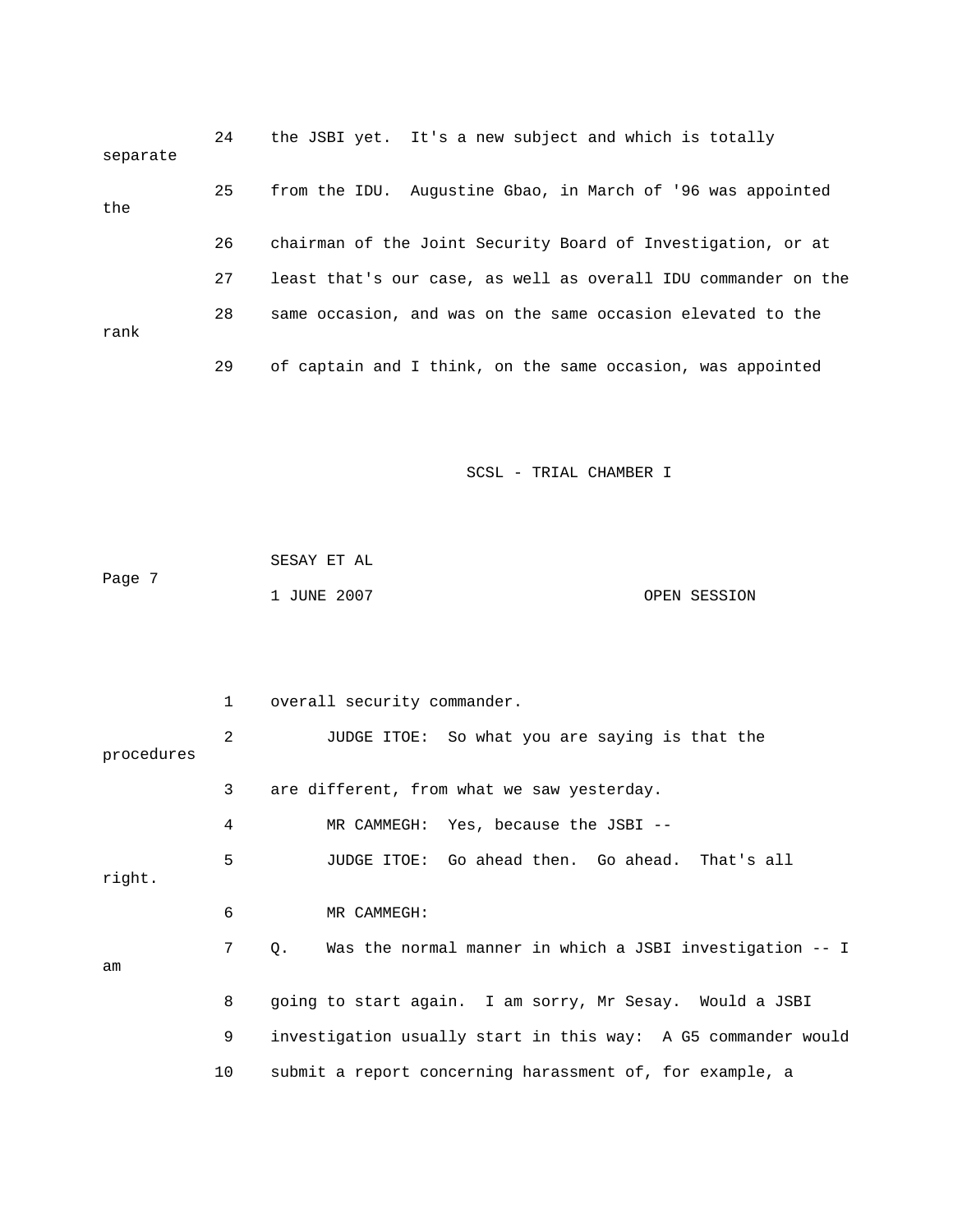| separate | 24 | the JSBI yet. It's a new subject and which is totally          |
|----------|----|----------------------------------------------------------------|
| the      | 25 | from the IDU. Augustine Gbao, in March of '96 was appointed    |
|          | 26 | chairman of the Joint Security Board of Investigation, or at   |
|          | 27 | least that's our case, as well as overall IDU commander on the |
| rank     | 28 | same occasion, and was on the same occasion elevated to the    |
|          | 29 | of captain and I think, on the same occasion, was appointed    |

|        | SESAY ET AL |              |
|--------|-------------|--------------|
| Page 7 |             |              |
|        | 1 JUNE 2007 | OPEN SESSION |

|            | $\mathbf{1}$ | overall security commander.                                    |
|------------|--------------|----------------------------------------------------------------|
| procedures | 2            | JUDGE ITOE: So what you are saying is that the                 |
|            | 3            | are different, from what we saw yesterday.                     |
|            | 4            | MR CAMMEGH: Yes, because the JSBI --                           |
| right.     | 5            | JUDGE ITOE: Go ahead then. Go ahead. That's all                |
|            | 6            | MR CAMMEGH:                                                    |
| am         | 7            | Was the normal manner in which a JSBI investigation -- I<br>О. |
|            | 8            | going to start again. I am sorry, Mr Sesay. Would a JSBI       |
|            | 9            | investigation usually start in this way: A G5 commander would  |
|            | 10           | submit a report concerning harassment of, for example, a       |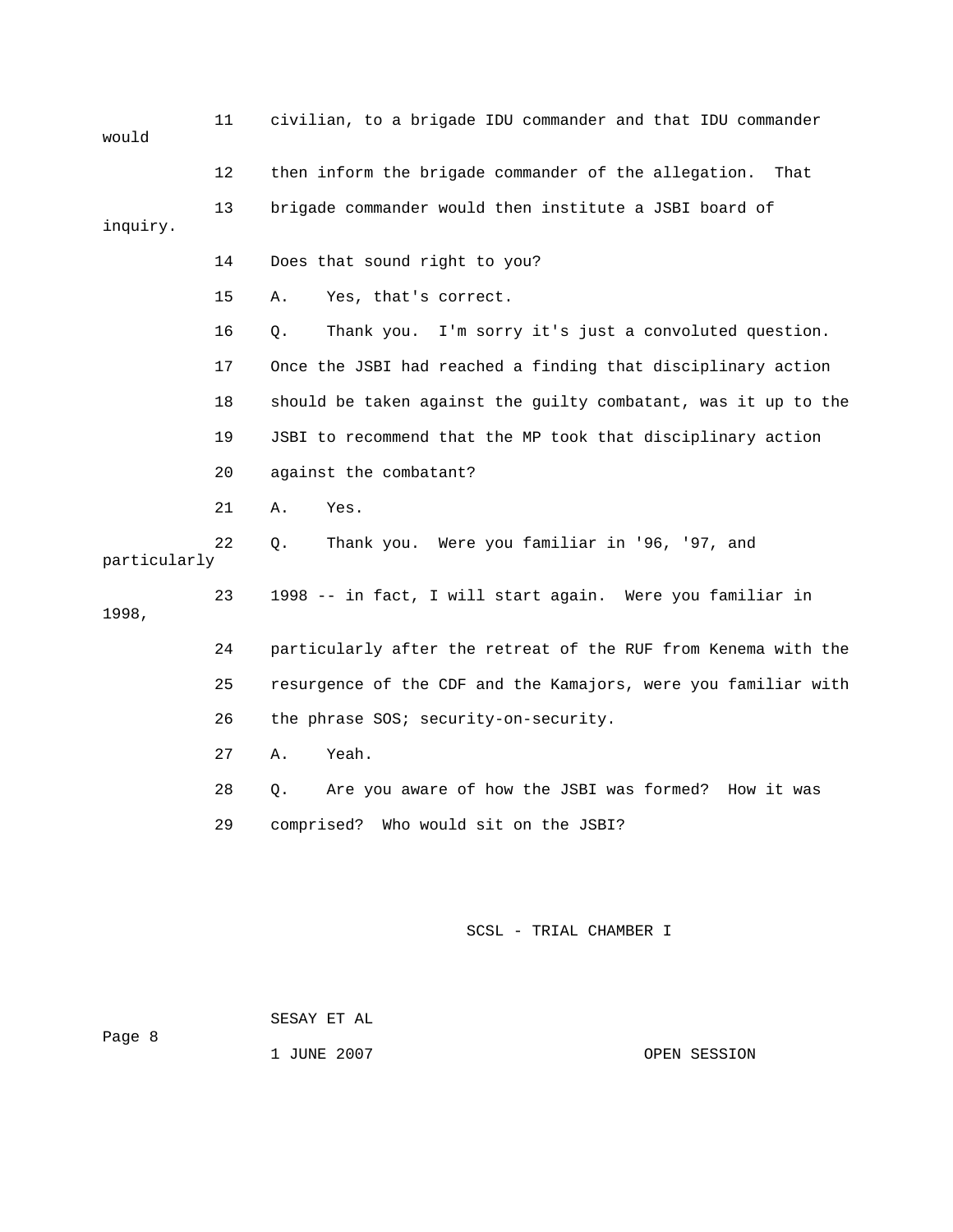| would        | 11 | civilian, to a brigade IDU commander and that IDU commander    |
|--------------|----|----------------------------------------------------------------|
|              | 12 | then inform the brigade commander of the allegation.<br>That   |
| inquiry.     | 13 | brigade commander would then institute a JSBI board of         |
|              | 14 | Does that sound right to you?                                  |
|              | 15 | Α.<br>Yes, that's correct.                                     |
|              | 16 | I'm sorry it's just a convoluted question.<br>Q.<br>Thank you. |
|              | 17 | Once the JSBI had reached a finding that disciplinary action   |
|              | 18 | should be taken against the quilty combatant, was it up to the |
|              | 19 | JSBI to recommend that the MP took that disciplinary action    |
|              | 20 | against the combatant?                                         |
|              | 21 | Yes.<br>Α.                                                     |
| particularly | 22 | Thank you. Were you familiar in '96, '97, and<br>Q.            |
| 1998,        | 23 | 1998 -- in fact, I will start again. Were you familiar in      |
|              | 24 | particularly after the retreat of the RUF from Kenema with the |
|              | 25 | resurgence of the CDF and the Kamajors, were you familiar with |
|              | 26 | the phrase SOS; security-on-security.                          |
|              | 27 | Yeah.<br>Α.                                                    |
|              | 28 | Are you aware of how the JSBI was formed?<br>How it was<br>О.  |
|              | 29 | comprised? Who would sit on the JSBI?                          |
|              |    |                                                                |
|              |    |                                                                |

SESAY ET AL

Page 8

1 JUNE 2007 CPEN SESSION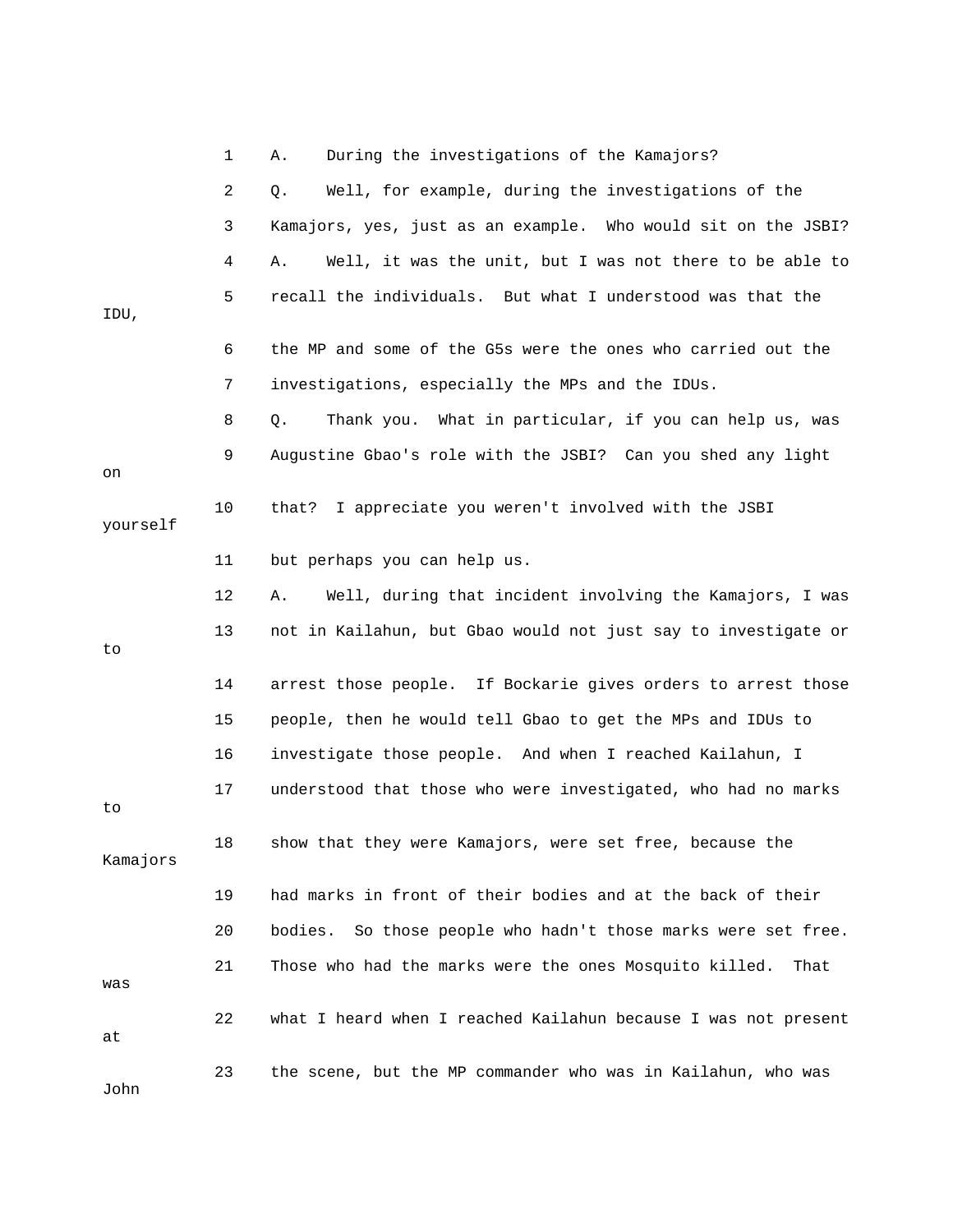|          | 1  | During the investigations of the Kamajors?<br>Α.                 |
|----------|----|------------------------------------------------------------------|
|          | 2  | Well, for example, during the investigations of the<br>Q.        |
|          | 3  | Kamajors, yes, just as an example. Who would sit on the JSBI?    |
|          | 4  | Well, it was the unit, but I was not there to be able to<br>Α.   |
| IDU,     | 5  | recall the individuals. But what I understood was that the       |
|          | 6  | the MP and some of the G5s were the ones who carried out the     |
|          | 7  | investigations, especially the MPs and the IDUs.                 |
|          | 8  | Thank you. What in particular, if you can help us, was<br>Q.     |
| on       | 9  | Augustine Gbao's role with the JSBI? Can you shed any light      |
| yourself | 10 | I appreciate you weren't involved with the JSBI<br>that?         |
|          | 11 | but perhaps you can help us.                                     |
|          | 12 | Well, during that incident involving the Kamajors, I was<br>Α.   |
| to.      | 13 | not in Kailahun, but Gbao would not just say to investigate or   |
|          | 14 | arrest those people. If Bockarie gives orders to arrest those    |
|          | 15 | people, then he would tell Gbao to get the MPs and IDUs to       |
|          | 16 | investigate those people. And when I reached Kailahun, I         |
| to       | 17 | understood that those who were investigated, who had no marks    |
| Kamajors | 18 | show that they were Kamajors, were set free, because the         |
|          | 19 | had marks in front of their bodies and at the back of their      |
|          | 20 | So those people who hadn't those marks were set free.<br>bodies. |
| was      | 21 | Those who had the marks were the ones Mosquito killed.<br>That   |
| at       | 22 | what I heard when I reached Kailahun because I was not present   |
| John     | 23 | the scene, but the MP commander who was in Kailahun, who was     |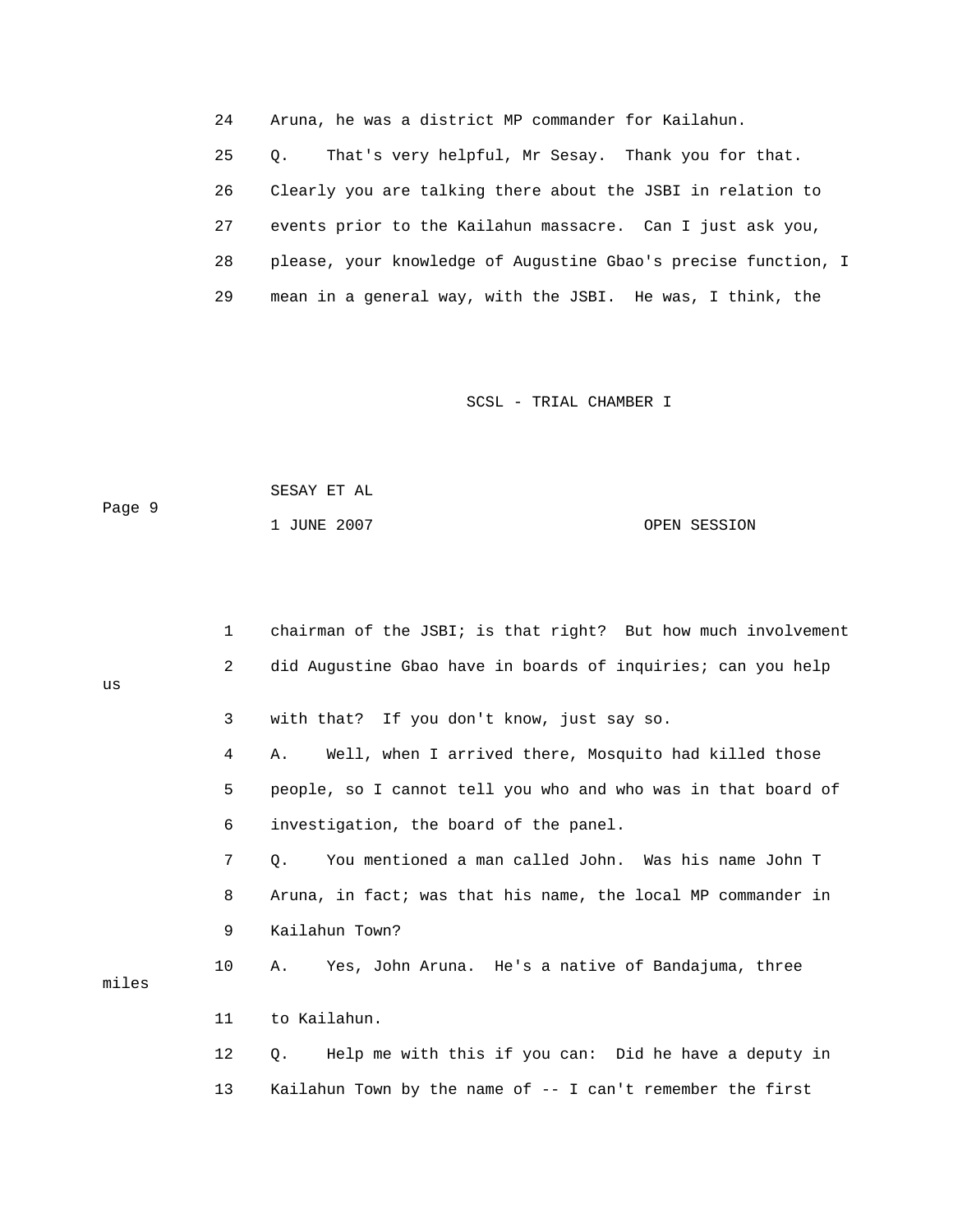24 Aruna, he was a district MP commander for Kailahun.

 25 Q. That's very helpful, Mr Sesay. Thank you for that. 26 Clearly you are talking there about the JSBI in relation to 27 events prior to the Kailahun massacre. Can I just ask you, 28 please, your knowledge of Augustine Gbao's precise function, I 29 mean in a general way, with the JSBI. He was, I think, the

SCSL - TRIAL CHAMBER I

|        | SESAY ET AL |              |
|--------|-------------|--------------|
| Paqe 9 |             |              |
|        | 1 JUNE 2007 | OPEN SESSION |

us

1 chairman of the JSBI; is that right? But how much involvement 2 did Augustine Gbao have in boards of inquiries; can you help 3 with that? If you don't know, just say so. 4 A. Well, when I arrived there, Mosquito had killed those 5 people, so I cannot tell you who and who was in that board of 11 to Kailahun. 12 Q. Help me with this if you can: Did he have a deputy in 6 investigation, the board of the panel. 7 Q. You mentioned a man called John. Was his name John T 8 Aruna, in fact; was that his name, the local MP commander in 9 Kailahun Town? 10 A. Yes, John Aruna. He's a native of Bandajuma, three miles 13 Kailahun Town by the name of -- I can't remember the first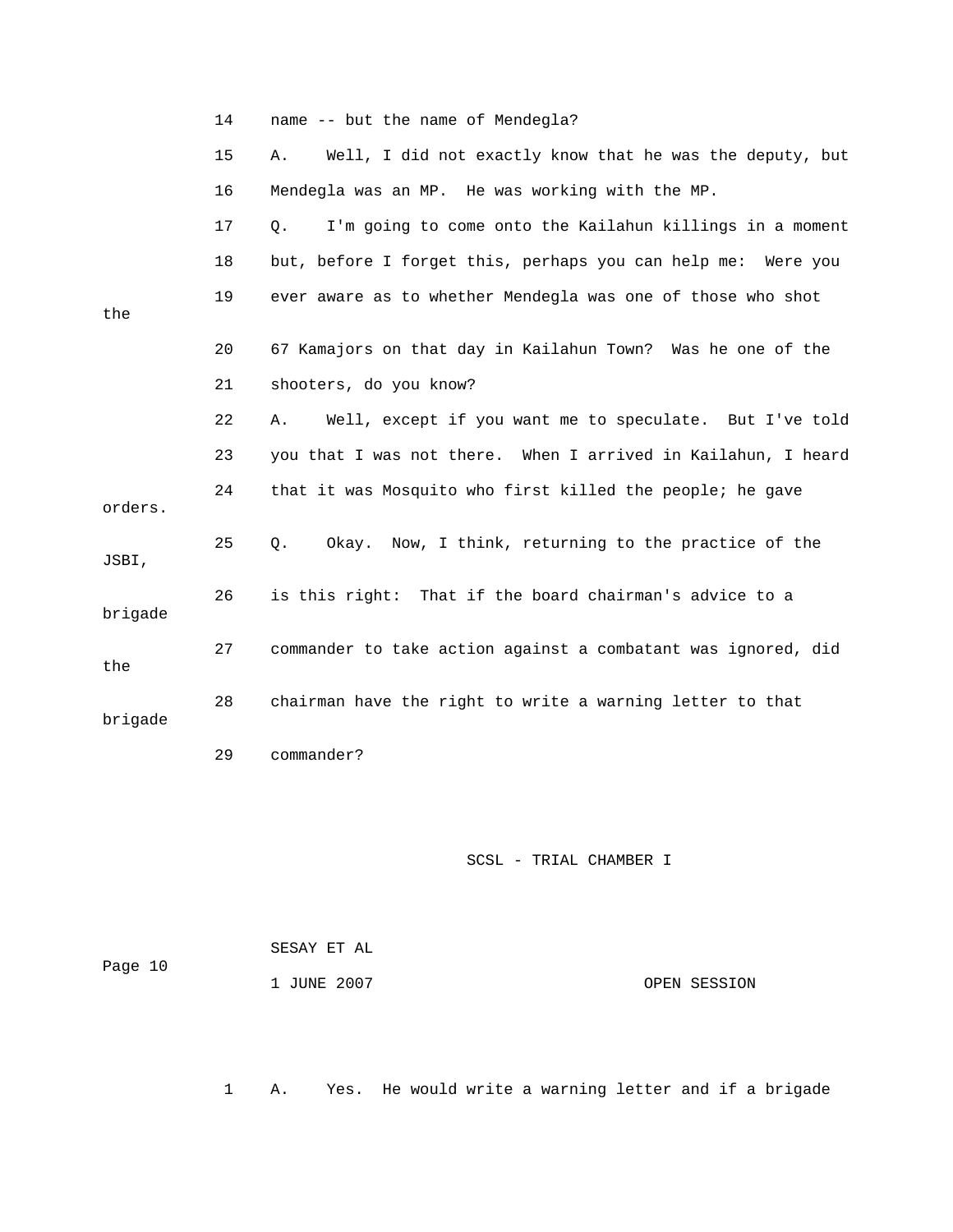|         | 14 | name -- but the name of Mendegla?                              |
|---------|----|----------------------------------------------------------------|
|         | 15 | Well, I did not exactly know that he was the deputy, but<br>Α. |
|         | 16 | Mendegla was an MP. He was working with the MP.                |
|         | 17 | I'm going to come onto the Kailahun killings in a moment<br>Q. |
|         | 18 | but, before I forget this, perhaps you can help me: Were you   |
| the     | 19 | ever aware as to whether Mendegla was one of those who shot    |
|         | 20 | 67 Kamajors on that day in Kailahun Town? Was he one of the    |
|         | 21 | shooters, do you know?                                         |
|         | 22 | Well, except if you want me to speculate. But I've told<br>Α.  |
|         | 23 | you that I was not there. When I arrived in Kailahun, I heard  |
| orders. | 24 | that it was Mosquito who first killed the people; he gave      |
| JSBI,   | 25 | Okay. Now, I think, returning to the practice of the<br>Q.     |
| brigade | 26 | is this right: That if the board chairman's advice to a        |
| the     | 27 | commander to take action against a combatant was ignored, did  |
| brigade | 28 | chairman have the right to write a warning letter to that      |
|         | 29 | commander?                                                     |

| Page 10 | SESAY ET AL |              |
|---------|-------------|--------------|
|         | 1 JUNE 2007 | OPEN SESSION |

1 A. Yes. He would write a warning letter and if a brigade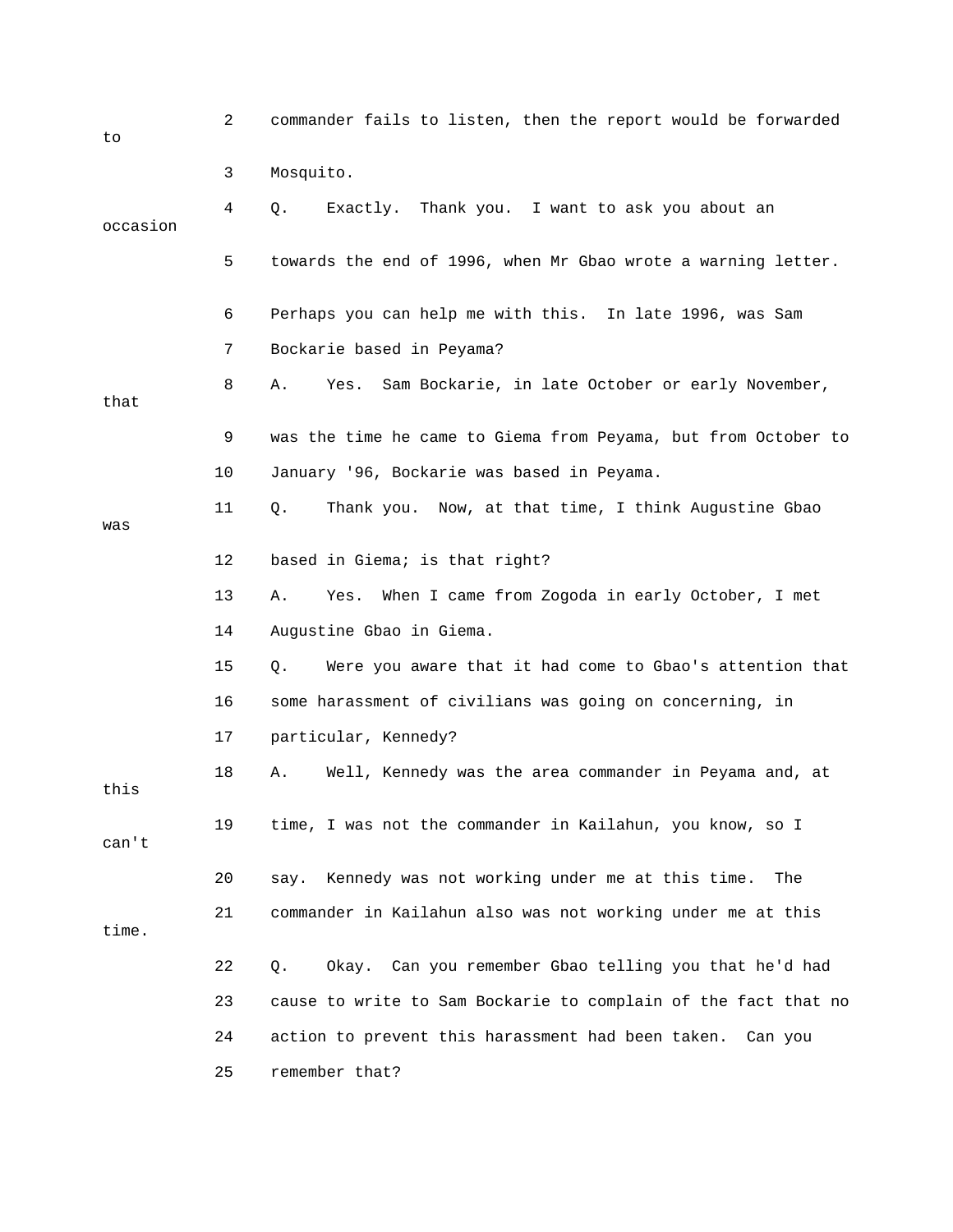| to       | $\overline{2}$ | commander fails to listen, then the report would be forwarded  |
|----------|----------------|----------------------------------------------------------------|
|          | 3              | Mosquito.                                                      |
| occasion | 4              | Exactly.<br>Thank you. I want to ask you about an<br>Q.        |
|          | 5              | towards the end of 1996, when Mr Gbao wrote a warning letter.  |
|          | 6              | Perhaps you can help me with this. In late 1996, was Sam       |
|          | 7              | Bockarie based in Peyama?                                      |
| that     | 8              | Sam Bockarie, in late October or early November,<br>Α.<br>Yes. |
|          | 9              | was the time he came to Giema from Peyama, but from October to |
|          | 10             | January '96, Bockarie was based in Peyama.                     |
| was      | 11             | Thank you. Now, at that time, I think Augustine Gbao<br>Q.     |
|          | 12             | based in Giema; is that right?                                 |
|          | 13             | Yes. When I came from Zogoda in early October, I met<br>Α.     |
|          | 14             | Augustine Gbao in Giema.                                       |
|          | 15             | Were you aware that it had come to Gbao's attention that<br>Q. |
|          | 16             | some harassment of civilians was going on concerning, in       |
|          | 17             | particular, Kennedy?                                           |
| this     | 18             | Well, Kennedy was the area commander in Peyama and, at<br>Α.   |
| can't    | 19             | time, I was not the commander in Kailahun, you know, so I      |
|          | 20             | Kennedy was not working under me at this time.<br>The<br>say.  |
| time.    | 21             | commander in Kailahun also was not working under me at this    |
|          | 22             | Okay. Can you remember Gbao telling you that he'd had<br>Q.    |
|          | 23             | cause to write to Sam Bockarie to complain of the fact that no |
|          | 24             | action to prevent this harassment had been taken.<br>Can you   |
|          | 25             | remember that?                                                 |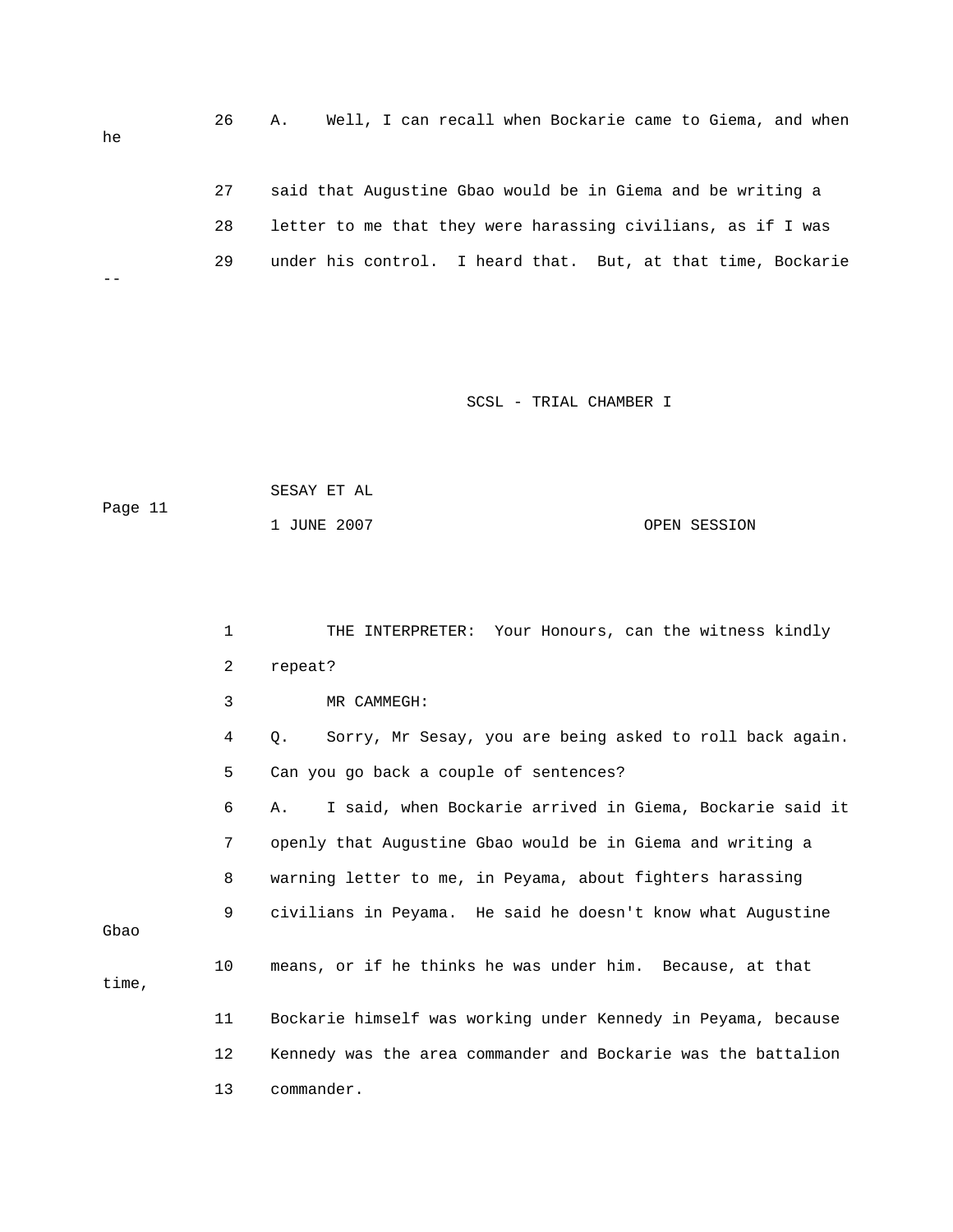26 A. Well, I can recall when Bockarie came to Giema, and when 28 letter to me that they were harassing civilians, as if I was 29 under his control. I heard that. But, at that time, Bockarie he 27 said that Augustine Gbao would be in Giema and be writing a --

```
Page 11
1 JUNE 2007 OPEN SESSION 
SESAY ET AL
```

|       | $\mathbf{1}$ | THE INTERPRETER: Your Honours, can the witness kindly          |
|-------|--------------|----------------------------------------------------------------|
|       | 2            | repeat?                                                        |
|       | 3            | MR CAMMEGH:                                                    |
|       | 4            | Sorry, Mr Sesay, you are being asked to roll back again.<br>Q. |
|       | 5            | Can you go back a couple of sentences?                         |
|       | 6            | I said, when Bockarie arrived in Giema, Bockarie said it<br>Α. |
|       | 7            | openly that Augustine Gbao would be in Giema and writing a     |
|       | 8            | warning letter to me, in Peyama, about fighters harassing      |
| Gbao  | 9            | civilians in Peyama. He said he doesn't know what Augustine    |
| time, | 10           | means, or if he thinks he was under him. Because, at that      |
|       | 11           | Bockarie himself was working under Kennedy in Peyama, because  |
|       | 12           | Kennedy was the area commander and Bockarie was the battalion  |
|       | 13           | commander.                                                     |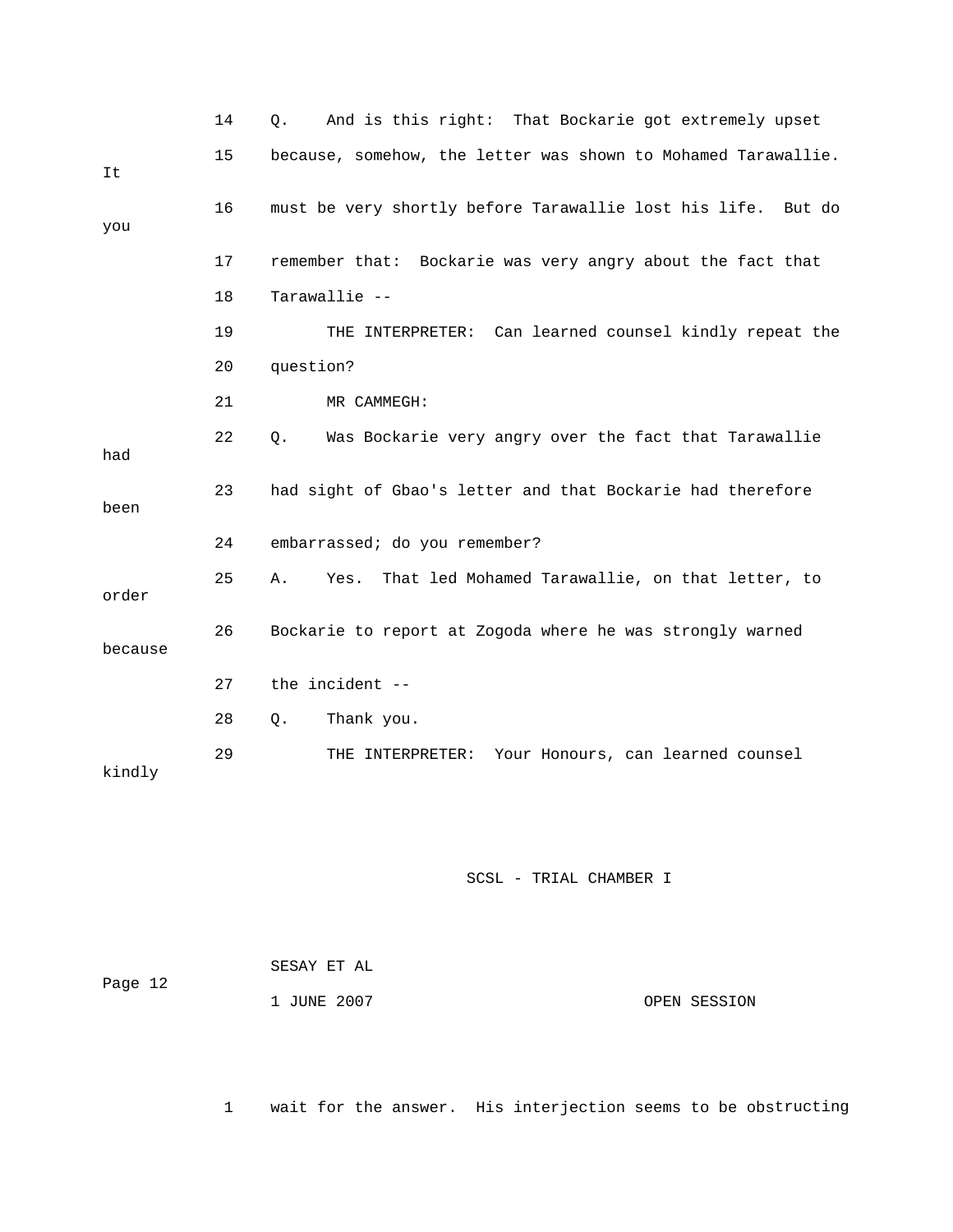|         | 14 | And is this right: That Bockarie got extremely upset<br>Q.    |
|---------|----|---------------------------------------------------------------|
| It      | 15 | because, somehow, the letter was shown to Mohamed Tarawallie. |
| you     | 16 | must be very shortly before Tarawallie lost his life. But do  |
|         | 17 | remember that: Bockarie was very angry about the fact that    |
|         | 18 | Tarawallie --                                                 |
|         | 19 | THE INTERPRETER: Can learned counsel kindly repeat the        |
|         | 20 | question?                                                     |
|         | 21 | MR CAMMEGH:                                                   |
| had     | 22 | Was Bockarie very angry over the fact that Tarawallie<br>Q.   |
| been    | 23 | had sight of Gbao's letter and that Bockarie had therefore    |
|         | 24 | embarrassed; do you remember?                                 |
| order   | 25 | Yes. That led Mohamed Tarawallie, on that letter, to<br>Α.    |
| because | 26 | Bockarie to report at Zogoda where he was strongly warned     |
|         | 27 | the incident --                                               |
|         | 28 | Thank you.<br>Q.                                              |
| kindly  | 29 | Your Honours, can learned counsel<br>THE INTERPRETER:         |

| Page 12 | SESAY ET AL |              |
|---------|-------------|--------------|
|         | 1 JUNE 2007 | OPEN SESSION |

1 wait for the answer. His interjection seems to be obstructing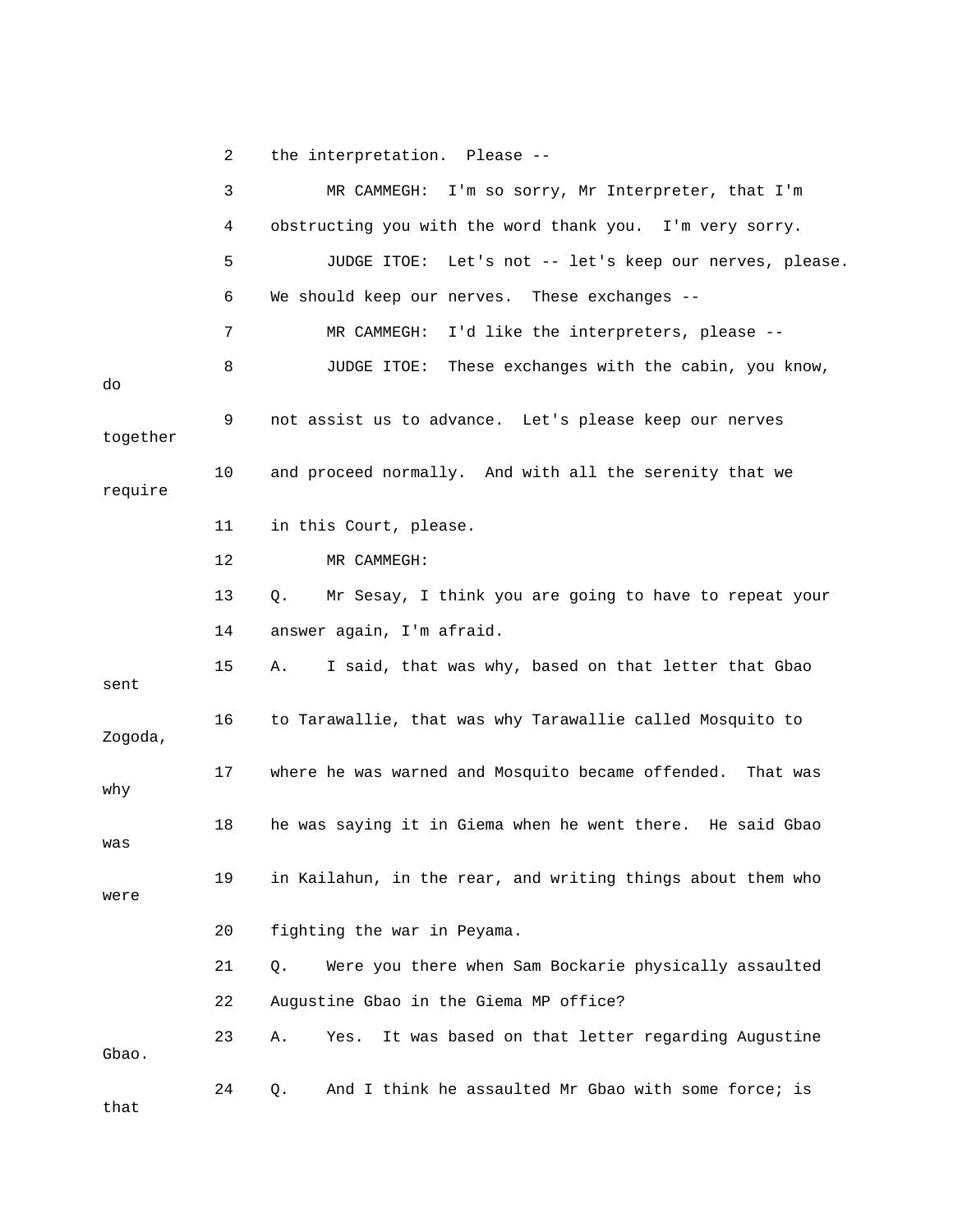2 the interpretation. Please --

 4 obstructing you with the word thank you. I'm very sorry. 5 JUDGE ITOE: Let's not -- let's keep our nerves, please. 9 not assist us to advance. Let's please keep our nerves require 13 Q. Mr Sesay, I think you are going to have to repeat your . 14 answer again, I'm afraid 15 A. I said, that was why, based on that letter that Gbao sent 21 Q. Were you there when Sam Bockarie physically assaulted 22 Augustine Gbao in the Giema MP office? 23 A. Yes. It was based on that letter regarding Augustine 3 MR CAMMEGH: I'm so sorry, Mr Interpreter, that I'm 6 We should keep our nerves. These exchanges -- 7 MR CAMMEGH: I'd like the interpreters, please -- 8 JUDGE ITOE: These exchanges with the cabin, you know, do together 10 and proceed normally. And with all the serenity that we 11 in this Court, please. 12 MR CAMMEGH: 16 to Tarawallie, that was why Tarawallie called Mosquito to Zogoda, 17 where he was warned and Mosquito became offended. That was why 18 he was saying it in Giema when he went there. He said Gbao was 19 in Kailahun, in the rear, and writing things about them who were 20 fighting the war in Peyama. Gbao. 24 O. And I think he assaulted Mr Gbao with some force; is that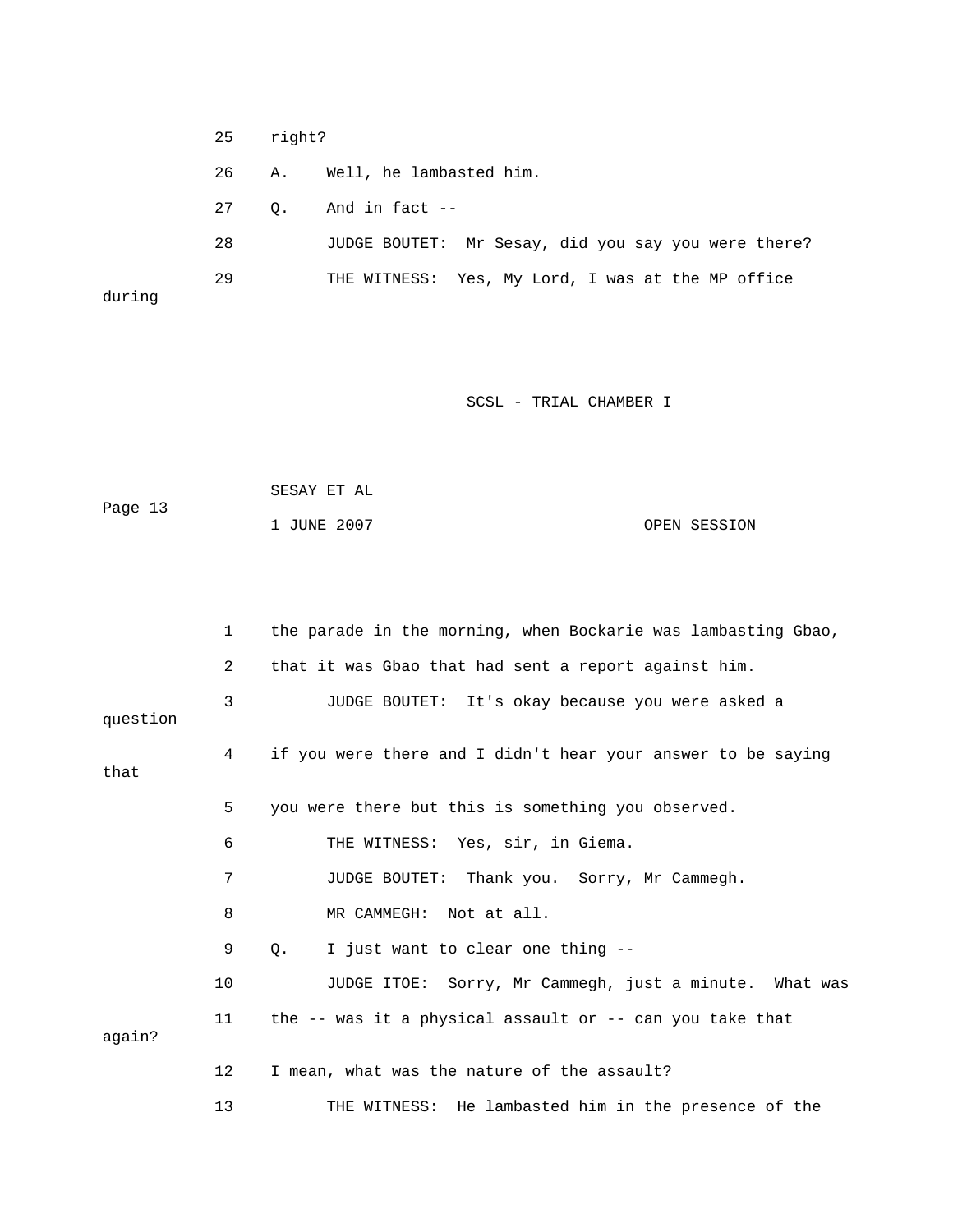25 right?

26 A. Well, he lambasted him.

27 Q. And in fact --

28 JUDGE BOUTET: Mr Sesay, did you say you were there? 29 THE WITNESS: Yes, My Lord, I was at the MP office during

|         | SESAY ET AL |              |
|---------|-------------|--------------|
| Page 13 |             |              |
|         | 1 JUNE 2007 | OPEN SESSION |

|          | $\mathbf{1}$   | the parade in the morning, when Bockarie was lambasting Gbao,  |
|----------|----------------|----------------------------------------------------------------|
|          | $\overline{2}$ | that it was Gbao that had sent a report against him.           |
| question | 3              | JUDGE BOUTET: It's okay because you were asked a               |
| that     | 4              | if you were there and I didn't hear your answer to be saying   |
|          | 5              | you were there but this is something you observed.             |
|          | 6              | THE WITNESS: Yes, sir, in Giema.                               |
|          | 7              | JUDGE BOUTET: Thank you. Sorry, Mr Cammegh.                    |
|          | 8              | MR CAMMEGH: Not at all.                                        |
|          | 9              | I just want to clear one thing --<br>$Q_{\star}$               |
|          | 10             | JUDGE ITOE: Sorry, Mr Cammegh, just a minute. What was         |
| again?   | 11             | the $-$ - was it a physical assault or $-$ - can you take that |
|          | 12             | I mean, what was the nature of the assault?                    |
|          | 13             | THE WITNESS: He lambasted him in the presence of the           |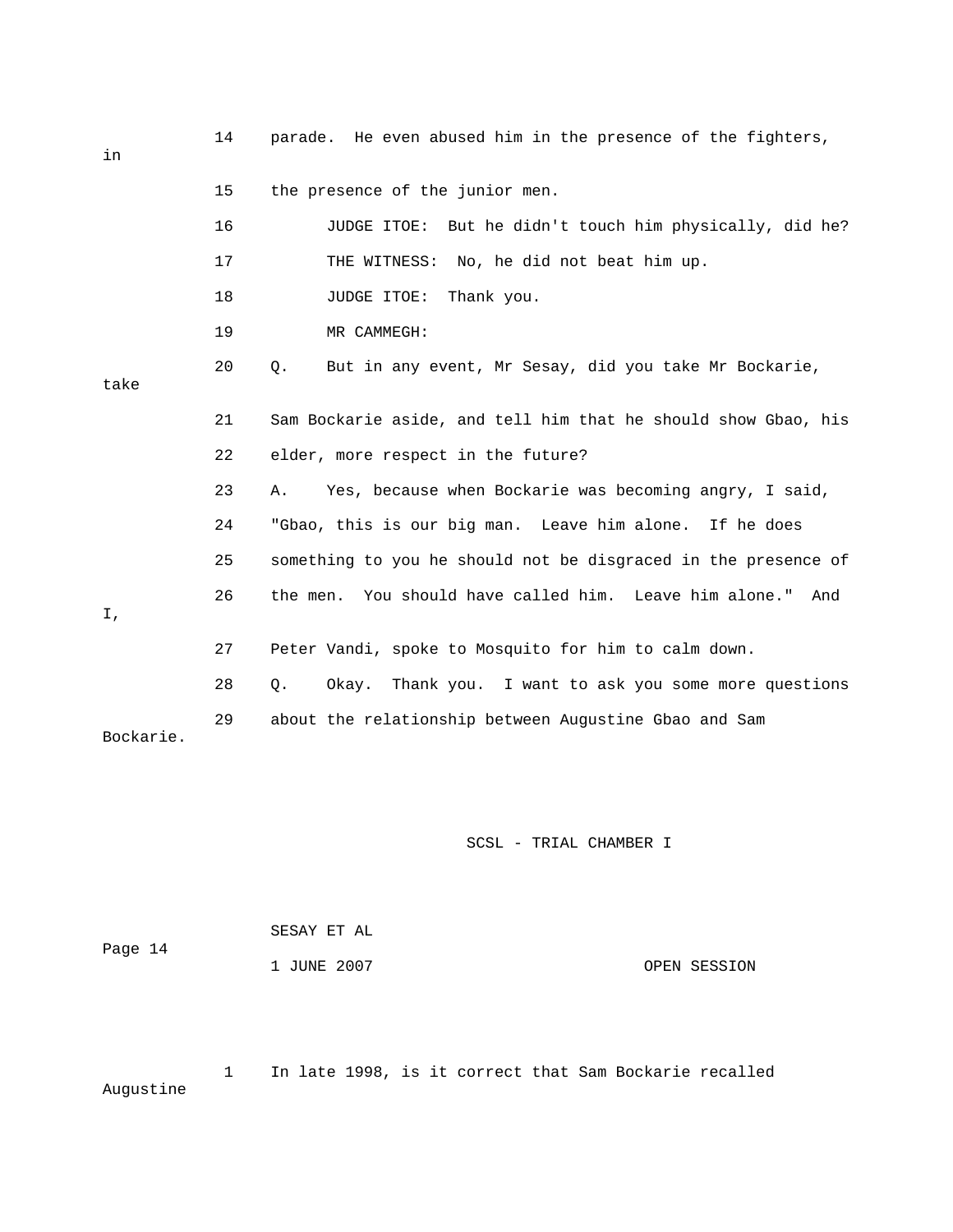| in        | 14 | parade. He even abused him in the presence of the fighters,    |
|-----------|----|----------------------------------------------------------------|
|           | 15 | the presence of the junior men.                                |
|           | 16 | JUDGE ITOE: But he didn't touch him physically, did he?        |
|           | 17 | THE WITNESS: No, he did not beat him up.                       |
|           | 18 | JUDGE ITOE:<br>Thank you.                                      |
|           | 19 | MR CAMMEGH:                                                    |
| take      | 20 | Q.<br>But in any event, Mr Sesay, did you take Mr Bockarie,    |
|           | 21 | Sam Bockarie aside, and tell him that he should show Gbao, his |
|           | 22 | elder, more respect in the future?                             |
|           | 23 | Yes, because when Bockarie was becoming angry, I said,<br>Α.   |
|           | 24 | "Gbao, this is our big man. Leave him alone. If he does        |
|           | 25 | something to you he should not be disgraced in the presence of |
| Ι,        | 26 | the men. You should have called him. Leave him alone."<br>And  |
|           | 27 | Peter Vandi, spoke to Mosquito for him to calm down.           |
|           | 28 | Okay. Thank you. I want to ask you some more questions<br>Q.   |
| Bockarie. | 29 | about the relationship between Augustine Gbao and Sam          |

|         | SESAY ET AL |              |
|---------|-------------|--------------|
| Page 14 |             |              |
|         | 1 JUNE 2007 | OPEN SESSION |

 1 In late 1998, is it correct that Sam Bockarie recalled Augustine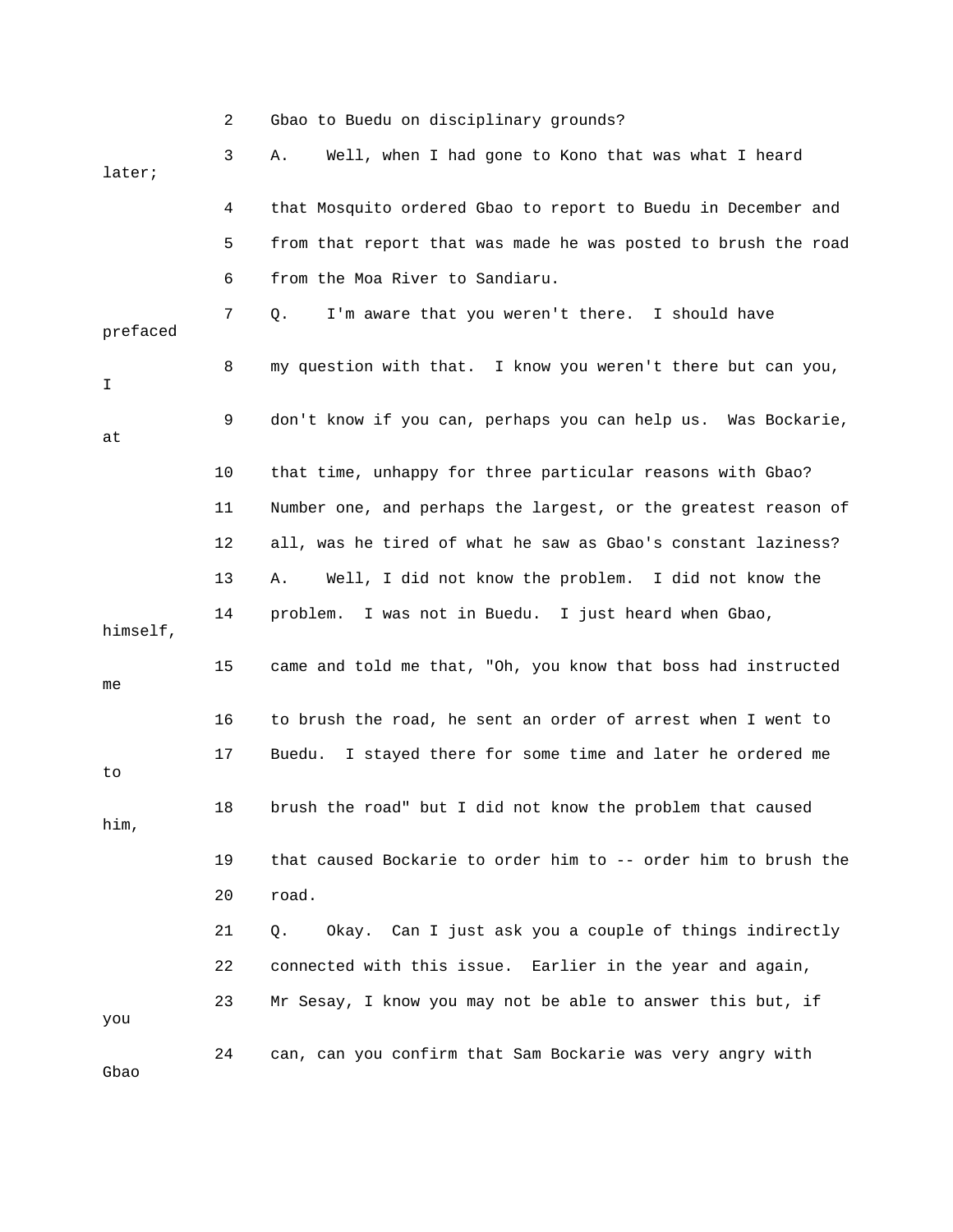|          | 2  | Gbao to Buedu on disciplinary grounds?                         |
|----------|----|----------------------------------------------------------------|
| later;   | 3  | Well, when I had gone to Kono that was what I heard<br>Α.      |
|          | 4  | that Mosquito ordered Gbao to report to Buedu in December and  |
|          | 5  | from that report that was made he was posted to brush the road |
|          | 6  | from the Moa River to Sandiaru.                                |
| prefaced | 7  | I'm aware that you weren't there. I should have<br>Q.          |
| I        | 8  | my question with that. I know you weren't there but can you,   |
| at       | 9  | don't know if you can, perhaps you can help us. Was Bockarie,  |
|          | 10 | that time, unhappy for three particular reasons with Gbao?     |
|          | 11 | Number one, and perhaps the largest, or the greatest reason of |
|          | 12 | all, was he tired of what he saw as Gbao's constant laziness?  |
|          | 13 | Well, I did not know the problem. I did not know the<br>Α.     |
| himself, | 14 | I was not in Buedu. I just heard when Gbao,<br>problem.        |
| me       | 15 | came and told me that, "Oh, you know that boss had instructed  |
|          | 16 | to brush the road, he sent an order of arrest when I went to   |
| to       | 17 | I stayed there for some time and later he ordered me<br>Buedu. |
| him,     | 18 | brush the road" but I did not know the problem that caused     |
|          | 19 | that caused Bockarie to order him to -- order him to brush the |
|          | 20 | road.                                                          |
|          | 21 | Okay. Can I just ask you a couple of things indirectly<br>Q.   |
|          | 22 | connected with this issue. Earlier in the year and again,      |
| you      | 23 | Mr Sesay, I know you may not be able to answer this but, if    |
| Gbao     | 24 | can, can you confirm that Sam Bockarie was very angry with     |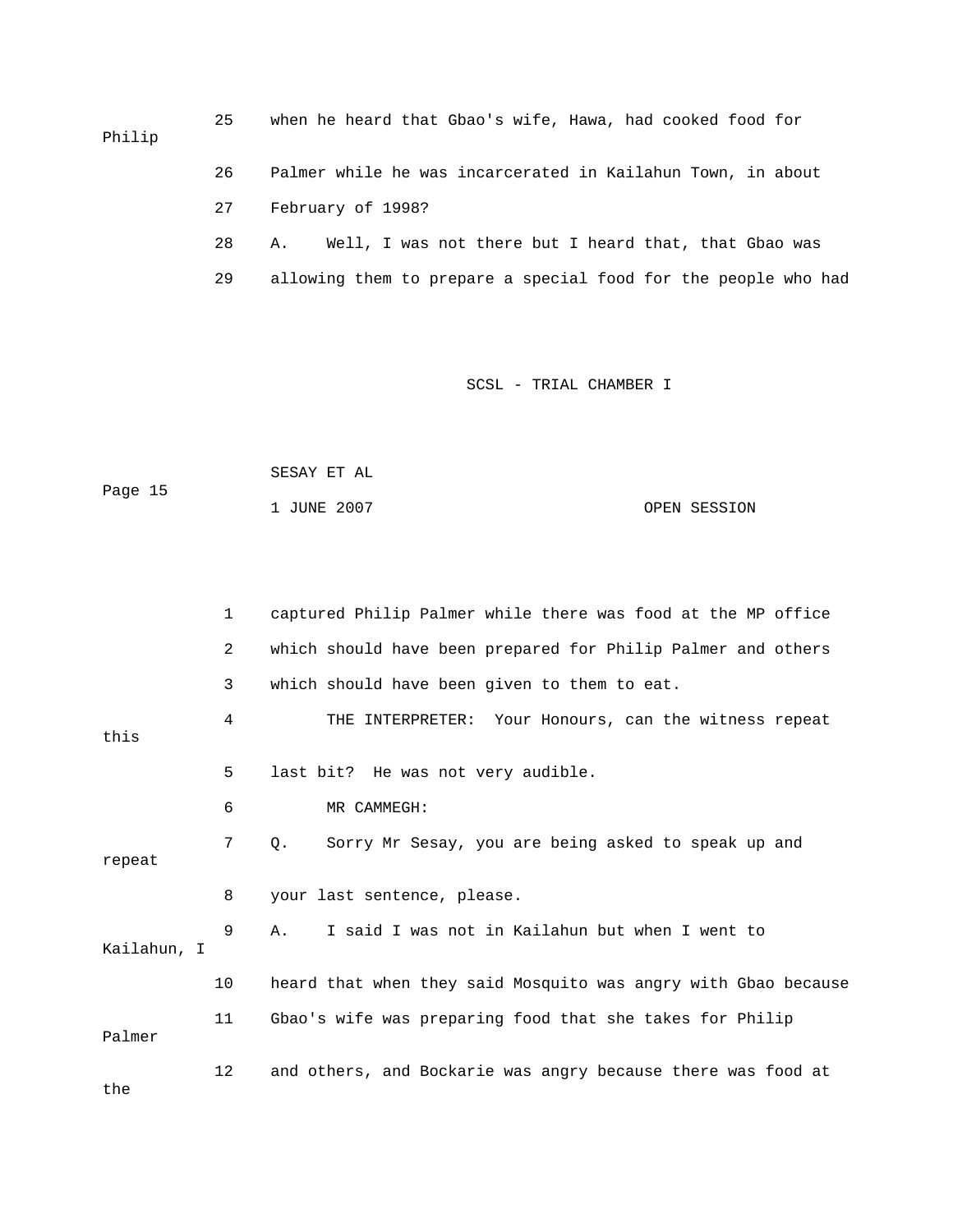25 when he heard that Gbao's wife, Hawa, had cooked food for Philip 27 February of 1998? 28 A. Well, I was not there but I heard that, that Gbao was 29 allowing them to prepare a special food for the people who had 26 Palmer while he was incarcerated in Kailahun Town, in about

| Page 15 | SESAY ET AL |              |
|---------|-------------|--------------|
|         | 1 JUNE 2007 | OPEN SESSION |

|             | $\mathbf{1}$ | captured Philip Palmer while there was food at the MP office   |
|-------------|--------------|----------------------------------------------------------------|
|             | 2            | which should have been prepared for Philip Palmer and others   |
|             | 3            | which should have been given to them to eat.                   |
| this        | 4            | THE INTERPRETER: Your Honours, can the witness repeat          |
|             | 5            | last bit? He was not very audible.                             |
|             | 6            | MR CAMMEGH:                                                    |
| repeat      | 7            | Sorry Mr Sesay, you are being asked to speak up and<br>Q.      |
|             | 8            | your last sentence, please.                                    |
| Kailahun, I | 9            | I said I was not in Kailahun but when I went to<br>Α.          |
|             | 10           | heard that when they said Mosquito was angry with Gbao because |
| Palmer      | 11           | Gbao's wife was preparing food that she takes for Philip       |
| the         | 12           | and others, and Bockarie was angry because there was food at   |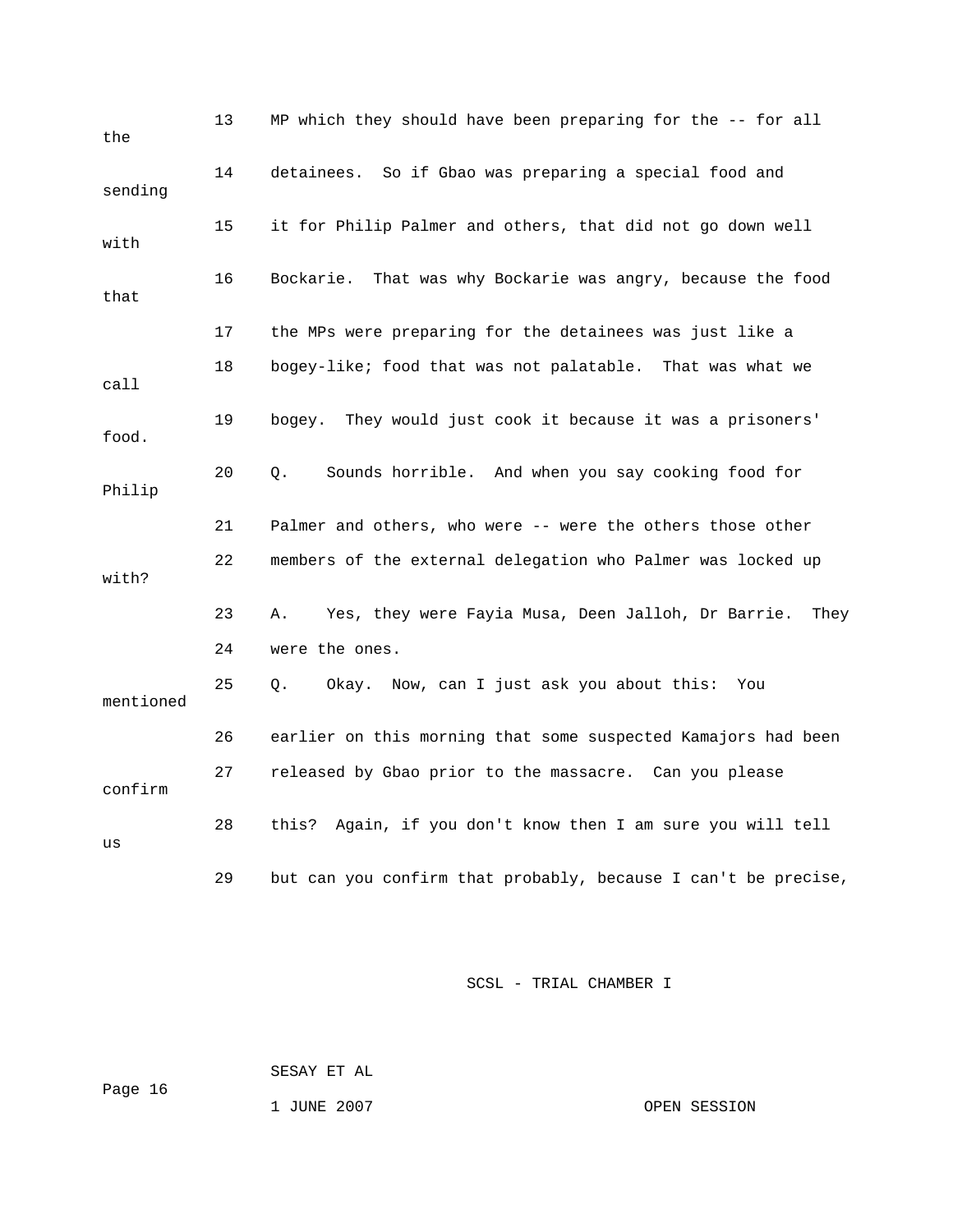| the       | 13 | MP which they should have been preparing for the -- for all      |
|-----------|----|------------------------------------------------------------------|
| sending   | 14 | detainees. So if Gbao was preparing a special food and           |
| with      | 15 | it for Philip Palmer and others, that did not go down well       |
| that      | 16 | Bockarie.<br>That was why Bockarie was angry, because the food   |
|           | 17 | the MPs were preparing for the detainees was just like a         |
| call      | 18 | bogey-like; food that was not palatable. That was what we        |
| food.     | 19 | bogey. They would just cook it because it was a prisoners'       |
| Philip    | 20 | Sounds horrible. And when you say cooking food for<br>Q.         |
|           | 21 | Palmer and others, who were -- were the others those other       |
| with?     | 22 | members of the external delegation who Palmer was locked up      |
|           | 23 | Yes, they were Fayia Musa, Deen Jalloh, Dr Barrie.<br>Α.<br>They |
|           | 24 | were the ones.                                                   |
| mentioned | 25 | Okay. Now, can I just ask you about this: You<br>О.              |
|           | 26 | earlier on this morning that some suspected Kamajors had been    |
| confirm   | 27 | released by Gbao prior to the massacre. Can you please           |
| us        | 28 | Again, if you don't know then I am sure you will tell<br>this?   |
|           | 29 | but can you confirm that probably, because I can't be precise,   |

SESAY ET AL

Page 16

1 JUNE 2007 OPEN SESSION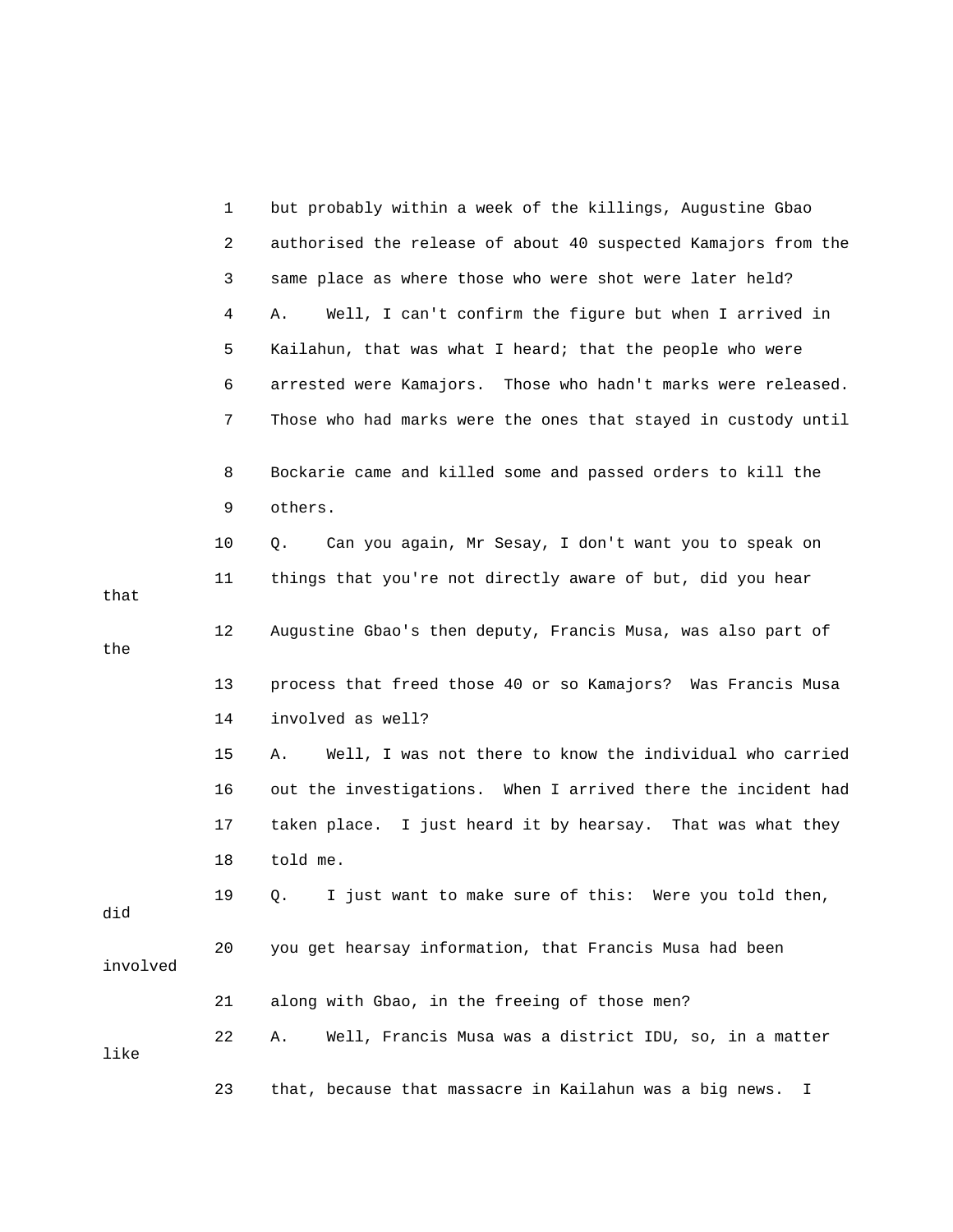|          | 1              | but probably within a week of the killings, Augustine Gbao     |
|----------|----------------|----------------------------------------------------------------|
|          | $\overline{a}$ | authorised the release of about 40 suspected Kamajors from the |
|          | 3              | same place as where those who were shot were later held?       |
|          | 4              | Well, I can't confirm the figure but when I arrived in<br>Α.   |
|          | 5              | Kailahun, that was what I heard; that the people who were      |
|          | 6              | arrested were Kamajors. Those who hadn't marks were released.  |
|          | 7              | Those who had marks were the ones that stayed in custody until |
|          | 8              | Bockarie came and killed some and passed orders to kill the    |
|          | 9              | others.                                                        |
|          | 10             | Can you again, Mr Sesay, I don't want you to speak on<br>Q.    |
| that     | 11             | things that you're not directly aware of but, did you hear     |
| the      | 12             | Augustine Gbao's then deputy, Francis Musa, was also part of   |
|          | 13             | process that freed those 40 or so Kamajors? Was Francis Musa   |
|          | 14             | involved as well?                                              |
|          | 15             | Well, I was not there to know the individual who carried<br>Α. |
|          | 16             | out the investigations. When I arrived there the incident had  |
|          | 17             | taken place. I just heard it by hearsay. That was what they    |
|          | 18             | told me.                                                       |
| did      | 19             | Q. I just want to make sure of this: Were you told then,       |
| involved | 20             | you get hearsay information, that Francis Musa had been        |
|          | 21             | along with Gbao, in the freeing of those men?                  |
| like     | 22             | Well, Francis Musa was a district IDU, so, in a matter<br>Α.   |
|          | 23             | that, because that massacre in Kailahun was a big news.<br>I.  |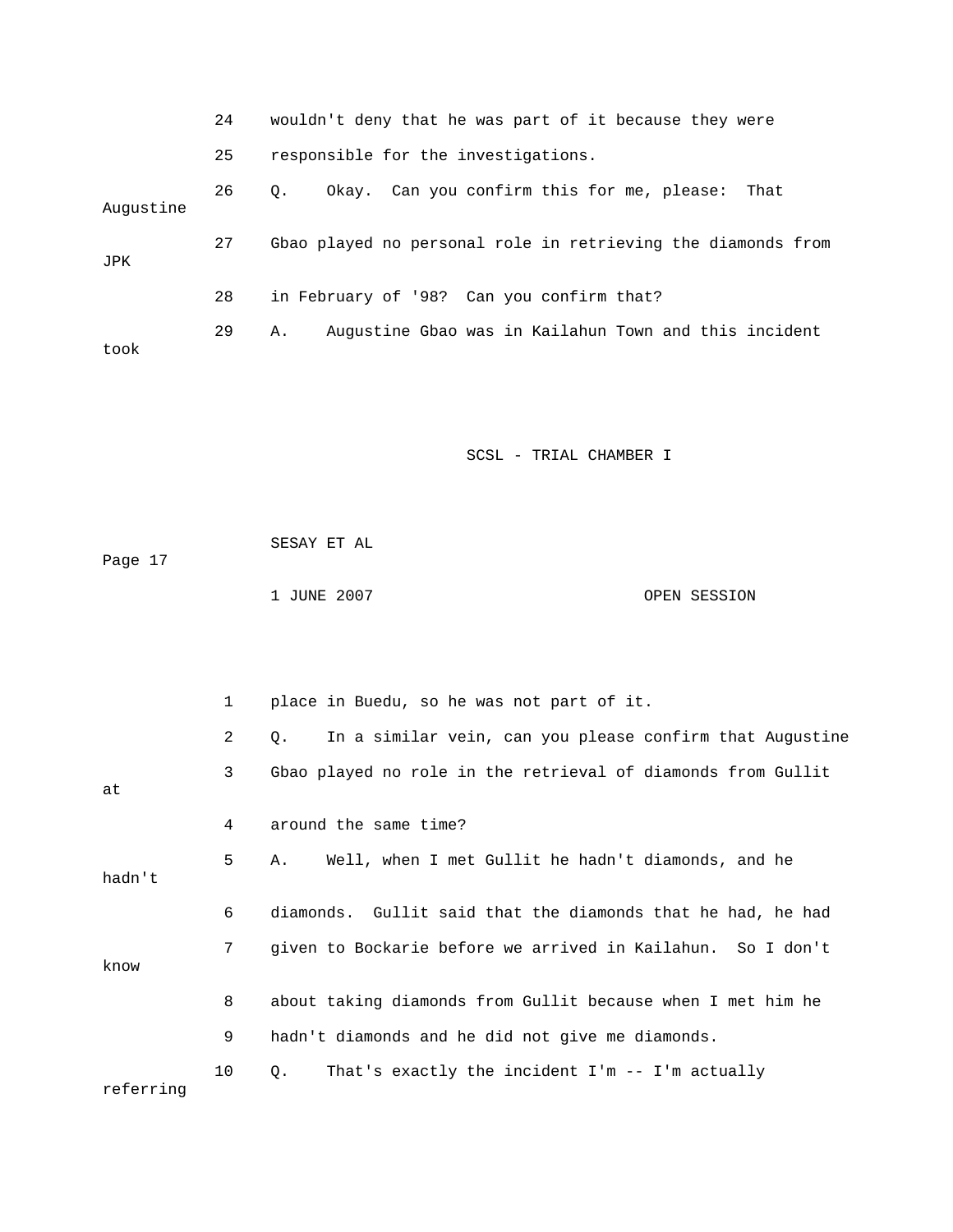|            | 24 | wouldn't deny that he was part of it because they were          |
|------------|----|-----------------------------------------------------------------|
|            | 25 | responsible for the investigations.                             |
| Augustine  | 26 | Okay. Can you confirm this for me, please:<br>$\circ$ .<br>That |
| <b>JPK</b> | 27 | Gbao played no personal role in retrieving the diamonds from    |
|            | 28 | in February of '98? Can you confirm that?                       |
| took       | 29 | Augustine Gbao was in Kailahun Town and this incident<br>Α.     |

 SESAY ET AL 1 JUNE 2007 CPEN SESSION Page 17

|           | $\mathbf{1}$ | place in Buedu, so he was not part of it.                             |
|-----------|--------------|-----------------------------------------------------------------------|
|           | 2            | In a similar vein, can you please confirm that Augustine<br>$\circ$ . |
| at        | 3            | Gbao played no role in the retrieval of diamonds from Gullit          |
|           | 4            | around the same time?                                                 |
| hadn't    | 5            | Well, when I met Gullit he hadn't diamonds, and he<br>A.,             |
|           | 6            | diamonds. Gullit said that the diamonds that he had, he had           |
| know      | 7            | given to Bockarie before we arrived in Kailahun. So I don't           |
|           | 8            | about taking diamonds from Gullit because when I met him he           |
|           | 9            | hadn't diamonds and he did not give me diamonds.                      |
| referring | 10           | That's exactly the incident $I'm - - I'm$ actually<br>Q.              |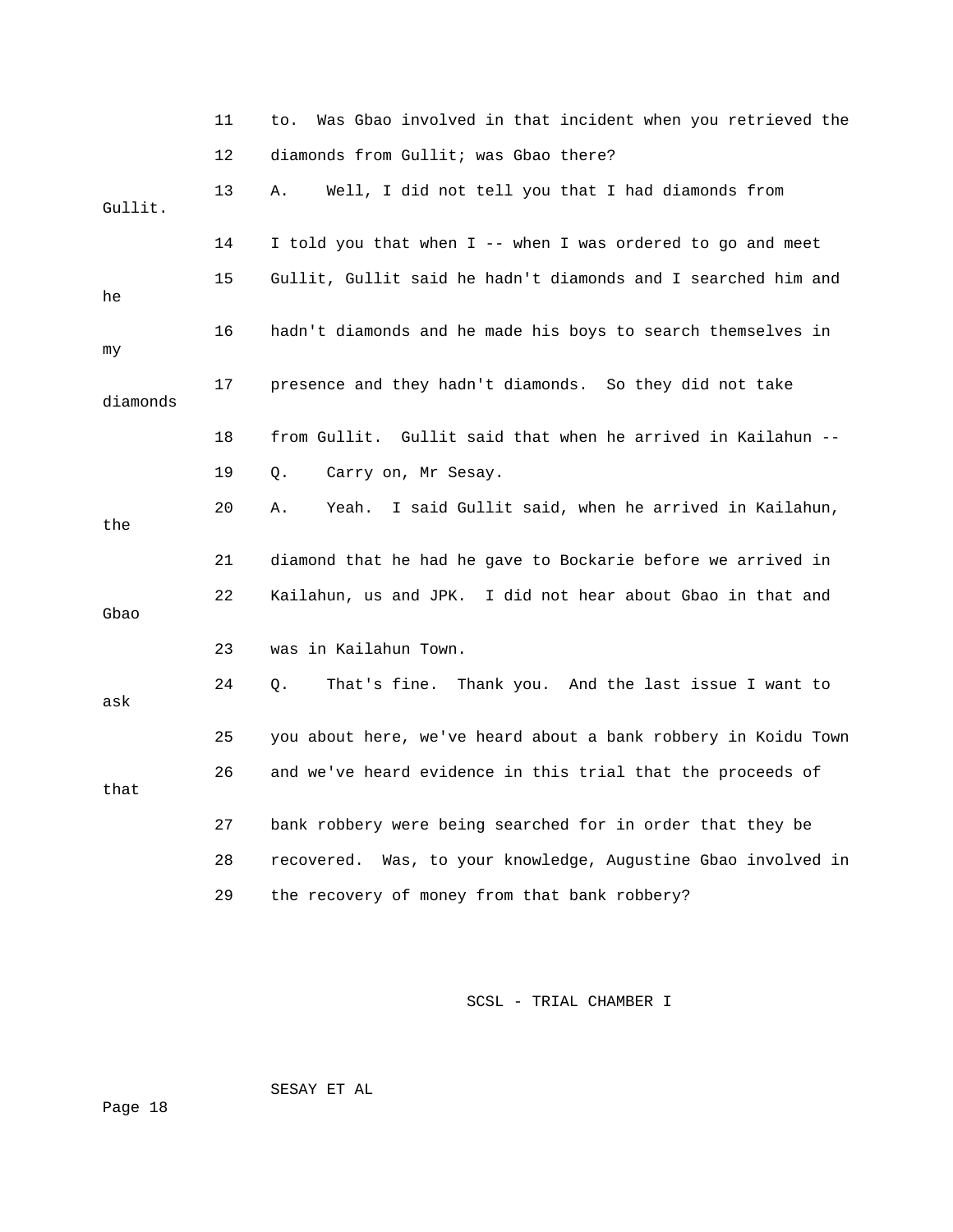|          | 11 | Was Gbao involved in that incident when you retrieved the<br>to. |
|----------|----|------------------------------------------------------------------|
|          | 12 | diamonds from Gullit; was Gbao there?                            |
| Gullit.  | 13 | Well, I did not tell you that I had diamonds from<br>Α.          |
|          | 14 | I told you that when I -- when I was ordered to go and meet      |
| he       | 15 | Gullit, Gullit said he hadn't diamonds and I searched him and    |
| my       | 16 | hadn't diamonds and he made his boys to search themselves in     |
| diamonds | 17 | presence and they hadn't diamonds. So they did not take          |
|          | 18 | from Gullit. Gullit said that when he arrived in Kailahun --     |
|          | 19 | Carry on, Mr Sesay.<br>Q.                                        |
| the      | 20 | I said Gullit said, when he arrived in Kailahun,<br>Yeah.<br>Α.  |
|          | 21 | diamond that he had he gave to Bockarie before we arrived in     |
| Gbao     | 22 | Kailahun, us and JPK. I did not hear about Gbao in that and      |
|          | 23 | was in Kailahun Town.                                            |
| ask      | 24 | That's fine. Thank you. And the last issue I want to<br>О.       |
|          | 25 | you about here, we've heard about a bank robbery in Koidu Town   |
| that     | 26 | and we've heard evidence in this trial that the proceeds of      |
|          | 27 | bank robbery were being searched for in order that they be       |
|          | 28 | recovered. Was, to your knowledge, Augustine Gbao involved in    |
|          | 29 | the recovery of money from that bank robbery?                    |

SESAY ET AL

Page 18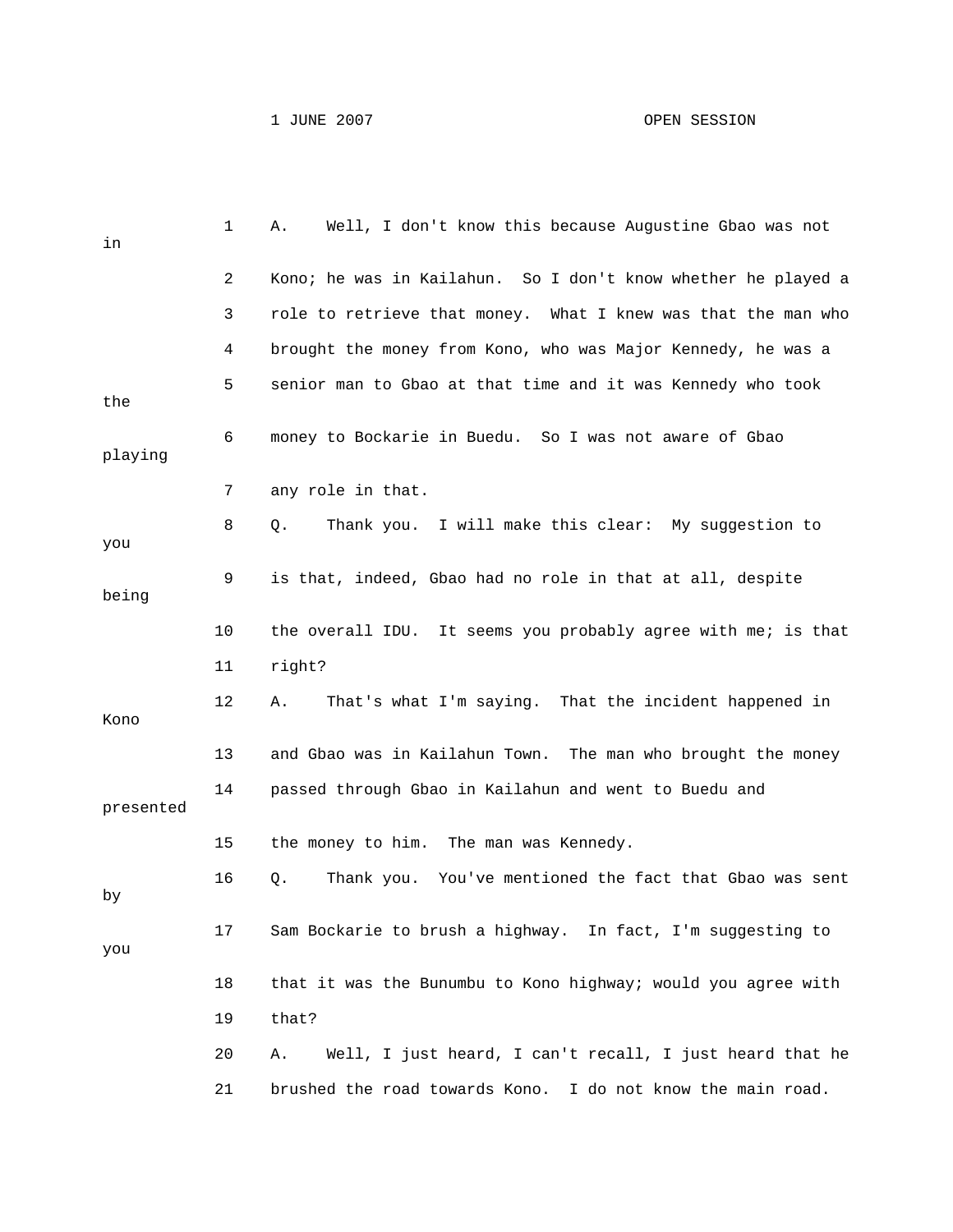| in        | 1  | Well, I don't know this because Augustine Gbao was not<br>Α.   |
|-----------|----|----------------------------------------------------------------|
|           | 2  | Kono; he was in Kailahun. So I don't know whether he played a  |
|           | 3  | role to retrieve that money. What I knew was that the man who  |
|           | 4  | brought the money from Kono, who was Major Kennedy, he was a   |
| the       | 5  | senior man to Gbao at that time and it was Kennedy who took    |
| playing   | 6  | money to Bockarie in Buedu. So I was not aware of Gbao         |
|           | 7  | any role in that.                                              |
| you       | 8  | Thank you. I will make this clear: My suggestion to<br>Q.      |
| being     | 9  | is that, indeed, Gbao had no role in that at all, despite      |
|           | 10 | the overall IDU. It seems you probably agree with me; is that  |
|           | 11 | right?                                                         |
| Kono      | 12 | That's what I'm saying. That the incident happened in<br>Α.    |
|           | 13 | and Gbao was in Kailahun Town. The man who brought the money   |
| presented | 14 | passed through Gbao in Kailahun and went to Buedu and          |
|           | 15 | the money to him. The man was Kennedy.                         |
| by        | 16 | Thank you. You've mentioned the fact that Gbao was sent<br>Q.  |
| you       | 17 | Sam Bockarie to brush a highway. In fact, I'm suggesting to    |
|           | 18 | that it was the Bunumbu to Kono highway; would you agree with  |
|           | 19 | that?                                                          |
|           | 20 | Well, I just heard, I can't recall, I just heard that he<br>Α. |
|           | 21 | brushed the road towards Kono. I do not know the main road.    |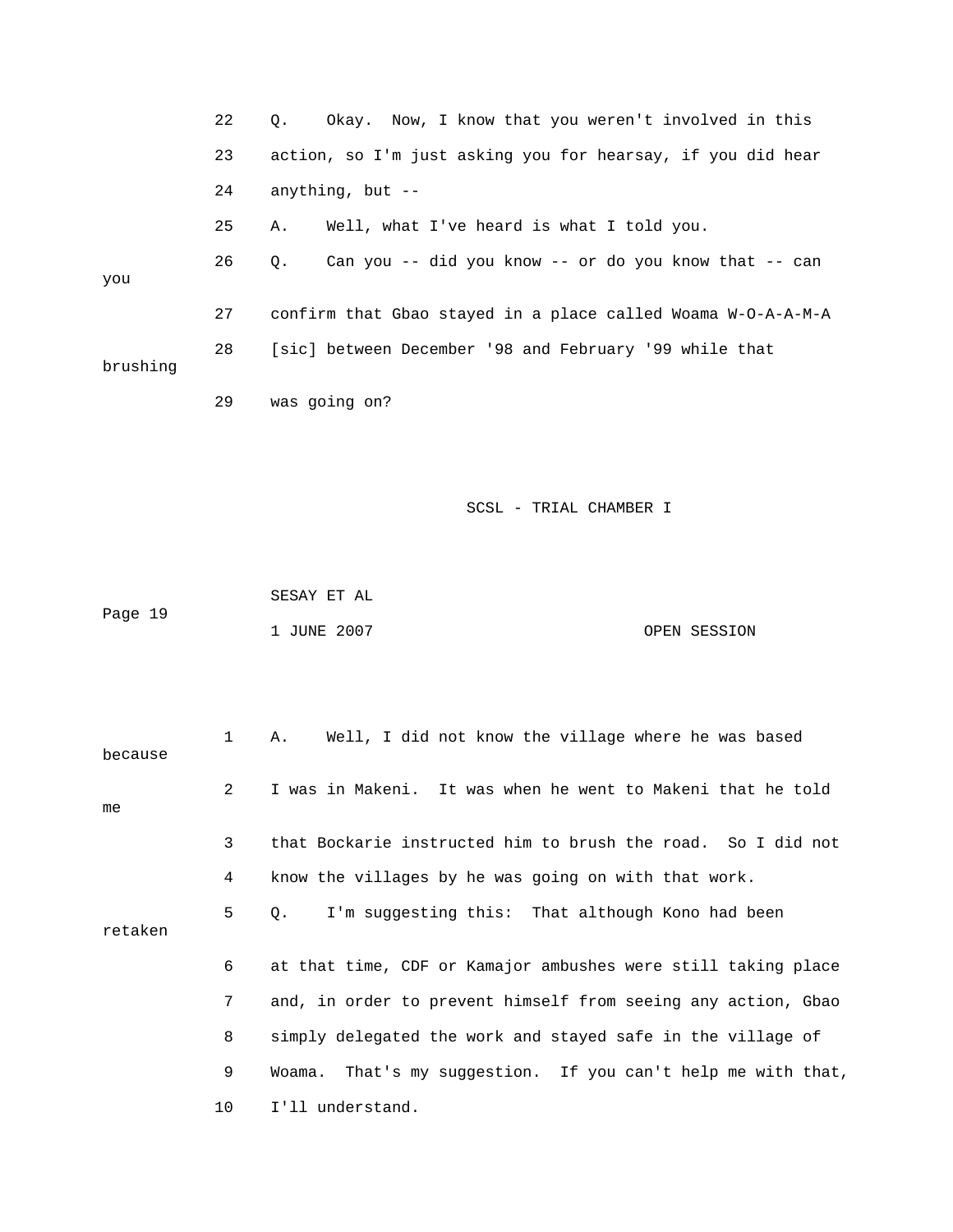|          | 22 | Q.<br>Okay. Now, I know that you weren't involved in this       |
|----------|----|-----------------------------------------------------------------|
|          | 23 | action, so I'm just asking you for hearsay, if you did hear     |
|          | 24 | anything, but --                                                |
|          | 25 | Well, what I've heard is what I told you.<br>Α.                 |
| you      | 26 | Can you -- did you know -- or do you know that -- can<br>Q.     |
|          | 27 | confirm that Gbao stayed in a place called Woama W-O-A-A-M-A    |
| brushing | 28 | [sic] between December '98 and February '99 while that          |
|          | 29 | was going on?                                                   |
|          |    |                                                                 |
|          |    | SCSL - TRIAL CHAMBER I                                          |
|          |    |                                                                 |
|          |    | SESAY ET AL                                                     |
| Page 19  |    | 1 JUNE 2007<br>OPEN SESSION                                     |
|          |    |                                                                 |
| because  | 1  | Α.<br>Well, I did not know the village where he was based       |
| me       | 2  | I was in Makeni.<br>It was when he went to Makeni that he told  |
|          | 3  | that Bockarie instructed him to brush the road. So I did not    |
|          | 4  | know the villages by he was going on with that work.            |
| retaken  | 5  | I'm suggesting this: That although Kono had been<br>Q.          |
|          | 6  | at that time, CDF or Kamajor ambushes were still taking place   |
|          | 7  | and, in order to prevent himself from seeing any action, Gbao   |
|          | 8  | simply delegated the work and stayed safe in the village of     |
|          | 9  | That's my suggestion. If you can't help me with that,<br>Woama. |
|          | 10 | I'll understand.                                                |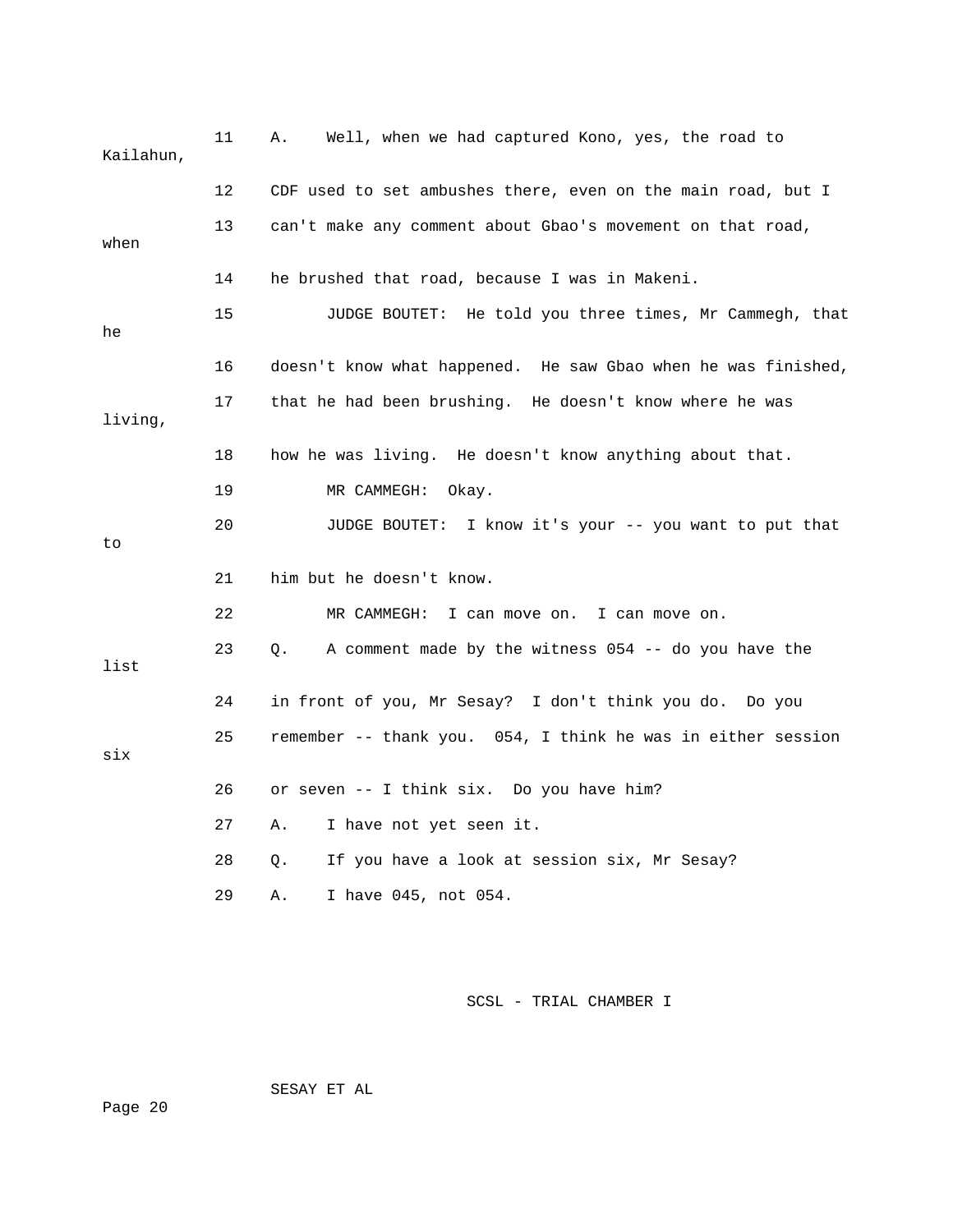| Kailahun, | 11 | Well, when we had captured Kono, yes, the road to<br>Α.       |
|-----------|----|---------------------------------------------------------------|
|           | 12 | CDF used to set ambushes there, even on the main road, but I  |
| when      | 13 | can't make any comment about Gbao's movement on that road,    |
|           | 14 | he brushed that road, because I was in Makeni.                |
| he        | 15 | JUDGE BOUTET: He told you three times, Mr Cammegh, that       |
|           | 16 | doesn't know what happened. He saw Gbao when he was finished, |
| living,   | 17 | that he had been brushing. He doesn't know where he was       |
|           | 18 | how he was living. He doesn't know anything about that.       |
|           | 19 | MR CAMMEGH:<br>Okay.                                          |
| to        | 20 | JUDGE BOUTET: I know it's your -- you want to put that        |
|           | 21 | him but he doesn't know.                                      |
|           | 22 | MR CAMMEGH: I can move on. I can move on.                     |
| list      | 23 | A comment made by the witness $054$ -- do you have the<br>Q.  |
|           | 24 | in front of you, Mr Sesay? I don't think you do. Do you       |
| six       | 25 | remember -- thank you. 054, I think he was in either session  |
|           | 26 | or seven -- I think six. Do you have him?                     |
|           | 27 | I have not yet seen it.<br>Α.                                 |
|           | 28 | If you have a look at session six, Mr Sesay?<br>О.            |
|           | 29 | I have 045, not 054.<br>Α.                                    |

SESAY ET AL

Page 20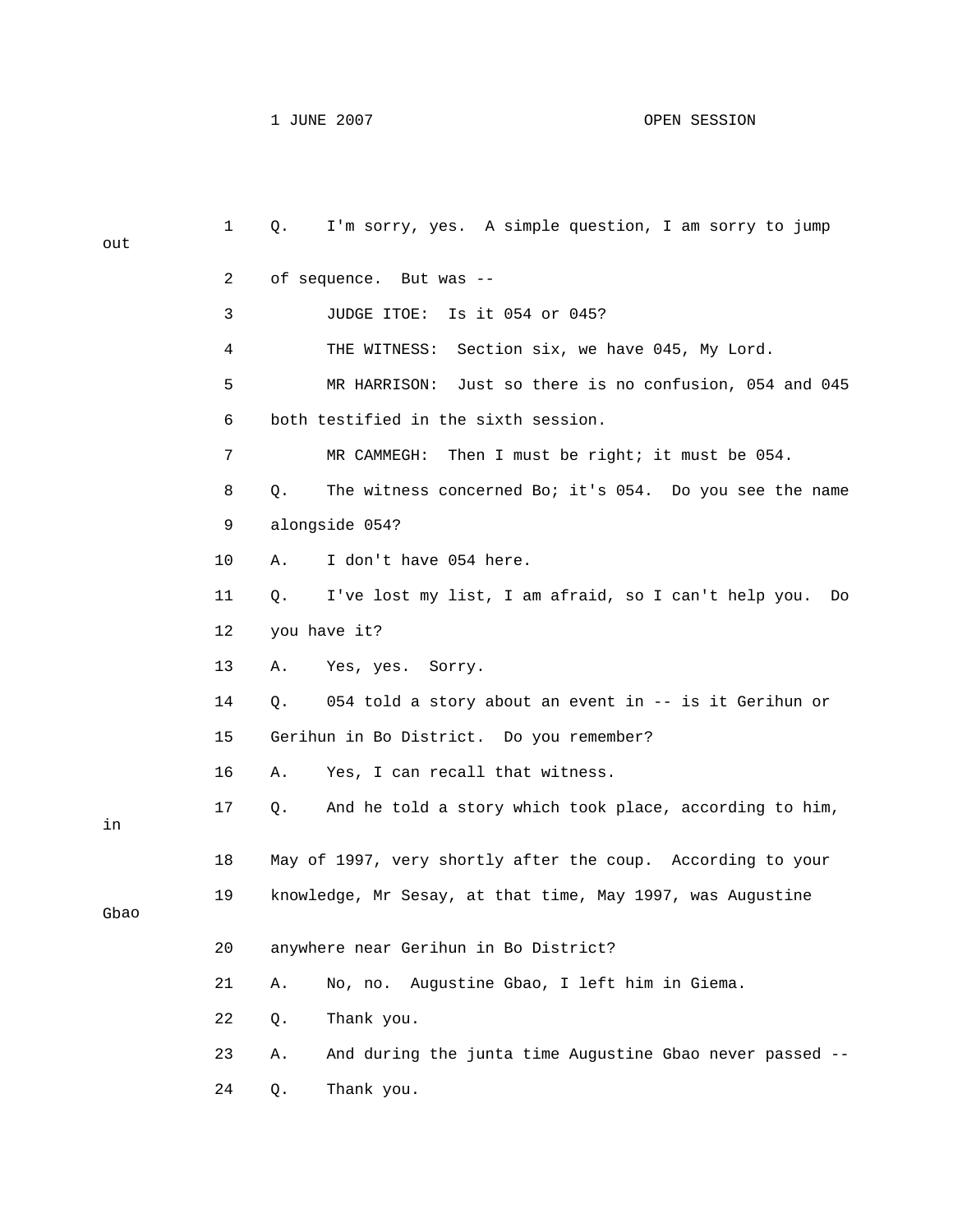| out  | $\mathbf{1}$ | I'm sorry, yes. A simple question, I am sorry to jump<br>Q.      |
|------|--------------|------------------------------------------------------------------|
|      | 2            | of sequence. But was --                                          |
|      | 3            | JUDGE ITOE:<br>Is it 054 or 045?                                 |
|      | 4            | THE WITNESS: Section six, we have 045, My Lord.                  |
|      | 5            | MR HARRISON: Just so there is no confusion, 054 and 045          |
|      | 6            | both testified in the sixth session.                             |
|      | 7            | MR CAMMEGH:<br>Then I must be right; it must be 054.             |
|      | 8            | The witness concerned Bo; it's 054. Do you see the name<br>Q.    |
|      | 9            | alongside 054?                                                   |
|      | 10           | I don't have 054 here.<br>Α.                                     |
|      | 11           | I've lost my list, I am afraid, so I can't help you.<br>Q.<br>Do |
|      | 12           | you have it?                                                     |
|      | 13           | Yes, yes. Sorry.<br>Α.                                           |
|      | 14           | 054 told a story about an event in -- is it Gerihun or<br>Q.     |
|      | 15           | Gerihun in Bo District. Do you remember?                         |
|      | 16           | Yes, I can recall that witness.<br>Α.                            |
| in   | 17           | And he told a story which took place, according to him,<br>Q.    |
|      | 18           | May of 1997, very shortly after the coup. According to your      |
| Gbao | 19           | knowledge, Mr Sesay, at that time, May 1997, was Augustine       |
|      | 20           | anywhere near Gerihun in Bo District?                            |
|      | 21           | Augustine Gbao, I left him in Giema.<br>Α.<br>No, no.            |
|      | 22           | Thank you.<br>Q.                                                 |
|      | 23           | And during the junta time Augustine Gbao never passed --<br>Α.   |
|      | 24           | Thank you.<br>Q.                                                 |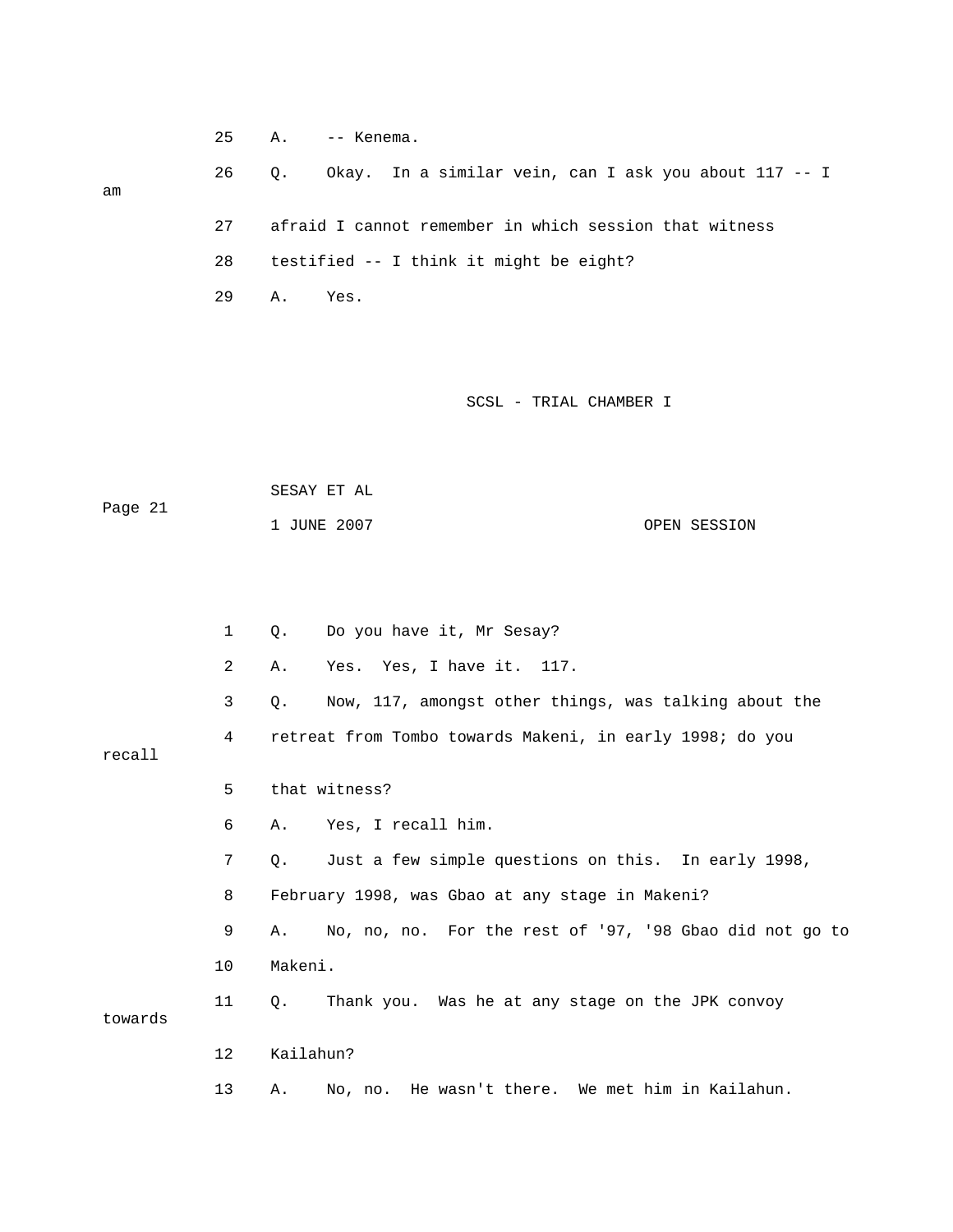25 A. -- Kenema. 26 Q. Okay. In a similar vein, can I ask you about 117 -- I 27 afraid I cannot remember in which session that witness 28 testified -- I think it might be eight? 29 A. Yes.

SCSL - TRIAL CHAMBER I

| Page 21 | SESAY ET AL |              |
|---------|-------------|--------------|
|         | 1 JUNE 2007 | OPEN SESSION |

am

|         | $\mathbf 1$ | О.          | Do you have it, Mr Sesay?                                |
|---------|-------------|-------------|----------------------------------------------------------|
|         | 2           | Α.          | Yes. Yes, I have it. 117.                                |
|         | 3           | Q.          | Now, 117, amongst other things, was talking about the    |
| recall  | 4           |             | retreat from Tombo towards Makeni, in early 1998; do you |
|         | 5           |             | that witness?                                            |
|         | 6           | Α.          | Yes, I recall him.                                       |
|         | 7           | Q.          | Just a few simple questions on this. In early 1998,      |
|         | 8           |             | February 1998, was Gbao at any stage in Makeni?          |
|         | 9           | A.          | No, no, no. For the rest of '97, '98 Gbao did not go to  |
|         | 10          | Makeni.     |                                                          |
| towards | 11          | $Q_{\star}$ | Thank you. Was he at any stage on the JPK convoy         |
|         | $12 \,$     | Kailahun?   |                                                          |
|         | 13          | Α.          | No, no. He wasn't there. We met him in Kailahun.         |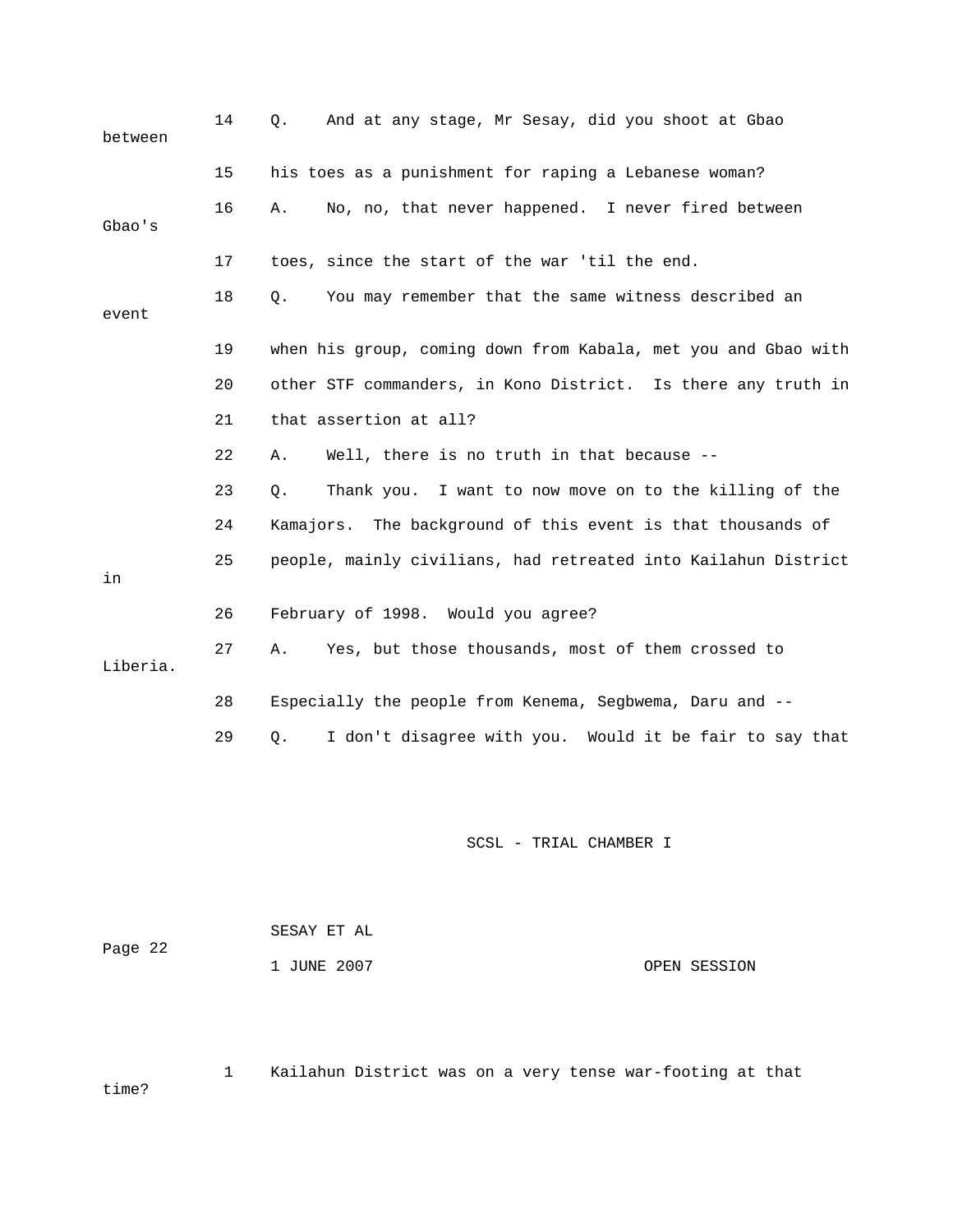| 14 | And at any stage, Mr Sesay, did you shoot at Gbao<br>Q.        |
|----|----------------------------------------------------------------|
| 15 | his toes as a punishment for raping a Lebanese woman?          |
| 16 | No, no, that never happened. I never fired between<br>Α.       |
| 17 | toes, since the start of the war 'til the end.                 |
| 18 | You may remember that the same witness described an<br>Q.      |
| 19 | when his group, coming down from Kabala, met you and Gbao with |
| 20 | other STF commanders, in Kono District. Is there any truth in  |
| 21 | that assertion at all?                                         |
| 22 | Well, there is no truth in that because --<br>Α.               |
| 23 | Thank you. I want to now move on to the killing of the<br>Q.   |
| 24 | Kamajors. The background of this event is that thousands of    |
| 25 | people, mainly civilians, had retreated into Kailahun District |
| 26 | February of 1998. Would you agree?                             |
| 27 | Yes, but those thousands, most of them crossed to<br>Α.        |
| 28 | Especially the people from Kenema, Segbwema, Daru and --       |
| 29 | I don't disagree with you. Would it be fair to say that<br>Q.  |
|    | SCSL - TRIAL CHAMBER I                                         |
|    |                                                                |

| Page 22 | SESAY ET AL |              |
|---------|-------------|--------------|
|         | 1 JUNE 2007 | OPEN SESSION |

1 Kailahun District was on a very tense war-footing at that

time?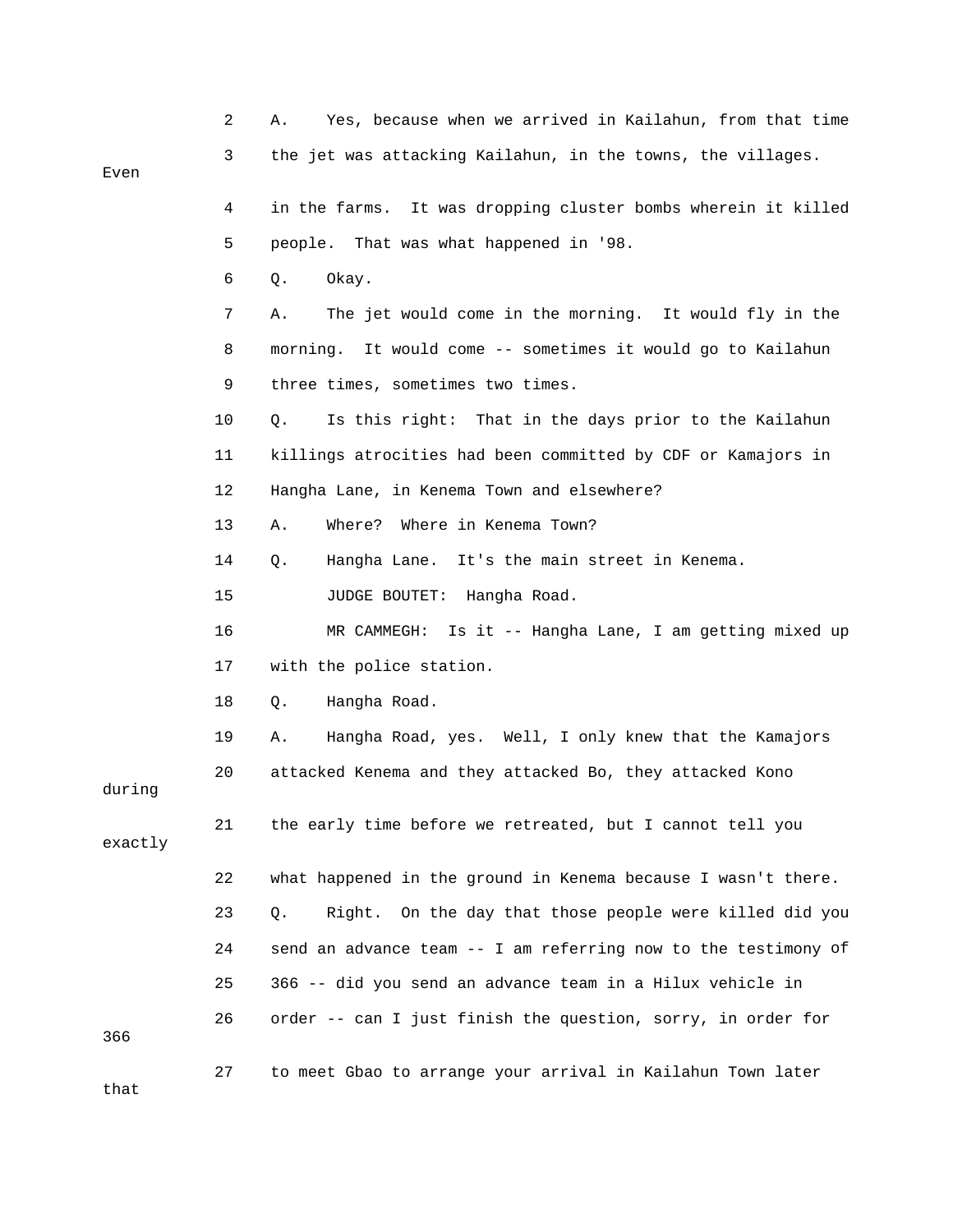|         | 2  | Yes, because when we arrived in Kailahun, from that time<br>Α.   |
|---------|----|------------------------------------------------------------------|
| Even    | 3  | the jet was attacking Kailahun, in the towns, the villages.      |
|         | 4  | in the farms. It was dropping cluster bombs wherein it killed    |
|         | 5  | people. That was what happened in '98.                           |
|         | 6  | Q.<br>Okay.                                                      |
|         | 7  | The jet would come in the morning. It would fly in the<br>Α.     |
|         | 8  | morning. It would come -- sometimes it would go to Kailahun      |
|         | 9  | three times, sometimes two times.                                |
|         | 10 | Is this right: That in the days prior to the Kailahun<br>Q.      |
|         | 11 | killings atrocities had been committed by CDF or Kamajors in     |
|         | 12 | Hangha Lane, in Kenema Town and elsewhere?                       |
|         | 13 | Where in Kenema Town?<br>Α.<br>Where?                            |
|         | 14 | Hangha Lane. It's the main street in Kenema.<br>$Q$ .            |
|         | 15 | JUDGE BOUTET:<br>Hangha Road.                                    |
|         | 16 | Is it -- Hangha Lane, I am getting mixed up<br>MR CAMMEGH:       |
|         | 17 | with the police station.                                         |
|         | 18 | Hangha Road.<br>Q.                                               |
|         | 19 | Hangha Road, yes. Well, I only knew that the Kamajors<br>Α.      |
| during  | 20 | attacked Kenema and they attacked Bo, they attacked Kono         |
| exactly | 21 | the early time before we retreated, but I cannot tell you        |
|         | 22 | what happened in the ground in Kenema because I wasn't there.    |
|         | 23 | On the day that those people were killed did you<br>Q.<br>Right. |
|         | 24 | send an advance team -- I am referring now to the testimony of   |
|         | 25 | 366 -- did you send an advance team in a Hilux vehicle in        |
| 366     | 26 | order -- can I just finish the question, sorry, in order for     |
| that    | 27 | to meet Gbao to arrange your arrival in Kailahun Town later      |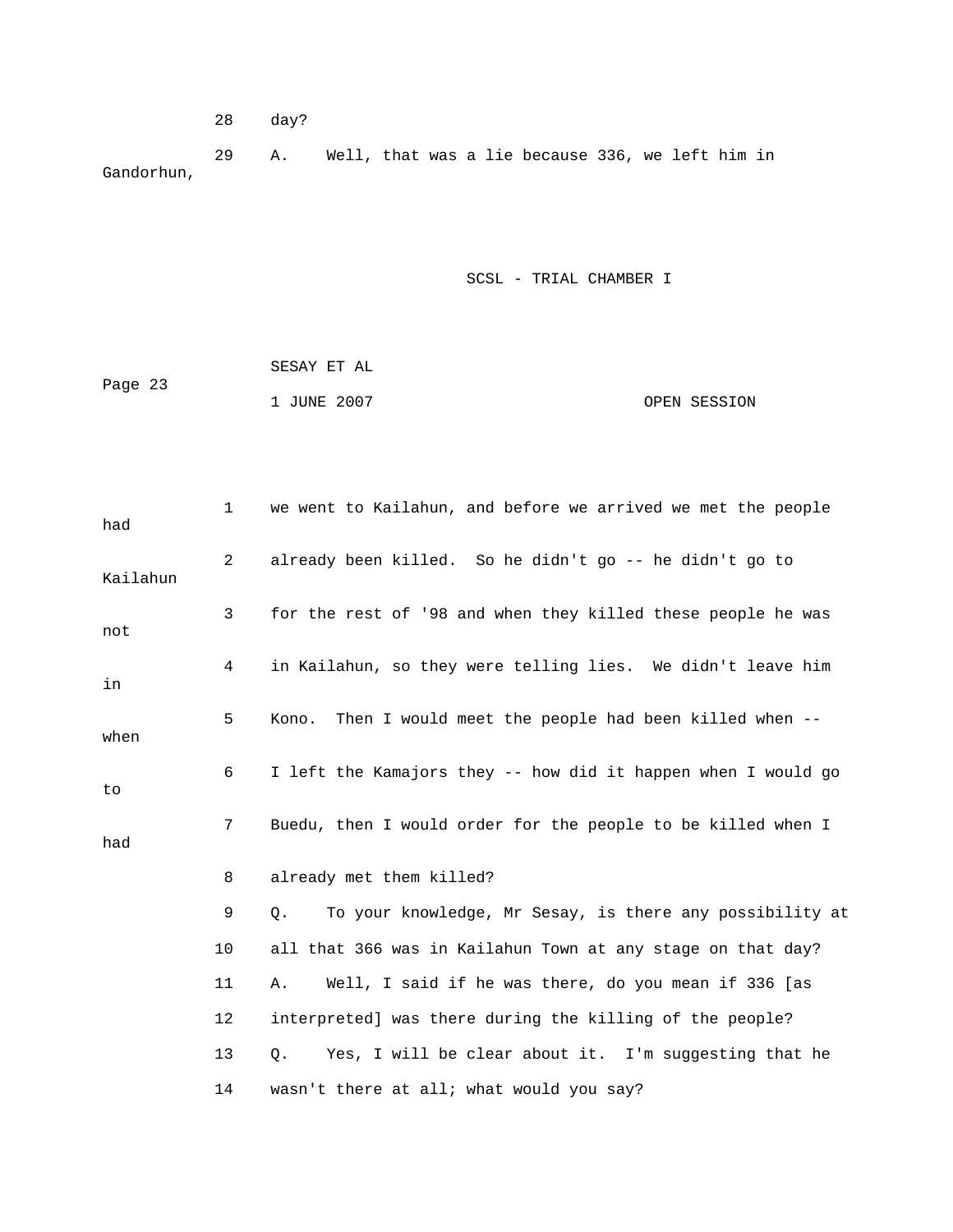28 day?

 29 A. Well, that was a lie because 336, we left him in Gandorhun,

| Page 23 | SESAY ET AL |              |
|---------|-------------|--------------|
|         | 1 JUNE 2007 | OPEN SESSION |

| had      | $\mathbf{1}$ | we went to Kailahun, and before we arrived we met the people   |
|----------|--------------|----------------------------------------------------------------|
| Kailahun | 2            | already been killed. So he didn't go -- he didn't go to        |
| not      | 3            | for the rest of '98 and when they killed these people he was   |
| in       | 4            | in Kailahun, so they were telling lies. We didn't leave him    |
| when     | 5            | Then I would meet the people had been killed when --<br>Kono.  |
| to       | 6            | I left the Kamajors they -- how did it happen when I would go  |
| had      | 7            | Buedu, then I would order for the people to be killed when I   |
|          | 8            | already met them killed?                                       |
|          | 9            | Q.<br>To your knowledge, Mr Sesay, is there any possibility at |
|          | 10           | all that 366 was in Kailahun Town at any stage on that day?    |
|          | 11           | Well, I said if he was there, do you mean if 336 [as<br>Α.     |
|          | 12           | interpreted] was there during the killing of the people?       |
|          | 13           | Yes, I will be clear about it. I'm suggesting that he<br>Q.    |
|          | 14           | wasn't there at all; what would you say?                       |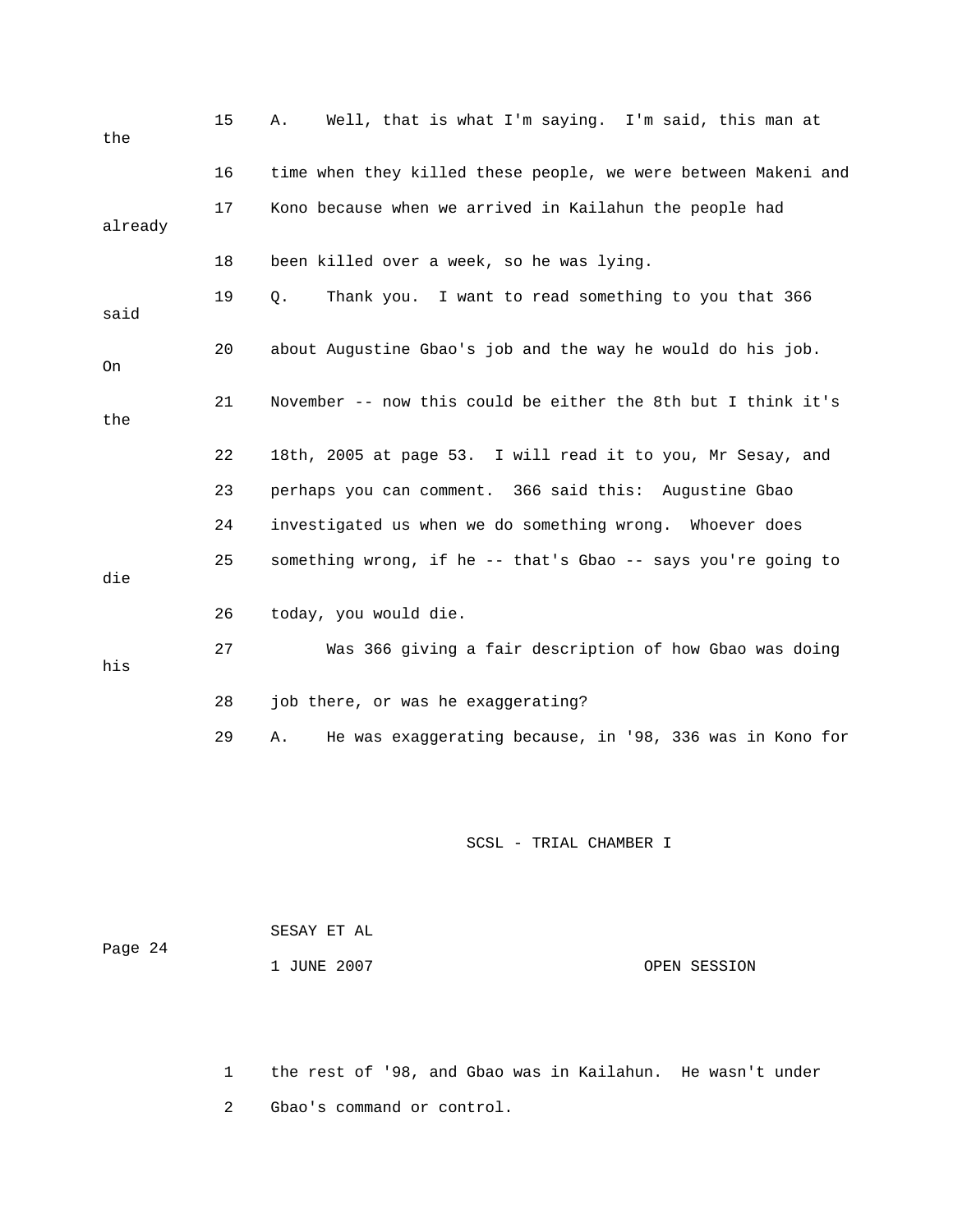| the     | 15 | Well, that is what I'm saying. I'm said, this man at<br>Α.     |
|---------|----|----------------------------------------------------------------|
|         | 16 | time when they killed these people, we were between Makeni and |
| already | 17 | Kono because when we arrived in Kailahun the people had        |
|         | 18 | been killed over a week, so he was lying.                      |
| said    | 19 | Thank you. I want to read something to you that 366<br>О.      |
| On      | 20 | about Augustine Gbao's job and the way he would do his job.    |
| the     | 21 | November -- now this could be either the 8th but I think it's  |
|         | 22 | 18th, 2005 at page 53. I will read it to you, Mr Sesay, and    |
|         | 23 | perhaps you can comment. 366 said this: Augustine Gbao         |
|         | 24 | investigated us when we do something wrong. Whoever does       |
| die     | 25 | something wrong, if he -- that's Gbao -- says you're going to  |
|         | 26 | today, you would die.                                          |
| his     | 27 | Was 366 giving a fair description of how Gbao was doing        |
|         | 28 | job there, or was he exaggerating?                             |
|         | 29 | He was exaggerating because, in '98, 336 was in Kono for<br>Α. |
|         |    | SCSL - TRIAL CHAMBER I                                         |

| Page 24 | SESAY ET AL |              |
|---------|-------------|--------------|
|         | 1 JUNE 2007 | OPEN SESSION |

 1 the rest of '98, and Gbao was in Kailahun. He wasn't under 2 Gbao's command or control.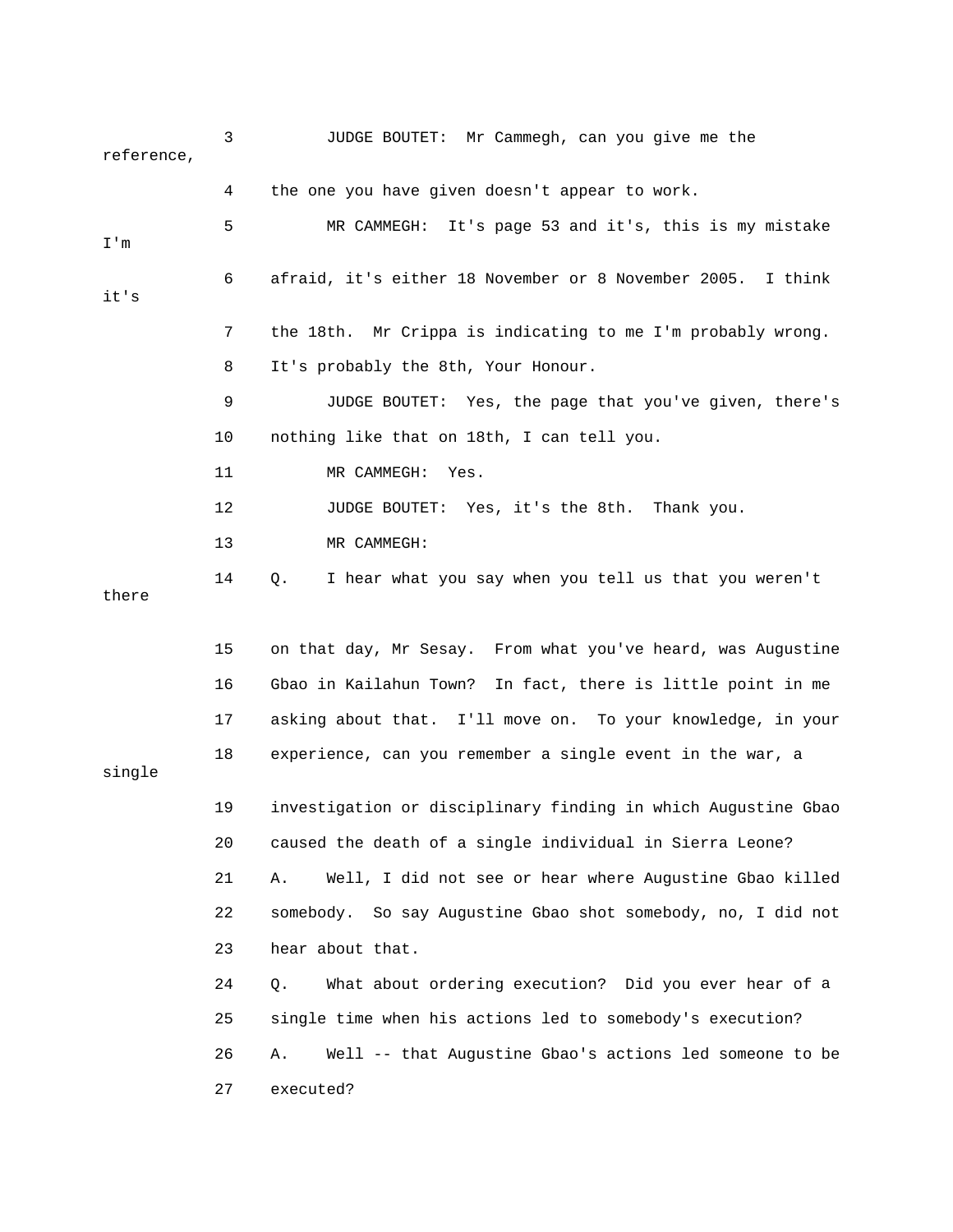3 JUDGE BOUTET: Mr Cammegh, can you give me the reference, 5 MR CAMMEGH: It's page 53 and it's, this is my mistake 6 afraid, it's either 18 November or 8 November 2005. I think 7 the 18th. Mr Crippa is indicating to me I'm probably wrong. 10 nothing like that on 18th, I can tell you. 12 JUDGE BOUTET: Yes, it's the 8th. Thank you. 14 Q. I hear what you say when you tell us that you weren't there 15 on that day, Mr Sesay. From what you've heard, was Augustine 16 Gbao in Kailahun Town? In fact, there is little point in me 18 experience, can you remember a single event in the war, a single 19 investigation or disciplinary finding in which Augustine Gbao 20 caused the death of a single individual in Sierra Leone? 22 somebody. So say Augustine Gbao shot somebody, no, I did not 24 Q. What about ordering execution? Did you ever hear of a 4 the one you have given doesn't appear to work. I'm it's 8 It's probably the 8th, Your Honour. 9 JUDGE BOUTET: Yes, the page that you've given, there's 11 MR CAMMEGH: Yes. 13 MR CAMMEGH: 17 asking about that. I'll move on. To your knowledge, in your 21 A. Well, I did not see or hear where Augustine Gbao killed 23 hear about that. 25 single time when his actions led to somebody's execution? 26 A. Well -- that Augustine Gbao's actions led someone to be 27 executed?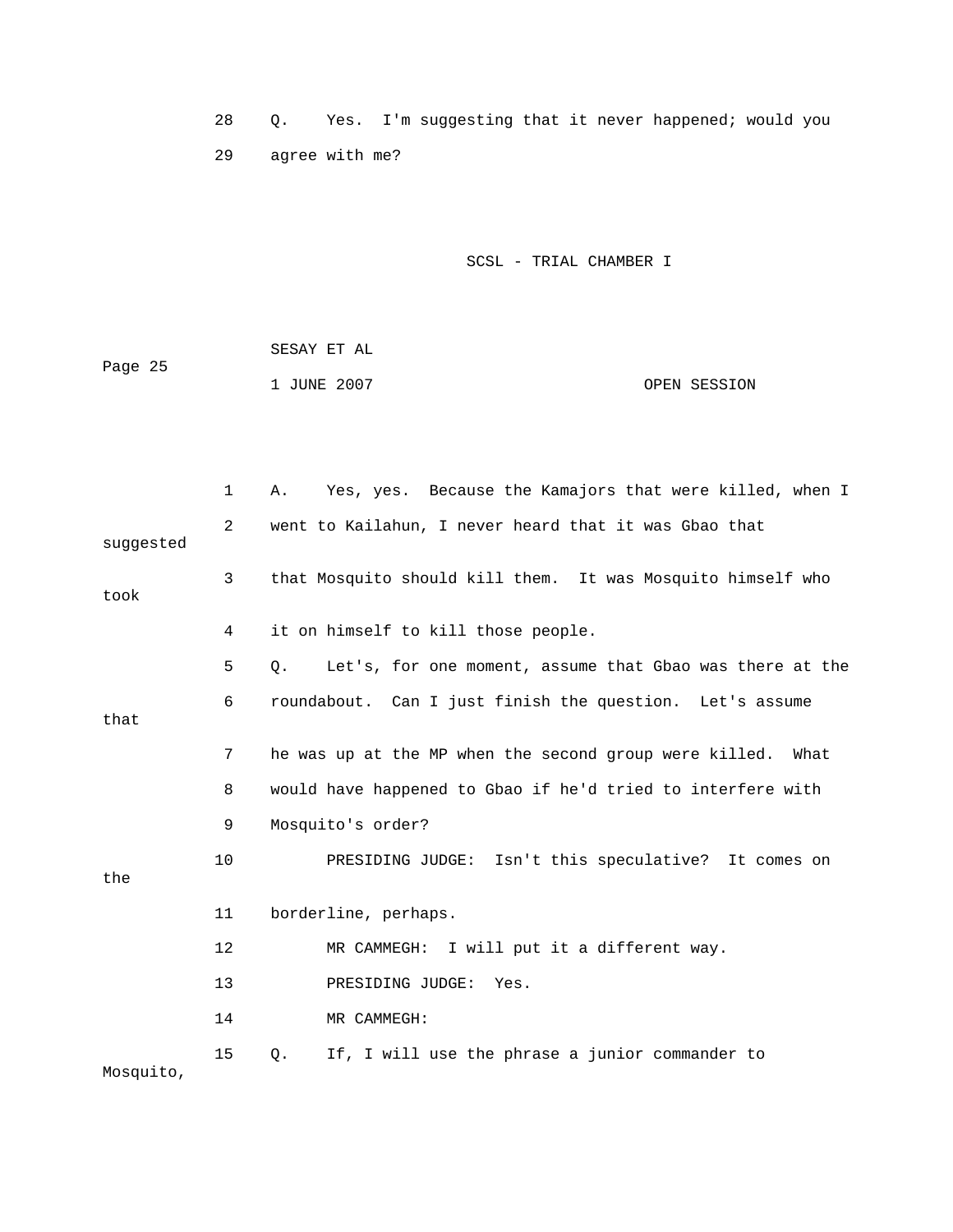28 Q. Yes. I'm suggesting that it never happened; would you 29 agree with me?

|         | SESAY ET AL |              |  |
|---------|-------------|--------------|--|
| Page 25 |             |              |  |
|         | 1 JUNE 2007 | OPEN SESSION |  |

|           | 1              | Yes, yes. Because the Kamajors that were killed, when I<br>Α.  |
|-----------|----------------|----------------------------------------------------------------|
| suggested | $\overline{2}$ | went to Kailahun, I never heard that it was Gbao that          |
| took      | 3              | that Mosquito should kill them. It was Mosquito himself who    |
|           | 4              | it on himself to kill those people.                            |
|           | 5              | Let's, for one moment, assume that Gbao was there at the<br>Q. |
| that      | 6              | roundabout. Can I just finish the question. Let's assume       |
|           | 7              | he was up at the MP when the second group were killed. What    |
|           | 8              | would have happened to Gbao if he'd tried to interfere with    |
|           | 9              | Mosquito's order?                                              |
| the       | 10             | PRESIDING JUDGE: Isn't this speculative? It comes on           |
|           | 11             | borderline, perhaps.                                           |
|           | 12             | MR CAMMEGH: I will put it a different way.                     |
|           | 13             | PRESIDING JUDGE: Yes.                                          |
|           | 14             | MR CAMMEGH:                                                    |
| Mosquito, | 15             | If, I will use the phrase a junior commander to<br>$Q$ .       |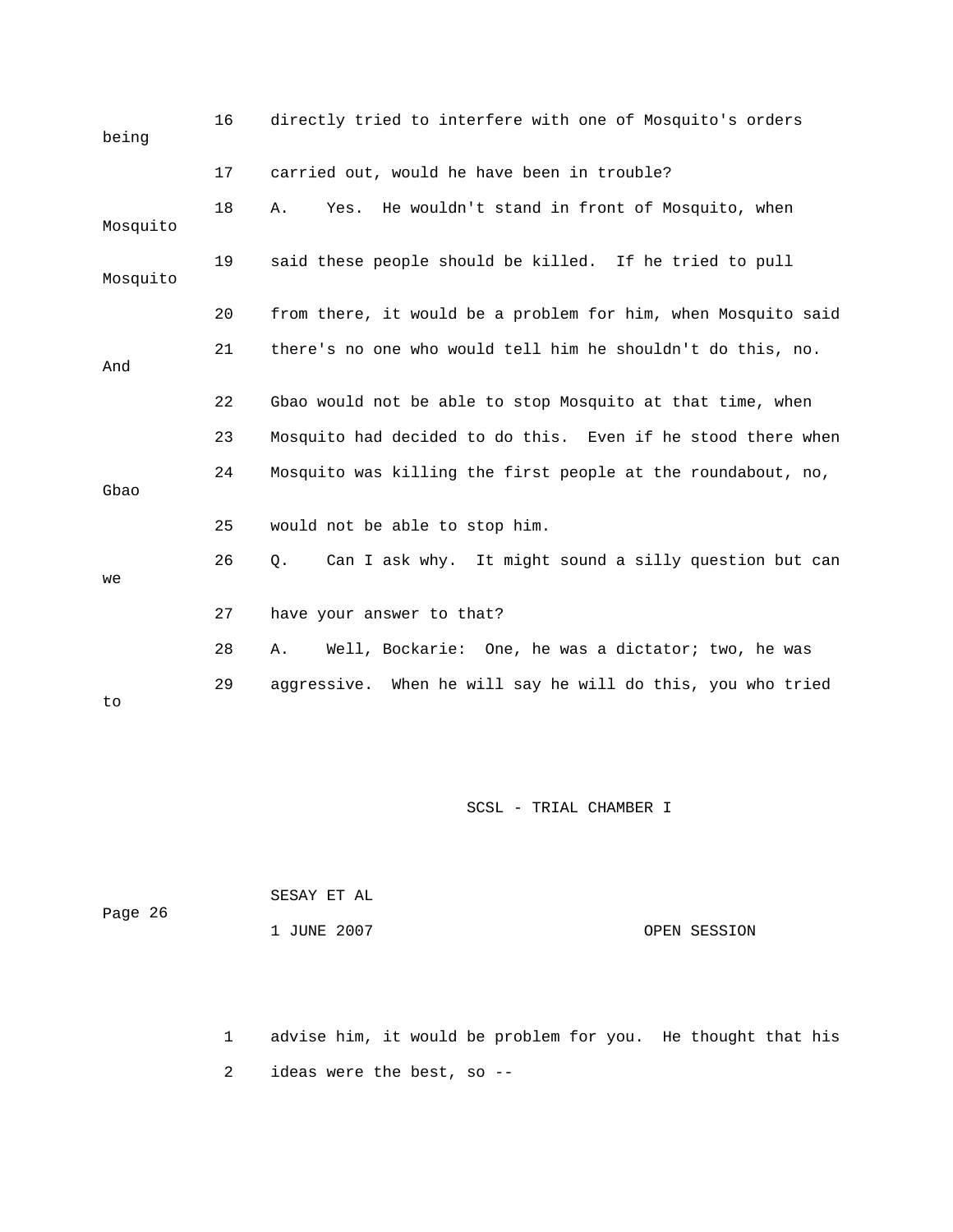| being    | 16 | directly tried to interfere with one of Mosquito's orders     |
|----------|----|---------------------------------------------------------------|
|          | 17 | carried out, would he have been in trouble?                   |
| Mosquito | 18 | Yes. He wouldn't stand in front of Mosquito, when<br>Α.       |
| Mosquito | 19 | said these people should be killed. If he tried to pull       |
|          | 20 | from there, it would be a problem for him, when Mosquito said |
| And      | 21 | there's no one who would tell him he shouldn't do this, no.   |
|          | 22 | Gbao would not be able to stop Mosquito at that time, when    |
|          | 23 | Mosquito had decided to do this. Even if he stood there when  |
| Gbao     | 24 | Mosquito was killing the first people at the roundabout, no,  |
|          | 25 | would not be able to stop him.                                |
| we       | 26 | Can I ask why. It might sound a silly question but can<br>Q.  |
|          | 27 | have your answer to that?                                     |
|          | 28 | Well, Bockarie: One, he was a dictator; two, he was<br>Α.     |
| to       | 29 | aggressive. When he will say he will do this, you who tried   |

| Page 26 | SESAY ET AL |              |
|---------|-------------|--------------|
|         | 1 JUNE 2007 | OPEN SESSION |

1 advise him, it would be problem for you. He thought that his 2 ideas were the best, so --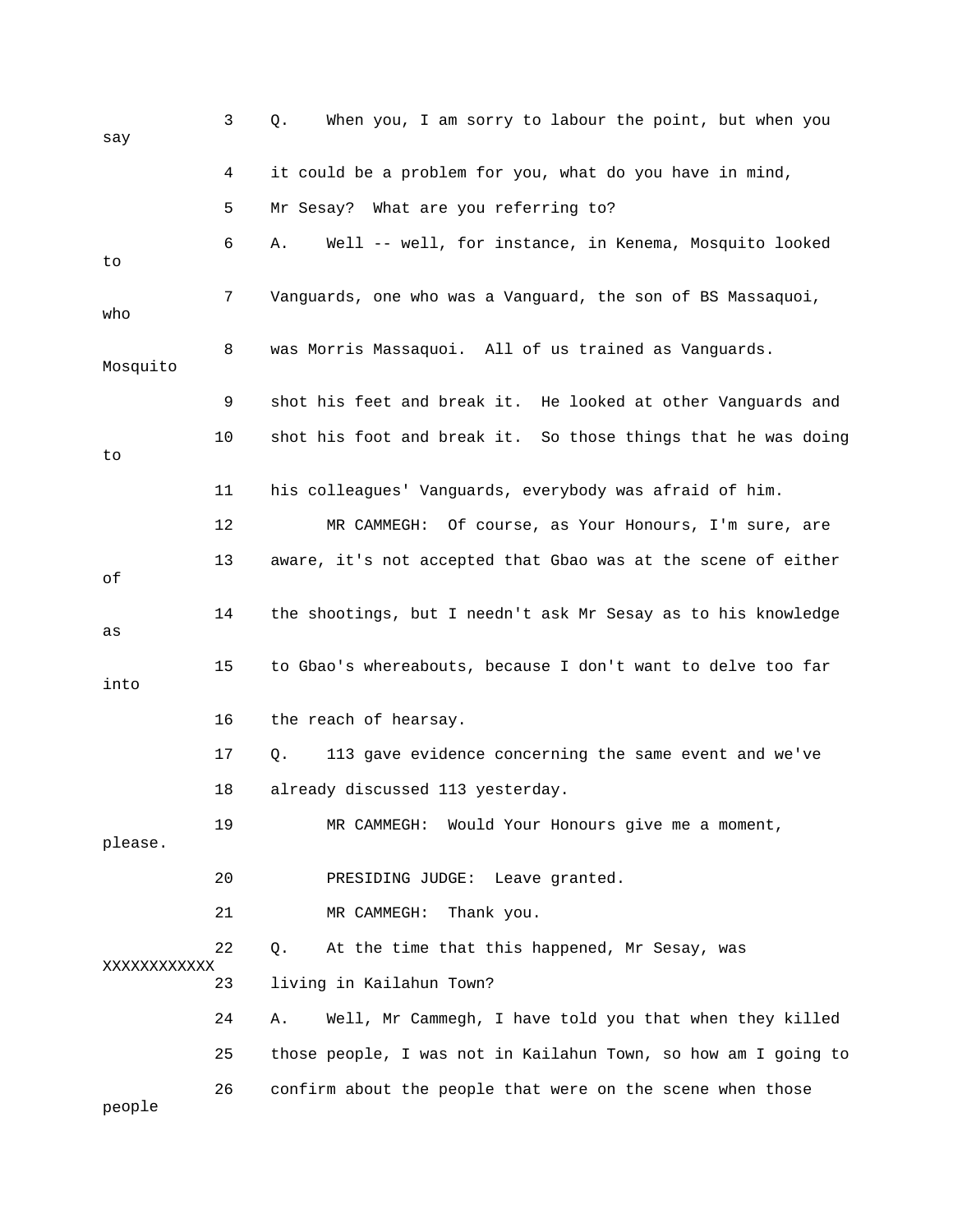| say         | 3  | When you, I am sorry to labour the point, but when you<br>Q.   |
|-------------|----|----------------------------------------------------------------|
|             | 4  | it could be a problem for you, what do you have in mind,       |
|             | 5  | Mr Sesay? What are you referring to?                           |
| to          | 6  | Well -- well, for instance, in Kenema, Mosquito looked<br>Α.   |
| who         | 7  | Vanguards, one who was a Vanguard, the son of BS Massaquoi,    |
| Mosquito    | 8  | was Morris Massaquoi. All of us trained as Vanguards.          |
|             | 9  | shot his feet and break it. He looked at other Vanguards and   |
| to          | 10 | shot his foot and break it. So those things that he was doing  |
|             | 11 | his colleagues' Vanguards, everybody was afraid of him.        |
|             | 12 | MR CAMMEGH:<br>Of course, as Your Honours, I'm sure, are       |
| οf          | 13 | aware, it's not accepted that Gbao was at the scene of either  |
| as          | 14 | the shootings, but I needn't ask Mr Sesay as to his knowledge  |
| into        | 15 | to Gbao's whereabouts, because I don't want to delve too far   |
|             | 16 | the reach of hearsay.                                          |
|             | 17 | 113 gave evidence concerning the same event and we've<br>Q.    |
|             | 18 | already discussed 113 yesterday.                               |
| please.     | 19 | MR CAMMEGH: Would Your Honours give me a moment,               |
|             | 20 | PRESIDING JUDGE: Leave granted.                                |
|             | 21 | MR CAMMEGH:<br>Thank you.                                      |
| XXXXXXXXXXX | 22 | $Q$ .<br>At the time that this happened, Mr Sesay, was         |
|             | 23 | living in Kailahun Town?                                       |
|             | 24 | Well, Mr Cammegh, I have told you that when they killed<br>Α.  |
|             | 25 | those people, I was not in Kailahun Town, so how am I going to |
| people      | 26 | confirm about the people that were on the scene when those     |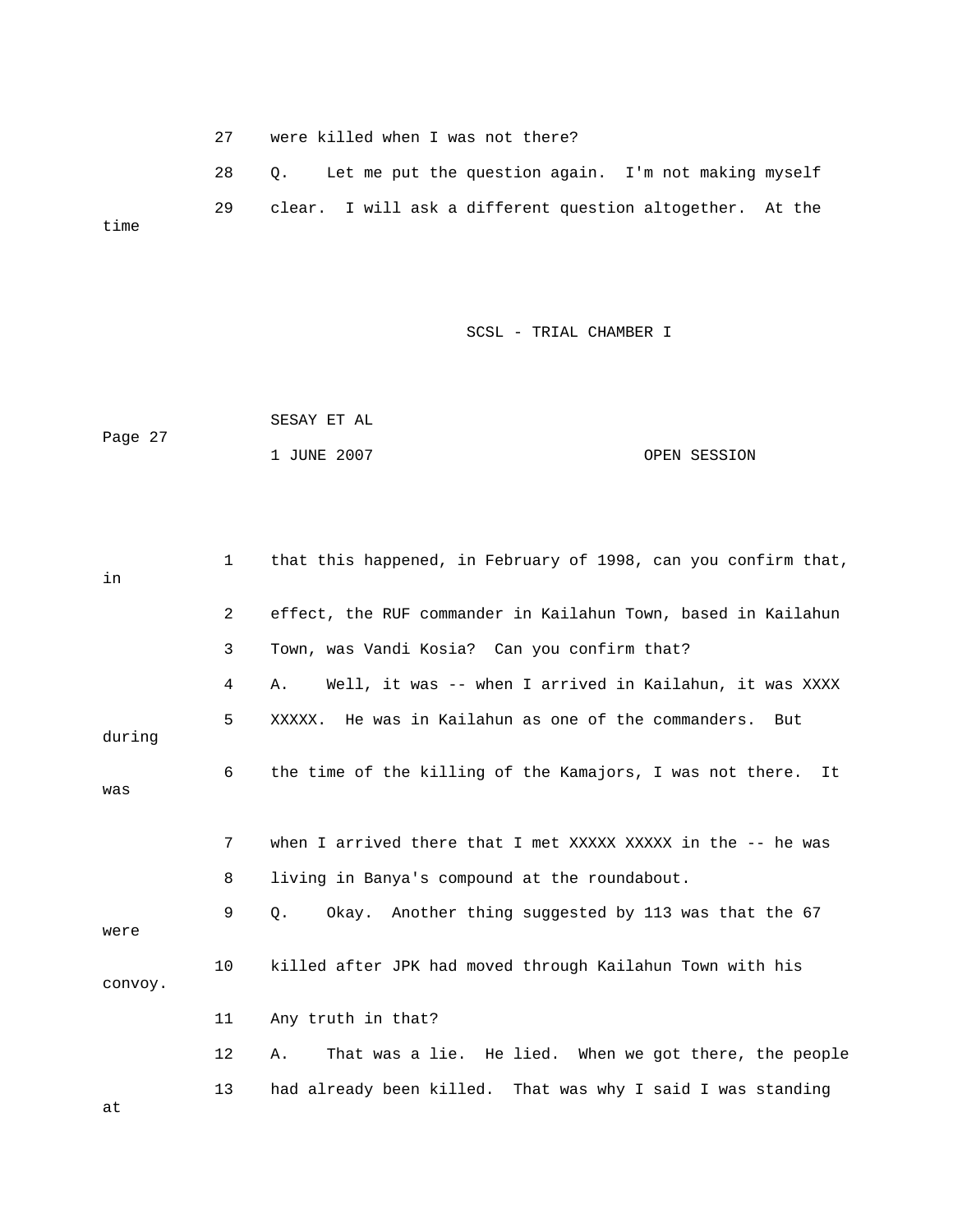27 were killed when I was not there?

 28 Q. Let me put the question again. I'm not making myself 29 clear. I will ask a different question altogether. At the time

SCSL - TRIAL CHAMBER I

 SESAY ET AL 1 JUNE 2007 OPEN SESSION Page 27

| in      | $\mathbf{1}$ | that this happened, in February of 1998, can you confirm that,  |
|---------|--------------|-----------------------------------------------------------------|
|         | 2            | effect, the RUF commander in Kailahun Town, based in Kailahun   |
|         | 3            | Town, was Vandi Kosia? Can you confirm that?                    |
|         | 4            | Well, it was -- when I arrived in Kailahun, it was XXXX<br>Α.   |
| during  | 5            | XXXXX. He was in Kailahun as one of the commanders. But         |
| was     | 6            | the time of the killing of the Kamajors, I was not there.<br>It |
|         | 7            | when I arrived there that I met XXXXX XXXXX in the -- he was    |
|         | 8            | living in Banya's compound at the roundabout.                   |
| were    | 9            | Okay. Another thing suggested by 113 was that the 67<br>О.      |
| convoy. | 10           | killed after JPK had moved through Kailahun Town with his       |
|         | 11           | Any truth in that?                                              |
|         | 12           | That was a lie. He lied. When we got there, the people<br>Α.    |
|         | 13           | had already been killed. That was why I said I was standing     |

at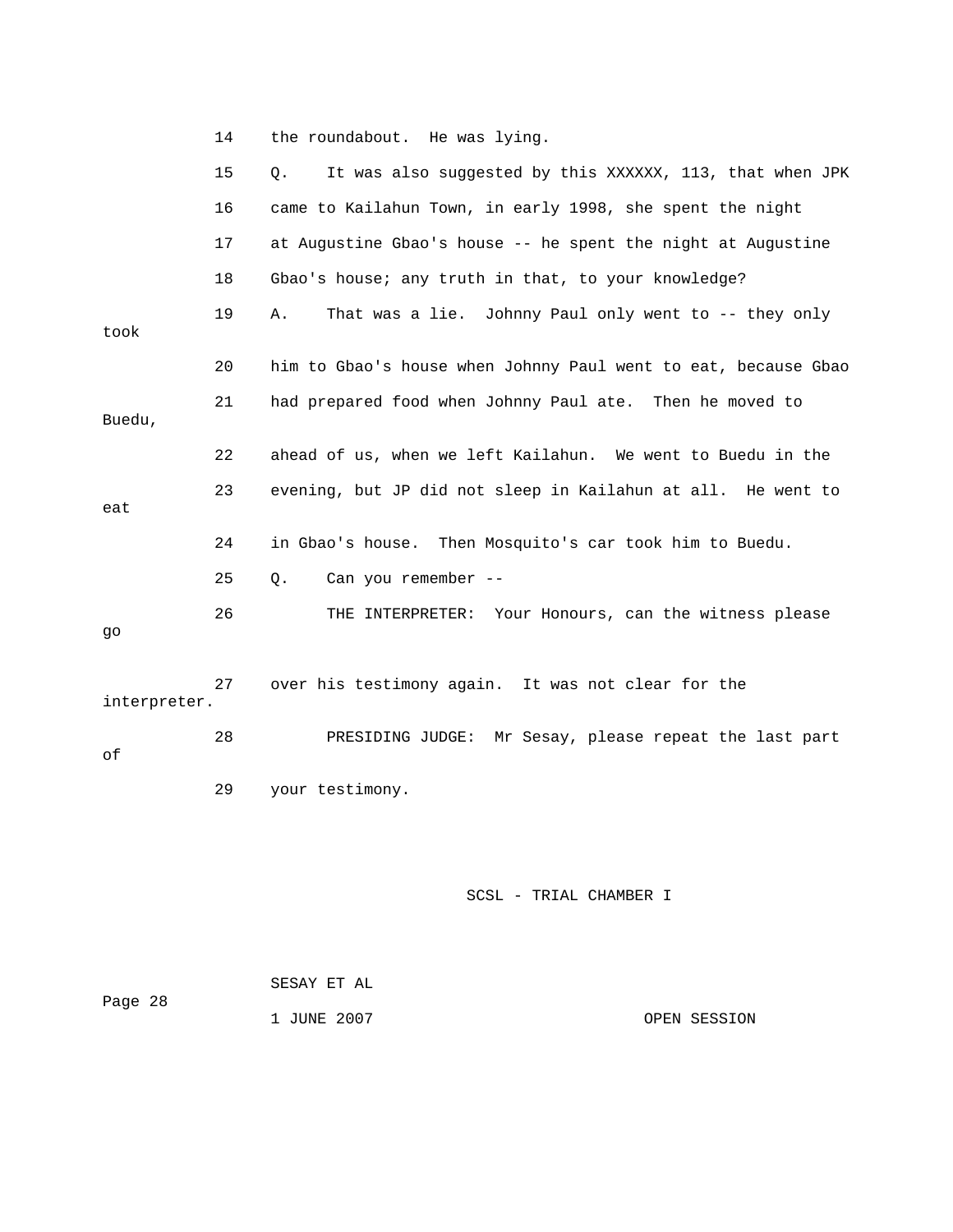14 the roundabout. He was lying.

|              | 15 | It was also suggested by this XXXXXX, 113, that when JPK<br>Q. |
|--------------|----|----------------------------------------------------------------|
|              | 16 | came to Kailahun Town, in early 1998, she spent the night      |
|              | 17 | at Augustine Gbao's house -- he spent the night at Augustine   |
|              | 18 | Gbao's house; any truth in that, to your knowledge?            |
| took         | 19 | That was a lie. Johnny Paul only went to -- they only<br>Α.    |
|              | 20 | him to Gbao's house when Johnny Paul went to eat, because Gbao |
| Buedu,       | 21 | had prepared food when Johnny Paul ate. Then he moved to       |
|              | 22 | ahead of us, when we left Kailahun. We went to Buedu in the    |
| eat          | 23 | evening, but JP did not sleep in Kailahun at all. He went to   |
|              | 24 | in Gbao's house.<br>Then Mosquito's car took him to Buedu.     |
|              | 25 | Can you remember --<br>О.                                      |
| go           | 26 | Your Honours, can the witness please<br>THE INTERPRETER:       |
| interpreter. | 27 | over his testimony again. It was not clear for the             |
| оf           | 28 | PRESIDING JUDGE: Mr Sesay, please repeat the last part         |
|              | 29 | your testimony.                                                |
|              |    |                                                                |

| Page 28 | SESAY ET AL |              |
|---------|-------------|--------------|
|         | 1 JUNE 2007 | OPEN SESSION |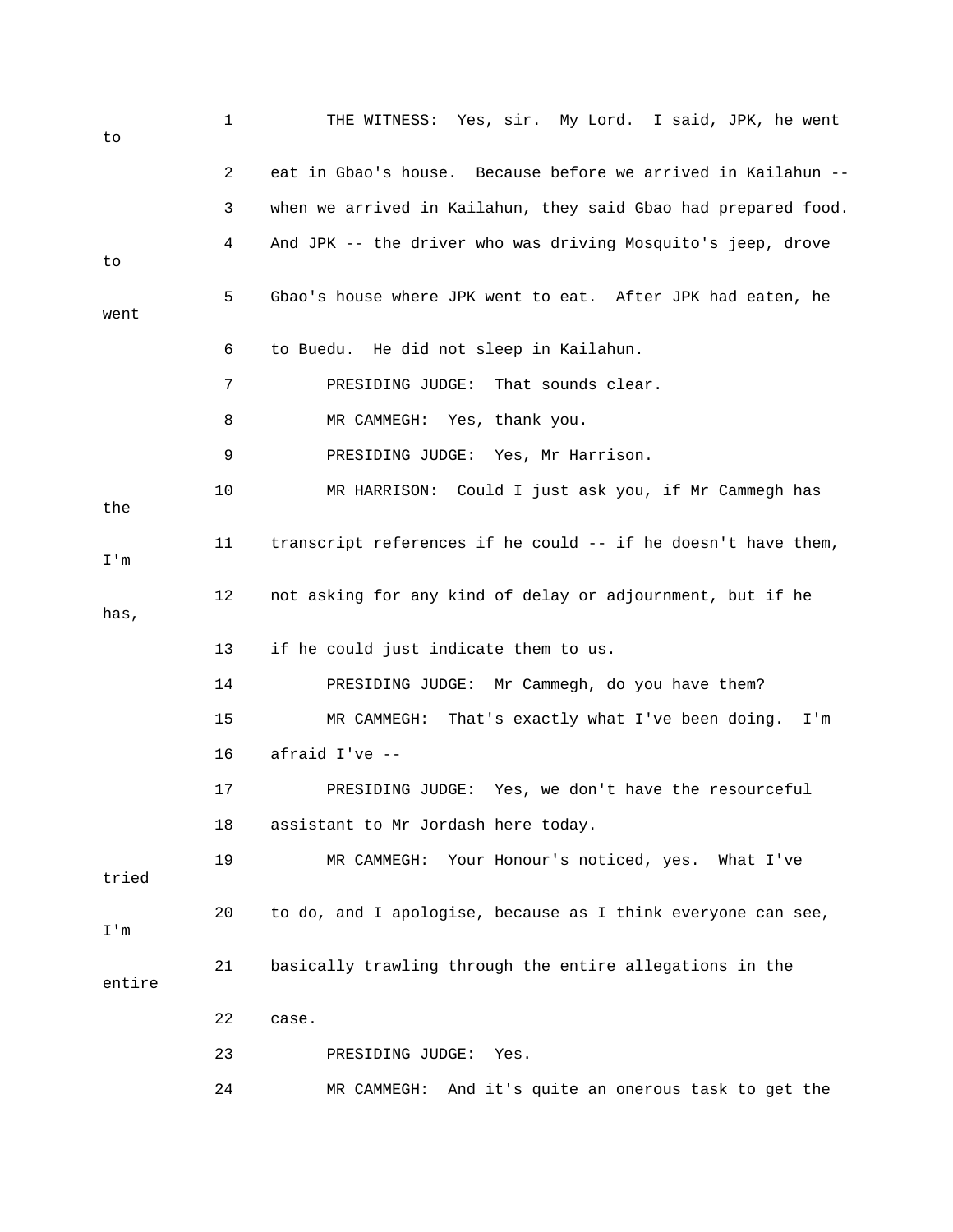| to     | $\mathbf 1$ | THE WITNESS: Yes, sir. My Lord. I said, JPK, he went           |
|--------|-------------|----------------------------------------------------------------|
|        | 2           | eat in Gbao's house. Because before we arrived in Kailahun --  |
|        | 3           | when we arrived in Kailahun, they said Gbao had prepared food. |
| to     | 4           | And JPK -- the driver who was driving Mosquito's jeep, drove   |
| went   | 5           | Gbao's house where JPK went to eat. After JPK had eaten, he    |
|        | 6           | to Buedu. He did not sleep in Kailahun.                        |
|        | 7           | PRESIDING JUDGE:<br>That sounds clear.                         |
|        | 8           | MR CAMMEGH: Yes, thank you.                                    |
|        | 9           | PRESIDING JUDGE: Yes, Mr Harrison.                             |
| the    | 10          | MR HARRISON: Could I just ask you, if Mr Cammegh has           |
| I'm    | 11          | transcript references if he could -- if he doesn't have them,  |
| has,   | 12          | not asking for any kind of delay or adjournment, but if he     |
|        | 13          | if he could just indicate them to us.                          |
|        | 14          | PRESIDING JUDGE: Mr Cammegh, do you have them?                 |
|        | 15          | That's exactly what I've been doing.<br>MR CAMMEGH:<br>I'm     |
|        | 16          | afraid I've --                                                 |
|        | 17          | PRESIDING JUDGE: Yes, we don't have the resourceful            |
|        | 18          | assistant to Mr Jordash here today.                            |
| tried  | 19          | Your Honour's noticed, yes. What I've<br>MR CAMMEGH:           |
| I'm    | 20          | to do, and I apologise, because as I think everyone can see,   |
| entire | 21          | basically trawling through the entire allegations in the       |
|        | 22          | case.                                                          |
|        | 23          | PRESIDING JUDGE:<br>Yes.                                       |
|        | 24          | And it's quite an onerous task to get the<br>MR CAMMEGH:       |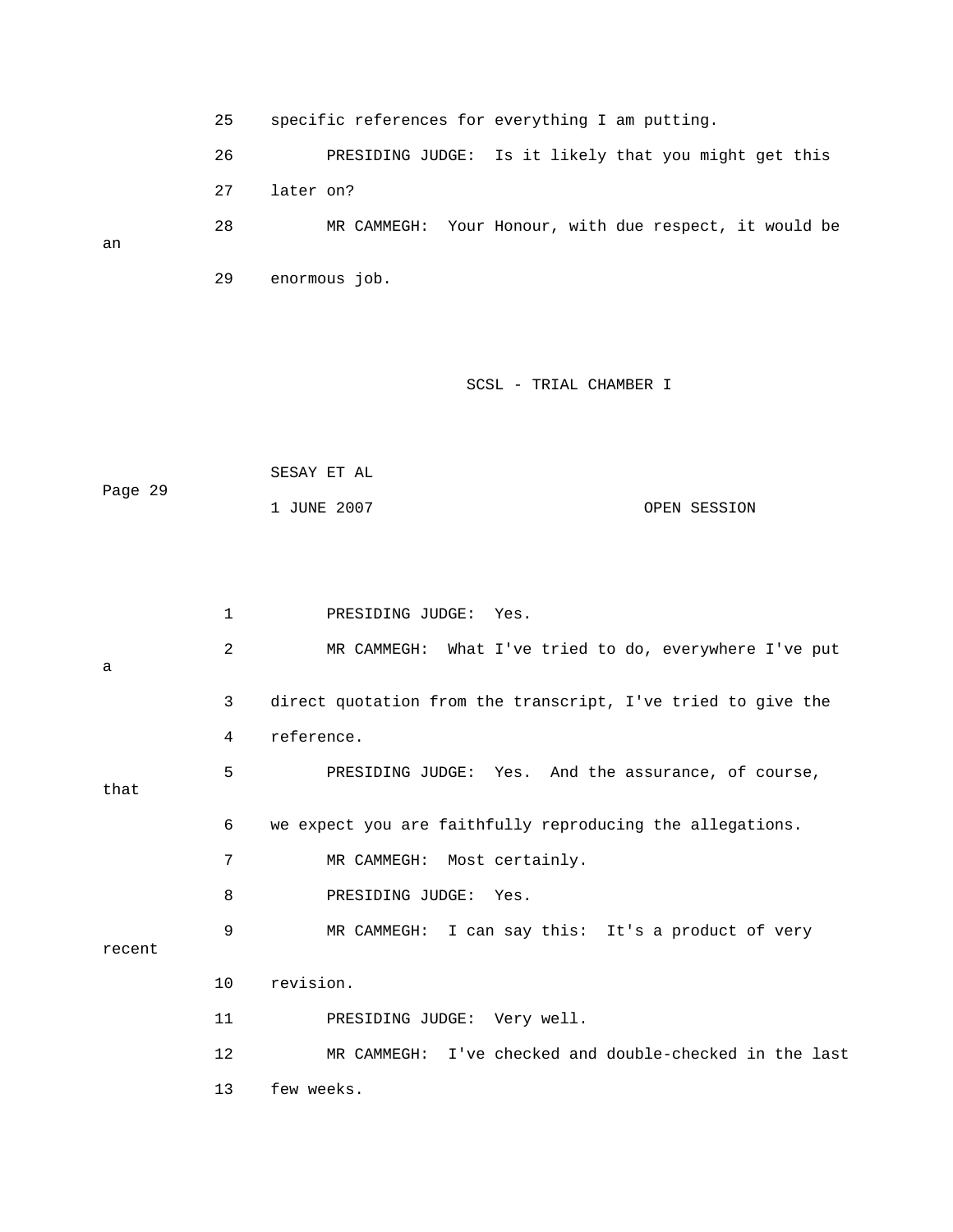25 specific references for everything I am putting.

 26 PRESIDING JUDGE: Is it likely that you might get this 28 MR CAMMEGH: Your Honour, with due respect, it would be 27 later on?

29 enormous job.

an

## SCSL - TRIAL CHAMBER I

 SESAY ET AL Page 29 1 JUNE 2007 OPEN SESSION

 1 PRESIDING JUDGE: Yes. 2 MR CAMMEGH: What I've tried to do, everywhere I've put 3 direct quotation from the transcript, I've tried to give the 4 reference. 5 PRESIDING JUDGE: Yes. And the assurance, of course, that 8 PRESIDING JUDGE: Yes. 12 MR CAMMEGH: I've checked and double-checked in the last a 6 we expect you are faithfully reproducing the allegations. 7 MR CAMMEGH: Most certainly. 9 MR CAMMEGH: I can say this: It's a product of very recent 10 revision. 11 PRESIDING JUDGE: Very well. 13 few weeks.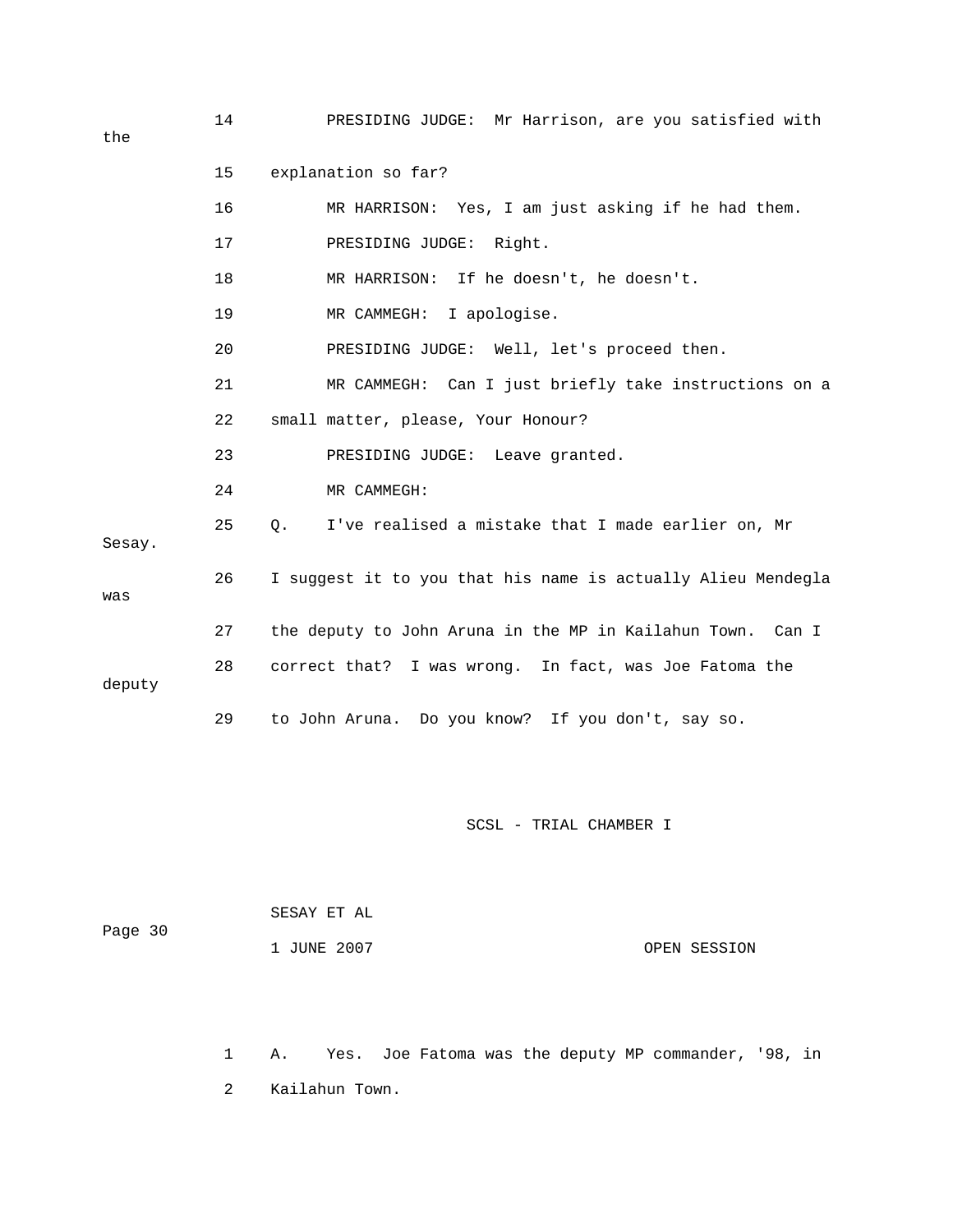14 PRESIDING JUDGE: Mr Harrison, are you satisfied with 15 explanation so far?

17 PRESIDING JUDGE: Right. 19 MR CAMMEGH: I apologise. 21 MR CAMMEGH: Can I just briefly take instructions on a 22 small matter, please, Your Honour? 23 PRESIDING JUDGE: Leave granted. 24 MR CAMMEGH: 25 Q. I've realised a mistake that I made earlier on, Mr 26 I suggest it to you that his name is actually Alieu Mendegla was 27 the deputy to John Aruna in the MP in Kailahun Town. Can I 28 correct that? I was wrong. In fact, was Joe Fatoma the 29 to John Aruna. Do you know? If you don't, say so. 16 MR HARRISON: Yes, I am just asking if he had them. 18 MR HARRISON: If he doesn't, he doesn't. 20 PRESIDING JUDGE: Well, let's proceed then. Sesay. deputy

SCSL - TRIAL CHAMBER I

| Page 30 | SESAY ET AL |              |
|---------|-------------|--------------|
|         | 1 JUNE 2007 | OPEN SESSION |

 1 A. Yes. Joe Fatoma was the deputy MP commander, '98, in 2 Kailahun Town.

the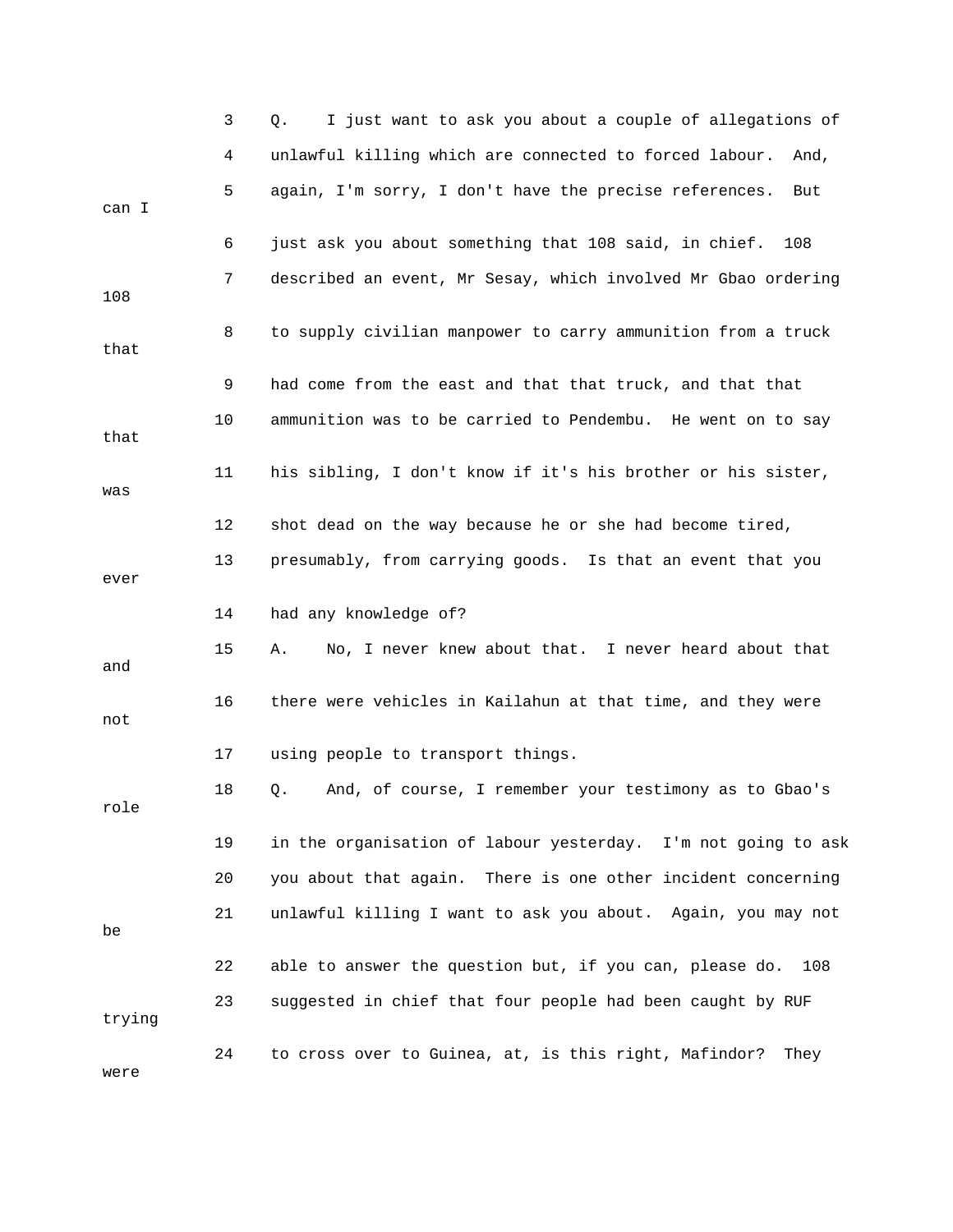|        | 3  | I just want to ask you about a couple of allegations of<br>Q.  |
|--------|----|----------------------------------------------------------------|
|        | 4  | unlawful killing which are connected to forced labour.<br>And, |
| can I  | 5  | again, I'm sorry, I don't have the precise references.<br>But  |
|        | 6  | just ask you about something that 108 said, in chief.<br>108   |
| 108    | 7  | described an event, Mr Sesay, which involved Mr Gbao ordering  |
| that   | 8  | to supply civilian manpower to carry ammunition from a truck   |
|        | 9  | had come from the east and that that truck, and that that      |
| that   | 10 | ammunition was to be carried to Pendembu. He went on to say    |
| was    | 11 | his sibling, I don't know if it's his brother or his sister,   |
|        | 12 | shot dead on the way because he or she had become tired,       |
| ever   | 13 | presumably, from carrying goods. Is that an event that you     |
|        | 14 | had any knowledge of?                                          |
| and    | 15 | No, I never knew about that. I never heard about that<br>Α.    |
| not    | 16 | there were vehicles in Kailahun at that time, and they were    |
|        | 17 | using people to transport things.                              |
| role   | 18 | And, of course, I remember your testimony as to Gbao's<br>Q.   |
|        | 19 | in the organisation of labour yesterday. I'm not going to ask  |
|        | 20 | you about that again. There is one other incident concerning   |
| be     | 21 | unlawful killing I want to ask you about. Again, you may not   |
|        | 22 | able to answer the question but, if you can, please do.<br>108 |
| trying | 23 | suggested in chief that four people had been caught by RUF     |
| were   | 24 | to cross over to Guinea, at, is this right, Mafindor?<br>They  |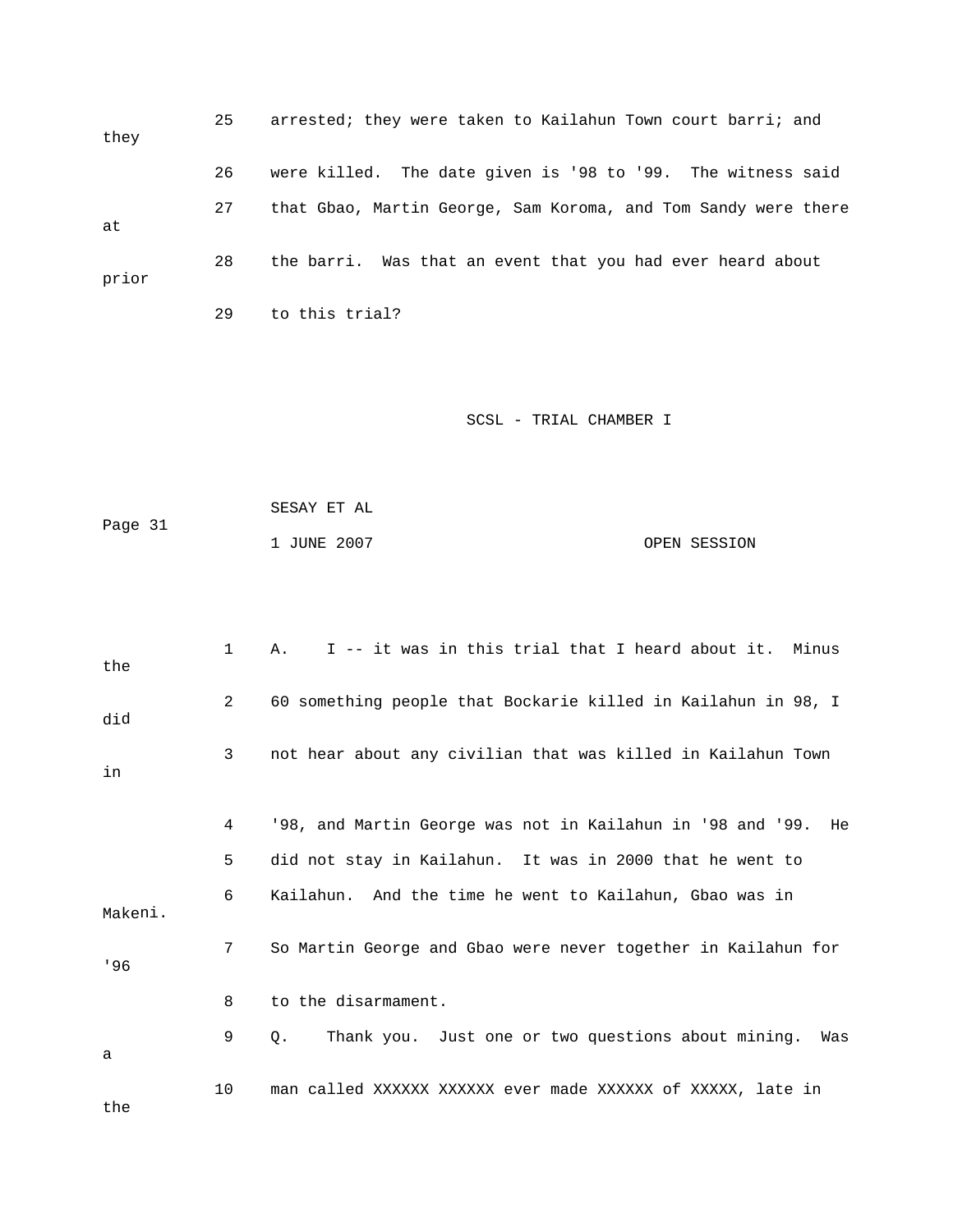| they  | 25 | arrested; they were taken to Kailahun Town court barri; and    |
|-------|----|----------------------------------------------------------------|
|       | 26 | were killed. The date given is '98 to '99. The witness said    |
| at    | 27 | that Gbao, Martin George, Sam Koroma, and Tom Sandy were there |
| prior | 28 | the barri. Was that an event that you had ever heard about     |
|       | 29 | to this trial?                                                 |

| Page 31 | SESAY ET AL |              |
|---------|-------------|--------------|
|         | 1 JUNE 2007 | OPEN SESSION |

| the     | $\mathbf{1}$ | I -- it was in this trial that I heard about it. Minus<br>Α.     |
|---------|--------------|------------------------------------------------------------------|
| did     | 2            | 60 something people that Bockarie killed in Kailahun in 98, I    |
| in      | 3            | not hear about any civilian that was killed in Kailahun Town     |
|         | 4            | '98, and Martin George was not in Kailahun in '98 and '99.<br>He |
|         | 5            | did not stay in Kailahun. It was in 2000 that he went to         |
| Makeni. | 6            | Kailahun. And the time he went to Kailahun, Gbao was in          |
| 196     | 7            | So Martin George and Gbao were never together in Kailahun for    |
|         | 8            | to the disarmament.                                              |
| a       | 9            | Thank you. Just one or two questions about mining. Was<br>О.     |
| the     | 10           | man called XXXXXX XXXXXX ever made XXXXXX of XXXXX, late in      |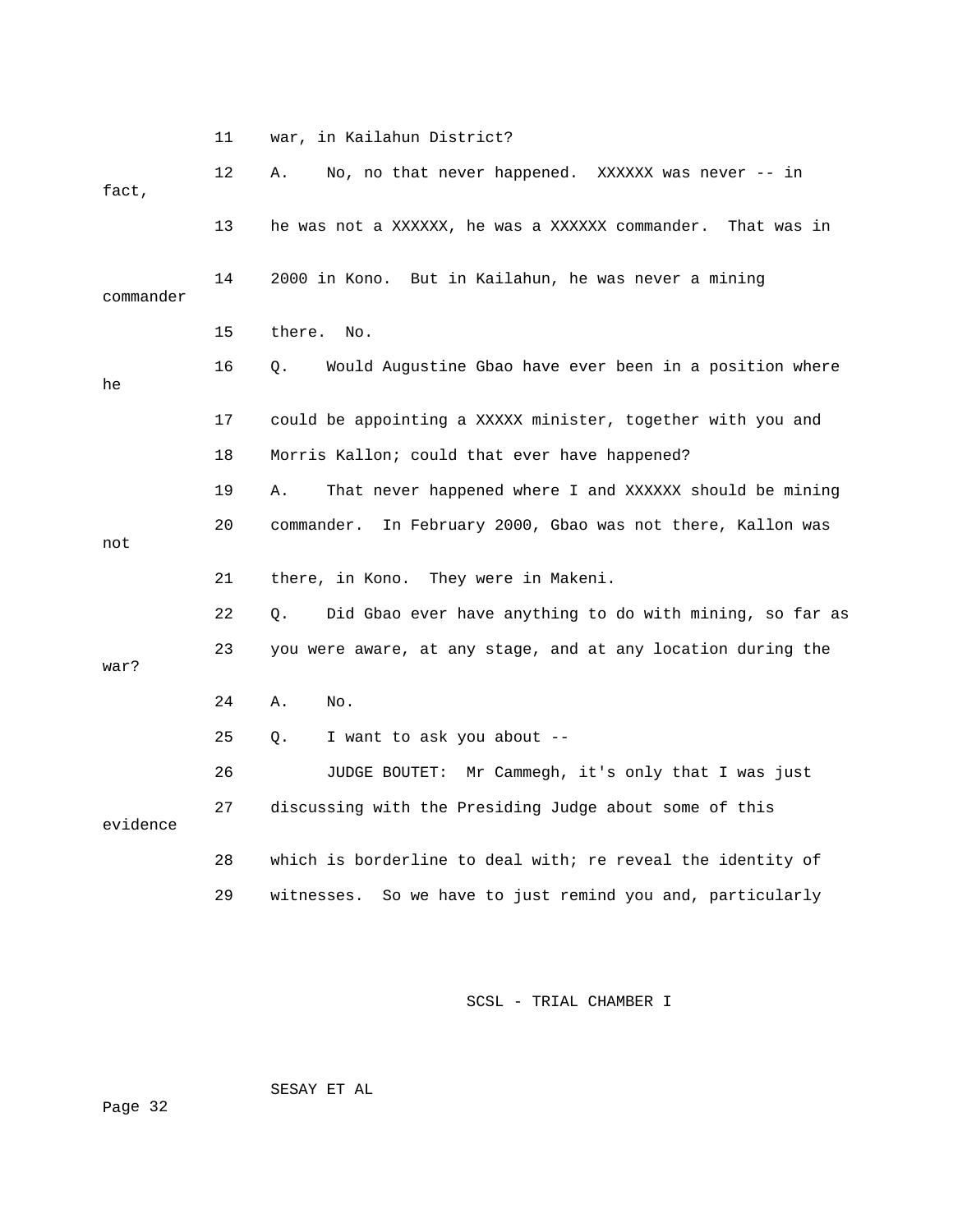|           | 11                                                         | war, in Kailahun District?                                     |  |  |
|-----------|------------------------------------------------------------|----------------------------------------------------------------|--|--|
| fact,     | 12                                                         | No, no that never happened. XXXXXX was never $-$ in<br>Α.      |  |  |
|           | 13                                                         | he was not a XXXXXX, he was a XXXXXX commander.<br>That was in |  |  |
| commander | 14<br>2000 in Kono. But in Kailahun, he was never a mining |                                                                |  |  |
|           | 15                                                         | there. No.                                                     |  |  |
| he        | 16                                                         | Would Augustine Gbao have ever been in a position where<br>О.  |  |  |
|           | 17                                                         | could be appointing a XXXXX minister, together with you and    |  |  |
|           | 18                                                         | Morris Kallon; could that ever have happened?                  |  |  |
|           | 19                                                         | That never happened where I and XXXXXX should be mining<br>Α.  |  |  |
| not       | 20                                                         | In February 2000, Gbao was not there, Kallon was<br>commander. |  |  |
|           | 21                                                         | there, in Kono. They were in Makeni.                           |  |  |
|           | 22                                                         | Did Gbao ever have anything to do with mining, so far as<br>О. |  |  |
| war?      | 23                                                         | you were aware, at any stage, and at any location during the   |  |  |
|           | 24                                                         | Α.<br>No.                                                      |  |  |
|           | 25                                                         | I want to ask you about --<br>О.                               |  |  |
|           | 26                                                         | JUDGE BOUTET: Mr Cammegh, it's only that I was just            |  |  |
| evidence  | 27                                                         | discussing with the Presiding Judge about some of this         |  |  |
|           | 28                                                         | which is borderline to deal with; re reveal the identity of    |  |  |
|           | 29                                                         | So we have to just remind you and, particularly<br>witnesses.  |  |  |

SESAY ET AL

ge 32 Pa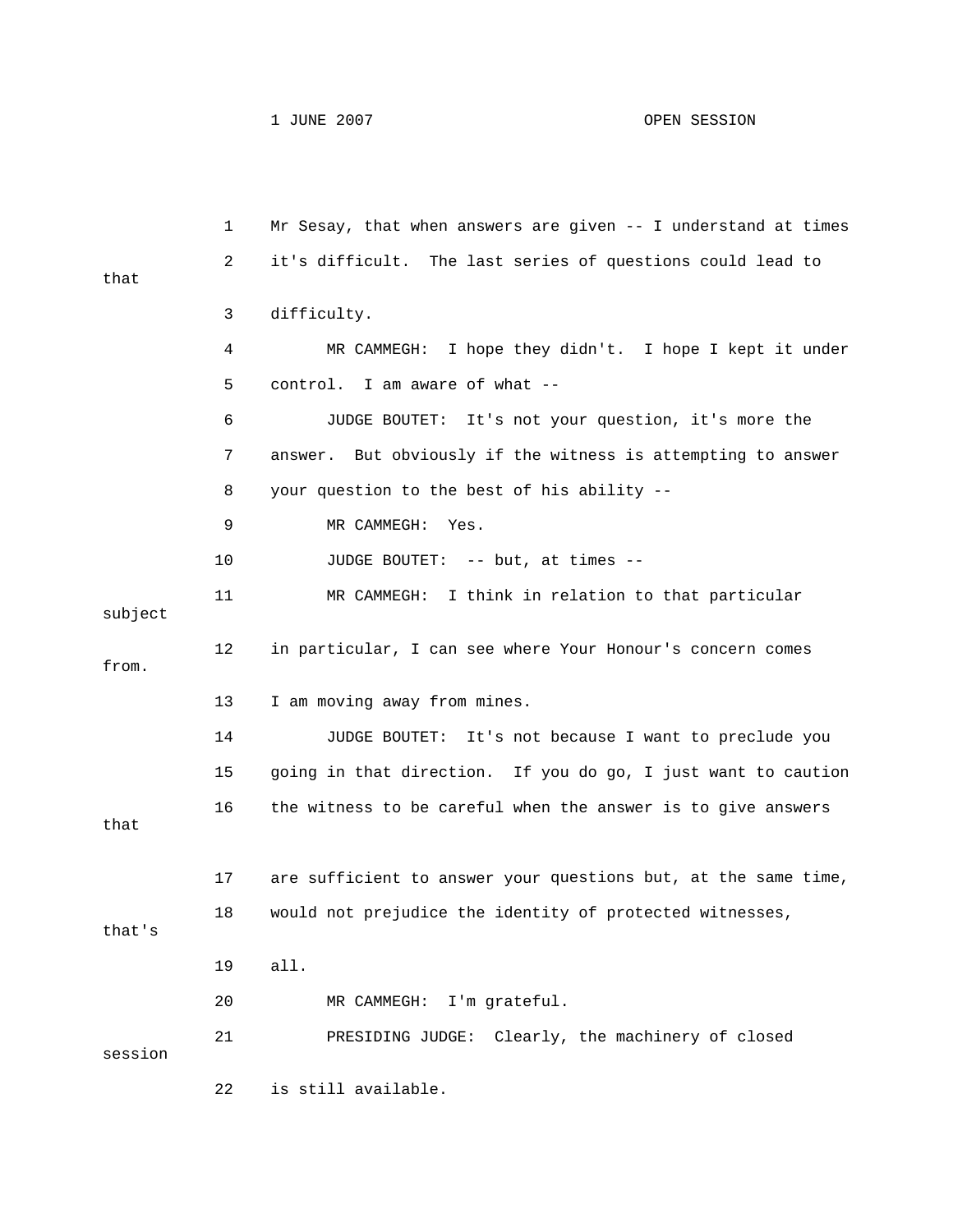1 JUNE 2007 OPEN SESSION

 1 Mr Sesay, that when answers are given -- I understand at times 2 it's difficult. The last series of questions could lead to 3 difficulty. 4 MR CAMMEGH: I hope they didn't. I hope I kept it under 7 answer. But obviously if the witness is attempting to answer 8 your question to the best of his ability -- 9 MR CAMMEGH: Yes. 11 MR CAMMEGH: I think in relation to that particular 12 in particular, I can see where Your Honour's concern comes 13 I am moving away from mines. 14 JUDGE BOUTET: It's not because I want to preclude you 15 going in that direction. If you do go, I just want to caution 17 are sufficient to answer your questions but, at the same time, 18 would not prejudice the identity of protected witnesses, 20 MR CAMMEGH: I'm grateful. that 5 control. I am aware of what -- 6 JUDGE BOUTET: It's not your question, it's more the 10 JUDGE BOUTET: -- but, at times -subject from. 16 the witness to be careful when the answer is to give answers that that's 19 all. 21 PRESIDING JUDGE: Clearly, the machinery of closed session 22 is still available.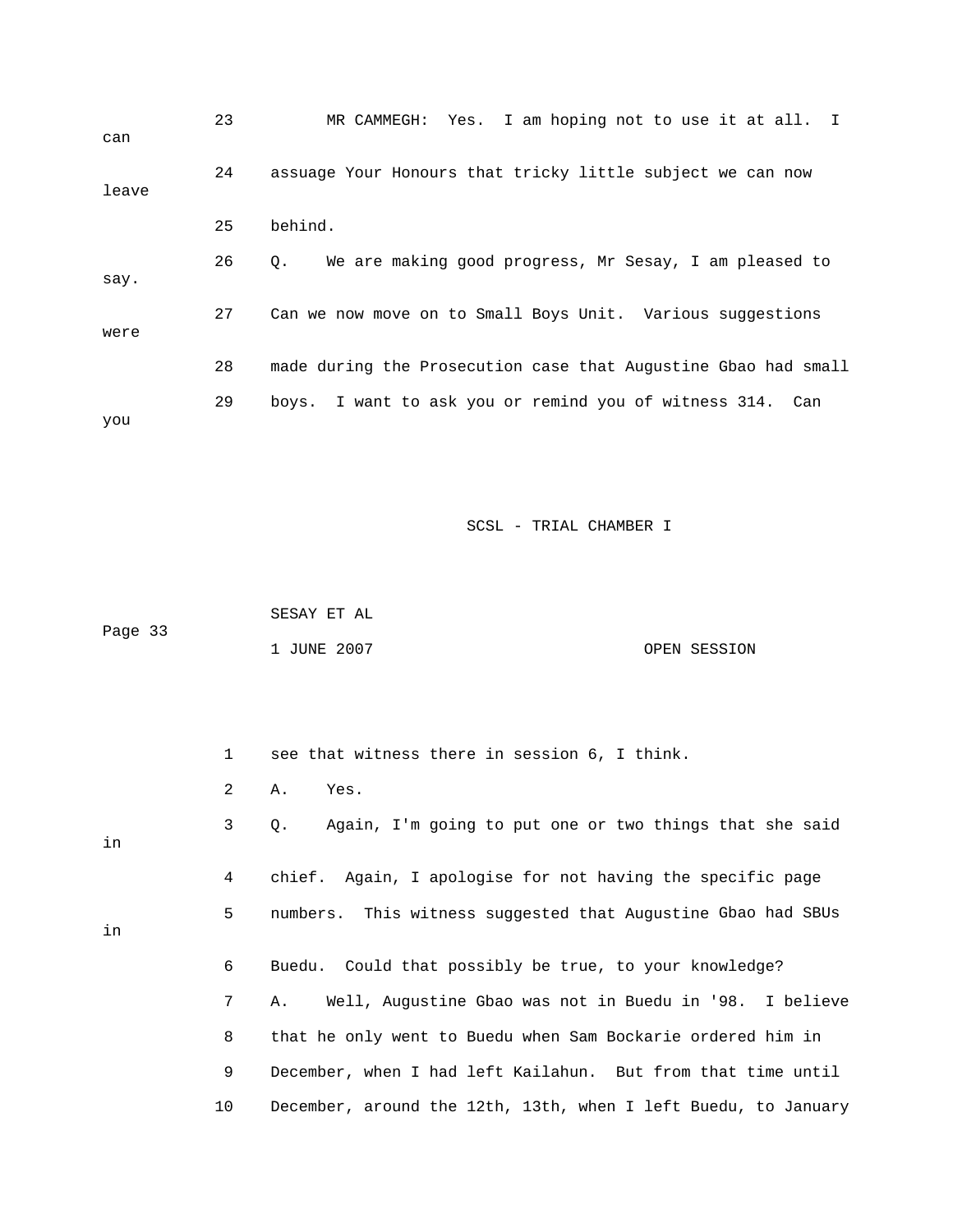|       | 23 | MR CAMMEGH: Yes. I am hoping not to use it at all. I                |
|-------|----|---------------------------------------------------------------------|
| can   |    |                                                                     |
|       | 24 | assuage Your Honours that tricky little subject we can now          |
| leave |    |                                                                     |
|       | 25 | behind.                                                             |
|       | 26 | We are making good progress, Mr Sesay, I am pleased to<br>$\circ$ . |
| say.  |    |                                                                     |
|       | 27 | Can we now move on to Small Boys Unit. Various suggestions          |
| were  |    |                                                                     |
|       | 28 | made during the Prosecution case that Augustine Gbao had small      |
|       | 29 | boys. I want to ask you or remind you of witness 314. Can           |
| you   |    |                                                                     |

 SESAY ET AL Page 33 1 JUNE 2007 OPEN SESSION

 1 see that witness there in session 6, I think. 2 A. Yes. 3 Q. Again, I'm going to put one or two things that she said 4 chief. Again, I apologise for not having the specific page 5 numbers. This witness suggested that Augustine Gbao had SBUs 6 Buedu. Could that possibly be true, to your knowledge? 7 A. Well, Augustine Gbao was not in Buedu in '98. I believe 10 December, around the 12th, 13th, when I left Buedu, to January in in 8 that he only went to Buedu when Sam Bockarie ordered him in 9 December, when I had left Kailahun. But from that time until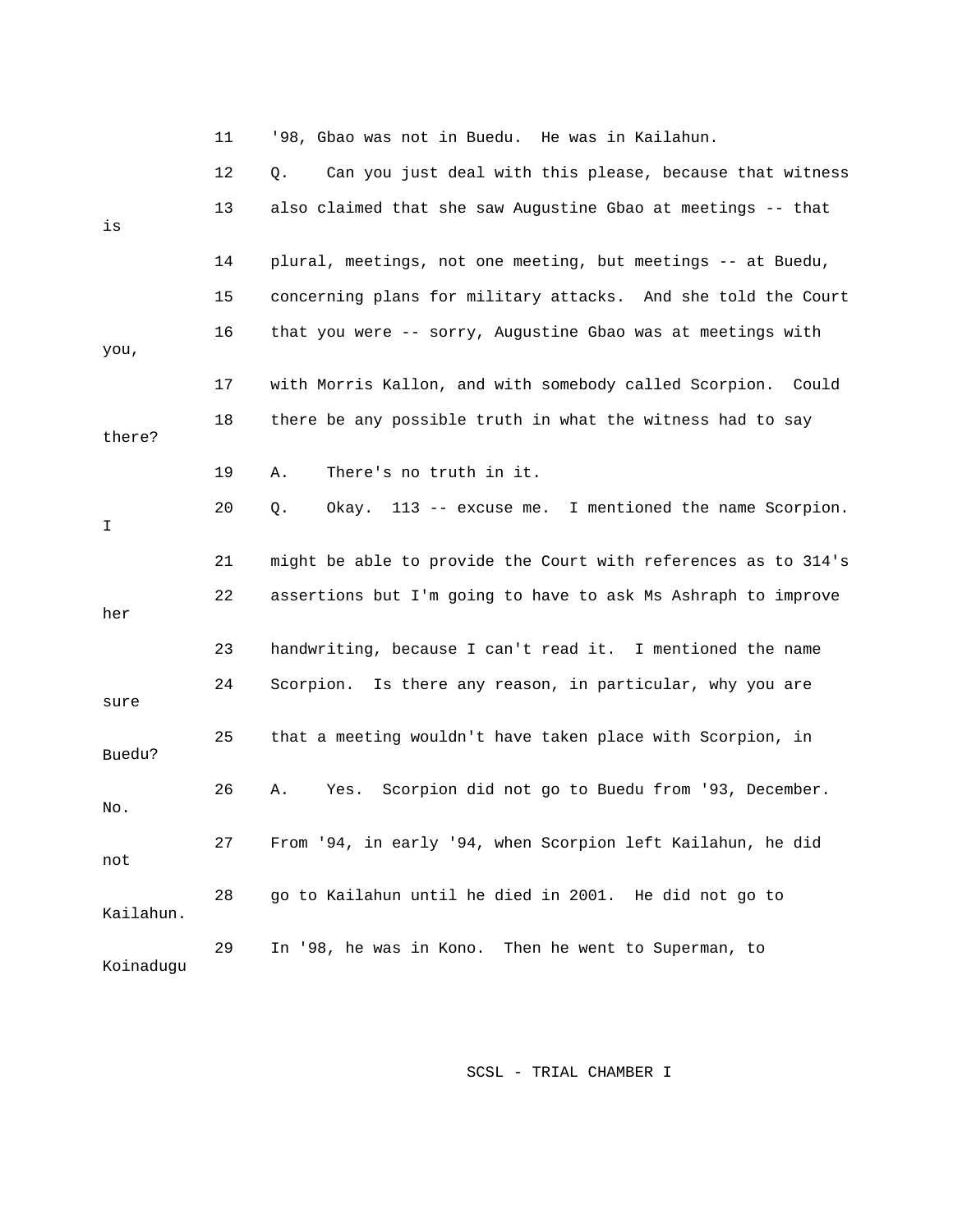|           | 11 | '98, Gbao was not in Buedu. He was in Kailahun.                 |
|-----------|----|-----------------------------------------------------------------|
|           | 12 | Can you just deal with this please, because that witness<br>Q.  |
| is        | 13 | also claimed that she saw Augustine Gbao at meetings -- that    |
|           | 14 | plural, meetings, not one meeting, but meetings -- at Buedu,    |
|           | 15 | concerning plans for military attacks. And she told the Court   |
| you,      | 16 | that you were -- sorry, Augustine Gbao was at meetings with     |
|           | 17 | with Morris Kallon, and with somebody called Scorpion.<br>Could |
| there?    | 18 | there be any possible truth in what the witness had to say      |
|           | 19 | There's no truth in it.<br>Α.                                   |
| I         | 20 | Okay. 113 -- excuse me. I mentioned the name Scorpion.<br>$Q$ . |
|           | 21 | might be able to provide the Court with references as to 314's  |
| her       | 22 | assertions but I'm going to have to ask Ms Ashraph to improve   |
|           | 23 | handwriting, because I can't read it. I mentioned the name      |
| sure      | 24 | Scorpion. Is there any reason, in particular, why you are       |
| Buedu?    | 25 | that a meeting wouldn't have taken place with Scorpion, in      |
| No.       | 26 | Scorpion did not go to Buedu from '93, December.<br>Α.<br>Yes.  |
| not       | 27 | From '94, in early '94, when Scorpion left Kailahun, he did     |
| Kailahun. | 28 | go to Kailahun until he died in 2001. He did not go to          |
| Koinadugu | 29 | In '98, he was in Kono. Then he went to Superman, to            |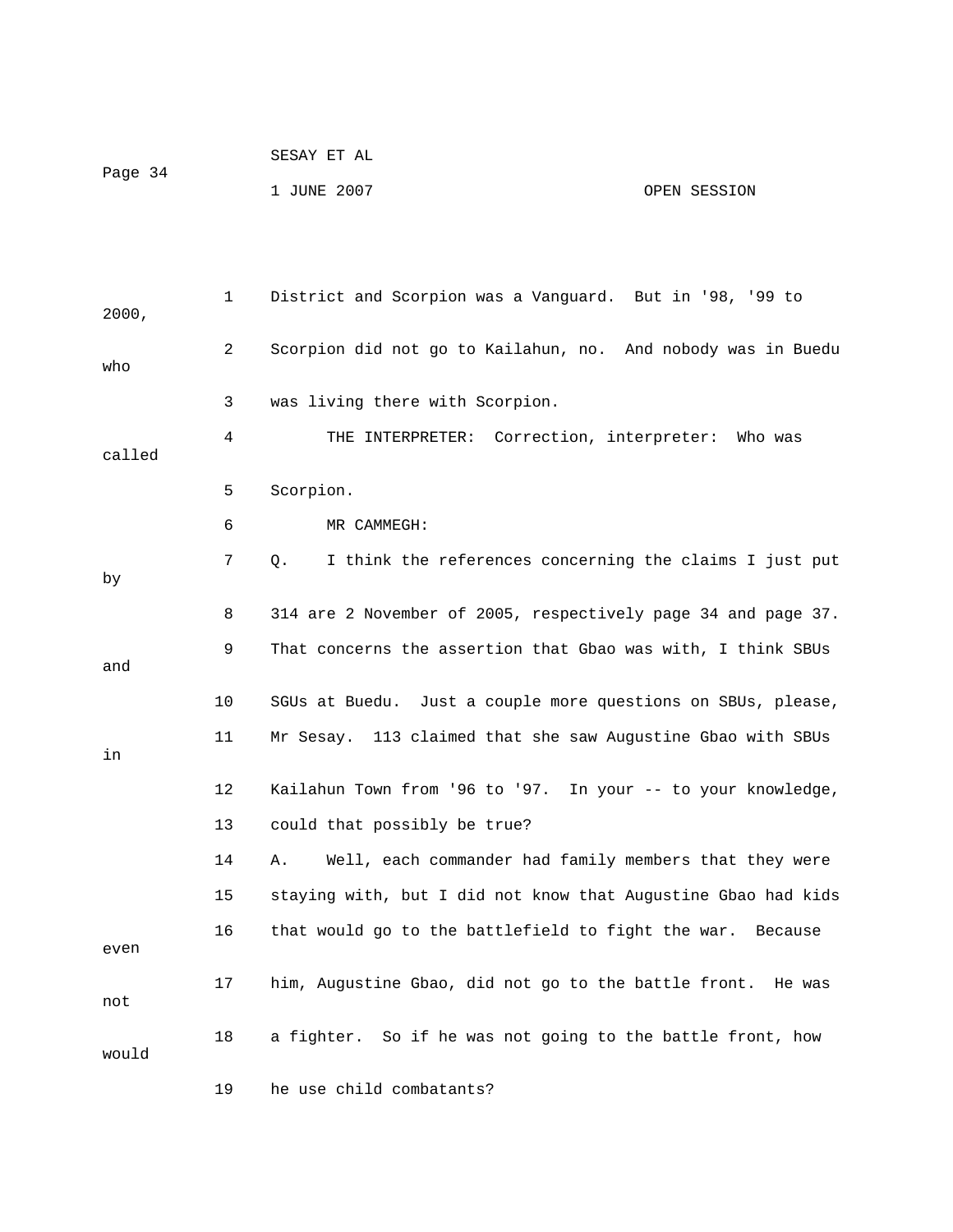| Page 34 | SESAY ET AL |              |
|---------|-------------|--------------|
|         | 1 JUNE 2007 | OPEN SESSION |

| 2000,  | 1  | District and Scorpion was a Vanguard. But in '98, '99 to       |
|--------|----|----------------------------------------------------------------|
| who    | 2  | Scorpion did not go to Kailahun, no. And nobody was in Buedu   |
|        | 3  | was living there with Scorpion.                                |
| called | 4  | THE INTERPRETER: Correction, interpreter: Who was              |
|        | 5  | Scorpion.                                                      |
|        | 6  | MR CAMMEGH:                                                    |
| by     | 7  | I think the references concerning the claims I just put<br>Q.  |
|        | 8  | 314 are 2 November of 2005, respectively page 34 and page 37.  |
| and    | 9  | That concerns the assertion that Gbao was with, I think SBUs   |
|        | 10 | SGUs at Buedu. Just a couple more questions on SBUs, please,   |
| in     | 11 | Mr Sesay. 113 claimed that she saw Augustine Gbao with SBUs    |
|        | 12 | Kailahun Town from '96 to '97. In your -- to your knowledge,   |
|        | 13 | could that possibly be true?                                   |
|        | 14 | Well, each commander had family members that they were<br>Α.   |
|        | 15 | staying with, but I did not know that Augustine Gbao had kids  |
| even   | 16 | that would go to the battlefield to fight the war. Because     |
| not    | 17 | him, Augustine Gbao, did not go to the battle front.<br>He was |
| would  | 18 | a fighter. So if he was not going to the battle front, how     |
|        | 19 | he use child combatants?                                       |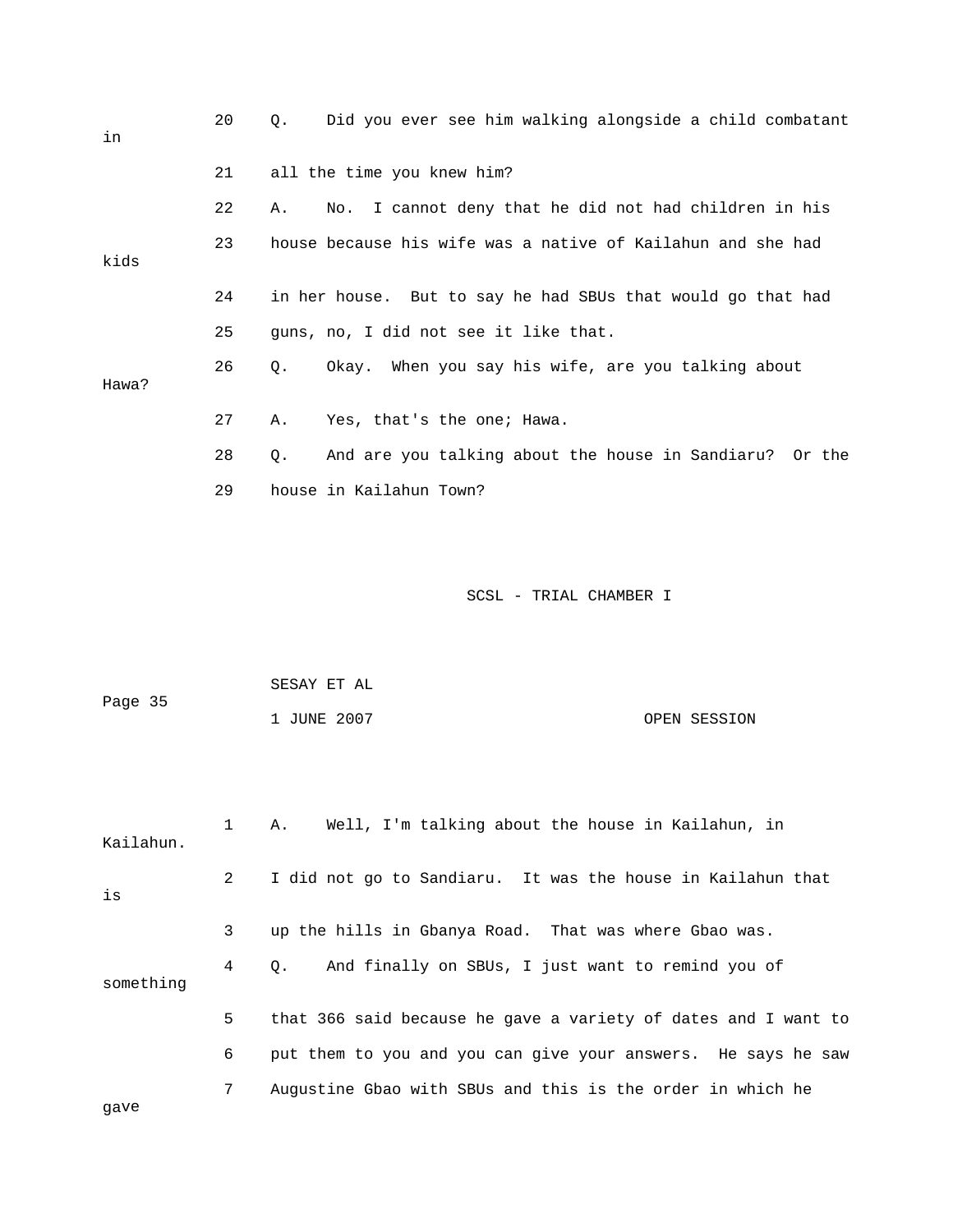| in    | 20 | Did you ever see him walking alongside a child combatant<br>$\circ$ . |
|-------|----|-----------------------------------------------------------------------|
|       | 21 | all the time you knew him?                                            |
|       | 22 | No. I cannot deny that he did not had children in his<br>Α.           |
| kids  | 23 | house because his wife was a native of Kailahun and she had           |
|       | 24 | in her house. But to say he had SBUs that would go that had           |
|       | 25 | quns, no, I did not see it like that.                                 |
| Hawa? | 26 | Okay. When you say his wife, are you talking about<br>Q.              |
|       | 27 | Yes, that's the one; Hawa.<br>Α.                                      |
|       | 28 | And are you talking about the house in Sandiaru? Or the<br>О.         |
|       | 29 | house in Kailahun Town?                                               |

| Page 35 | SESAY ET AL |              |
|---------|-------------|--------------|
|         | 1 JUNE 2007 | OPEN SESSION |

| Kailahun. |                | Well, I'm talking about the house in Kailahun, in<br>А.        |
|-----------|----------------|----------------------------------------------------------------|
| is        | $\overline{2}$ | I did not go to Sandiaru. It was the house in Kailahun that    |
|           | 3              | up the hills in Gbanya Road. That was where Gbao was.          |
| something | 4              | And finally on SBUs, I just want to remind you of<br>$\circ$ . |
|           | 5              | that 366 said because he gave a variety of dates and I want to |
|           | 6              | put them to you and you can give your answers. He says he saw  |
| qave      | 7              | Augustine Gbao with SBUs and this is the order in which he     |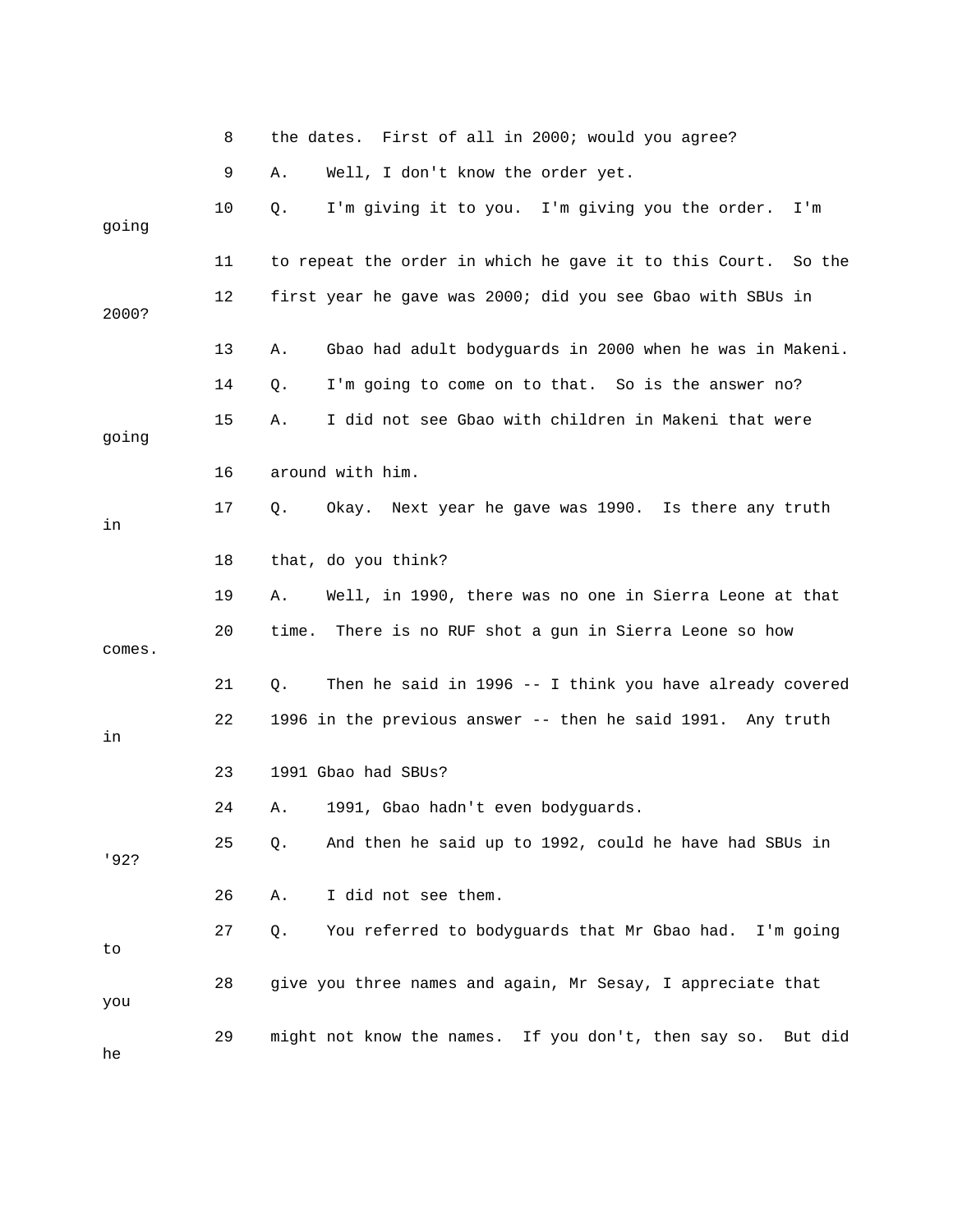|        | 8  | the dates. First of all in 2000; would you agree?              |
|--------|----|----------------------------------------------------------------|
|        | 9  | Well, I don't know the order yet.<br>Α.                        |
| going  | 10 | I'm giving it to you. I'm giving you the order.<br>Q.<br>I'm   |
|        | 11 | to repeat the order in which he gave it to this Court. So the  |
| 2000?  | 12 | first year he gave was 2000; did you see Gbao with SBUs in     |
|        | 13 | Gbao had adult bodyguards in 2000 when he was in Makeni.<br>Α. |
|        | 14 | I'm going to come on to that. So is the answer no?<br>Q.       |
| going  | 15 | I did not see Gbao with children in Makeni that were<br>Α.     |
|        | 16 | around with him.                                               |
| in     | 17 | Okay. Next year he gave was 1990. Is there any truth<br>Q.     |
|        | 18 | that, do you think?                                            |
|        | 19 | Well, in 1990, there was no one in Sierra Leone at that<br>Α.  |
| comes. | 20 | There is no RUF shot a gun in Sierra Leone so how<br>time.     |
|        | 21 | Then he said in 1996 -- I think you have already covered<br>Q. |
| in     | 22 | 1996 in the previous answer -- then he said 1991. Any truth    |
|        | 23 | 1991 Gbao had SBUs?                                            |
|        | 24 | 1991, Gbao hadn't even bodyguards.<br>Α.                       |
| '92?   | 25 | And then he said up to 1992, could he have had SBUs in<br>Q.   |
|        | 26 | I did not see them.<br>Α.                                      |
| to     | 27 | You referred to bodyguards that Mr Gbao had. I'm going<br>Q.   |
| you    | 28 | give you three names and again, Mr Sesay, I appreciate that    |
| he     | 29 | might not know the names. If you don't, then say so. But did   |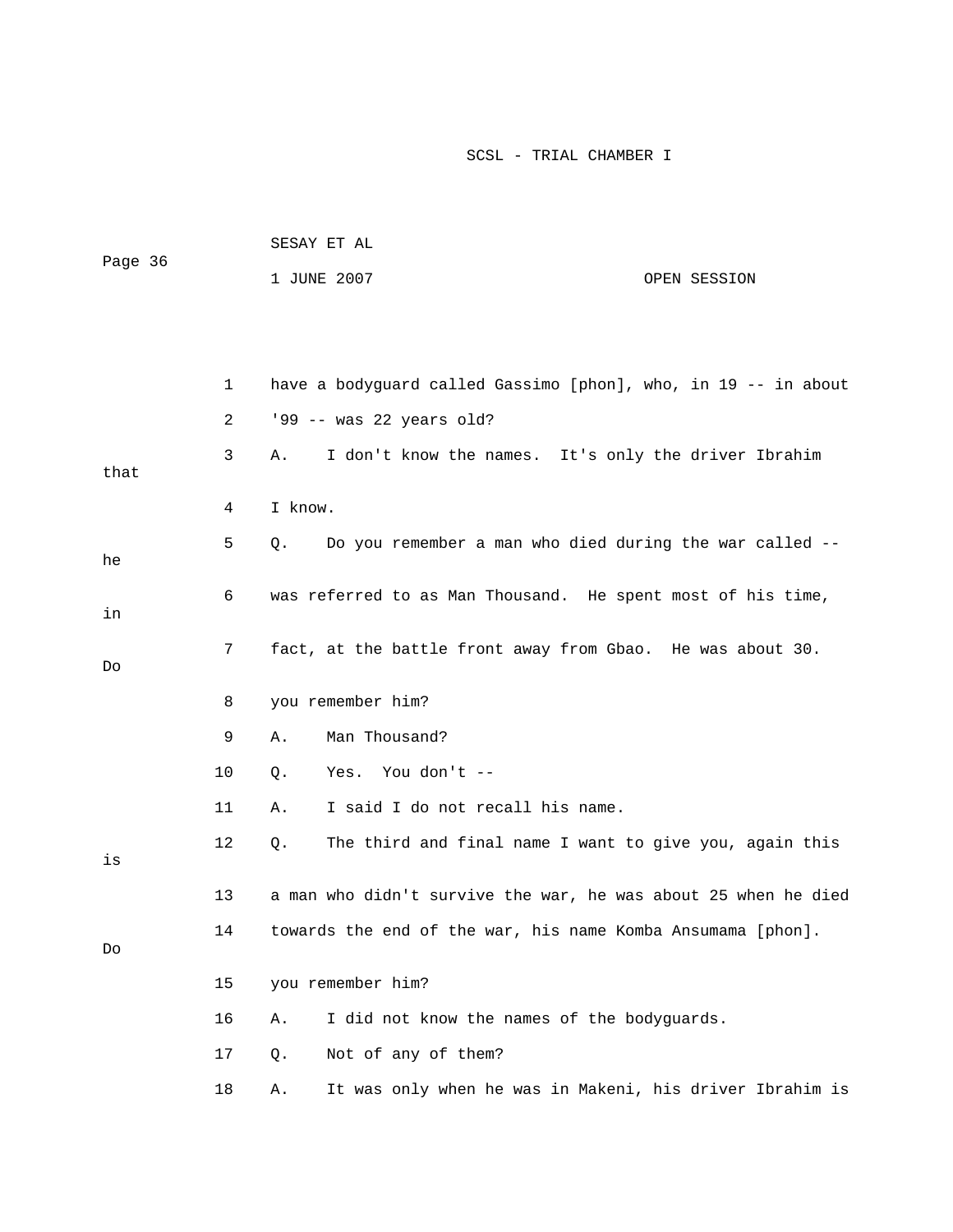| Page 36 |             | SESAY ET AL                                                 |                                                                |  |  |
|---------|-------------|-------------------------------------------------------------|----------------------------------------------------------------|--|--|
|         |             | 1 JUNE 2007                                                 | OPEN SESSION                                                   |  |  |
|         |             |                                                             |                                                                |  |  |
|         |             |                                                             |                                                                |  |  |
|         | $\mathbf 1$ |                                                             | have a bodyguard called Gassimo [phon], who, in 19 -- in about |  |  |
|         | 2           | '99 -- was 22 years old?                                    |                                                                |  |  |
| that    | 3           | Α.                                                          | I don't know the names. It's only the driver Ibrahim           |  |  |
|         | 4           | I know.                                                     |                                                                |  |  |
| he      | 5           | Q.                                                          | Do you remember a man who died during the war called --        |  |  |
| in      | 6           | was referred to as Man Thousand. He spent most of his time, |                                                                |  |  |
| Do      | 7           | fact, at the battle front away from Gbao. He was about 30.  |                                                                |  |  |
|         | 8           | you remember him?                                           |                                                                |  |  |
|         | 9           | Man Thousand?<br>Α.                                         |                                                                |  |  |
|         | 10          | You don't --<br>Yes.<br>Q.                                  |                                                                |  |  |
|         | 11          | I said I do not recall his name.<br>Α.                      |                                                                |  |  |
| is      | 12          | Q.                                                          | The third and final name I want to give you, again this        |  |  |
|         | 13          |                                                             | a man who didn't survive the war, he was about 25 when he died |  |  |
| Do      | 14          | towards the end of the war, his name Komba Ansumama [phon]. |                                                                |  |  |
|         | 15          | you remember him?                                           |                                                                |  |  |

- 16 A. I did not know the names of the bodyguards.
	- 17 Q. Not of any of them?
	- 18 A. It was only when he was in Makeni, his driver Ibrahim is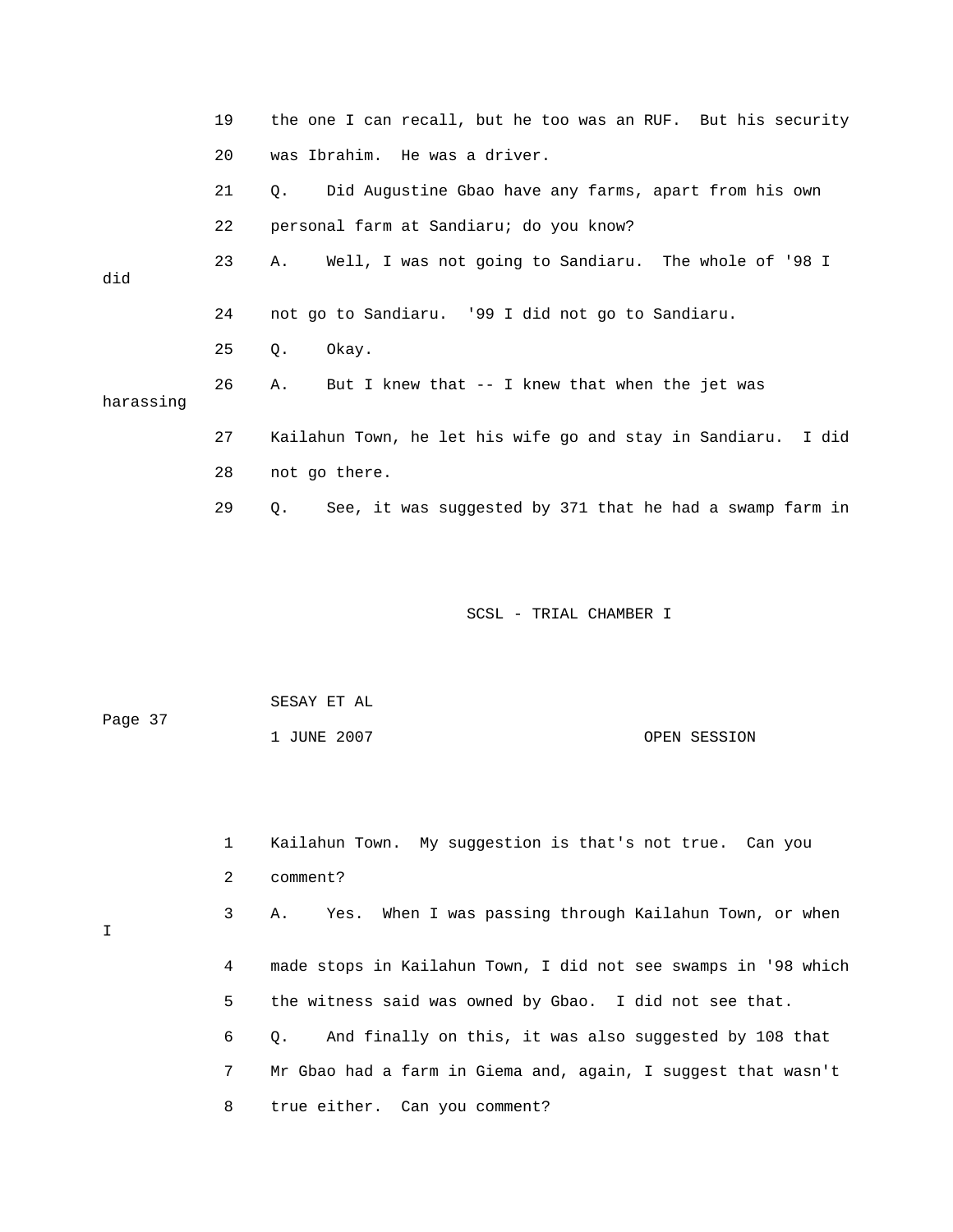|           | 19 | the one I can recall, but he too was an RUF. But his security         |
|-----------|----|-----------------------------------------------------------------------|
|           | 20 | was Ibrahim. He was a driver.                                         |
|           | 21 | Did Augustine Gbao have any farms, apart from his own<br>$\circ$ .    |
|           | 22 | personal farm at Sandiaru; do you know?                               |
| did       | 23 | A. Well, I was not going to Sandiaru. The whole of '98 I              |
|           | 24 | not go to Sandiaru. '99 I did not go to Sandiaru.                     |
|           | 25 | Okay.<br>Q.                                                           |
| harassing | 26 | But I knew that -- I knew that when the jet was<br>Α.                 |
|           | 27 | Kailahun Town, he let his wife go and stay in Sandiaru. I did         |
|           | 28 | not go there.                                                         |
|           | 29 | See, it was suggested by 371 that he had a swamp farm in<br>$\circ$ . |

| Page 37 | SESAY ET AL |              |  |
|---------|-------------|--------------|--|
|         | 1 JUNE 2007 | OPEN SESSION |  |

I

| $\mathbf{1}$ | Kailahun Town. My suggestion is that's not true. Can you            |
|--------------|---------------------------------------------------------------------|
| 2            | comment?                                                            |
| 3            | Yes. When I was passing through Kailahun Town, or when<br>Α.        |
| 4            | made stops in Kailahun Town, I did not see swamps in '98 which      |
| 5            | the witness said was owned by Gbao. I did not see that.             |
| 6            | And finally on this, it was also suggested by 108 that<br>$\circ$ . |
| 7            | Mr Gbao had a farm in Giema and, again, I suggest that wasn't       |
| 8            | true either. Can you comment?                                       |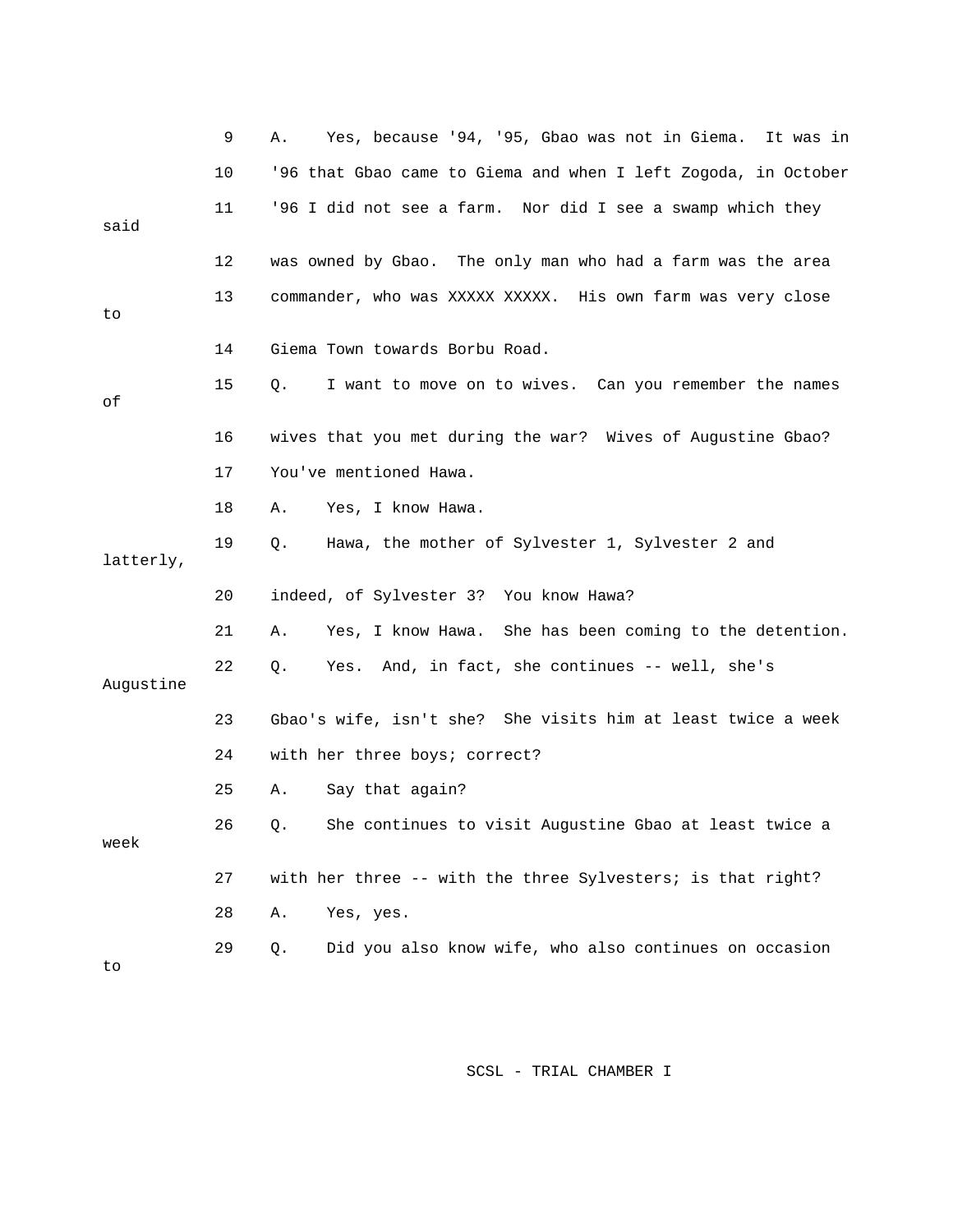|           | 9  | Yes, because '94, '95, Gbao was not in Giema.<br>Α.<br>It was in |
|-----------|----|------------------------------------------------------------------|
|           | 10 | '96 that Gbao came to Giema and when I left Zogoda, in October   |
| said      | 11 | '96 I did not see a farm. Nor did I see a swamp which they       |
|           |    |                                                                  |
|           | 12 | was owned by Gbao. The only man who had a farm was the area      |
| to        | 13 | commander, who was XXXXX XXXXX. His own farm was very close      |
|           |    |                                                                  |
|           | 14 | Giema Town towards Borbu Road.                                   |
| оf        | 15 | I want to move on to wives. Can you remember the names<br>Q.     |
|           |    |                                                                  |
|           | 16 | wives that you met during the war? Wives of Augustine Gbao?      |
|           | 17 | You've mentioned Hawa.                                           |
|           | 18 | Yes, I know Hawa.<br>Α.                                          |
|           | 19 | $Q$ .<br>Hawa, the mother of Sylvester 1, Sylvester 2 and        |
| latterly, |    |                                                                  |
|           | 20 | indeed, of Sylvester 3? You know Hawa?                           |
|           | 21 | Yes, I know Hawa. She has been coming to the detention.<br>Α.    |
| Augustine | 22 | Yes. And, in fact, she continues -- well, she's<br>Q.            |
|           |    |                                                                  |
|           | 23 | Gbao's wife, isn't she? She visits him at least twice a week     |
|           | 24 | with her three boys; correct?                                    |
|           | 25 | Say that again?<br>Α.                                            |
| week      | 26 | She continues to visit Augustine Gbao at least twice a<br>Q.     |
|           |    |                                                                  |
|           | 27 | with her three $--$ with the three Sylvesters; is that right?    |
|           | 28 | Yes, yes.<br>Α.                                                  |
| to        | 29 | Did you also know wife, who also continues on occasion<br>Q.     |
|           |    |                                                                  |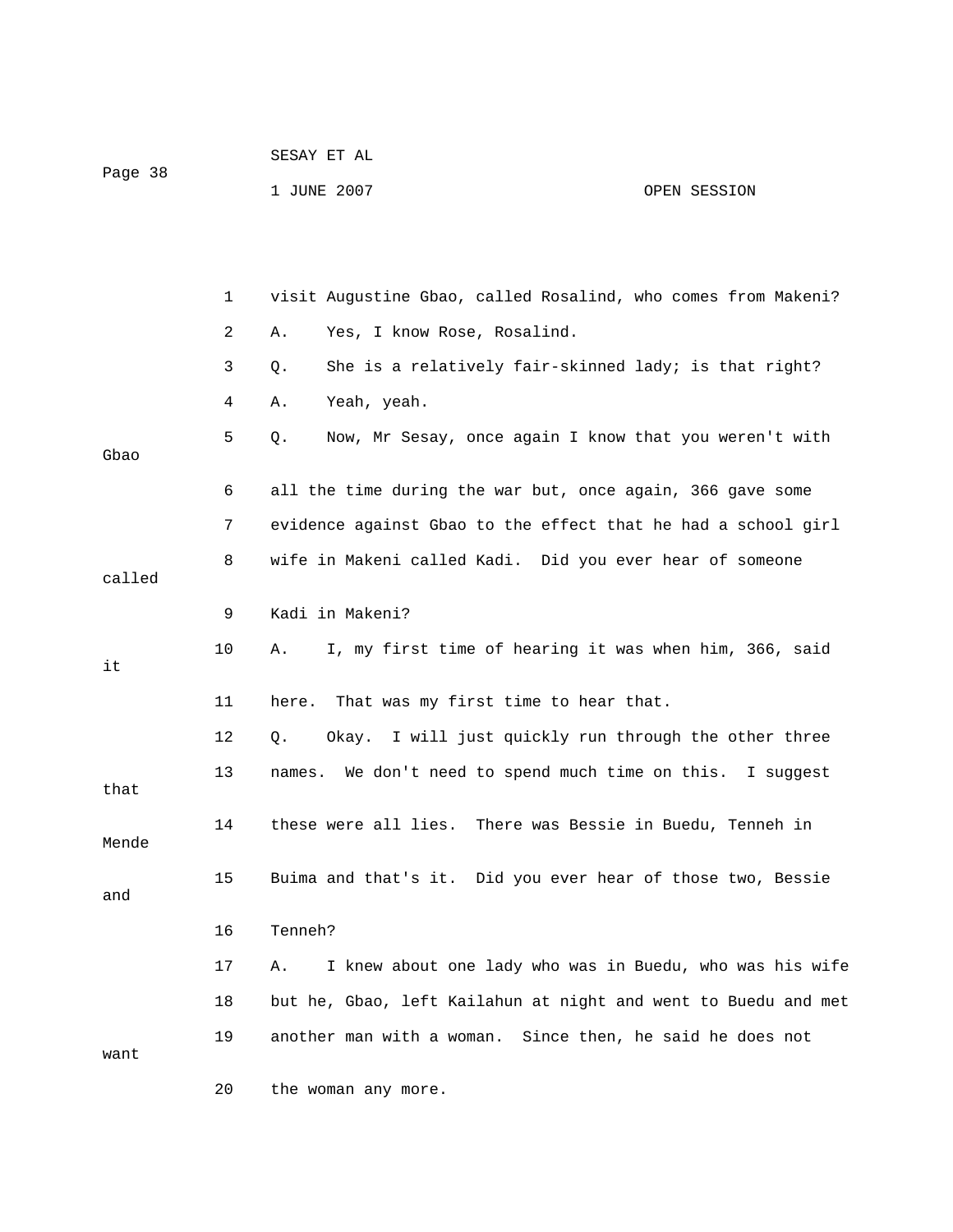| Page 38 |              | עמ בש במטשט                                                    |                                 |
|---------|--------------|----------------------------------------------------------------|---------------------------------|
|         |              | 1 JUNE 2007                                                    | OPEN SESSION                    |
|         |              |                                                                |                                 |
|         |              |                                                                |                                 |
|         |              |                                                                |                                 |
|         | $\mathbf{1}$ | visit Augustine Gbao, called Rosalind, who comes from Makeni?  |                                 |
|         | 2            | Yes, I know Rose, Rosalind.<br>Α.                              |                                 |
|         | 3            | She is a relatively fair-skinned lady; is that right?<br>Q.    |                                 |
|         | 4            | Yeah, yeah.<br>Α.                                              |                                 |
| Gbao    | 5            | Now, Mr Sesay, once again I know that you weren't with<br>Q.   |                                 |
|         |              |                                                                |                                 |
|         | 6            | all the time during the war but, once again, 366 gave some     |                                 |
|         | 7.           | evidence against Gbao to the effect that he had a school girl  |                                 |
|         | 8            | wife in Makeni called Kadi. Did you ever hear of someone       |                                 |
| called  |              |                                                                |                                 |
|         | 9            | Kadi in Makeni?                                                |                                 |
| it      | 10           | I, my first time of hearing it was when him, 366, said<br>Α.   |                                 |
|         |              |                                                                |                                 |
|         | 11           | That was my first time to hear that.<br>here.                  |                                 |
|         | 12           | Okay. I will just quickly run through the other three<br>Q.    |                                 |
| that    | 13           | names. We don't need to spend much time on this. I suggest     |                                 |
|         |              |                                                                |                                 |
| Mende   | 14           | these were all lies. There was Bessie in Buedu, Tenneh in      |                                 |
|         | 15           | Buima and that's it. Did you ever hear of those two, Bessie    |                                 |
| and     |              |                                                                |                                 |
|         | 16           | Tenneh?                                                        |                                 |
|         | 17           | I knew about one lady who was in Buedu, who was his wife<br>Α. |                                 |
|         | 18           | but he, Gbao, left Kailahun at night and went to Buedu and met |                                 |
|         | 19           | another man with a woman.                                      | Since then, he said he does not |
| want    |              |                                                                |                                 |

20 the woman any more.

SESAY ET AL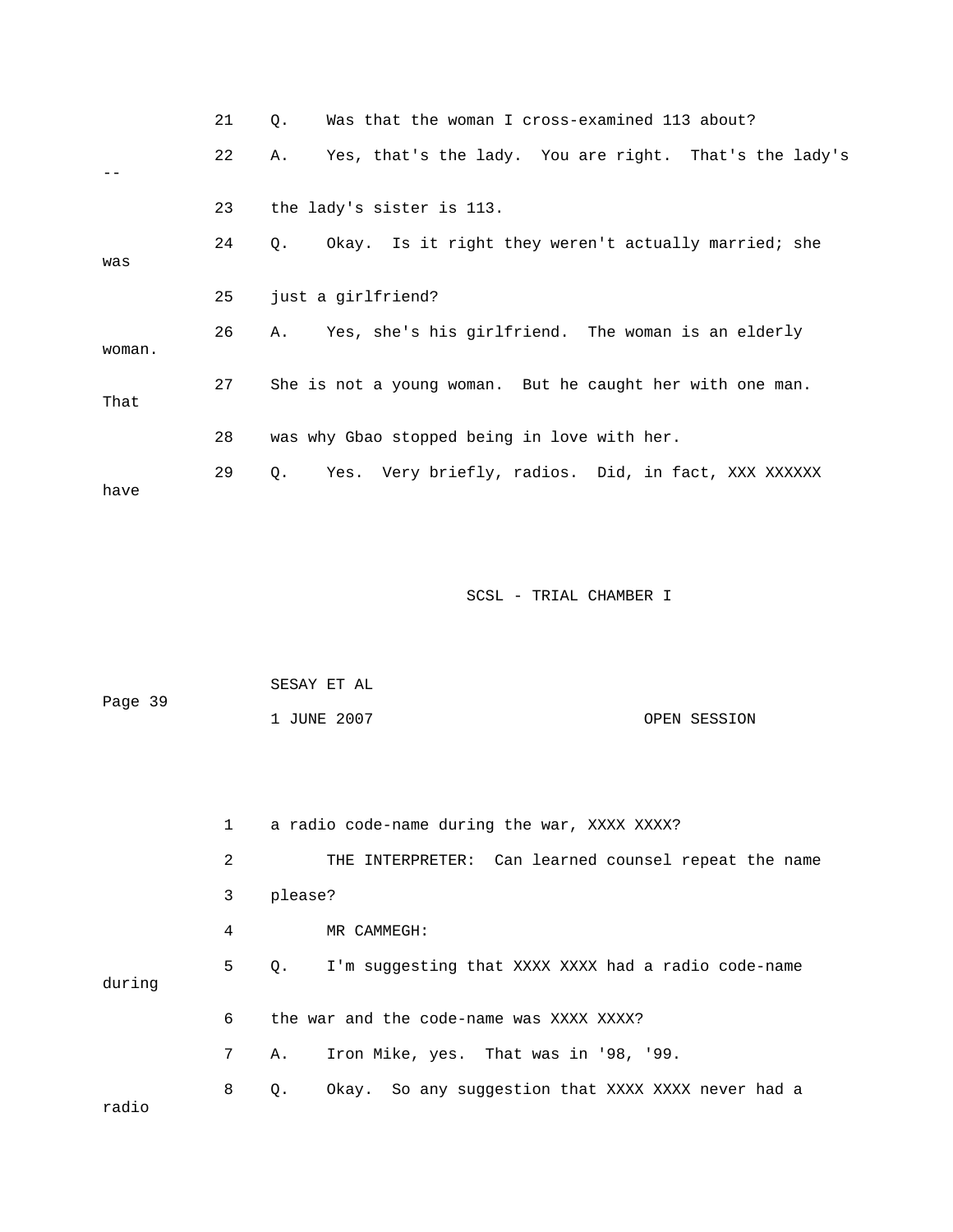|        | 21 | Was that the woman I cross-examined 113 about?<br>$\circ$ .  |
|--------|----|--------------------------------------------------------------|
|        | 22 | Yes, that's the lady. You are right. That's the lady's<br>Α. |
|        |    |                                                              |
|        | 23 | the lady's sister is 113.                                    |
| was    | 24 | Okay. Is it right they weren't actually married; she<br>Q.   |
|        | 25 | just a girlfriend?                                           |
| woman. | 26 | A. Yes, she's his girlfriend. The woman is an elderly        |
| That   | 27 | She is not a young woman. But he caught her with one man.    |
|        | 28 | was why Gbao stopped being in love with her.                 |
| have   | 29 | Yes. Very briefly, radios. Did, in fact, XXX XXXXXX<br>Q.    |

| Page 39 | SESAY ET AL |              |  |
|---------|-------------|--------------|--|
|         | 1 JUNE 2007 | OPEN SESSION |  |

|        | $\mathbf{1}$ | a radio code-name during the war, XXXX XXXX?              |
|--------|--------------|-----------------------------------------------------------|
|        | 2            | THE INTERPRETER: Can learned counsel repeat the name      |
|        | 3            | please?                                                   |
|        | 4            | MR CAMMEGH:                                               |
| during | 5            | I'm suqqesting that XXXX XXXX had a radio code-name<br>Q. |
|        | 6            | the war and the code-name was XXXX XXXX?                  |
|        | 7            | Iron Mike, yes. That was in '98, '99.<br>Α.               |
| radio  | 8            | Okay. So any suggestion that XXXX XXXX never had a<br>Q.  |
|        |              |                                                           |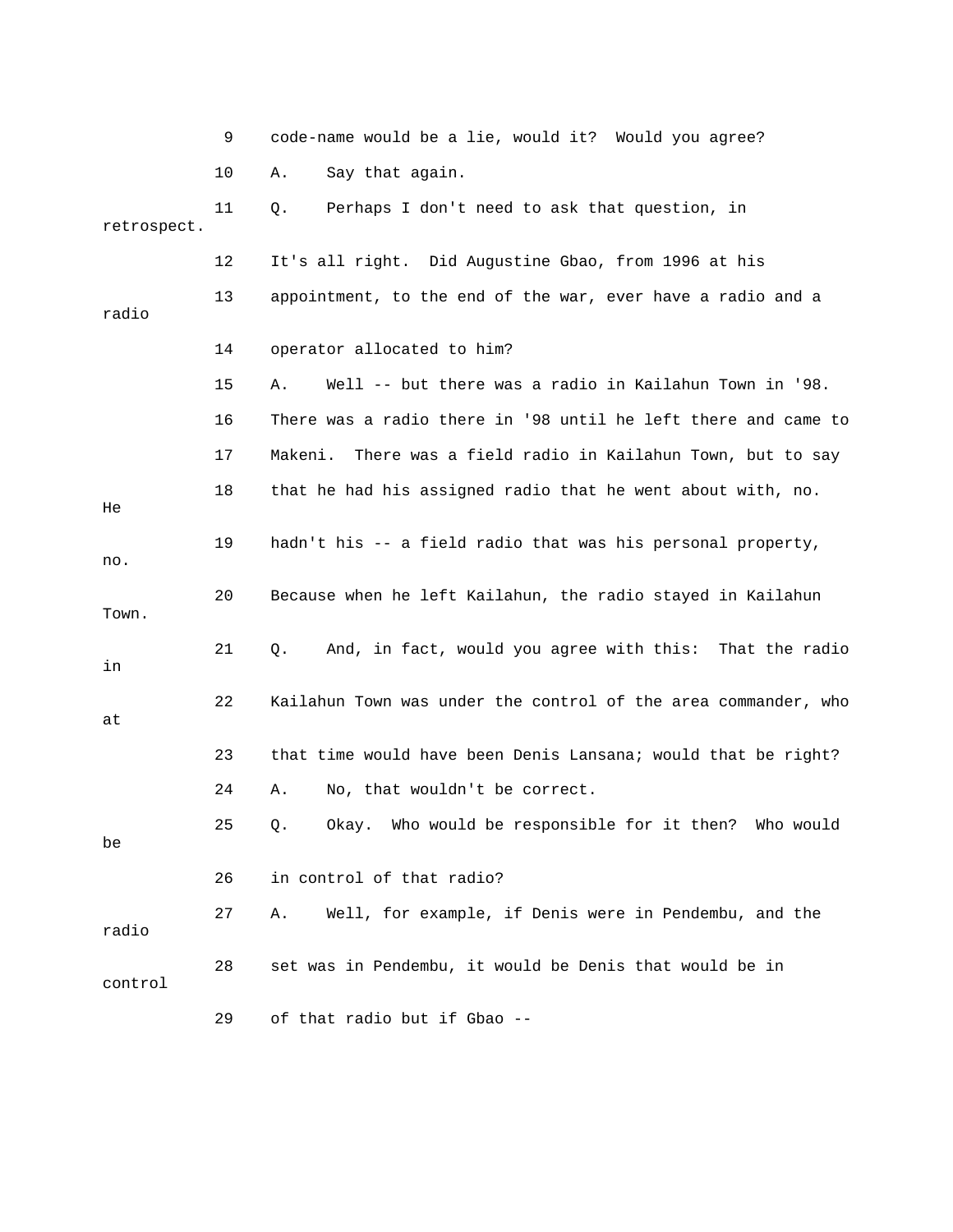|             | 9  | code-name would be a lie, would it? Would you agree?            |
|-------------|----|-----------------------------------------------------------------|
|             | 10 | Say that again.<br>Α.                                           |
| retrospect. | 11 | Perhaps I don't need to ask that question, in<br>Q.             |
|             | 12 | It's all right. Did Augustine Gbao, from 1996 at his            |
| radio       | 13 | appointment, to the end of the war, ever have a radio and a     |
|             | 14 | operator allocated to him?                                      |
|             | 15 | Well -- but there was a radio in Kailahun Town in '98.<br>Α.    |
|             | 16 | There was a radio there in '98 until he left there and came to  |
|             | 17 | There was a field radio in Kailahun Town, but to say<br>Makeni. |
| He          | 18 | that he had his assigned radio that he went about with, no.     |
| no.         | 19 | hadn't his -- a field radio that was his personal property,     |
| Town.       | 20 | Because when he left Kailahun, the radio stayed in Kailahun     |
| in          | 21 | And, in fact, would you agree with this: That the radio<br>Q.   |
| at          | 22 | Kailahun Town was under the control of the area commander, who  |
|             | 23 | that time would have been Denis Lansana; would that be right?   |
|             | 24 | No, that wouldn't be correct.<br>Α.                             |
| be          | 25 | Okay. Who would be responsible for it then? Who would           |
|             | 26 | in control of that radio?                                       |
| radio       | 27 | Well, for example, if Denis were in Pendembu, and the<br>Α.     |
| control     | 28 | set was in Pendembu, it would be Denis that would be in         |
|             | 29 | of that radio but if Gbao --                                    |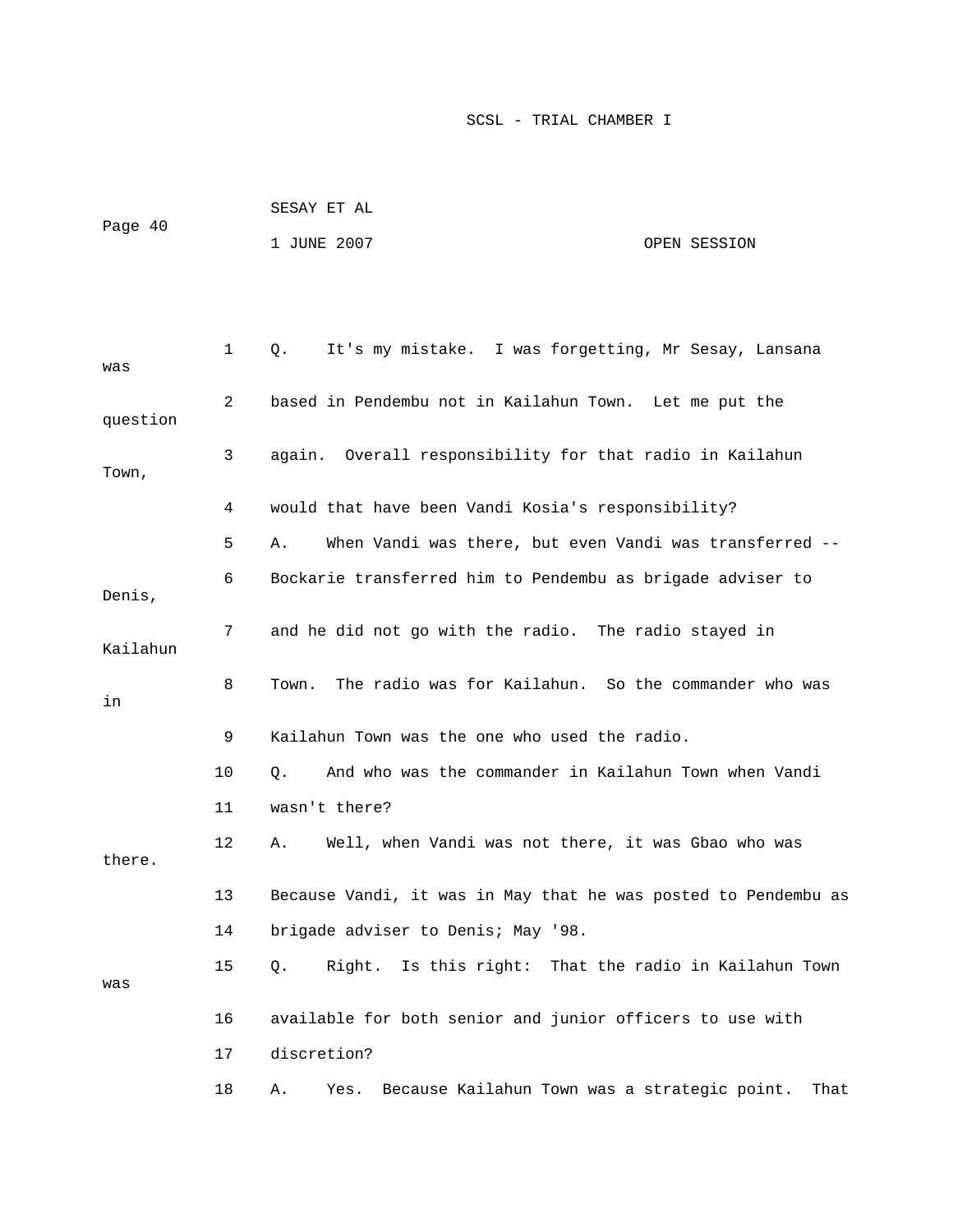| Page 40 | SESAY ET AL |              |
|---------|-------------|--------------|
|         | 1 JUNE 2007 | OPEN SESSION |

| was      | 1  | It's my mistake. I was forgetting, Mr Sesay, Lansana<br>Q.      |
|----------|----|-----------------------------------------------------------------|
| question | 2  | based in Pendembu not in Kailahun Town. Let me put the          |
| Town,    | 3  | again. Overall responsibility for that radio in Kailahun        |
|          | 4  | would that have been Vandi Kosia's responsibility?              |
|          | 5  | When Vandi was there, but even Vandi was transferred --<br>Α.   |
| Denis,   | 6  | Bockarie transferred him to Pendembu as brigade adviser to      |
| Kailahun | 7  | and he did not go with the radio. The radio stayed in           |
| in       | 8  | The radio was for Kailahun. So the commander who was<br>Town.   |
|          | 9  | Kailahun Town was the one who used the radio.                   |
|          | 10 | And who was the commander in Kailahun Town when Vandi<br>Q.     |
|          | 11 | wasn't there?                                                   |
| there.   | 12 | Well, when Vandi was not there, it was Gbao who was<br>Α.       |
|          | 13 | Because Vandi, it was in May that he was posted to Pendembu as  |
|          | 14 | brigade adviser to Denis; May '98.                              |
| was      | 15 | Right. Is this right: That the radio in Kailahun Town<br>Q.     |
|          | 16 | available for both senior and junior officers to use with       |
|          | 17 | discretion?                                                     |
|          | 18 | Yes. Because Kailahun Town was a strategic point.<br>That<br>Α. |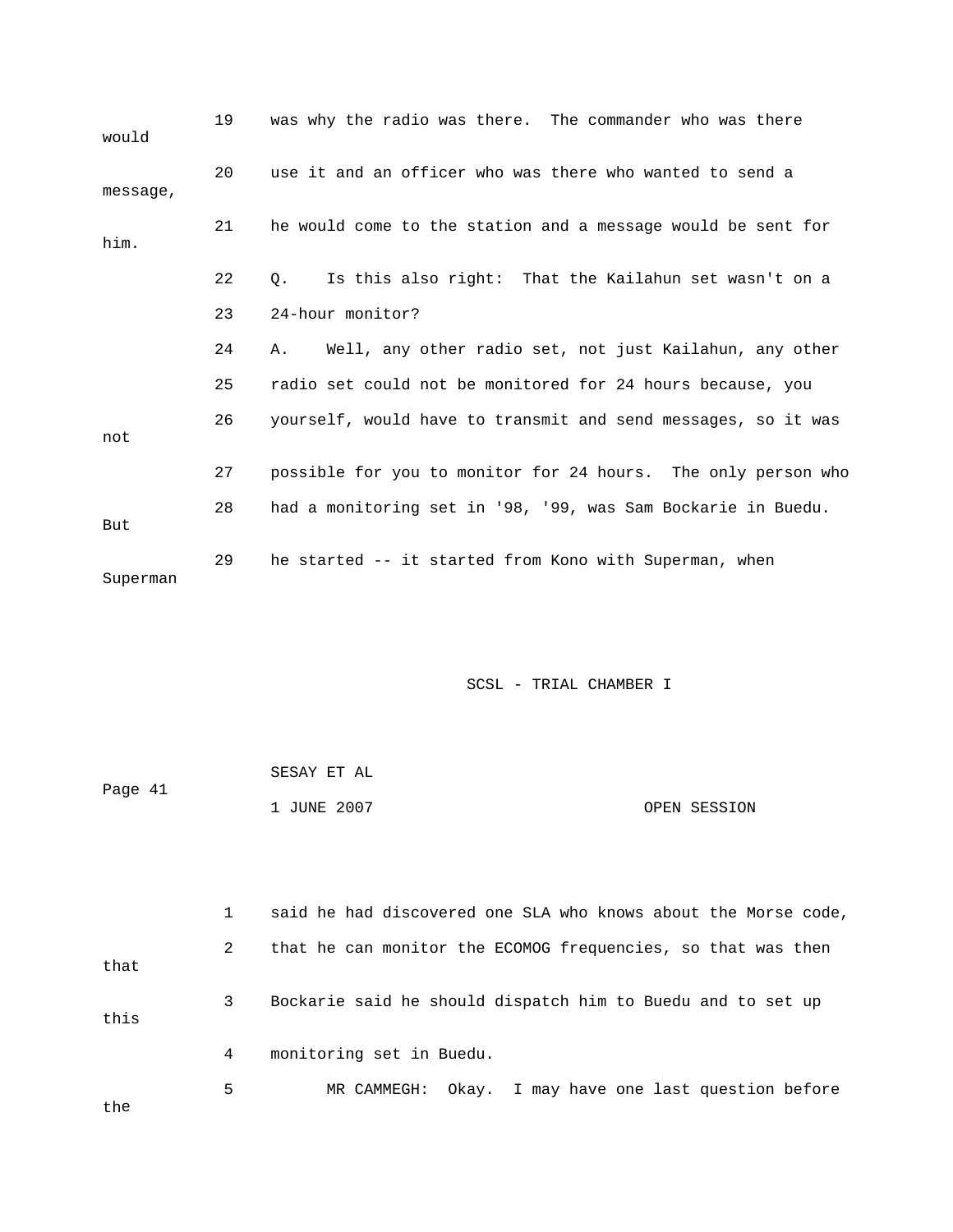| would    | 19 | was why the radio was there. The commander who was there       |
|----------|----|----------------------------------------------------------------|
| message, | 20 | use it and an officer who was there who wanted to send a       |
| him.     | 21 | he would come to the station and a message would be sent for   |
|          | 22 | Is this also right: That the Kailahun set wasn't on a<br>0.    |
|          | 23 | 24-hour monitor?                                               |
|          | 24 | Well, any other radio set, not just Kailahun, any other<br>A., |
|          | 25 | radio set could not be monitored for 24 hours because, you     |
| not      | 26 | yourself, would have to transmit and send messages, so it was  |
|          | 27 | possible for you to monitor for 24 hours. The only person who  |
| But      | 28 | had a monitoring set in '98, '99, was Sam Bockarie in Buedu.   |
| Superman | 29 | he started -- it started from Kono with Superman, when         |

| Page 41 | SESAY ET AL |              |
|---------|-------------|--------------|
|         | 1 JUNE 2007 | OPEN SESSION |

|      |   | said he had discovered one SLA who knows about the Morse code, |
|------|---|----------------------------------------------------------------|
| that | 2 | that he can monitor the ECOMOG frequencies, so that was then   |
| this | 3 | Bockarie said he should dispatch him to Buedu and to set up    |
|      | 4 | monitoring set in Buedu.                                       |
| the  | 5 | MR CAMMEGH: Okay. I may have one last question before          |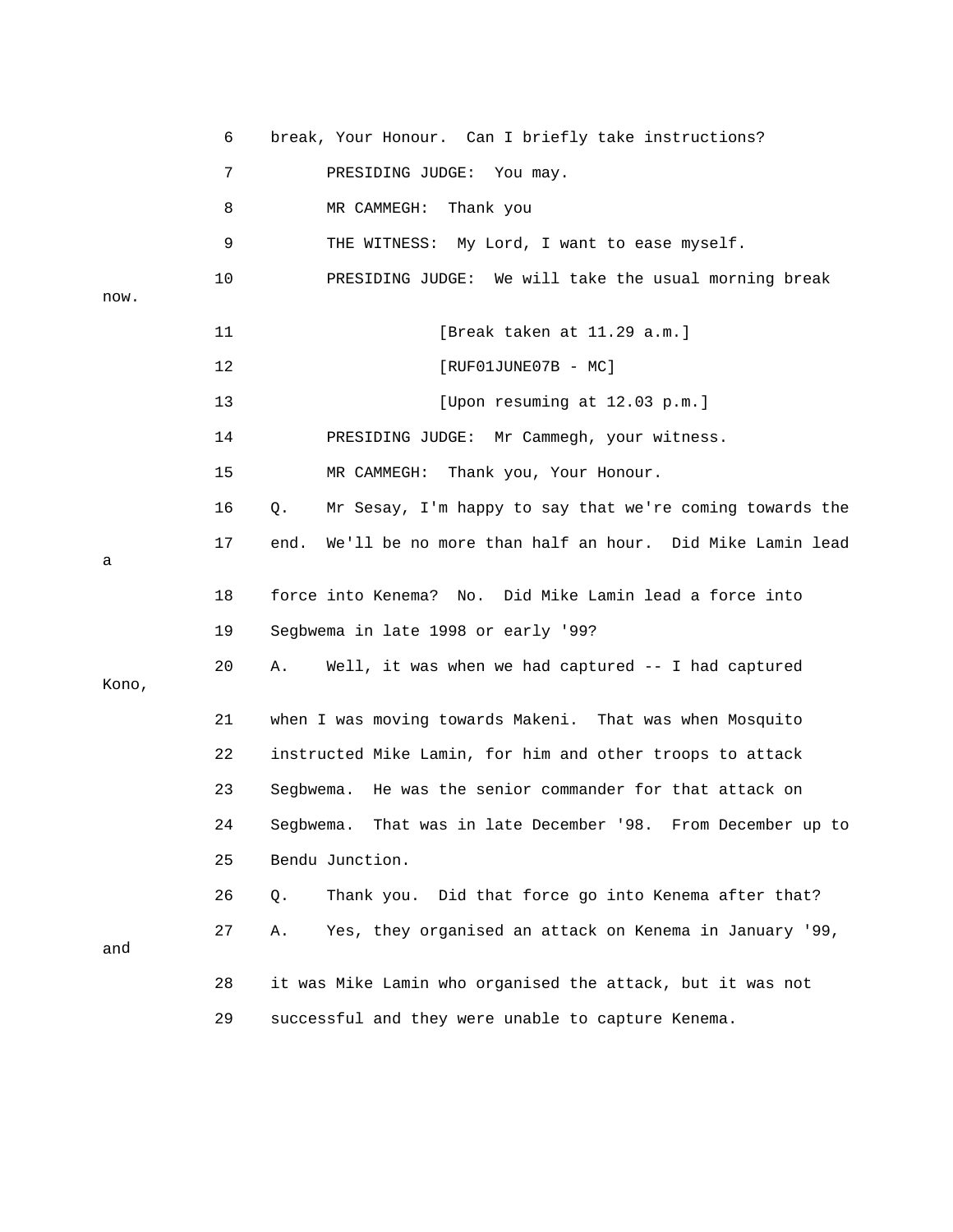|       | 6  | break, Your Honour. Can I briefly take instructions?            |
|-------|----|-----------------------------------------------------------------|
|       | 7  | PRESIDING JUDGE: You may.                                       |
|       | 8  | MR CAMMEGH:<br>Thank you                                        |
|       | 9  | THE WITNESS: My Lord, I want to ease myself.                    |
|       | 10 | PRESIDING JUDGE: We will take the usual morning break           |
| now.  |    |                                                                 |
|       | 11 | [Break taken at 11.29 a.m.]                                     |
|       | 12 | $[RUF01JUNE07B - MC]$                                           |
|       | 13 | [Upon resuming at 12.03 p.m.]                                   |
|       | 14 | PRESIDING JUDGE: Mr Cammegh, your witness.                      |
|       | 15 | MR CAMMEGH: Thank you, Your Honour.                             |
|       | 16 | Mr Sesay, I'm happy to say that we're coming towards the<br>Q.  |
|       | 17 | We'll be no more than half an hour. Did Mike Lamin lead<br>end. |
| а     |    |                                                                 |
|       | 18 | force into Kenema? No. Did Mike Lamin lead a force into         |
|       | 19 | Segbwema in late 1998 or early '99?                             |
|       | 20 | Well, it was when we had captured -- I had captured<br>А.       |
| Kono, |    |                                                                 |
|       | 21 | when I was moving towards Makeni. That was when Mosquito        |
|       | 22 | instructed Mike Lamin, for him and other troops to attack       |
|       | 23 | He was the senior commander for that attack on<br>Segbwema.     |
|       | 24 | Segbwema. That was in late December '98. From December up to    |
|       | 25 | Bendu Junction.                                                 |
|       | 26 | Thank you. Did that force go into Kenema after that?<br>Q.      |
|       | 27 | Yes, they organised an attack on Kenema in January '99,<br>Α.   |
| and   |    |                                                                 |
|       | 28 | it was Mike Lamin who organised the attack, but it was not      |
|       | 29 | successful and they were unable to capture Kenema.              |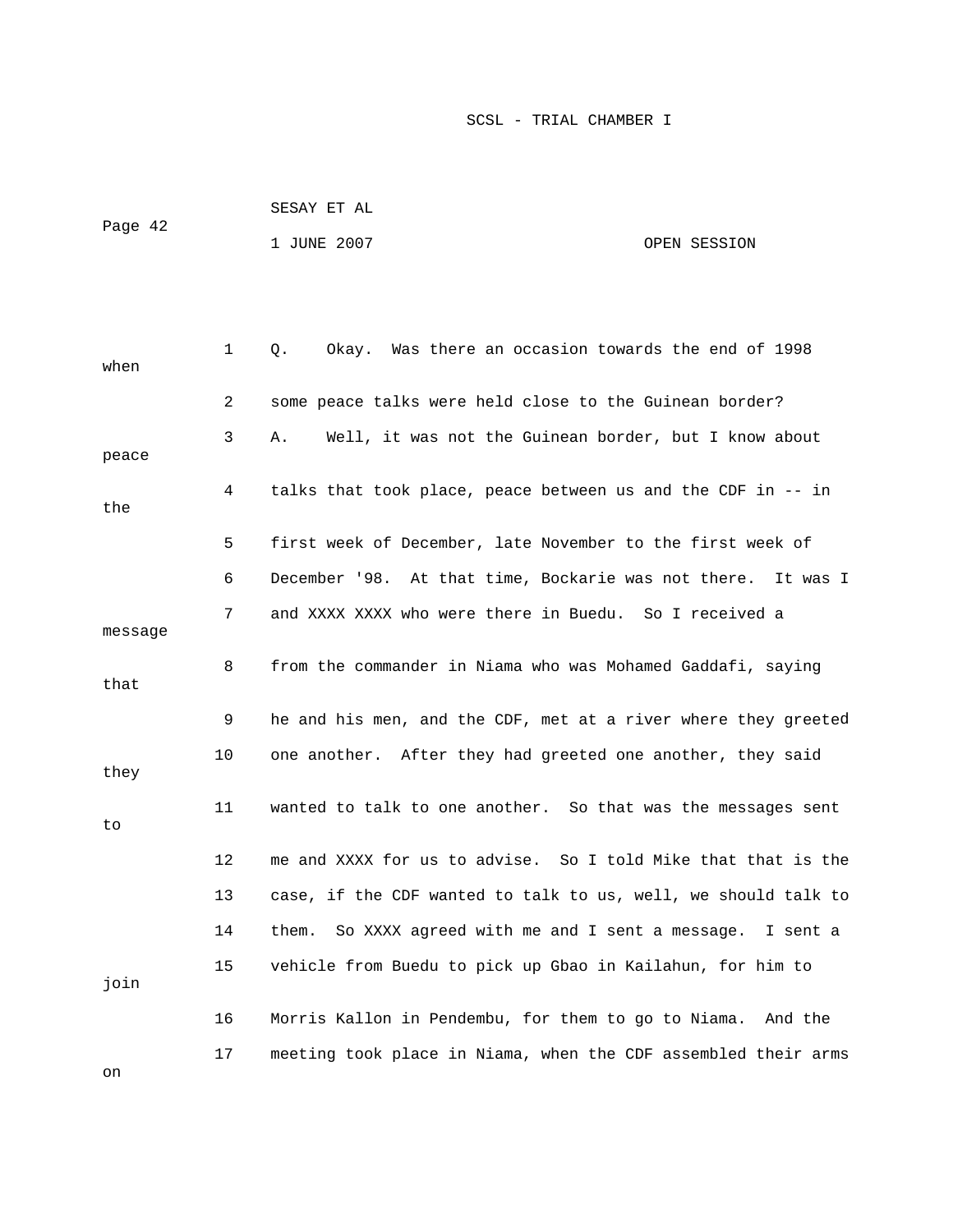| Page 42 | SESAY ET AL |              |
|---------|-------------|--------------|
|         | 1 JUNE 2007 | OPEN SESSION |

| when    | 1       | Okay. Was there an occasion towards the end of 1998<br>Q.      |
|---------|---------|----------------------------------------------------------------|
|         | 2       | some peace talks were held close to the Guinean border?        |
| peace   | 3       | Well, it was not the Guinean border, but I know about<br>Α.    |
| the     | 4       | talks that took place, peace between us and the CDF in -- in   |
|         | 5       | first week of December, late November to the first week of     |
|         | 6       | December '98. At that time, Bockarie was not there. It was I   |
| message | 7       | and XXXX XXXX who were there in Buedu. So I received a         |
| that    | 8       | from the commander in Niama who was Mohamed Gaddafi, saying    |
|         | 9       | he and his men, and the CDF, met at a river where they greeted |
| they    | 10      | one another. After they had greeted one another, they said     |
| to      | 11      | wanted to talk to one another. So that was the messages sent   |
|         | $12 \,$ | me and XXXX for us to advise. So I told Mike that that is the  |
|         | 13      | case, if the CDF wanted to talk to us, well, we should talk to |
|         | 14      | So XXXX agreed with me and I sent a message. I sent a<br>them. |
| join    | 15      | vehicle from Buedu to pick up Gbao in Kailahun, for him to     |
|         | 16      | Morris Kallon in Pendembu, for them to go to Niama.<br>And the |
| on      | 17      | meeting took place in Niama, when the CDF assembled their arms |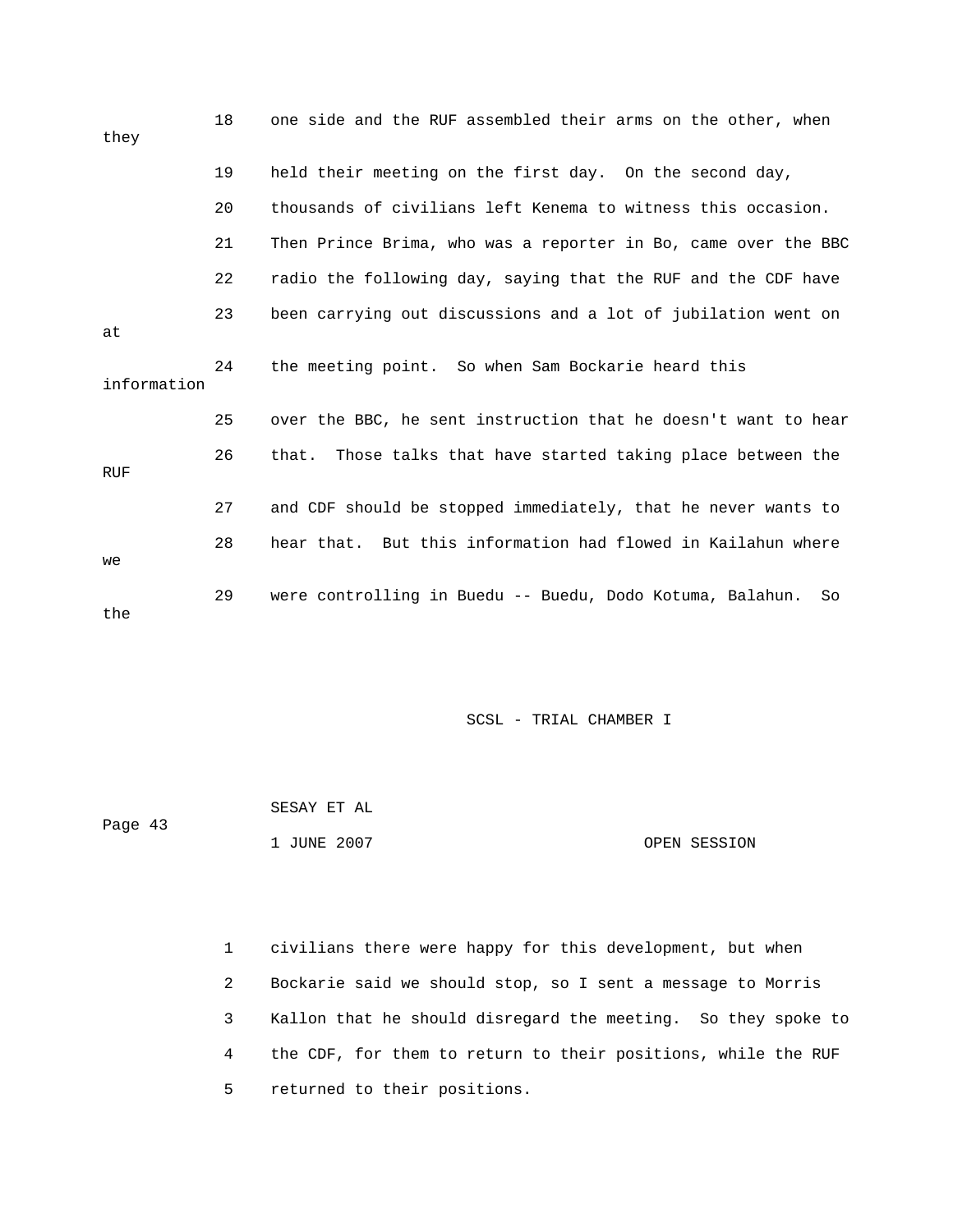| they        | 18 | one side and the RUF assembled their arms on the other, when    |
|-------------|----|-----------------------------------------------------------------|
|             | 19 | held their meeting on the first day. On the second day,         |
|             | 20 | thousands of civilians left Kenema to witness this occasion.    |
|             | 21 | Then Prince Brima, who was a reporter in Bo, came over the BBC  |
|             | 22 | radio the following day, saying that the RUF and the CDF have   |
| at          | 23 | been carrying out discussions and a lot of jubilation went on   |
| information | 24 | the meeting point. So when Sam Bockarie heard this              |
|             | 25 | over the BBC, he sent instruction that he doesn't want to hear  |
| <b>RUF</b>  | 26 | that. Those talks that have started taking place between the    |
|             | 27 | and CDF should be stopped immediately, that he never wants to   |
| we          | 28 | hear that. But this information had flowed in Kailahun where    |
| the         | 29 | were controlling in Buedu -- Buedu, Dodo Kotuma, Balahun.<br>So |

 1 JUNE 2007 OPEN SESSION SESAY ET AL Page 43

 1 civilians there were happy for this development, but when 2 Bockarie said we should stop, so I sent a message to Morris 3 Kallon that he should disregard the meeting. So they spoke to 4 the CDF, for them to return to their positions, while the RUF 5 returned to their positions.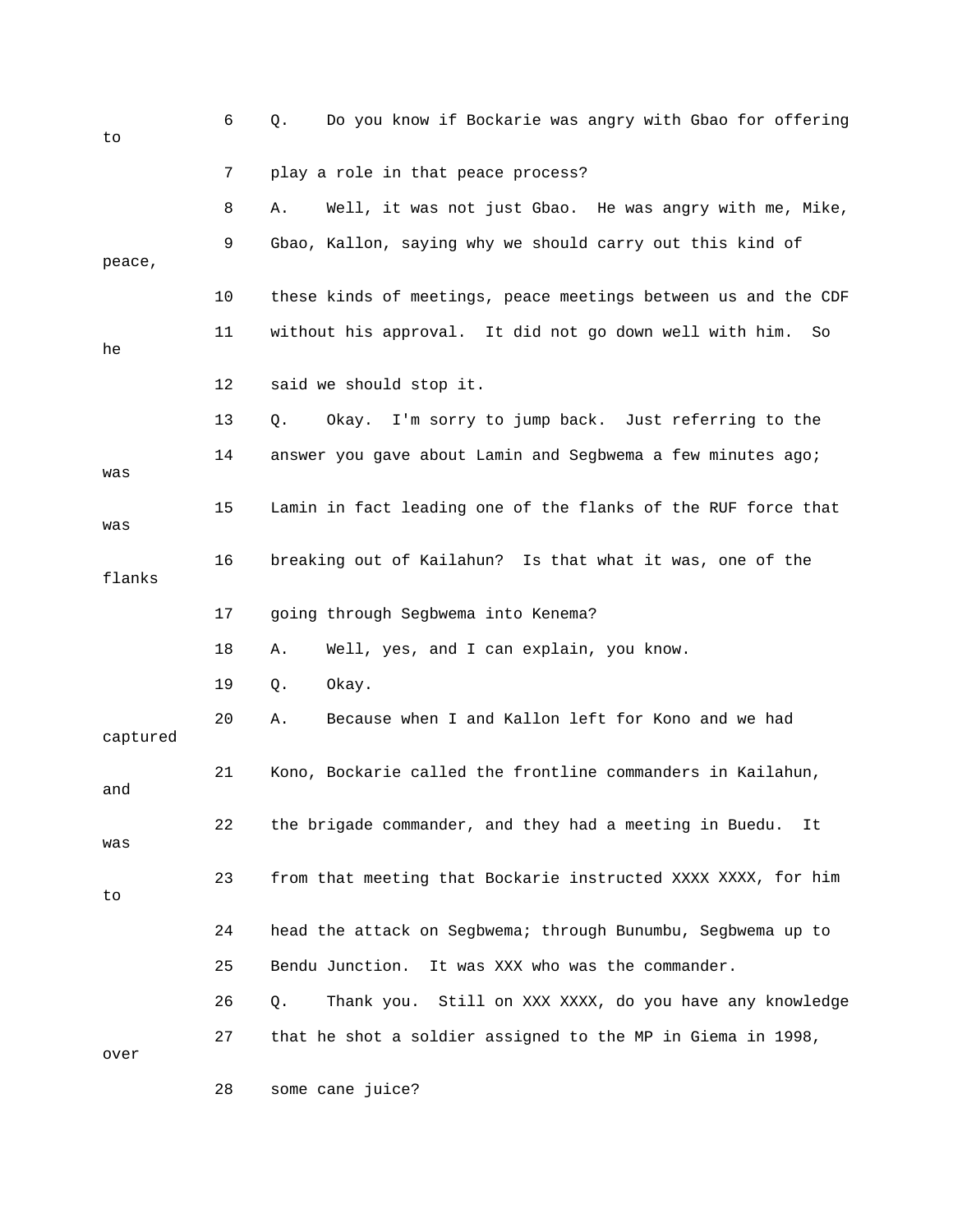| to       | 6  | Do you know if Bockarie was angry with Gbao for offering<br>Q.   |
|----------|----|------------------------------------------------------------------|
|          | 7  | play a role in that peace process?                               |
|          | 8  | Well, it was not just Gbao. He was angry with me, Mike,<br>Α.    |
| peace,   | 9  | Gbao, Kallon, saying why we should carry out this kind of        |
|          | 10 | these kinds of meetings, peace meetings between us and the CDF   |
| he       | 11 | without his approval. It did not go down well with him.<br>So    |
|          | 12 | said we should stop it.                                          |
|          | 13 | Okay. I'm sorry to jump back. Just referring to the<br>О.        |
| was      | 14 | answer you gave about Lamin and Segbwema a few minutes ago;      |
| was      | 15 | Lamin in fact leading one of the flanks of the RUF force that    |
| flanks   | 16 | breaking out of Kailahun? Is that what it was, one of the        |
|          | 17 | going through Segbwema into Kenema?                              |
|          | 18 | Well, yes, and I can explain, you know.<br>Α.                    |
|          | 19 | Okay.<br>Q.                                                      |
| captured | 20 | Because when I and Kallon left for Kono and we had<br>Α.         |
| and      | 21 | Kono, Bockarie called the frontline commanders in Kailahun,      |
| was      | 22 | the brigade commander, and they had a meeting in Buedu.<br>It    |
| to       | 23 | from that meeting that Bockarie instructed XXXX XXXX, for him    |
|          | 24 | head the attack on Segbwema; through Bunumbu, Segbwema up to     |
|          | 25 | Bendu Junction.<br>It was XXX who was the commander.             |
|          | 26 | Still on XXX XXXX, do you have any knowledge<br>Thank you.<br>Q. |
| over     | 27 | that he shot a soldier assigned to the MP in Giema in 1998,      |
|          | 28 | some cane juice?                                                 |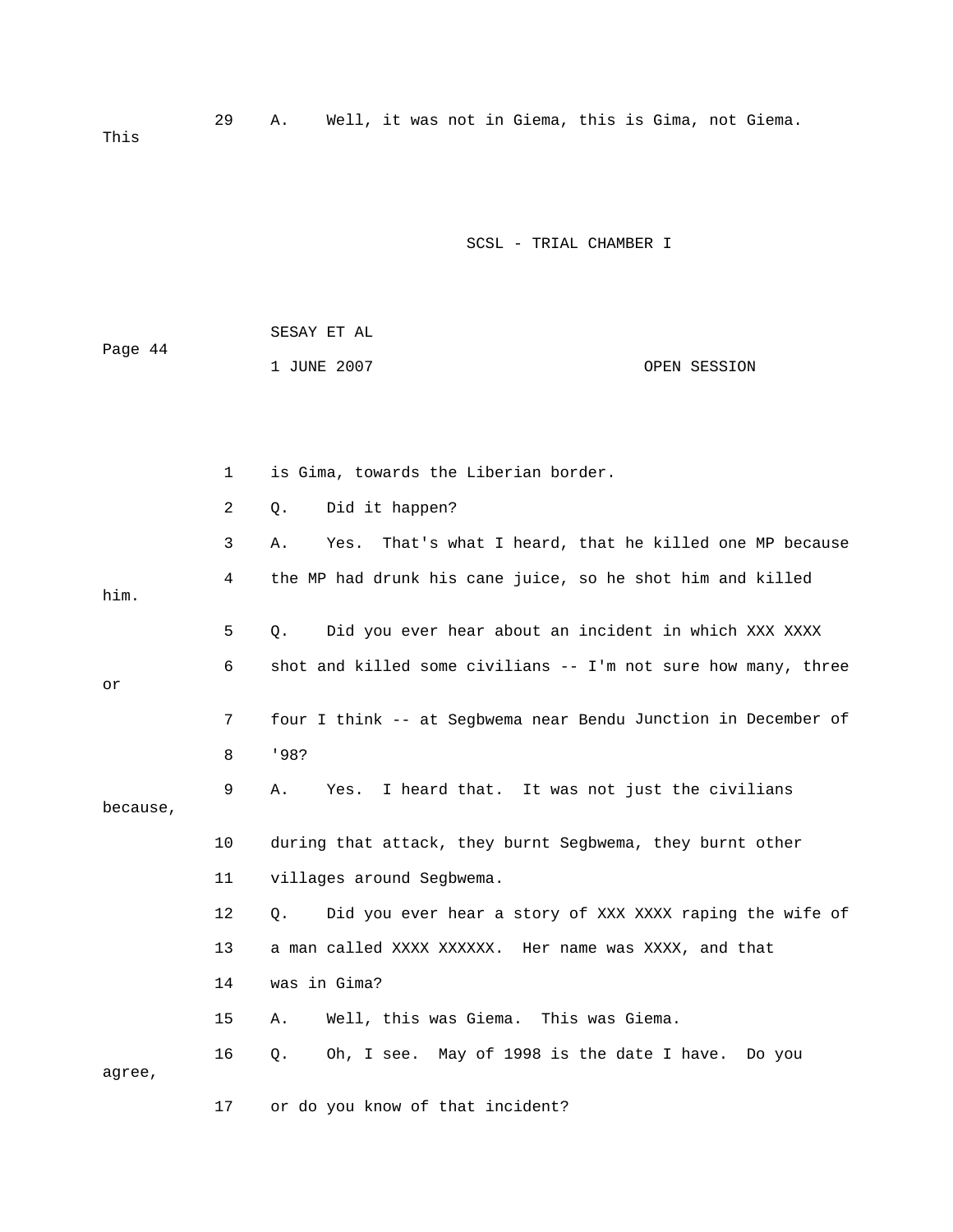1 is Gima, towards the Liberian border. 2 Q. Did it happen? 3 A. Yes. That's what I heard, that he killed one MP because 5 Q. Did you ever hear about an incident in which XXX XXXX 6 shot and killed some civilians -- I'm not sure how many, three 7 four I think -- at Segbwema near Bendu Junction in December of because, 10 during that attack, they burnt Segbwema, they burnt other 13 a man called XXXX XXXXXX. Her name was XXXX, and that 15 A. Well, this was Giema. This was Giema. 16 Q. Oh, I see. May of 1998 is the date I have. Do you agree, 17 or do you know of that incident? SCSL - TRIAL CHAMBER I SESAY ET AL Page 44 1 JUNE 2007 OPEN SESSION 4 the MP had drunk his cane juice, so he shot him and killed him. or 8 '98? 9 A. Yes. I heard that. It was not just the civilians 11 villages around Segbwema. 12 Q. Did you ever hear a story of XXX XXXX raping the wife of 14 was in Gima?

29 A. Well, it was not in Giema, this is Gima, not Giema.

This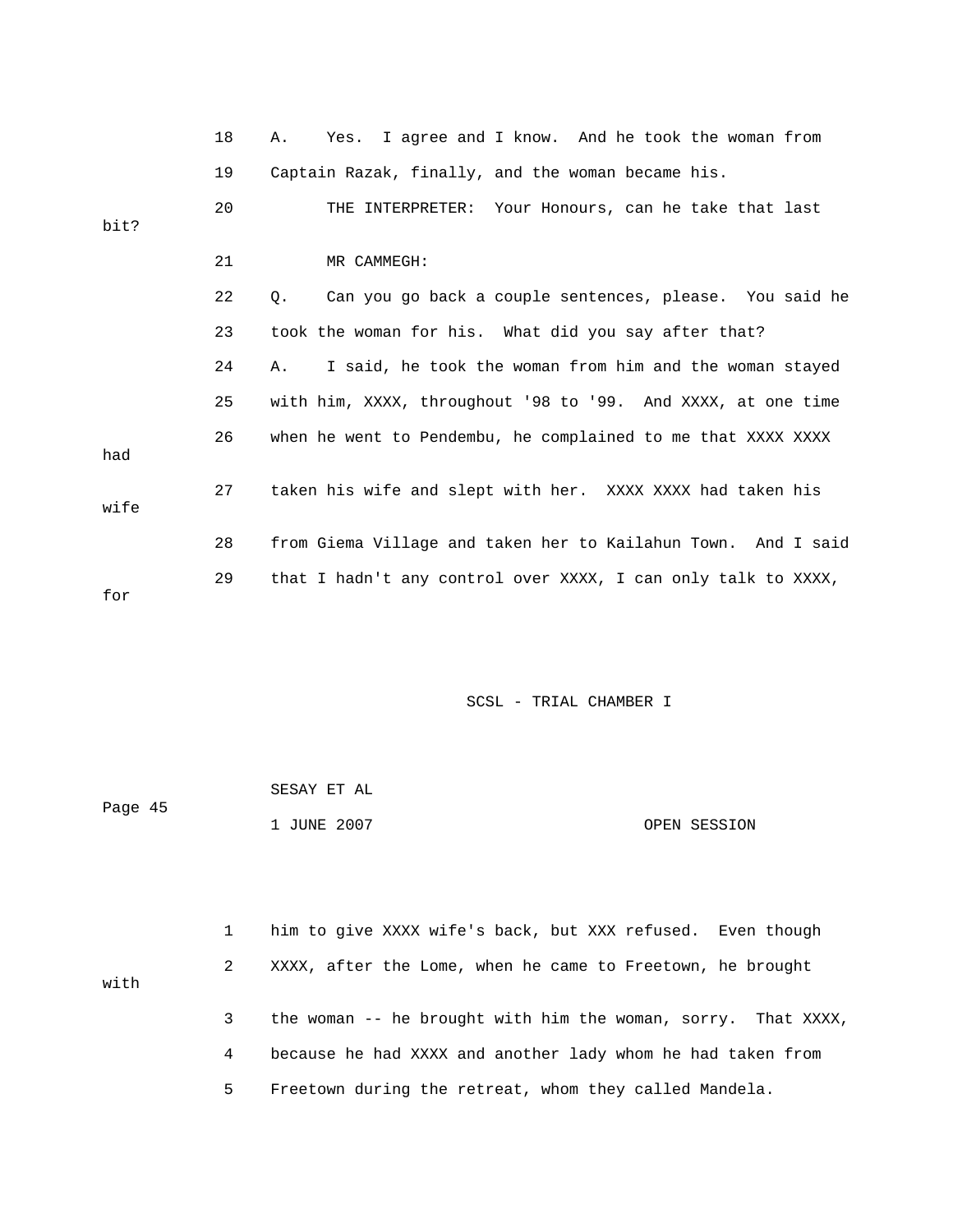|      | 18 | Yes. I agree and I know. And he took the woman from<br>Α.     |
|------|----|---------------------------------------------------------------|
|      | 19 | Captain Razak, finally, and the woman became his.             |
| bit? | 20 | THE INTERPRETER: Your Honours, can he take that last          |
|      |    |                                                               |
|      | 21 | MR CAMMEGH:                                                   |
|      | 22 | О.<br>Can you go back a couple sentences, please. You said he |
|      | 23 | took the woman for his. What did you say after that?          |
|      | 24 | I said, he took the woman from him and the woman stayed<br>Α. |
|      | 25 | with him, XXXX, throughout '98 to '99. And XXXX, at one time  |
| had  | 26 | when he went to Pendembu, he complained to me that XXXX XXXX  |
| wife | 27 | taken his wife and slept with her. XXXX XXXX had taken his    |
|      | 28 | from Giema Village and taken her to Kailahun Town. And I said |
| for  | 29 | that I hadn't any control over XXXX, I can only talk to XXXX, |

|         | SESAY ET AL |              |
|---------|-------------|--------------|
| Page 45 |             |              |
|         | 1 JUNE 2007 | OPEN SESSION |

|      |   | him to give XXXX wife's back, but XXX refused. Even though    |
|------|---|---------------------------------------------------------------|
| with | 2 | XXXX, after the Lome, when he came to Freetown, he brought    |
|      | 3 | the woman -- he brought with him the woman, sorry. That XXXX, |
|      | 4 | because he had XXXX and another lady whom he had taken from   |
|      | 5 | Freetown during the retreat, whom they called Mandela.        |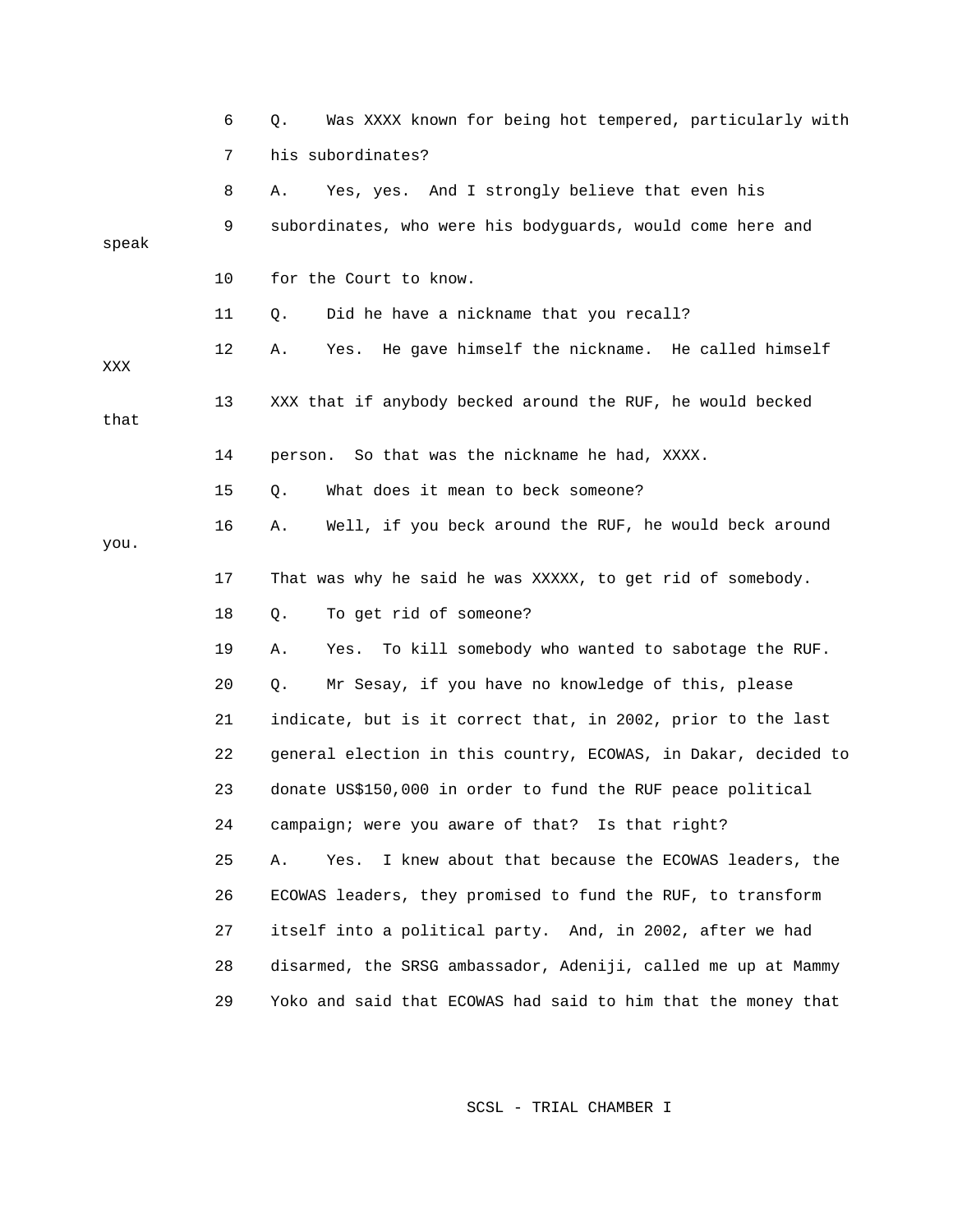|       | 6  | Was XXXX known for being hot tempered, particularly with<br>Q.  |
|-------|----|-----------------------------------------------------------------|
|       | 7  | his subordinates?                                               |
|       | 8  | Yes, yes. And I strongly believe that even his<br>Α.            |
| speak | 9  | subordinates, who were his bodyguards, would come here and      |
|       | 10 | for the Court to know.                                          |
|       | 11 | Did he have a nickname that you recall?<br>Q.                   |
| XXX   | 12 | Yes. He gave himself the nickname. He called himself<br>Α.      |
| that  | 13 | XXX that if anybody becked around the RUF, he would becked      |
|       | 14 | person. So that was the nickname he had, XXXX.                  |
|       | 15 | What does it mean to beck someone?<br>Q.                        |
| you.  | 16 | Well, if you beck around the RUF, he would beck around<br>Α.    |
|       | 17 | That was why he said he was XXXXX, to get rid of somebody.      |
|       | 18 | To get rid of someone?<br>Q.                                    |
|       | 19 | To kill somebody who wanted to sabotage the RUF.<br>Α.<br>Yes.  |
|       | 20 | Mr Sesay, if you have no knowledge of this, please<br>Q.        |
|       | 21 | indicate, but is it correct that, in 2002, prior to the last    |
|       | 22 | general election in this country, ECOWAS, in Dakar, decided to  |
|       | 23 | donate US\$150,000 in order to fund the RUF peace political     |
|       | 24 | campaign; were you aware of that? Is that right?                |
|       | 25 | I knew about that because the ECOWAS leaders, the<br>Α.<br>Yes. |
|       | 26 | ECOWAS leaders, they promised to fund the RUF, to transform     |
|       | 27 | itself into a political party. And, in 2002, after we had       |
|       | 28 | disarmed, the SRSG ambassador, Adeniji, called me up at Mammy   |
|       | 29 | Yoko and said that ECOWAS had said to him that the money that   |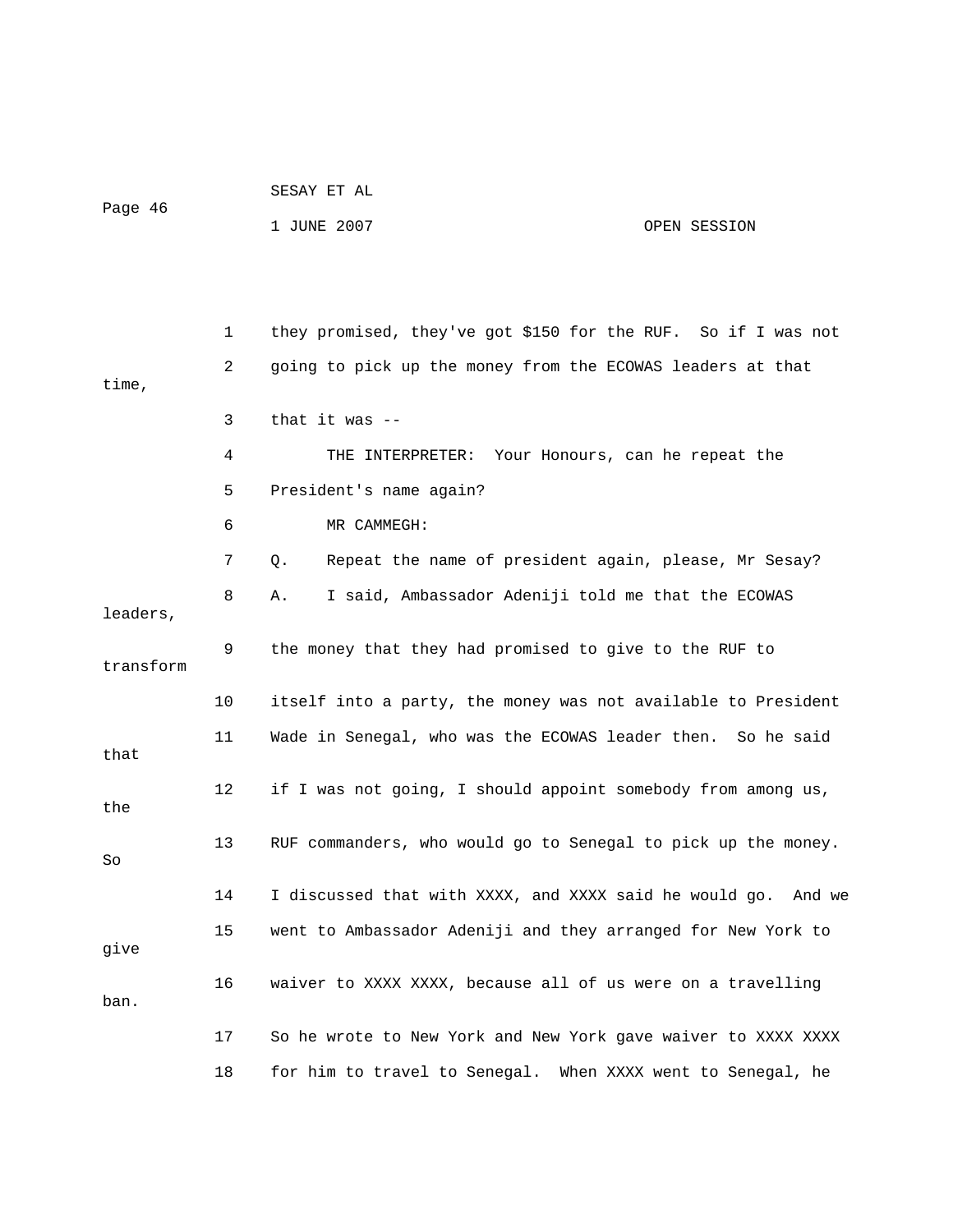| SESAY ET AL |  |
|-------------|--|

Page 46

1 JUNE 2007 OPEN SESSION

|           | 1  | they promised, they've got \$150 for the RUF. So if I was not |
|-----------|----|---------------------------------------------------------------|
| time,     | 2  | going to pick up the money from the ECOWAS leaders at that    |
|           | 3  | that it was $-$                                               |
|           | 4  | THE INTERPRETER: Your Honours, can he repeat the              |
|           | 5  | President's name again?                                       |
|           | 6  | MR CAMMEGH:                                                   |
|           | 7  | Repeat the name of president again, please, Mr Sesay?<br>Q.   |
| leaders,  | 8  | I said, Ambassador Adeniji told me that the ECOWAS<br>Α.      |
| transform | 9  | the money that they had promised to give to the RUF to        |
|           | 10 | itself into a party, the money was not available to President |
| that      | 11 | Wade in Senegal, who was the ECOWAS leader then. So he said   |
| the       | 12 | if I was not going, I should appoint somebody from among us,  |
| So        | 13 | RUF commanders, who would go to Senegal to pick up the money. |
|           | 14 | I discussed that with XXXX, and XXXX said he would go. And we |
| give      | 15 | went to Ambassador Adeniji and they arranged for New York to  |
| ban.      | 16 | waiver to XXXX XXXX, because all of us were on a travelling   |
|           | 17 | So he wrote to New York and New York gave waiver to XXXX XXXX |
|           | 18 | for him to travel to Senegal. When XXXX went to Senegal, he   |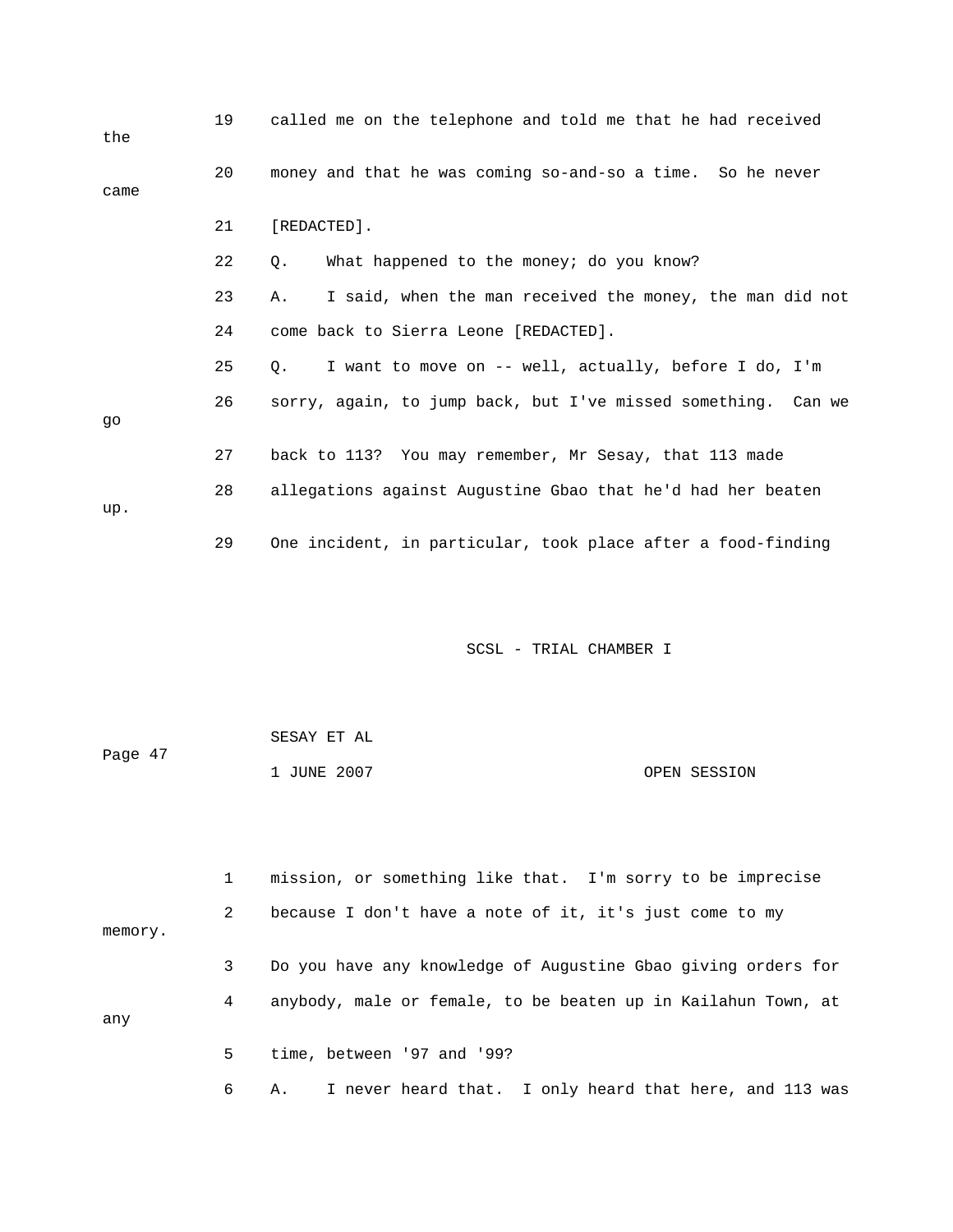| the  | 19 | called me on the telephone and told me that he had received        |
|------|----|--------------------------------------------------------------------|
| came | 20 | money and that he was coming so-and-so a time. So he never         |
|      | 21 | [REDACTED].                                                        |
|      | 22 | What happened to the money; do you know?<br>Q.                     |
|      | 23 | I said, when the man received the money, the man did not<br>Α.     |
|      | 24 | come back to Sierra Leone [REDACTED].                              |
|      | 25 | I want to move on -- well, actually, before I do, I'm<br>$\circ$ . |
| qo   | 26 | sorry, again, to jump back, but I've missed something. Can we      |
|      | 27 | back to 113? You may remember, Mr Sesay, that 113 made             |
| up.  | 28 | allegations against Augustine Gbao that he'd had her beaten        |
|      | 29 | One incident, in particular, took place after a food-finding       |

| Page 47 | SESAY ET AL |              |
|---------|-------------|--------------|
|         | 1 JUNE 2007 | OPEN SESSION |

1 mission, or something like that. I'm sorry to be imprecise 2 because I don't have a note of it, it's just come to my memory. 4 anybody, male or female, to be beaten up in Kailahun Town, at any 5 time, between '97 and '99? 3 Do you have any knowledge of Augustine Gbao giving orders for

6 A. I never heard that. I only heard that here, and 113 was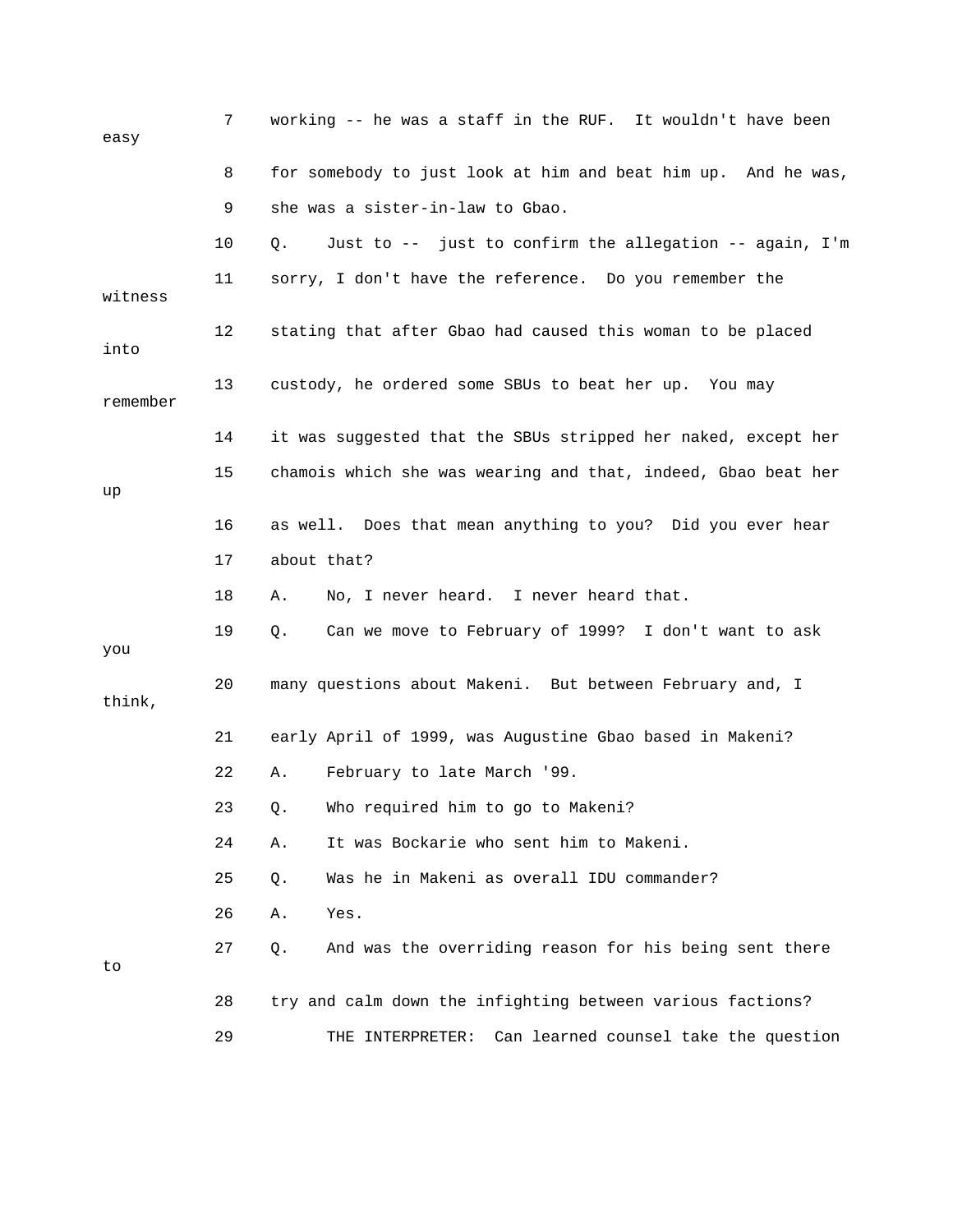| easy     | 7  | working -- he was a staff in the RUF. It wouldn't have been   |
|----------|----|---------------------------------------------------------------|
|          | 8  | for somebody to just look at him and beat him up. And he was, |
|          | 9  | she was a sister-in-law to Gbao.                              |
|          | 10 | Just to -- just to confirm the allegation -- again, I'm<br>Q. |
| witness  | 11 | sorry, I don't have the reference. Do you remember the        |
| into     | 12 | stating that after Gbao had caused this woman to be placed    |
| remember | 13 | custody, he ordered some SBUs to beat her up. You may         |
|          | 14 | it was suggested that the SBUs stripped her naked, except her |
| up       | 15 | chamois which she was wearing and that, indeed, Gbao beat her |
|          | 16 | as well. Does that mean anything to you? Did you ever hear    |
|          | 17 | about that?                                                   |
|          | 18 | No, I never heard. I never heard that.<br>Α.                  |
| you      | 19 | Can we move to February of 1999? I don't want to ask<br>Q.    |
| think,   | 20 | many questions about Makeni. But between February and, I      |
|          | 21 | early April of 1999, was Augustine Gbao based in Makeni?      |
|          | 22 | February to late March '99.<br>Α.                             |
|          | 23 | Who required him to go to Makeni?<br>Q.                       |
|          | 24 | It was Bockarie who sent him to Makeni.<br>Α.                 |
|          | 25 | Was he in Makeni as overall IDU commander?<br>Q.              |
|          | 26 | Yes.<br>Α.                                                    |
| to       | 27 | And was the overriding reason for his being sent there<br>Q.  |
|          | 28 | try and calm down the infighting between various factions?    |
|          | 29 | Can learned counsel take the question<br>THE INTERPRETER:     |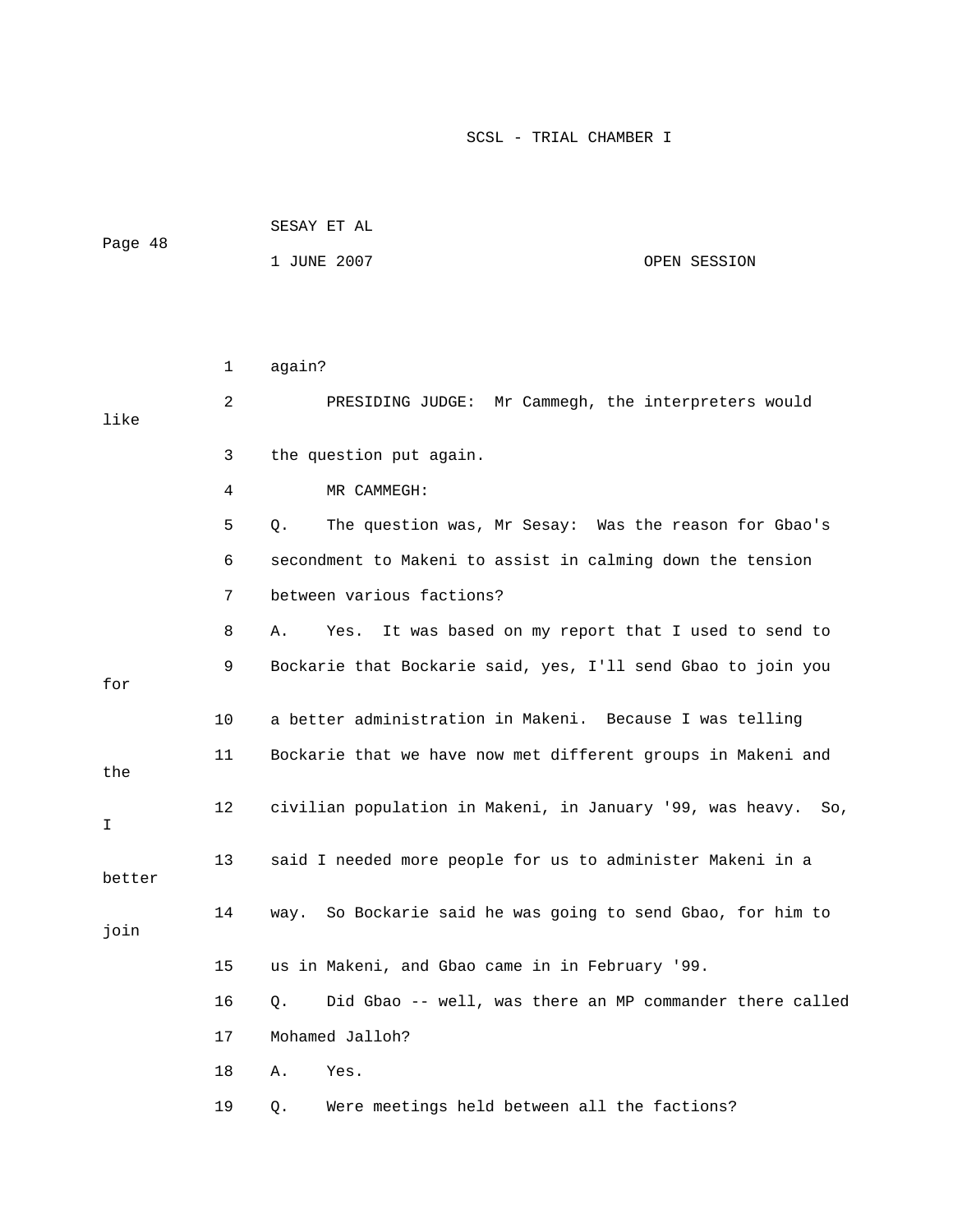| Page 48 | SESAY ET AL |              |
|---------|-------------|--------------|
|         | 1 JUNE 2007 | OPEN SESSION |

|        | 1  | again?                                                         |
|--------|----|----------------------------------------------------------------|
| like   | 2  | PRESIDING JUDGE: Mr Cammegh, the interpreters would            |
|        | 3  | the question put again.                                        |
|        | 4  | MR CAMMEGH:                                                    |
|        | 5  | The question was, Mr Sesay: Was the reason for Gbao's<br>О.    |
|        | 6  | secondment to Makeni to assist in calming down the tension     |
|        | 7  | between various factions?                                      |
|        | 8  | It was based on my report that I used to send to<br>Α.<br>Yes. |
| for    | 9  | Bockarie that Bockarie said, yes, I'll send Gbao to join you   |
|        | 10 | a better administration in Makeni. Because I was telling       |
| the    | 11 | Bockarie that we have now met different groups in Makeni and   |
| I      | 12 | civilian population in Makeni, in January '99, was heavy. So,  |
| better | 13 | said I needed more people for us to administer Makeni in a     |
| join   | 14 | way. So Bockarie said he was going to send Gbao, for him to    |
|        | 15 | us in Makeni, and Gbao came in in February '99.                |
|        | 16 | Did Gbao -- well, was there an MP commander there called<br>О. |
|        | 17 | Mohamed Jalloh?                                                |
|        | 18 | Α.<br>Yes.                                                     |
|        | 19 | Were meetings held between all the factions?<br>Q.             |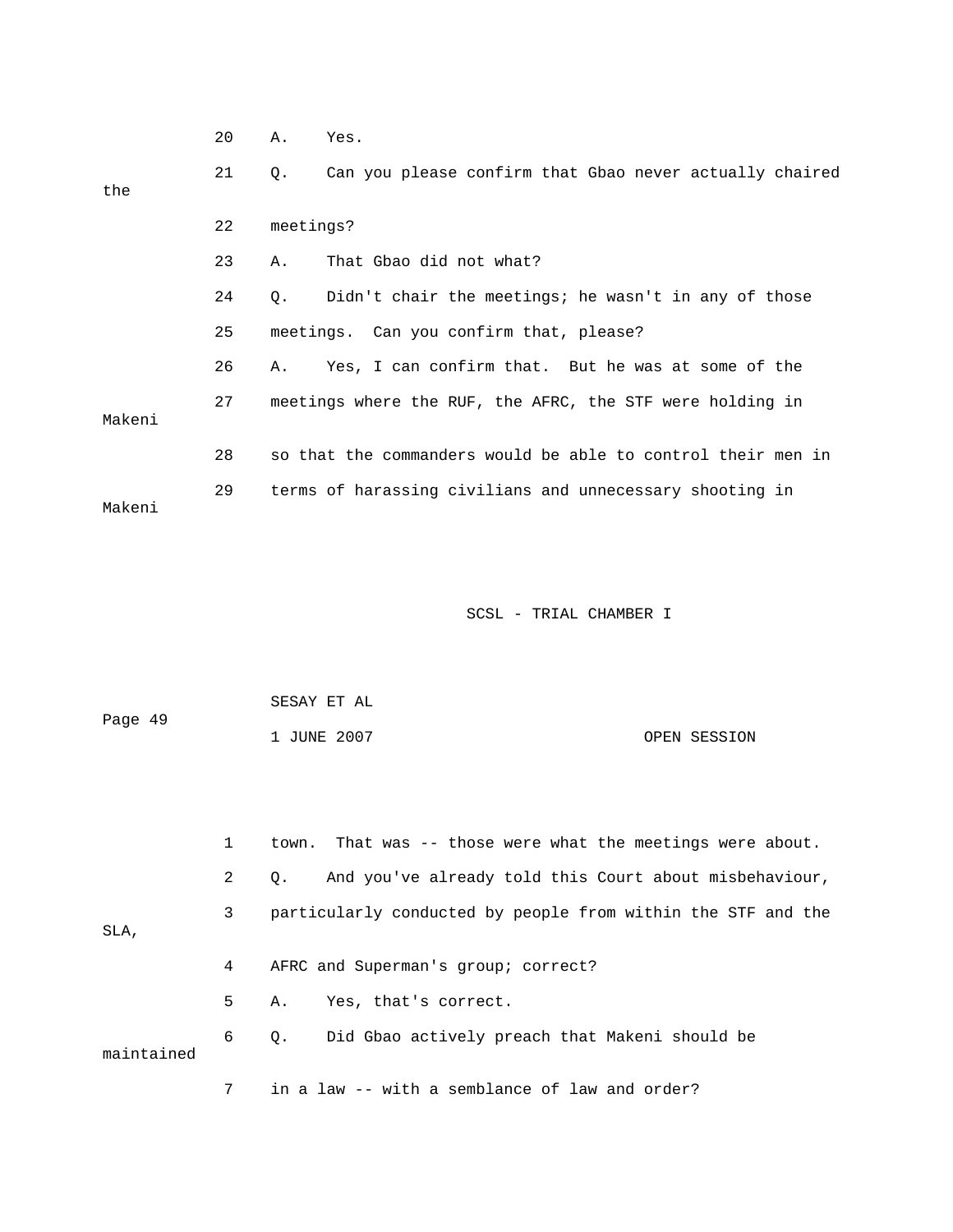|        | 20 | Α.        | Yes.                                                         |
|--------|----|-----------|--------------------------------------------------------------|
| the    | 21 | Q.        | Can you please confirm that Gbao never actually chaired      |
|        | 22 | meetings? |                                                              |
|        | 23 | Α.        | That Gbao did not what?                                      |
|        | 24 | О.        | Didn't chair the meetings; he wasn't in any of those         |
|        | 25 |           | meetings. Can you confirm that, please?                      |
|        | 26 | Α.        | Yes, I can confirm that. But he was at some of the           |
| Makeni | 27 |           | meetings where the RUF, the AFRC, the STF were holding in    |
|        | 28 |           | so that the commanders would be able to control their men in |
| Makeni | 29 |           | terms of harassing civilians and unnecessary shooting in     |

| Page 49 | SESAY ET AL |  |              |
|---------|-------------|--|--------------|
|         | 1 JUNE 2007 |  | OPEN SESSION |
|         |             |  |              |

|            |                | town. That was -- those were what the meetings were about.          |
|------------|----------------|---------------------------------------------------------------------|
|            | $\overline{2}$ | And you've already told this Court about misbehaviour,<br>$\circ$ . |
| SLA.       | 3              | particularly conducted by people from within the STF and the        |
|            | 4              | AFRC and Superman's group; correct?                                 |
|            | 5              | Yes, that's correct.<br>Α.                                          |
| maintained | 6              | Q. Did Gbao actively preach that Makeni should be                   |
|            | 7              | in a law -- with a semblance of law and order?                      |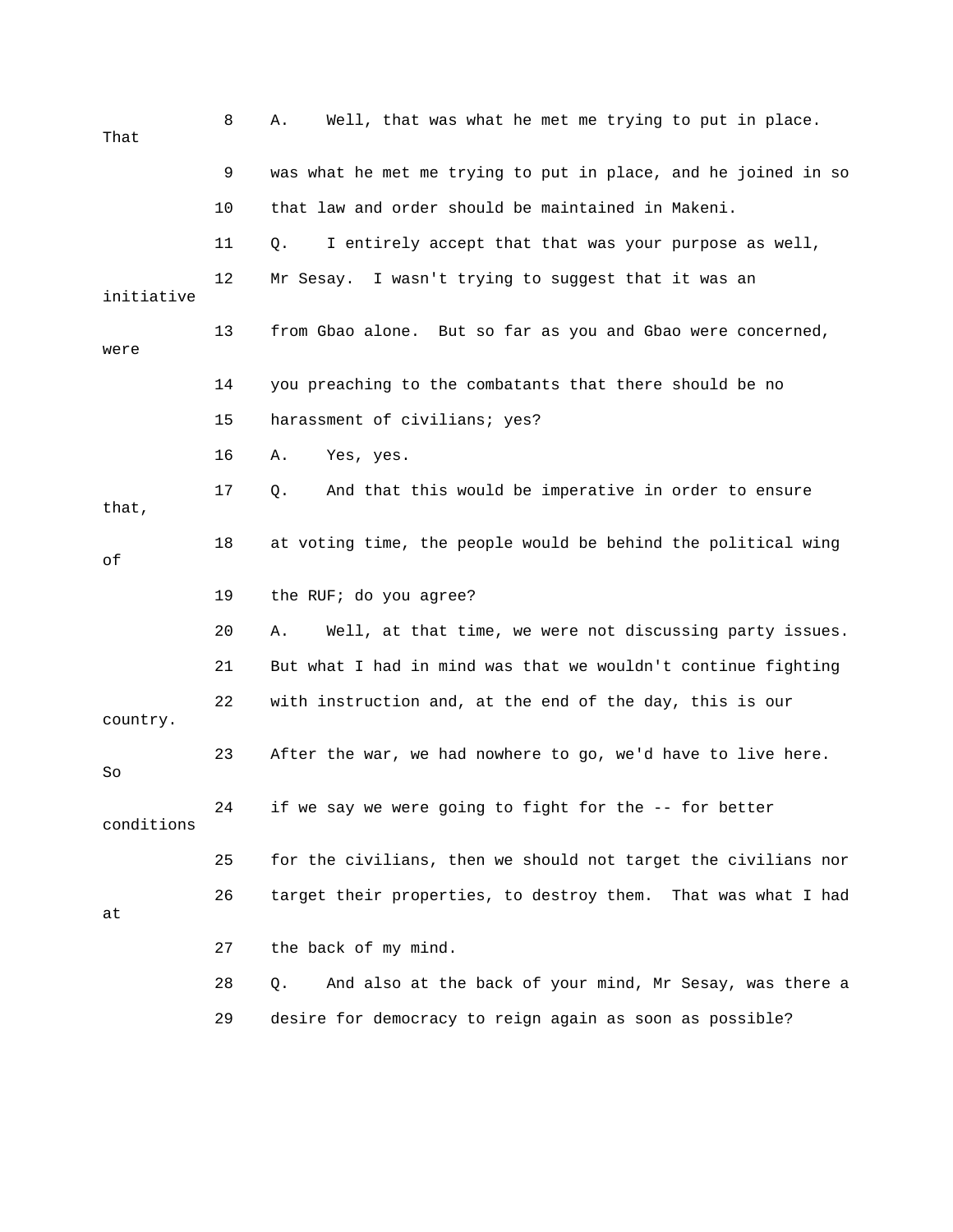| That       | 8  | Well, that was what he met me trying to put in place.<br>Α.    |
|------------|----|----------------------------------------------------------------|
|            | 9  | was what he met me trying to put in place, and he joined in so |
|            | 10 | that law and order should be maintained in Makeni.             |
|            | 11 | I entirely accept that that was your purpose as well,<br>Q.    |
| initiative | 12 | Mr Sesay. I wasn't trying to suggest that it was an            |
| were       | 13 | from Gbao alone. But so far as you and Gbao were concerned,    |
|            | 14 | you preaching to the combatants that there should be no        |
|            | 15 | harassment of civilians; yes?                                  |
|            | 16 | Yes, yes.<br>Α.                                                |
| that,      | 17 | And that this would be imperative in order to ensure<br>Q.     |
| οf         | 18 | at voting time, the people would be behind the political wing  |
|            |    |                                                                |
|            | 19 | the RUF; do you agree?                                         |
|            | 20 | Well, at that time, we were not discussing party issues.<br>Α. |
|            | 21 | But what I had in mind was that we wouldn't continue fighting  |
| country.   | 22 | with instruction and, at the end of the day, this is our       |
| So         | 23 | After the war, we had nowhere to go, we'd have to live here.   |
| conditions | 24 | if we say we were going to fight for the -- for better         |
|            | 25 | for the civilians, then we should not target the civilians nor |
| at         | 26 | target their properties, to destroy them. That was what I had  |
|            | 27 | the back of my mind.                                           |
|            | 28 | And also at the back of your mind, Mr Sesay, was there a<br>Q. |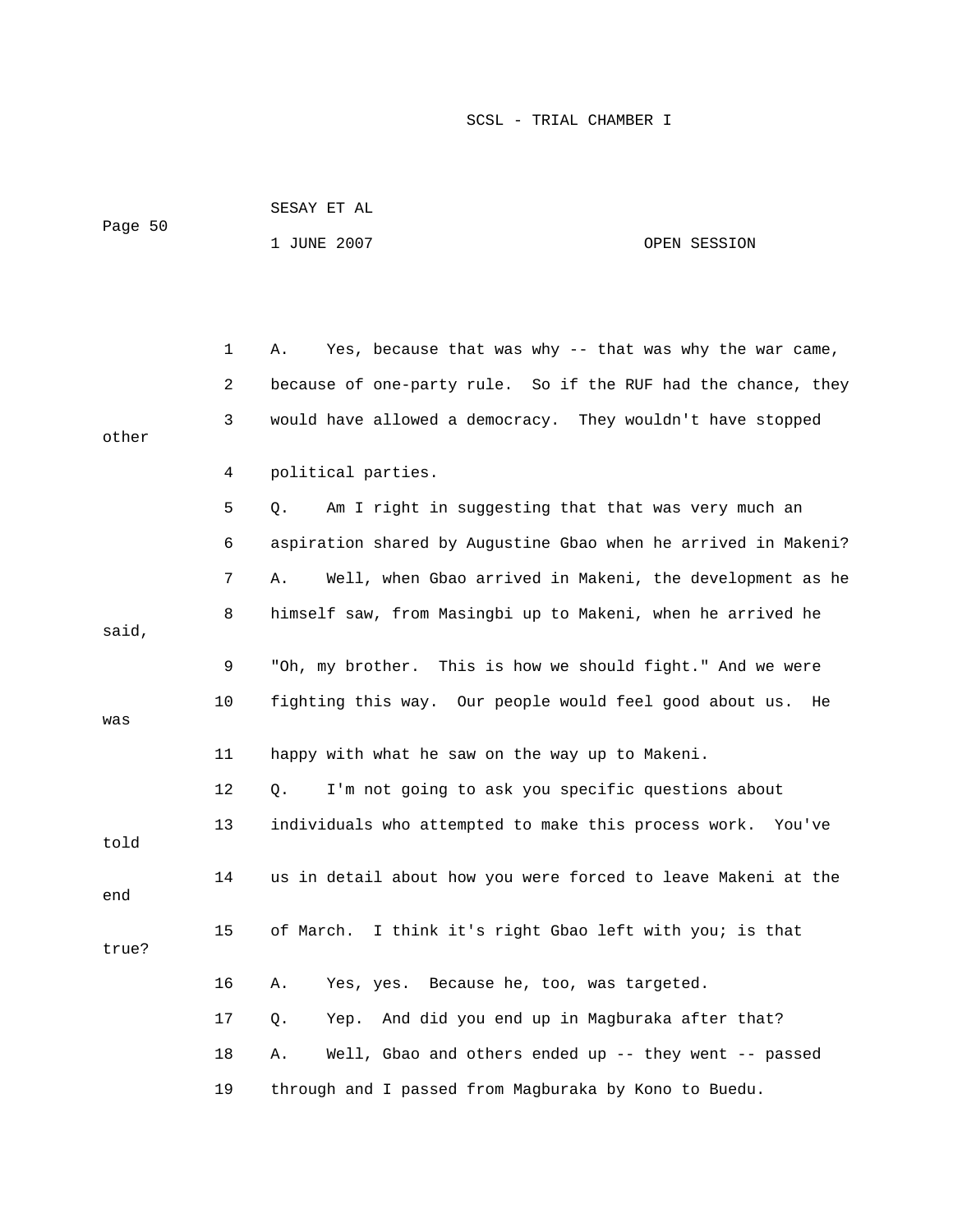| Page 50 |    | 1 JUNE 2007                                                    | OPEN SESSION |
|---------|----|----------------------------------------------------------------|--------------|
|         |    |                                                                |              |
|         | 1  | Yes, because that was why -- that was why the war came,<br>Α.  |              |
|         | 2  | because of one-party rule. So if the RUF had the chance, they  |              |
| other   | 3  | would have allowed a democracy. They wouldn't have stopped     |              |
|         | 4  | political parties.                                             |              |
|         | 5  | Am I right in suggesting that that was very much an<br>Q.      |              |
|         | 6  | aspiration shared by Augustine Gbao when he arrived in Makeni? |              |
|         | 7  | Well, when Gbao arrived in Makeni, the development as he<br>Α. |              |
| said,   | 8  | himself saw, from Masingbi up to Makeni, when he arrived he    |              |
|         | 9  | "Oh, my brother. This is how we should fight." And we were     |              |
| was     | 10 | fighting this way. Our people would feel good about us.        | He           |
|         | 11 | happy with what he saw on the way up to Makeni.                |              |
|         | 12 | I'm not going to ask you specific questions about<br>Q.        |              |
| told    | 13 | individuals who attempted to make this process work.           | You've       |
| end     | 14 | us in detail about how you were forced to leave Makeni at the  |              |
| true?   | 15 | I think it's right Gbao left with you; is that<br>of March.    |              |
|         | 16 | Yes, yes. Because he, too, was targeted.<br>Α.                 |              |
|         | 17 | Yep. And did you end up in Magburaka after that?<br>Q.         |              |
|         | 18 | Well, Gbao and others ended up -- they went -- passed<br>Α.    |              |
|         | 19 | through and I passed from Magburaka by Kono to Buedu.          |              |

SESAY ET AL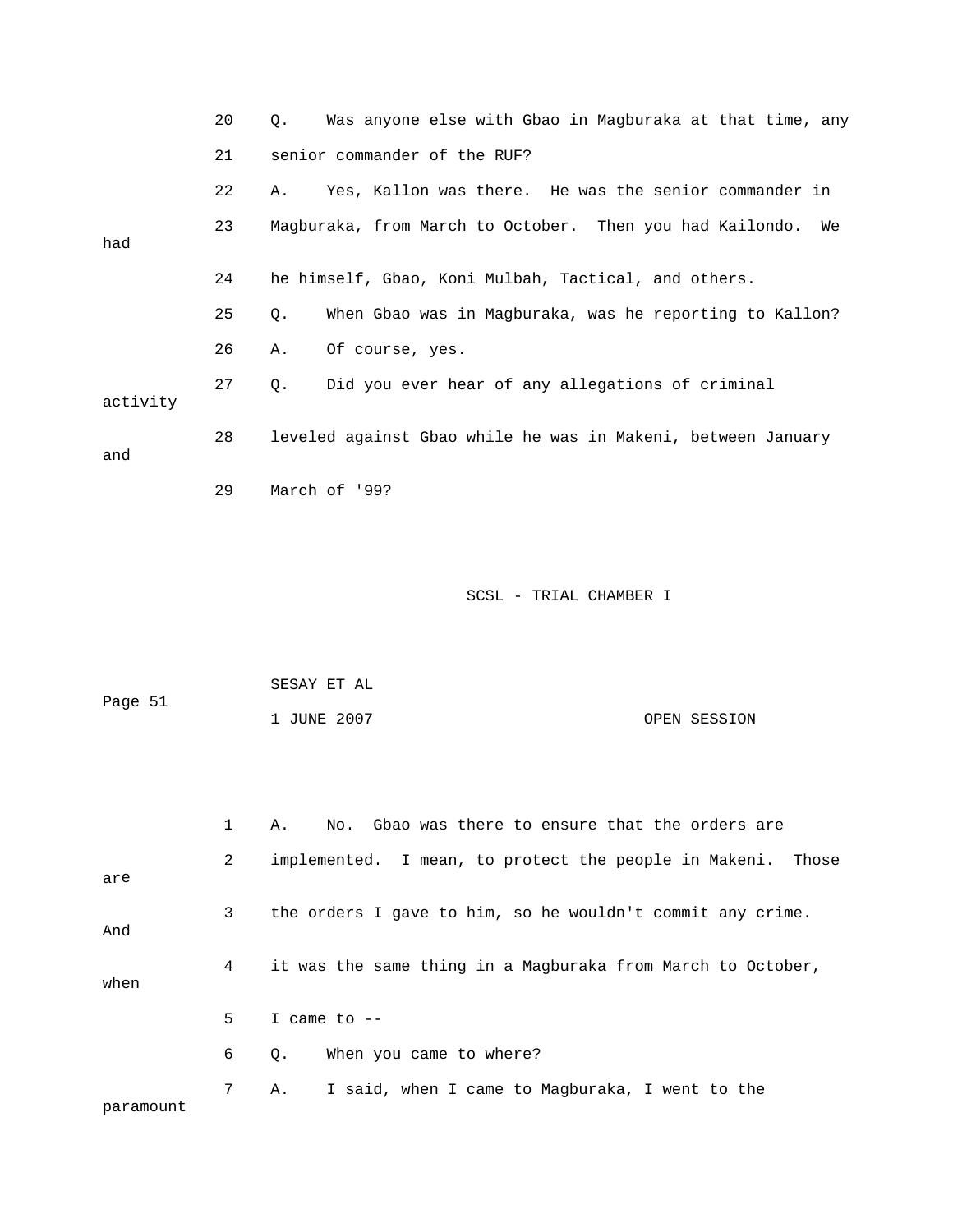|          | 20 | Was anyone else with Gbao in Magburaka at that time, any<br>Q. |
|----------|----|----------------------------------------------------------------|
|          | 21 | senior commander of the RUF?                                   |
|          | 22 | Yes, Kallon was there. He was the senior commander in<br>Α.    |
| had      | 23 | Magburaka, from March to October. Then you had Kailondo.<br>We |
|          | 24 | he himself, Gbao, Koni Mulbah, Tactical, and others.           |
|          | 25 | When Gbao was in Magburaka, was he reporting to Kallon?<br>Q.  |
|          | 26 | Of course, yes.<br>Α.                                          |
| activity | 27 | Did you ever hear of any allegations of criminal<br>Q.         |
| and      | 28 | leveled against Gbao while he was in Makeni, between January   |
|          | 29 | March of '99?                                                  |

| Page 51 | SESAY ET AL |              |
|---------|-------------|--------------|
|         | 1 JUNE 2007 | OPEN SESSION |

|           | $\mathbf{1}$   | No. Gbao was there to ensure that the orders are<br>Α.      |
|-----------|----------------|-------------------------------------------------------------|
| are       | $\overline{2}$ | implemented. I mean, to protect the people in Makeni. Those |
| And       | $\mathbf{3}$   | the orders I gave to him, so he wouldn't commit any crime.  |
| when      | 4              | it was the same thing in a Magburaka from March to October, |
|           | 5.             | I came to $-$                                               |
|           | 6              | When you came to where?<br>Q.                               |
| paramount | $7^{\circ}$    | I said, when I came to Magburaka, I went to the<br>Α.       |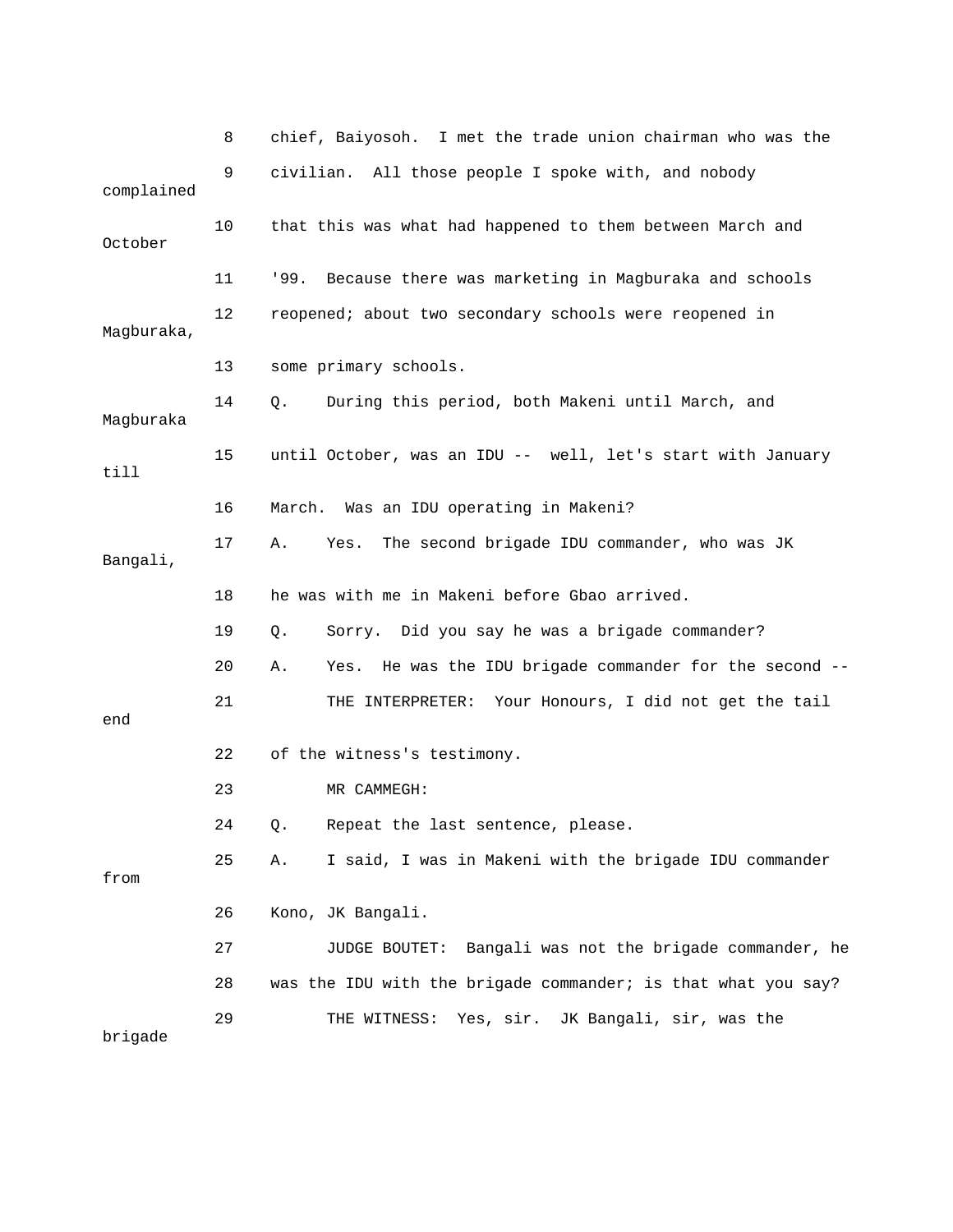|            | 8  | chief, Baiyosoh. I met the trade union chairman who was the       |
|------------|----|-------------------------------------------------------------------|
| complained | 9  | civilian. All those people I spoke with, and nobody               |
| October    | 10 | that this was what had happened to them between March and         |
|            | 11 | '99.<br>Because there was marketing in Magburaka and schools      |
| Magburaka, | 12 | reopened; about two secondary schools were reopened in            |
|            | 13 | some primary schools.                                             |
| Magburaka  | 14 | During this period, both Makeni until March, and<br>Q.            |
| till       | 15 | until October, was an IDU -- well, let's start with January       |
|            | 16 | March. Was an IDU operating in Makeni?                            |
| Bangali,   | 17 | The second brigade IDU commander, who was JK<br>Α.<br>Yes.        |
|            | 18 | he was with me in Makeni before Gbao arrived.                     |
|            | 19 | Sorry. Did you say he was a brigade commander?<br>Q.              |
|            | 20 | Yes. He was the IDU brigade commander for the second --<br>Α.     |
| end        | 21 | THE INTERPRETER: Your Honours, I did not get the tail             |
|            | 22 | of the witness's testimony.                                       |
|            | 23 | MR CAMMEGH:                                                       |
|            | 24 | Q.<br>Repeat the last sentence, please.                           |
| from       | 25 | I said, I was in Makeni with the brigade IDU commander<br>Α.      |
|            | 26 | Kono, JK Bangali.                                                 |
|            | 27 | <b>JUDGE BOUTET:</b><br>Bangali was not the brigade commander, he |
|            | 28 | was the IDU with the brigade commander; is that what you say?     |
| brigade    | 29 | Yes, sir.<br>JK Bangali, sir, was the<br>THE WITNESS:             |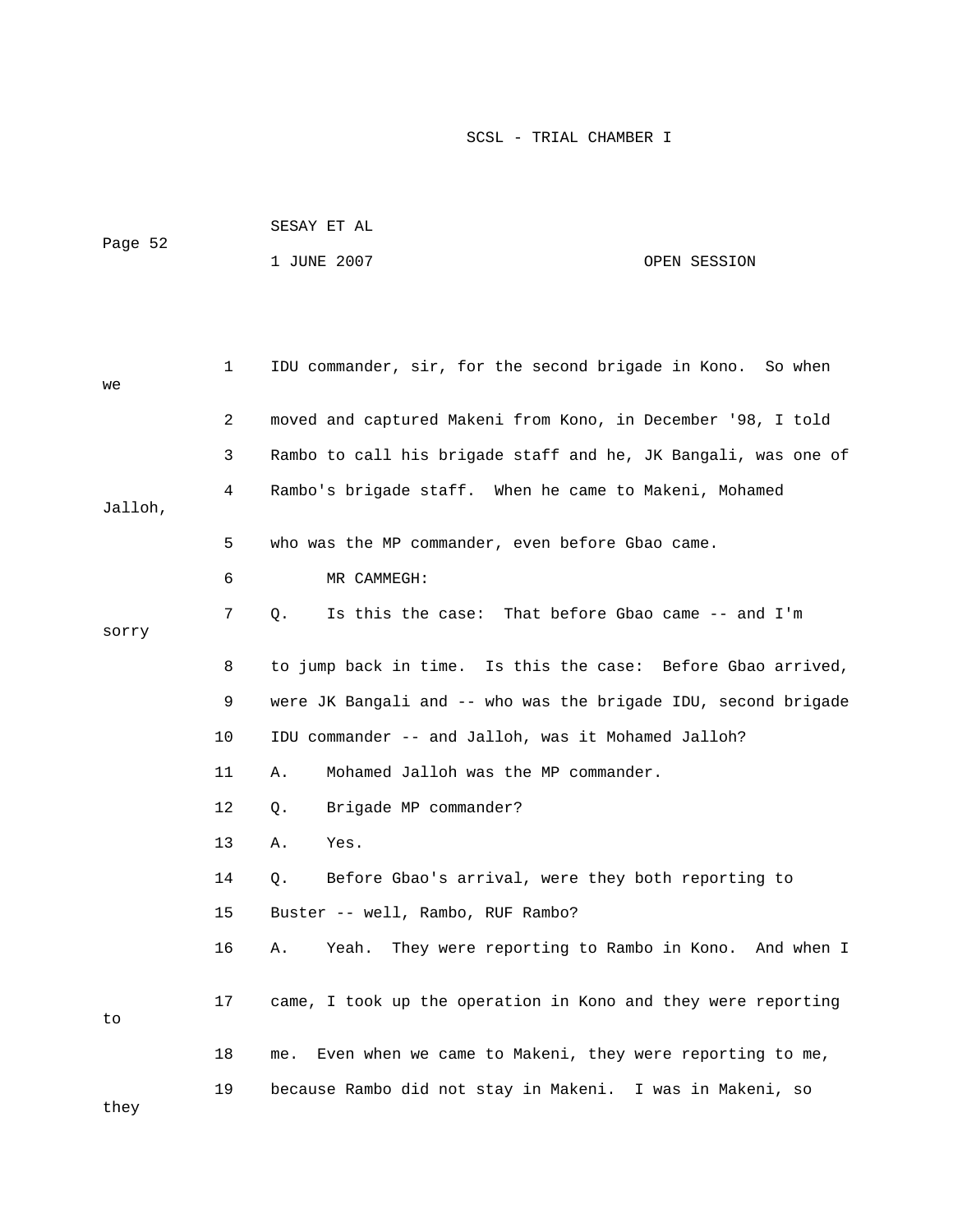| Page 52 | SESAY ET AL |              |
|---------|-------------|--------------|
|         | 1 JUNE 2007 | OPEN SESSION |

| we      | 1  | IDU commander, sir, for the second brigade in Kono. So when     |
|---------|----|-----------------------------------------------------------------|
|         | 2  | moved and captured Makeni from Kono, in December '98, I told    |
|         | 3  | Rambo to call his brigade staff and he, JK Bangali, was one of  |
| Jalloh, | 4  | Rambo's brigade staff. When he came to Makeni, Mohamed          |
|         | 5  | who was the MP commander, even before Gbao came.                |
|         | 6  | MR CAMMEGH:                                                     |
| sorry   | 7  | That before Gbao came -- and I'm<br>Is this the case:<br>Q.     |
|         | 8  | to jump back in time. Is this the case: Before Gbao arrived,    |
|         | 9  | were JK Bangali and -- who was the brigade IDU, second brigade  |
|         | 10 | IDU commander -- and Jalloh, was it Mohamed Jalloh?             |
|         | 11 | Mohamed Jalloh was the MP commander.<br>Α.                      |
|         | 12 | Brigade MP commander?<br>Q.                                     |
|         | 13 | Yes.<br>Α.                                                      |
|         | 14 | Before Gbao's arrival, were they both reporting to<br>Q.        |
|         | 15 | Buster -- well, Rambo, RUF Rambo?                               |
|         | 16 | They were reporting to Rambo in Kono. And when I<br>Α.<br>Yeah. |
| to      | 17 | came, I took up the operation in Kono and they were reporting   |
|         | 18 | Even when we came to Makeni, they were reporting to me,<br>me.  |
| they    | 19 | because Rambo did not stay in Makeni. I was in Makeni, so       |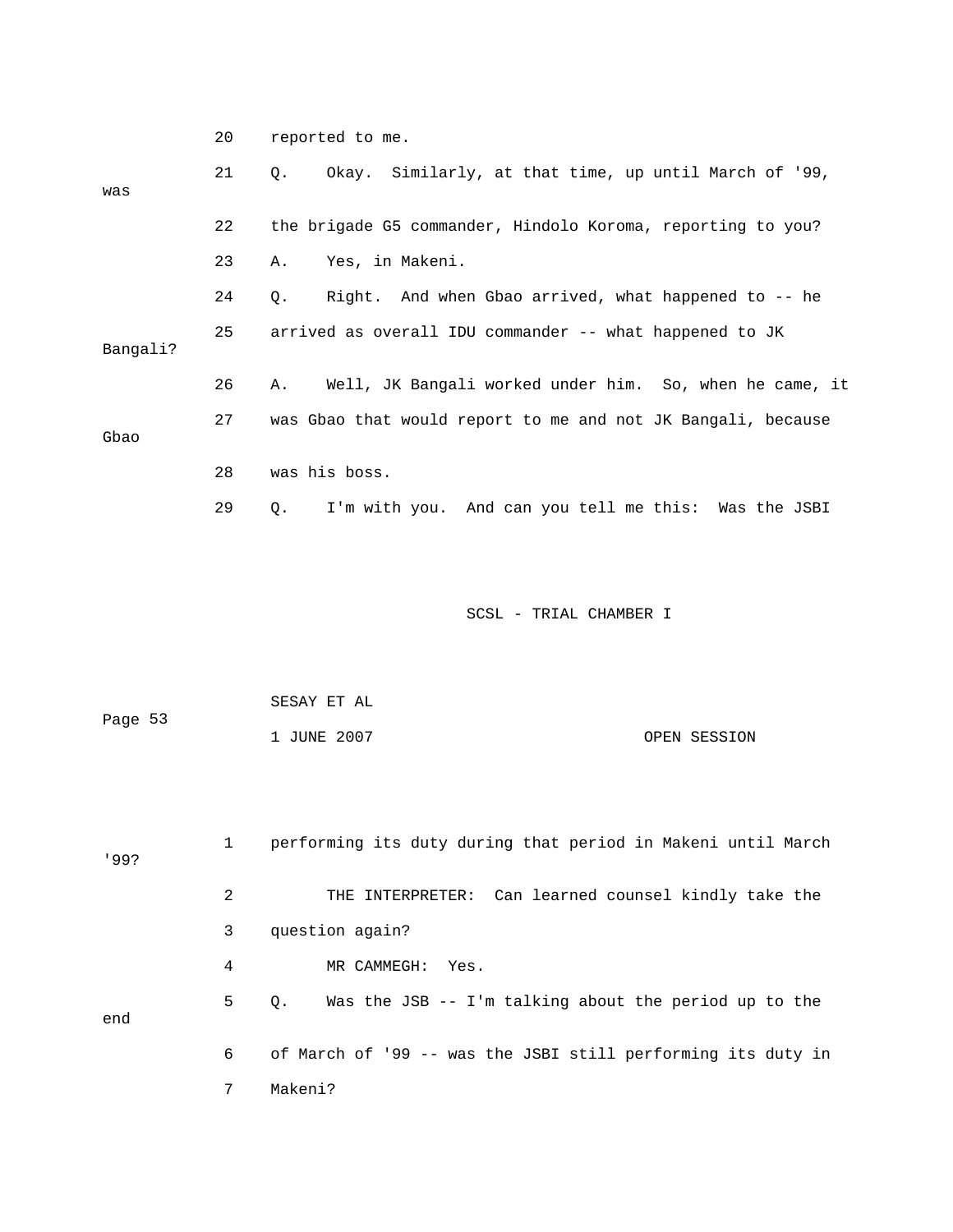|          | 20 | reported to me.                                               |
|----------|----|---------------------------------------------------------------|
| was      | 21 | Okay. Similarly, at that time, up until March of '99,<br>Q.   |
|          | 22 | the brigade G5 commander, Hindolo Koroma, reporting to you?   |
|          | 23 | Yes, in Makeni.<br>Α.                                         |
|          | 24 | Right. And when Gbao arrived, what happened to -- he<br>$Q$ . |
| Bangali? | 25 | arrived as overall IDU commander -- what happened to JK       |
|          | 26 | Well, JK Bangali worked under him. So, when he came, it<br>Α. |
| Gbao     | 27 | was Gbao that would report to me and not JK Bangali, because  |
|          | 28 | was his boss.                                                 |
|          | 29 | I'm with you. And can you tell me this: Was the JSBI<br>Q.    |
|          |    | SCSL - TRIAL CHAMBER I                                        |
|          |    | SESAY ET AL                                                   |

|  | . JUNE 2007 | OPEN SESSION |
|--|-------------|--------------|
|--|-------------|--------------|

53

Page

| 199? |   | performing its duty during that period in Makeni until March |
|------|---|--------------------------------------------------------------|
|      | 2 | THE INTERPRETER: Can learned counsel kindly take the         |
|      | 3 | question again?                                              |
|      | 4 | MR CAMMEGH: Yes.                                             |
| end  | 5 | Was the JSB -- I'm talking about the period up to the<br>0.  |
|      | 6 | of March of '99 -- was the JSBI still performing its duty in |
|      |   | Makeni?                                                      |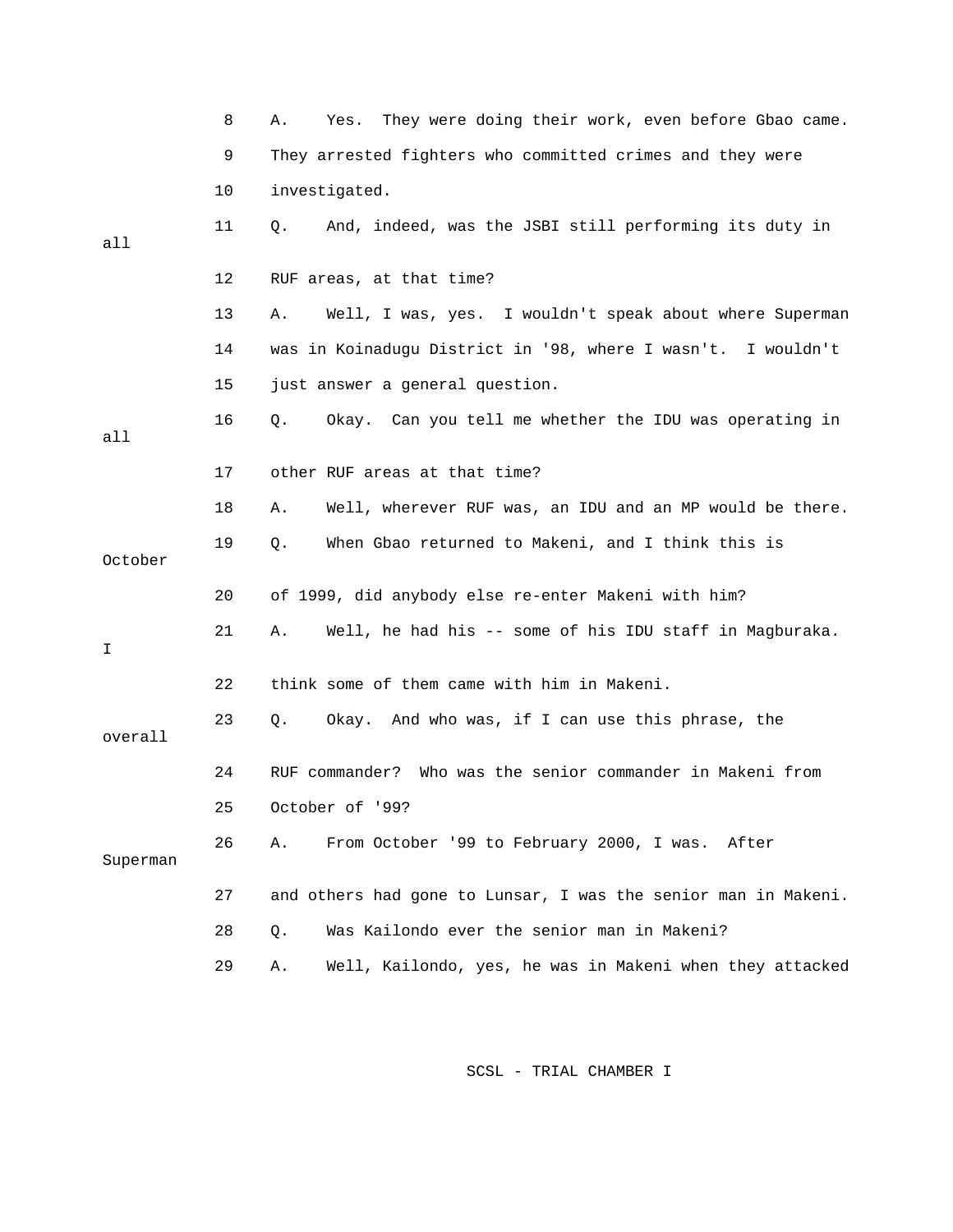|          | 8  | They were doing their work, even before Gbao came.<br>Α.<br>Yes. |
|----------|----|------------------------------------------------------------------|
|          | 9  | They arrested fighters who committed crimes and they were        |
|          | 10 | investigated.                                                    |
| all      | 11 | And, indeed, was the JSBI still performing its duty in<br>Q.     |
|          | 12 | RUF areas, at that time?                                         |
|          | 13 | Well, I was, yes. I wouldn't speak about where Superman<br>Α.    |
|          | 14 | was in Koinadugu District in '98, where I wasn't. I wouldn't     |
|          | 15 | just answer a general question.                                  |
| all      | 16 | Okay. Can you tell me whether the IDU was operating in<br>О.     |
|          | 17 | other RUF areas at that time?                                    |
|          | 18 | Well, wherever RUF was, an IDU and an MP would be there.<br>Α.   |
| October  | 19 | When Gbao returned to Makeni, and I think this is<br>Q.          |
|          | 20 | of 1999, did anybody else re-enter Makeni with him?              |
| I        | 21 | Well, he had his -- some of his IDU staff in Magburaka.<br>Α.    |
|          | 22 | think some of them came with him in Makeni.                      |
| overall  | 23 | Okay. And who was, if I can use this phrase, the<br>Q.           |
|          | 24 | RUF commander? Who was the senior commander in Makeni from       |
|          | 25 | October of '99?                                                  |
| Superman | 26 | From October '99 to February 2000, I was. After<br>Α.            |
|          | 27 | and others had gone to Lunsar, I was the senior man in Makeni.   |
|          | 28 | Was Kailondo ever the senior man in Makeni?<br>Q.                |
|          | 29 | Well, Kailondo, yes, he was in Makeni when they attacked<br>Α.   |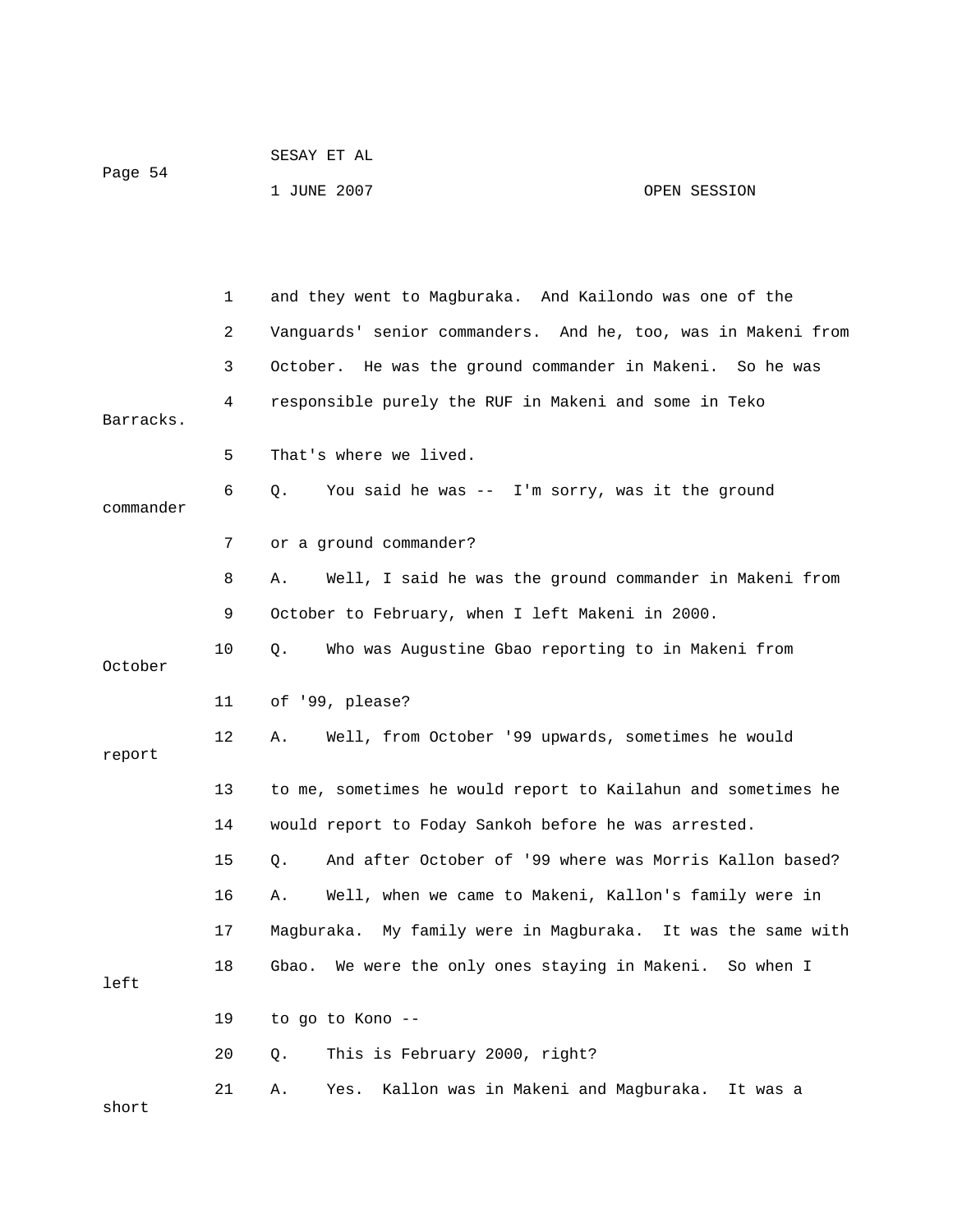| Page 54 | SESAY ET AL |              |  |
|---------|-------------|--------------|--|
|         | 1 JUNE 2007 | OPEN SESSION |  |

|           | $\mathbf 1$ | and they went to Magburaka. And Kailondo was one of the       |
|-----------|-------------|---------------------------------------------------------------|
|           | 2           | Vanguards' senior commanders. And he, too, was in Makeni from |
|           | 3           | October. He was the ground commander in Makeni. So he was     |
| Barracks. | 4           | responsible purely the RUF in Makeni and some in Teko         |
|           | 5           | That's where we lived.                                        |
| commander | 6           | You said he was -- I'm sorry, was it the ground<br>О.         |
|           | 7           | or a ground commander?                                        |
|           | 8           | Well, I said he was the ground commander in Makeni from<br>Α. |
|           | 9           | October to February, when I left Makeni in 2000.              |
| October   | 10          | Who was Augustine Gbao reporting to in Makeni from<br>Q.      |
|           | 11          | of '99, please?                                               |
| report    | 12          | Well, from October '99 upwards, sometimes he would<br>Α.      |
|           | 13          | to me, sometimes he would report to Kailahun and sometimes he |
|           | 14          | would report to Foday Sankoh before he was arrested.          |
|           | 15          | And after October of '99 where was Morris Kallon based?<br>Q. |
|           | 16          | Well, when we came to Makeni, Kallon's family were in<br>Α.   |
|           | 17          | Magburaka. My family were in Magburaka. It was the same with  |
| left      | 18          | Gbao. We were the only ones staying in Makeni. So when I      |
|           | 19          | to go to Kono --                                              |
|           | 20          | This is February 2000, right?<br>Q.                           |
|           | 21          | Kallon was in Makeni and Magburaka.<br>Α.<br>Yes.<br>It was a |

short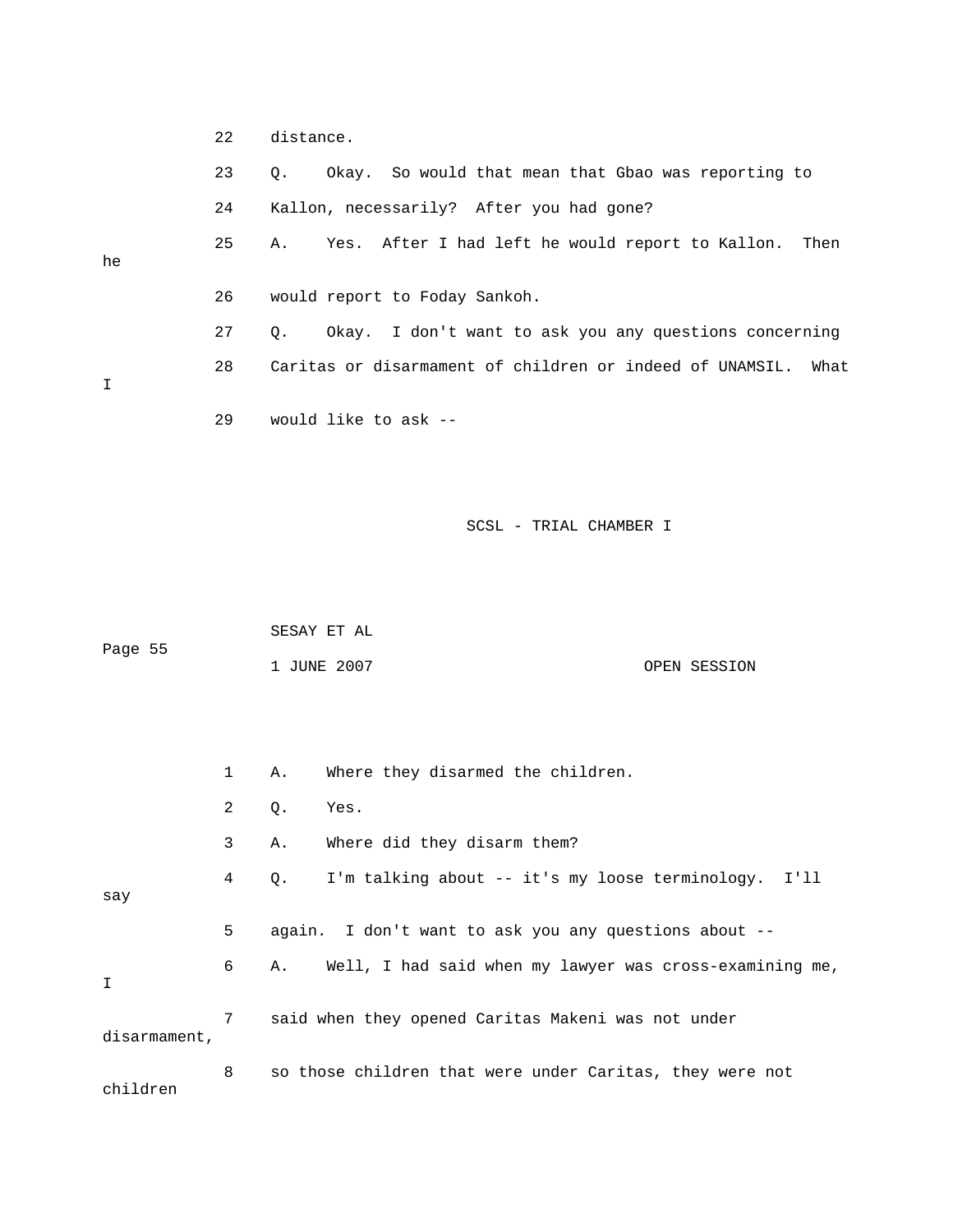|    | 22 | distance.                                                        |
|----|----|------------------------------------------------------------------|
|    | 23 | Q. Okay. So would that mean that Gbao was reporting to           |
|    | 24 | Kallon, necessarily? After you had gone?                         |
| he | 25 | A. Yes. After I had left he would report to Kallon.<br>Then      |
|    | 26 | would report to Foday Sankoh.                                    |
|    | 27 | Okay. I don't want to ask you any questions concerning<br>$Q$ .  |
| I  | 28 | Caritas or disarmament of children or indeed of UNAMSIL.<br>What |
|    | 29 | would like to ask --                                             |
|    |    |                                                                  |

| Page 55 | SESAY ET AL |              |
|---------|-------------|--------------|
|         | 1 JUNE 2007 | OPEN SESSION |

|              | $\mathbf{1}$ | Α. | Where they disarmed the children.                        |
|--------------|--------------|----|----------------------------------------------------------|
|              | 2            | Q. | Yes.                                                     |
|              | 3            | Α. | Where did they disarm them?                              |
| say          | 4            | Q. | I'm talking about -- it's my loose terminology. I'll     |
|              | 5            |    | again. I don't want to ask you any questions about --    |
| I            | 6            | Α. | Well, I had said when my lawyer was cross-examining me,  |
| disarmament, | 7            |    | said when they opened Caritas Makeni was not under       |
|              | 8            |    | so those children that were under Caritas, they were not |

children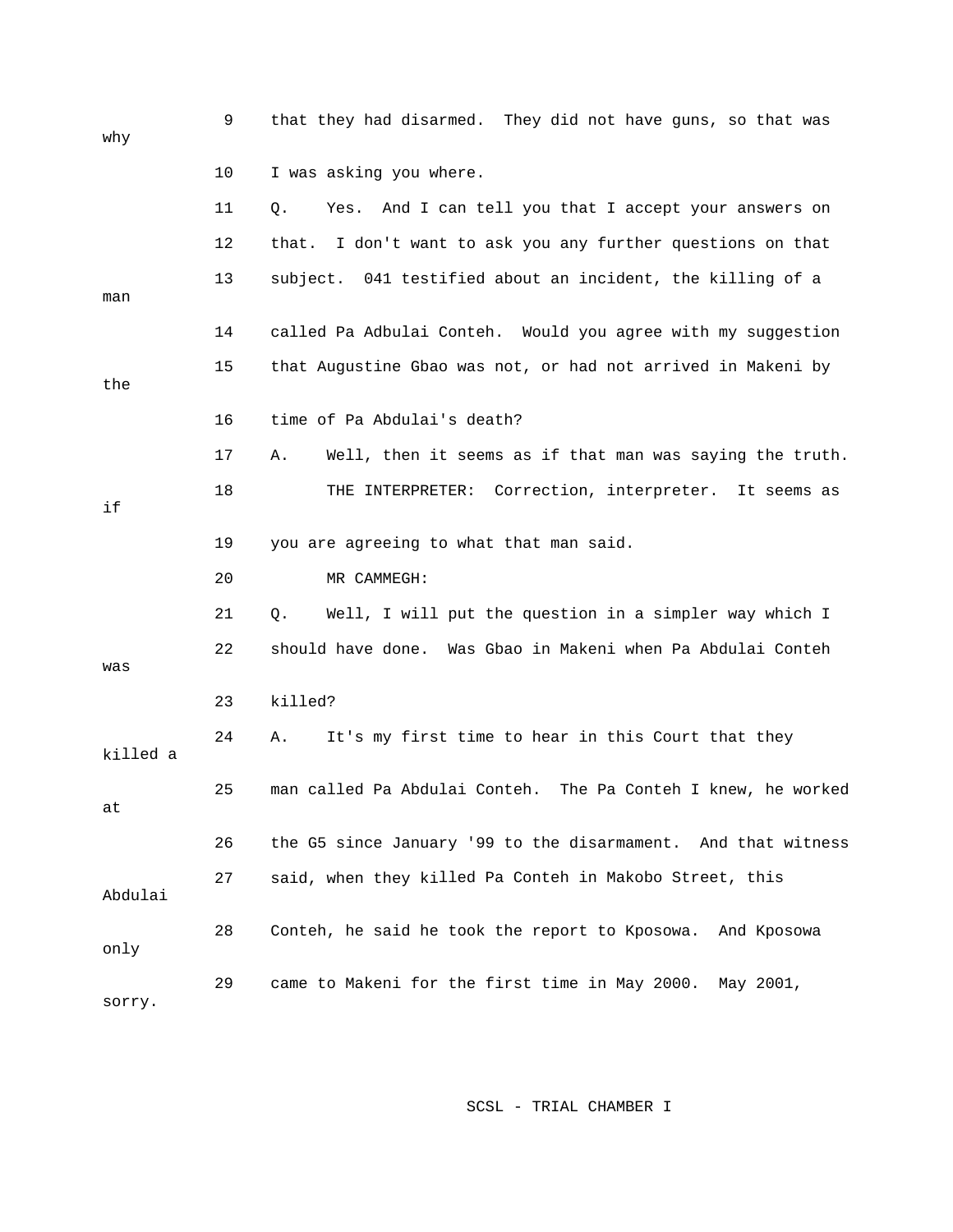| why      | 9  | that they had disarmed. They did not have guns, so that was    |
|----------|----|----------------------------------------------------------------|
|          | 10 | I was asking you where.                                        |
|          | 11 | Yes. And I can tell you that I accept your answers on<br>Q.    |
|          | 12 | I don't want to ask you any further questions on that<br>that. |
| man      | 13 | subject. 041 testified about an incident, the killing of a     |
|          | 14 | called Pa Adbulai Conteh. Would you agree with my suggestion   |
| the      | 15 | that Augustine Gbao was not, or had not arrived in Makeni by   |
|          | 16 | time of Pa Abdulai's death?                                    |
|          | 17 | Well, then it seems as if that man was saying the truth.<br>Α. |
| if       | 18 | THE INTERPRETER: Correction, interpreter. It seems as          |
|          | 19 | you are agreeing to what that man said.                        |
|          | 20 | MR CAMMEGH:                                                    |
|          | 21 | Well, I will put the question in a simpler way which I<br>Q.   |
| was      | 22 | should have done. Was Gbao in Makeni when Pa Abdulai Conteh    |
|          | 23 | killed?                                                        |
| killed a | 24 | It's my first time to hear in this Court that they<br>Α.       |
| at       | 25 | man called Pa Abdulai Conteh. The Pa Conteh I knew, he worked  |
|          | 26 | the G5 since January '99 to the disarmament. And that witness  |
| Abdulai  | 27 | said, when they killed Pa Conteh in Makobo Street, this        |
| only     | 28 | Conteh, he said he took the report to Kposowa.<br>And Kposowa  |
|          |    |                                                                |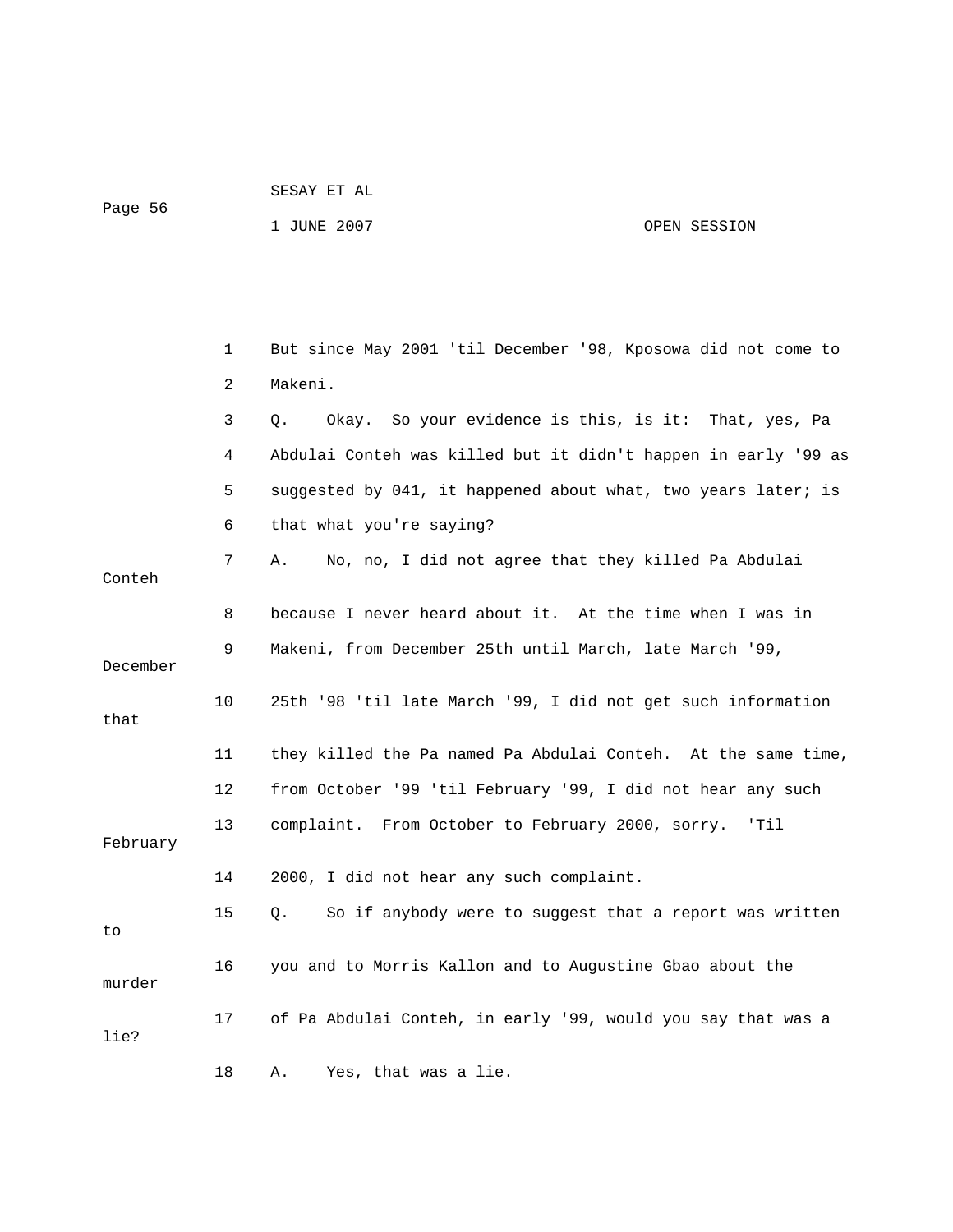Page 56

#### 1 JUNE 2007 OPEN SESSION

 1 But since May 2001 'til December '98, Kposowa did not come to 3 Q. Okay. So your evidence is this, is it: That, yes, Pa 4 Abdulai Conteh was killed but it didn't happen in early '99 as 5 suggested by 041, it happened about what, two years later; is 6 that what you're saying? 7 A. No, no, I did not agree that they killed Pa Abdulai Conteh 8 because I never heard about it. At the time when I was in 9 Makeni, from December 25th until March, late March '99, 11 they killed the Pa named Pa Abdulai Conteh. At the same time, 12 from October '99 'til February '99, I did not hear any such 13 complaint. From October to February 2000, sorry. 'Til 14 2000, I did not hear any such complaint. 15 Q. So if anybody were to suggest that a report was written 16 you and to Morris Kallon and to Augustine Gbao about the 17 of Pa Abdulai Conteh, in early '99, would you say that was a 2 Makeni. December 10 25th '98 'til late March '99, I did not get such information that February to murder lie? 18 A. Yes, that was a lie.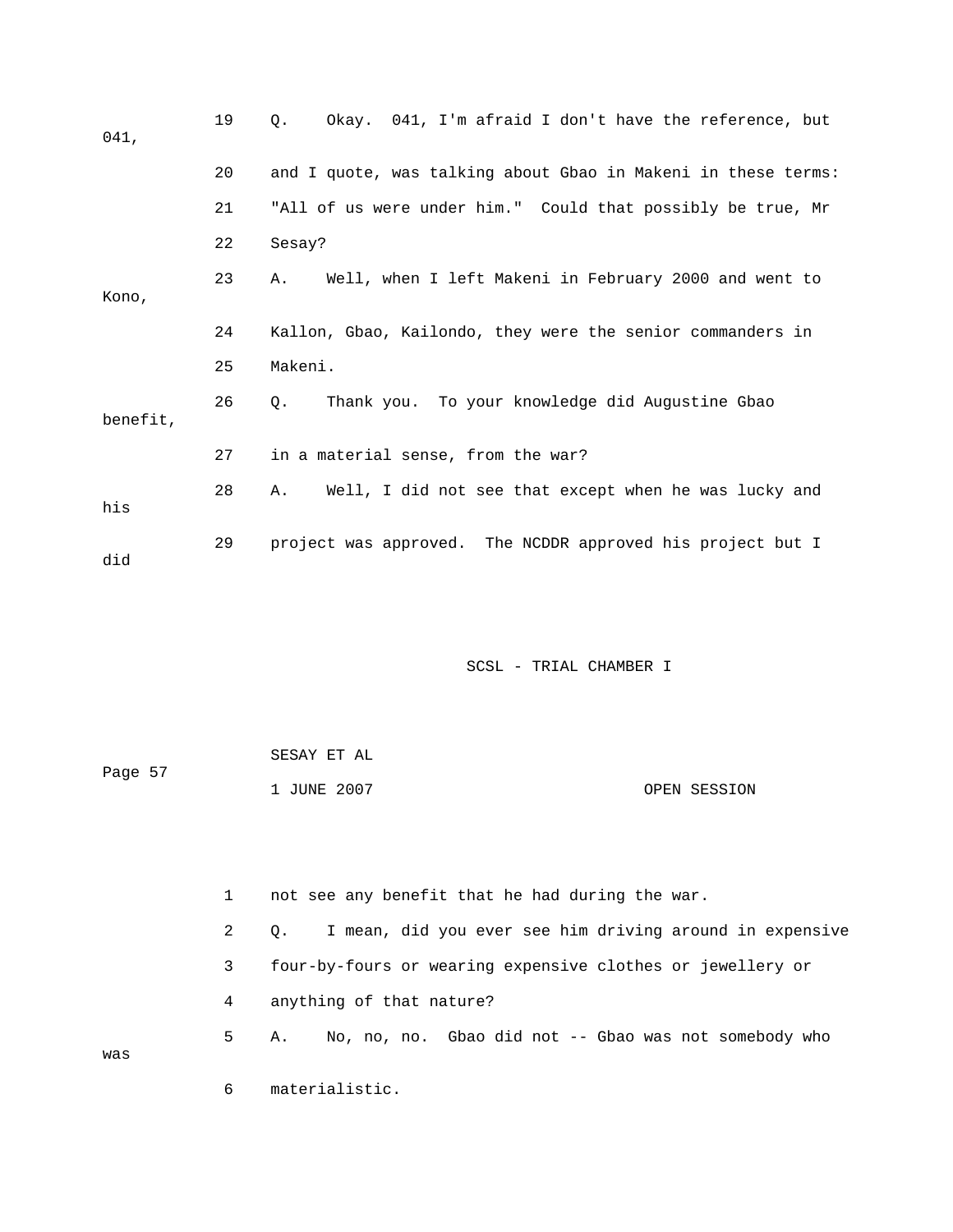| 041,     | 19 | Okay. 041, I'm afraid I don't have the reference, but<br>$\circ$ . |
|----------|----|--------------------------------------------------------------------|
|          | 20 | and I quote, was talking about Gbao in Makeni in these terms:      |
|          | 21 | "All of us were under him." Could that possibly be true, Mr        |
|          | 22 | Sesay?                                                             |
| Kono,    | 23 | Well, when I left Makeni in February 2000 and went to<br>Α.        |
|          | 24 | Kallon, Gbao, Kailondo, they were the senior commanders in         |
|          | 25 | Makeni.                                                            |
| benefit, | 26 | Thank you. To your knowledge did Augustine Gbao<br>$\circ$ .       |
|          | 27 | in a material sense, from the war?                                 |
| his      | 28 | Well, I did not see that except when he was lucky and<br>Α.        |
| did      | 29 | project was approved. The NCDDR approved his project but I         |

|         | SESAY ET AL |              |
|---------|-------------|--------------|
| Page 57 |             |              |
|         | 1 JUNE 2007 | OPEN SESSION |

|     |              | not see any benefit that he had during the war.                       |  |  |
|-----|--------------|-----------------------------------------------------------------------|--|--|
|     | $\mathbf{2}$ | I mean, did you ever see him driving around in expensive<br>$\circ$ . |  |  |
|     | 3            | four-by-fours or wearing expensive clothes or jewellery or            |  |  |
|     | 4            | anything of that nature?                                              |  |  |
| was | $5 -$        | No, no, no. Gbao did not -- Gbao was not somebody who<br>А.           |  |  |
|     | 6            | materialistic.                                                        |  |  |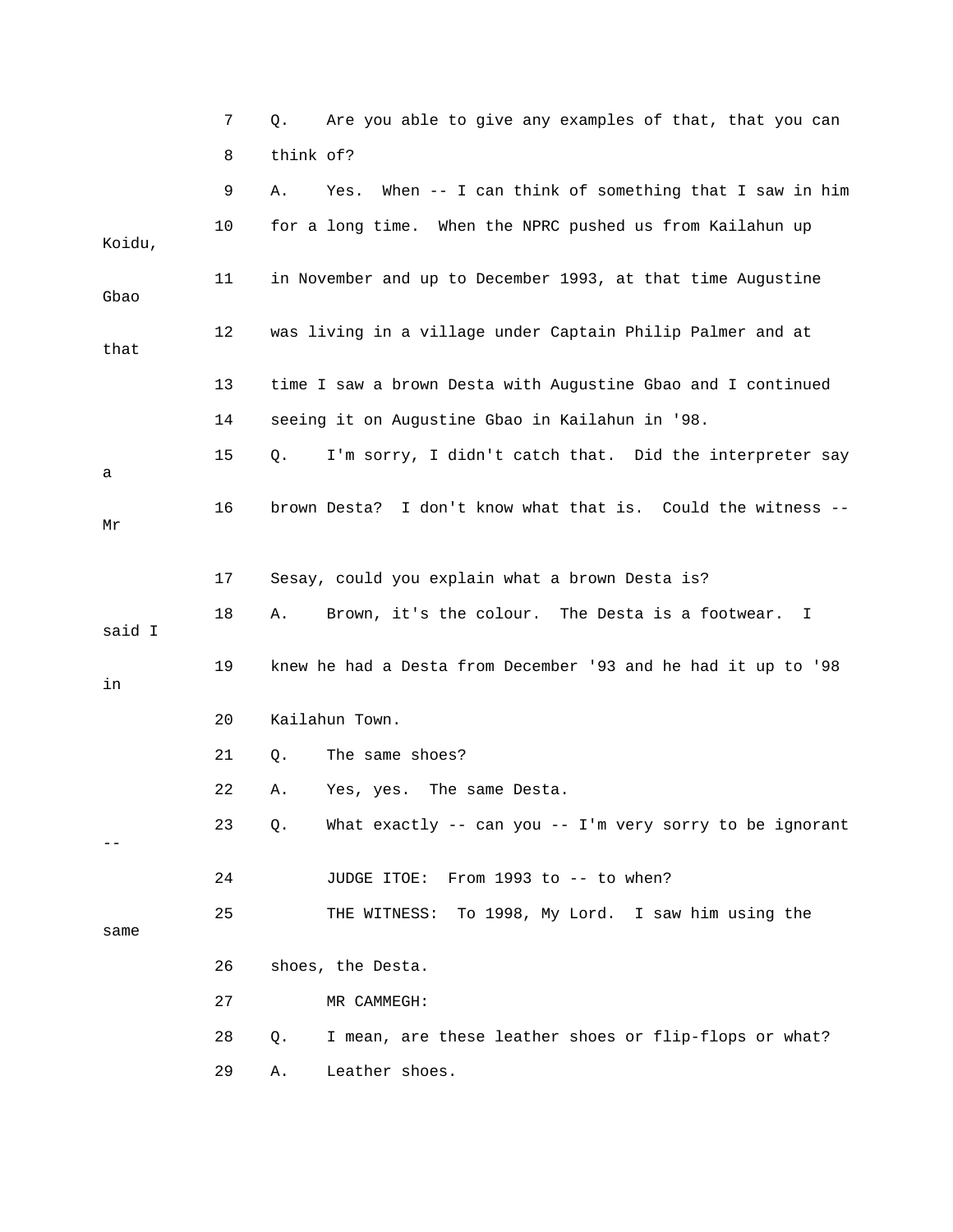|        | 7  | Are you able to give any examples of that, that you can<br>Q.    |
|--------|----|------------------------------------------------------------------|
|        | 8  | think of?                                                        |
|        | 9  | When -- I can think of something that I saw in him<br>Α.<br>Yes. |
| Koidu, | 10 | for a long time. When the NPRC pushed us from Kailahun up        |
| Gbao   | 11 | in November and up to December 1993, at that time Augustine      |
| that   | 12 | was living in a village under Captain Philip Palmer and at       |
|        | 13 | time I saw a brown Desta with Augustine Gbao and I continued     |
|        | 14 | seeing it on Augustine Gbao in Kailahun in '98.                  |
| а      | 15 | I'm sorry, I didn't catch that. Did the interpreter say<br>Q.    |
| Μr     | 16 | I don't know what that is. Could the witness --<br>brown Desta?  |
|        | 17 | Sesay, could you explain what a brown Desta is?                  |
| said I | 18 | Brown, it's the colour. The Desta is a footwear.<br>Α.<br>I      |
| in     | 19 | knew he had a Desta from December '93 and he had it up to '98    |
|        | 20 | Kailahun Town.                                                   |
|        | 21 | The same shoes?<br>Q.                                            |
|        | 22 | Α.<br>Yes, yes.<br>The same Desta.                               |
|        | 23 | What exactly -- can you -- I'm very sorry to be ignorant<br>Q.   |
|        | 24 | JUDGE ITOE: From 1993 to -- to when?                             |
| same   | 25 | THE WITNESS: To 1998, My Lord. I saw him using the               |
|        | 26 | shoes, the Desta.                                                |
|        | 27 | MR CAMMEGH:                                                      |
|        | 28 | I mean, are these leather shoes or flip-flops or what?<br>Q.     |
|        | 29 | Leather shoes.<br>Α.                                             |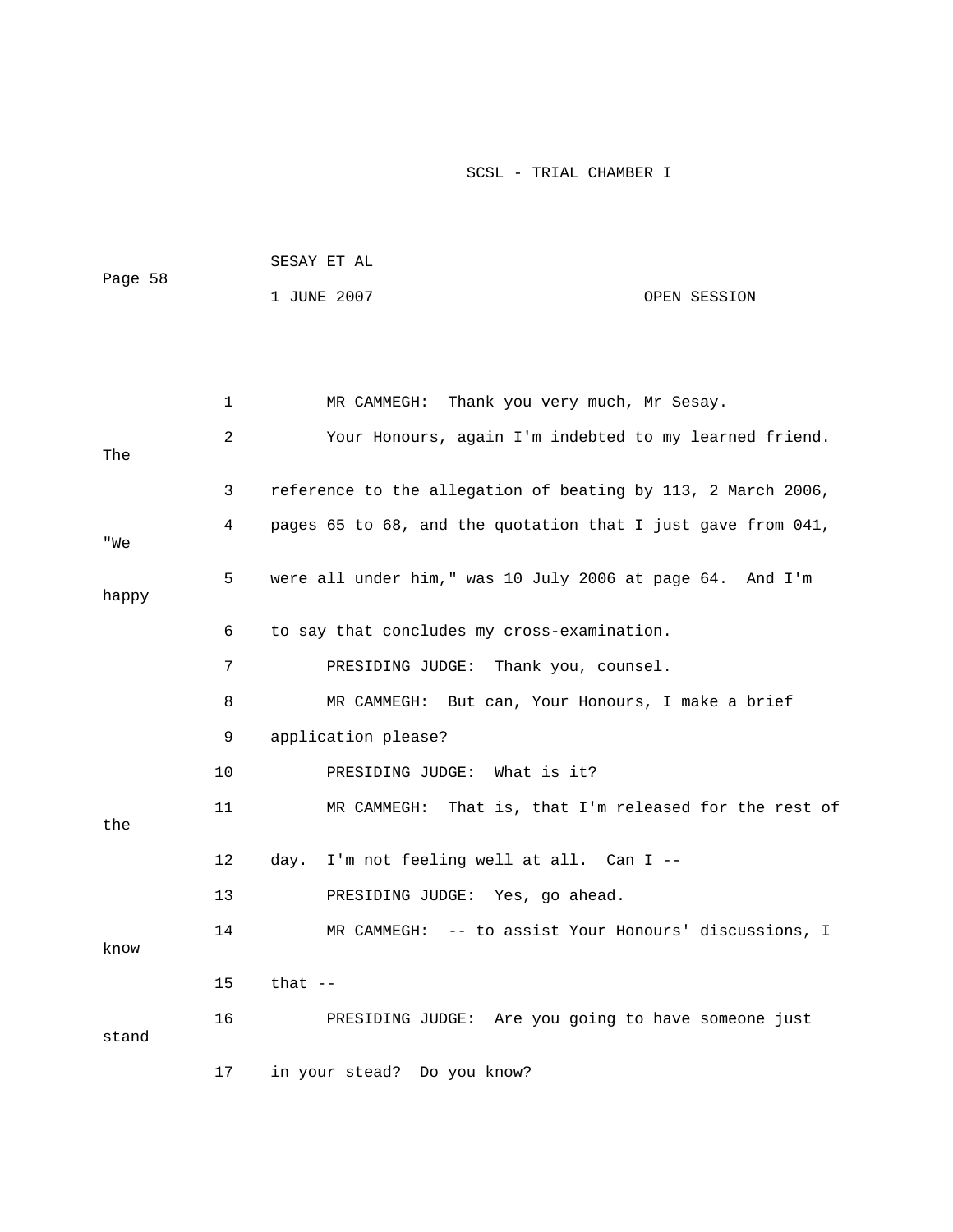|         | SESAY ET AL |              |
|---------|-------------|--------------|
| Page 58 |             |              |
|         | 1 JUNE 2007 | OPEN SESSION |

|       | 1  | Thank you very much, Mr Sesay.<br>MR CAMMEGH:                |
|-------|----|--------------------------------------------------------------|
| The   | 2  | Your Honours, again I'm indebted to my learned friend.       |
|       | 3  | reference to the allegation of beating by 113, 2 March 2006, |
| "We   | 4  | pages 65 to 68, and the quotation that I just gave from 041, |
| happy | 5  | were all under him," was 10 July 2006 at page 64. And I'm    |
|       | 6  | to say that concludes my cross-examination.                  |
|       | 7  | PRESIDING JUDGE:<br>Thank you, counsel.                      |
|       | 8  | MR CAMMEGH: But can, Your Honours, I make a brief            |
|       | 9  | application please?                                          |
|       | 10 | PRESIDING JUDGE:<br>What is it?                              |
| the   | 11 | MR CAMMEGH: That is, that I'm released for the rest of       |
|       | 12 | I'm not feeling well at all. Can I --<br>day.                |
|       | 13 | PRESIDING JUDGE: Yes, go ahead.                              |
| know  | 14 | MR CAMMEGH: -- to assist Your Honours' discussions, I        |
|       | 15 | that $--$                                                    |
| stand | 16 | PRESIDING JUDGE: Are you going to have someone just          |
|       | 17 | in your stead? Do you know?                                  |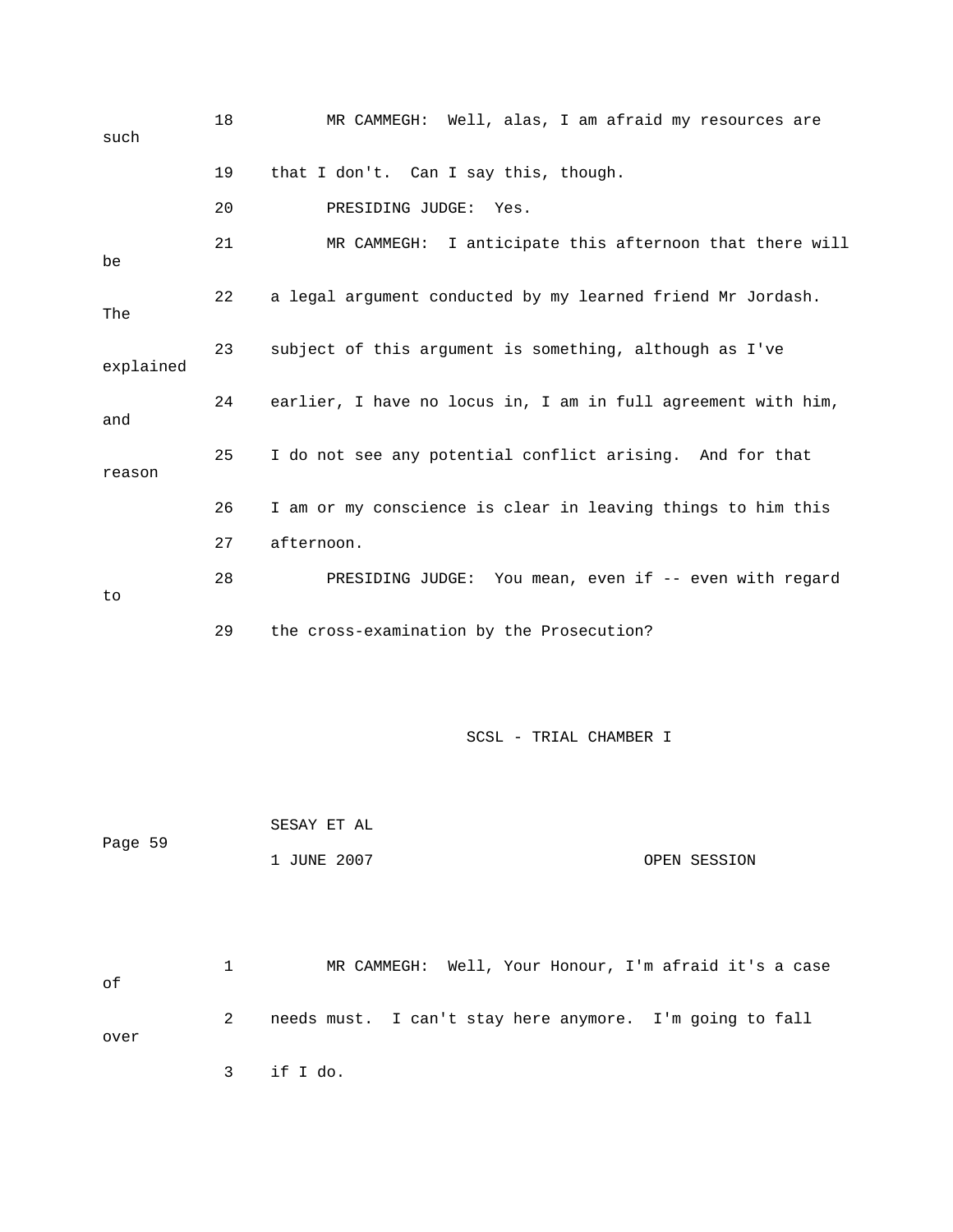| such      | 18 | MR CAMMEGH: Well, alas, I am afraid my resources are          |
|-----------|----|---------------------------------------------------------------|
|           | 19 | that I don't. Can I say this, though.                         |
|           | 20 | PRESIDING JUDGE:<br>Yes.                                      |
| be        | 21 | MR CAMMEGH: I anticipate this afternoon that there will       |
| The       | 22 | a legal argument conducted by my learned friend Mr Jordash.   |
| explained | 23 | subject of this argument is something, although as I've       |
| and       | 24 | earlier, I have no locus in, I am in full agreement with him, |
| reason    | 25 | I do not see any potential conflict arising. And for that     |
|           | 26 | I am or my conscience is clear in leaving things to him this  |
|           | 27 | afternoon.                                                    |
| to        | 28 | PRESIDING JUDGE: You mean, even if -- even with regard        |
|           | 29 | the cross-examination by the Prosecution?                     |
|           |    |                                                               |
|           |    | SCSL - TRIAL CHAMBER I                                        |
|           |    | SESAY ET AL                                                   |
| Page 59   |    | 1 JUNE 2007<br>OPEN SESSION                                   |
|           |    |                                                               |
| оf        | 1  | MR CAMMEGH: Well, Your Honour, I'm afraid it's a case         |
| over      | 2  | needs must. I can't stay here anymore. I'm going to fall      |

3 if I do.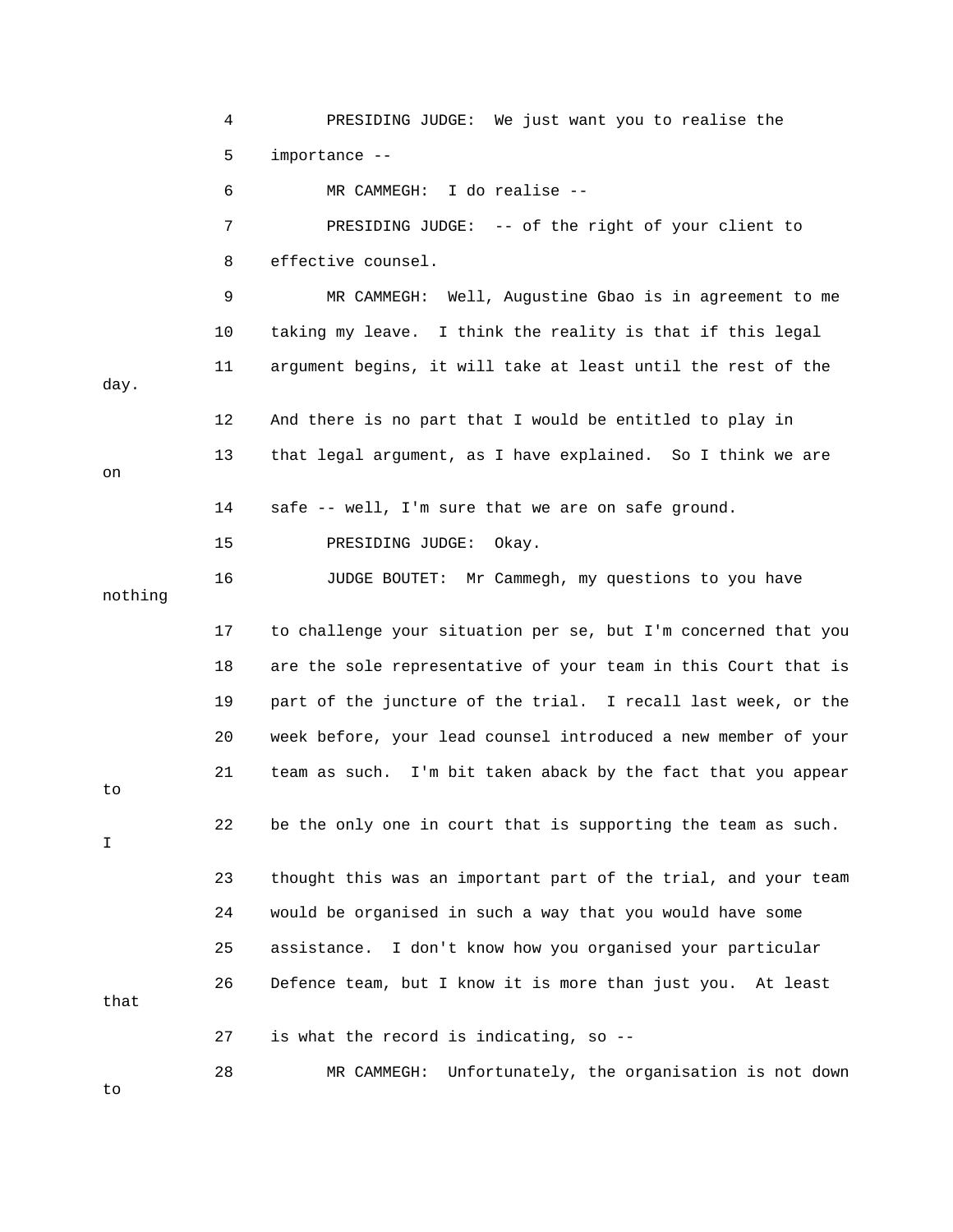4 PRESIDING JUDGE: We just want you to realise the 5 importance -- 6 MR CAMMEGH: I do realise -- 7 PRESIDING JUDGE: -- of the right of your client to 9 MR CAMMEGH: Well, Augustine Gbao is in agreement to me 10 taking my leave. I think the reality is that if this legal 11 argument begins, it will take at least until the rest of the day. 13 that legal argument, as I have explained. So I think we are 15 PRESIDING JUDGE: Okay. 16 JUDGE BOUTET: Mr Cammegh, my questions to you have 17 to challenge your situation per se, but I'm concerned that you 19 part of the juncture of the trial. I recall last week, or the 20 week before, your lead counsel introduced a new member of your 21 team as such. I'm bit taken aback by the fact that you appear 22 be the only one in court that is supporting the team as such. 23 thought this was an important part of the trial, and your team 24 would be organised in such a way that you would have some 25 assistance. I don't know how you organised your particular 8 effective counsel. 12 And there is no part that I would be entitled to play in on 14 safe -- well, I'm sure that we are on safe ground. nothing 18 are the sole representative of your team in this Court that is to I 26 Defence team, but I know it is more than just you. At least that 27 is what the record is indicating, so -- 28 MR CAMMEGH: Unfortunately, the organisation is not down to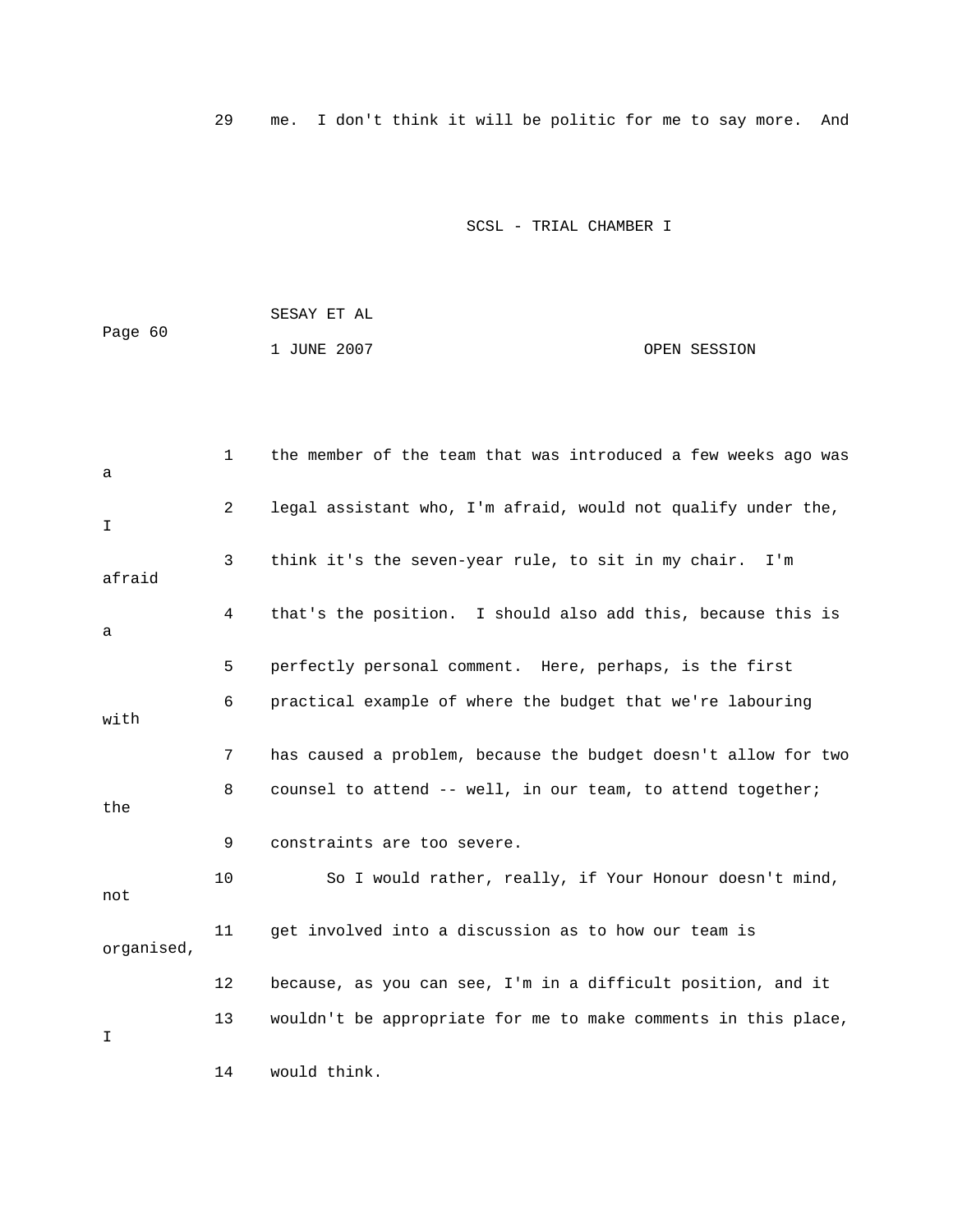29 me. I don't think it will be politic for me to say more. And

|         | SESAY ET AL |              |
|---------|-------------|--------------|
| Page 60 |             |              |
|         | 1 JUNE 2007 | OPEN SESSION |

| a          | $\mathbf{1}$ | the member of the team that was introduced a few weeks ago was |
|------------|--------------|----------------------------------------------------------------|
| I.         | 2            | legal assistant who, I'm afraid, would not qualify under the,  |
| afraid     | 3            | think it's the seven-year rule, to sit in my chair.<br>I'm     |
| a          | 4            | that's the position. I should also add this, because this is   |
|            | 5            | perfectly personal comment. Here, perhaps, is the first        |
| with       | 6            | practical example of where the budget that we're labouring     |
|            | 7            | has caused a problem, because the budget doesn't allow for two |
| the        | 8            | counsel to attend -- well, in our team, to attend together;    |
|            | 9            | constraints are too severe.                                    |
| not        | 10           | So I would rather, really, if Your Honour doesn't mind,        |
| organised, | 11           | get involved into a discussion as to how our team is           |
|            | 12           | because, as you can see, I'm in a difficult position, and it   |
| I          | 13           | wouldn't be appropriate for me to make comments in this place, |
|            | 14           | would think.                                                   |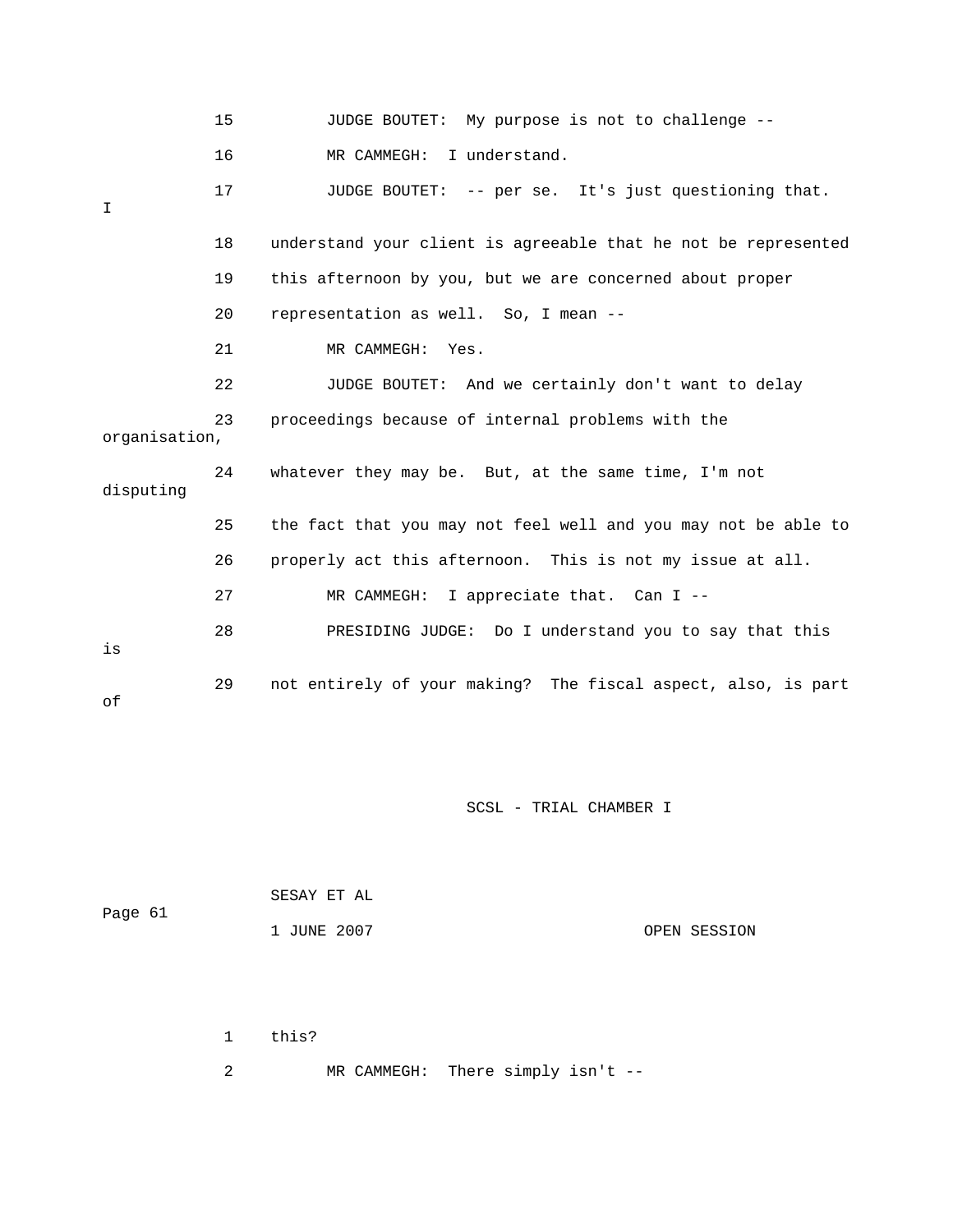|               | 15 | JUDGE BOUTET: My purpose is not to challenge --                |
|---------------|----|----------------------------------------------------------------|
|               | 16 | I understand.<br>MR CAMMEGH:                                   |
| I             | 17 | JUDGE BOUTET: -- per se. It's just questioning that.           |
|               | 18 | understand your client is agreeable that he not be represented |
|               | 19 | this afternoon by you, but we are concerned about proper       |
|               | 20 | representation as well. So, I mean --                          |
|               | 21 | MR CAMMEGH: Yes.                                               |
|               | 22 | JUDGE BOUTET: And we certainly don't want to delay             |
| organisation, | 23 | proceedings because of internal problems with the              |
| disputing     | 24 | whatever they may be. But, at the same time, I'm not           |
|               | 25 | the fact that you may not feel well and you may not be able to |
|               | 26 | properly act this afternoon. This is not my issue at all.      |
|               | 27 | MR CAMMEGH: I appreciate that. Can I --                        |
| is            | 28 | PRESIDING JUDGE: Do I understand you to say that this          |
| оf            | 29 | not entirely of your making? The fiscal aspect, also, is part  |

| Page 61 | SESAY ET AL |              |
|---------|-------------|--------------|
|         | 1 JUNE 2007 | OPEN SESSION |

1 this?

2 MR CAMMEGH: There simply isn't --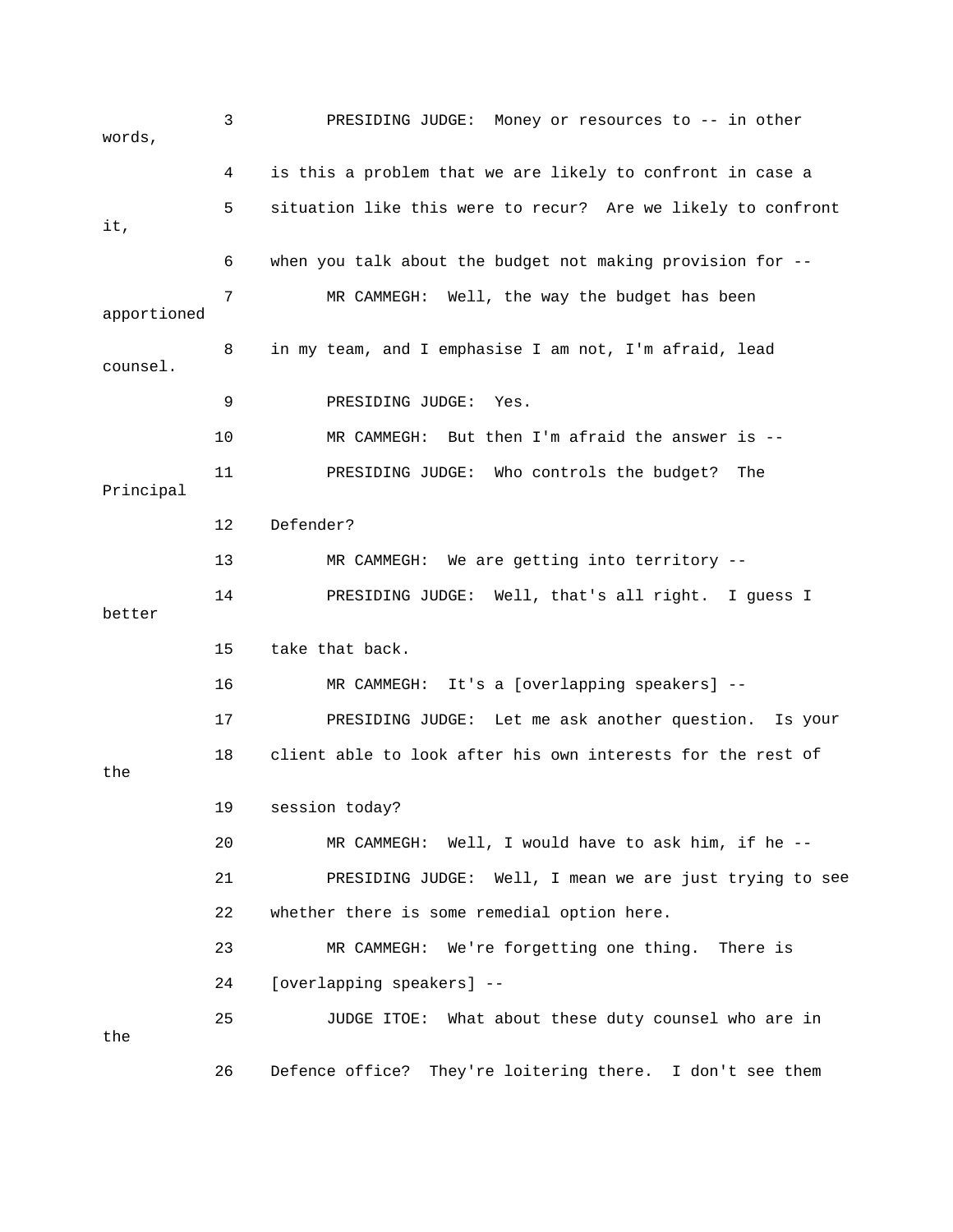3 PRESIDING JUDGE: Money or resources to -- in other words, 4 is this a problem that we are likely to confront in case a 5 situation like this were to recur? Are we likely to confront 6 when you talk about the budget not making provision for -- 7 MR CAMMEGH: Well, the way the budget has been apportioned 8 in my team, and I emphasise I am not, I'm afraid, lead 10 MR CAMMEGH: But then I'm afraid the answer is -- 11 PRESIDING JUDGE: Who controls the budget? The 12 Defender? 4 PRESIDING JUDGE: Well, that's all right. I guess I 15 take that back. 16 MR CAMMEGH: It's a [overlapping speakers] --17 PRESIDING JUDGE: Let me ask another question. Is your 18 client able to look after his own interests for the rest of 19 session today? 20 MR CAMMEGH: Well, I would have to ask him, if he --21 PRESIDING JUDGE: Well, I mean we are just trying to see 22 whether there is some remedial option here. 23 MR CAMMEGH: We're forgetting one thing. There is 25 JUDGE ITOE: What about these duty counsel who are in 26 Defence office? They're loitering there. I don't see them it, counsel. 9 PRESIDING JUDGE: Yes. Principal 13 MR CAMMEGH: We are getting into territory --  $1$ better the 24 [overlapping speakers] - the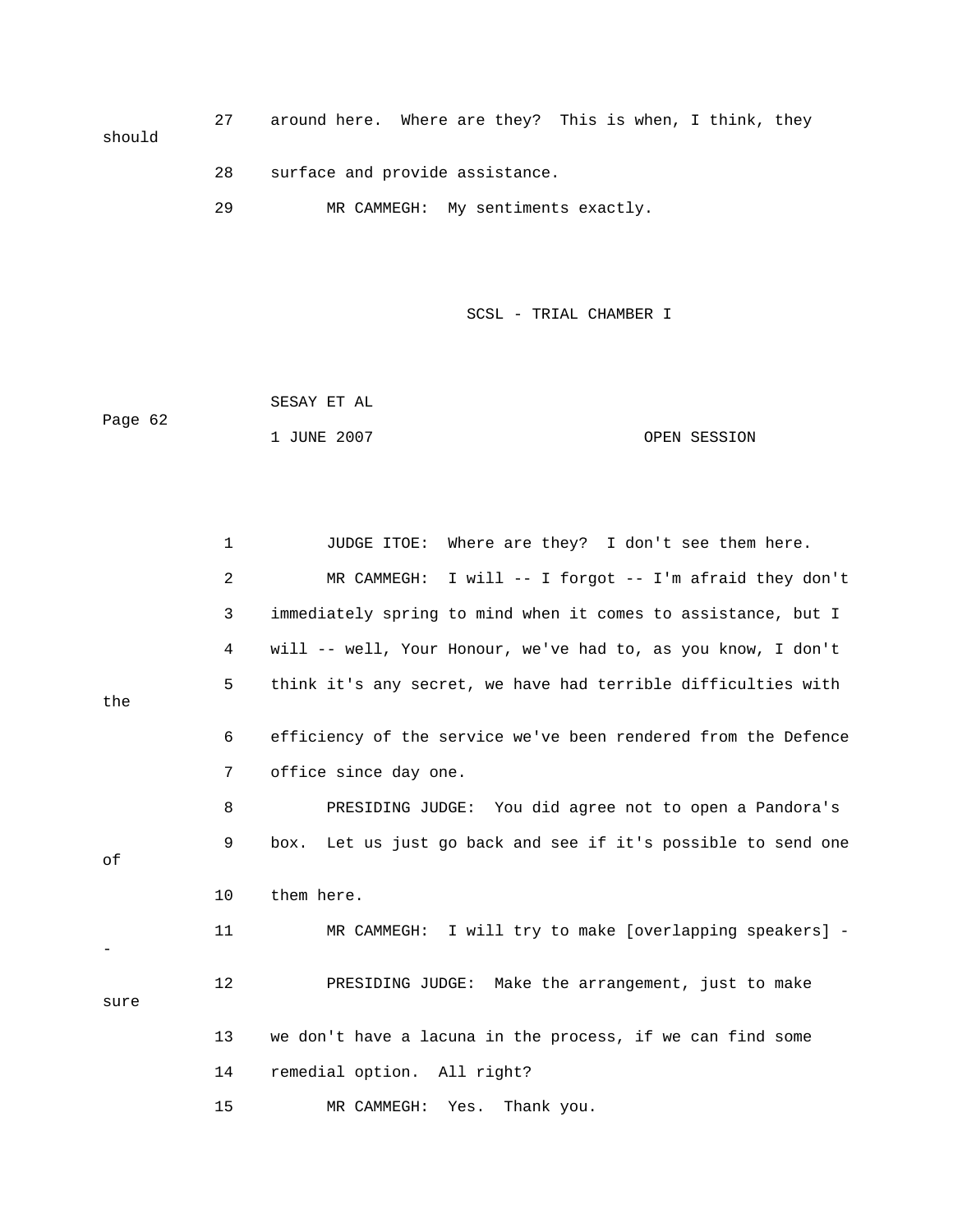27 around here. Where are they? This is when, I think, they should

- 28 surface and provide assistance.
- 29 MR CAMMEGH: My sentiments exactly.

SCSL - TRIAL CHAMBER I

 SESAY ET AL ge 62 OPEN SESSION Pa 1 JUNE 2007

|      | $\mathbf 1$    | Where are they? I don't see them here.<br>JUDGE ITOE:            |
|------|----------------|------------------------------------------------------------------|
|      | $\overline{a}$ | I will -- I forgot -- I'm afraid they don't<br>MR CAMMEGH:       |
|      | 3              | immediately spring to mind when it comes to assistance, but I    |
|      | 4              | will -- well, Your Honour, we've had to, as you know, I don't    |
|      | 5              | think it's any secret, we have had terrible difficulties with    |
| the  |                |                                                                  |
|      | 6              | efficiency of the service we've been rendered from the Defence   |
|      | 7              | office since day one.                                            |
|      | 8              | PRESIDING JUDGE: You did agree not to open a Pandora's           |
| оf   | 9              | Let us just go back and see if it's possible to send one<br>box. |
|      | 10             | them here.                                                       |
|      | 11             | MR CAMMEGH: I will try to make [overlapping speakers] -          |
| sure | 12             | PRESIDING JUDGE: Make the arrangement, just to make              |
|      | 13             | we don't have a lacuna in the process, if we can find some       |
|      | 14             | remedial option. All right?                                      |
|      | 15             | MR CAMMEGH:<br>Thank you.<br>Yes.                                |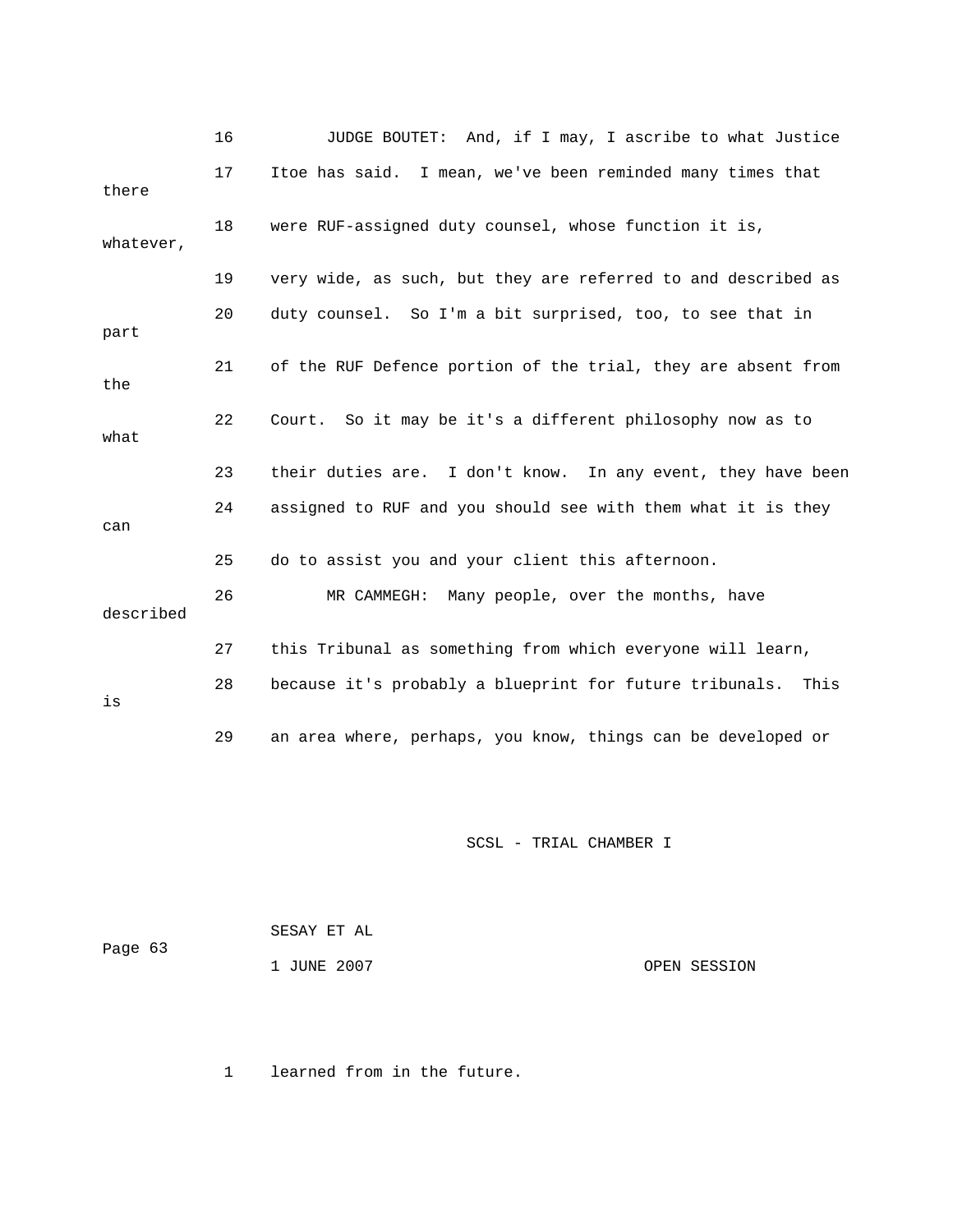|           | 16 | JUDGE BOUTET: And, if I may, I ascribe to what Justice          |
|-----------|----|-----------------------------------------------------------------|
| there     | 17 | Itoe has said. I mean, we've been reminded many times that      |
| whatever, | 18 | were RUF-assigned duty counsel, whose function it is,           |
|           | 19 | very wide, as such, but they are referred to and described as   |
| part      | 20 | duty counsel. So I'm a bit surprised, too, to see that in       |
| the       | 21 | of the RUF Defence portion of the trial, they are absent from   |
| what      | 22 | Court. So it may be it's a different philosophy now as to       |
|           | 23 | their duties are. I don't know. In any event, they have been    |
| can       | 24 | assigned to RUF and you should see with them what it is they    |
|           | 25 | do to assist you and your client this afternoon.                |
| described | 26 | MR CAMMEGH: Many people, over the months, have                  |
|           | 27 | this Tribunal as something from which everyone will learn,      |
| is        | 28 | because it's probably a blueprint for future tribunals.<br>This |
|           | 29 | an area where, perhaps, you know, things can be developed or    |

| Page 63 | SESAY ET AL |              |
|---------|-------------|--------------|
|         | 1 JUNE 2007 | OPEN SESSION |

1 learned from in the future.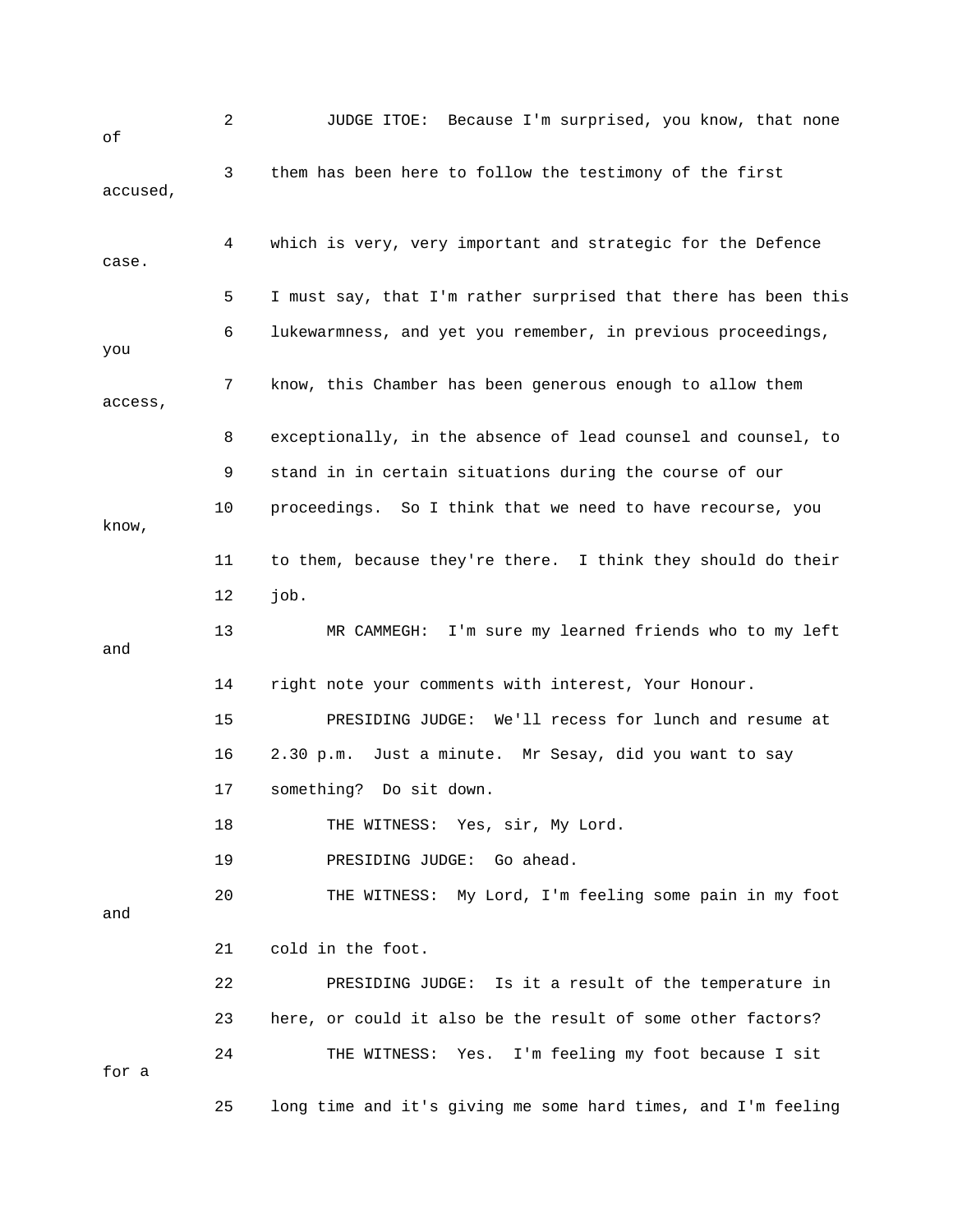| оf       | 2  | JUDGE ITOE: Because I'm surprised, you know, that none         |
|----------|----|----------------------------------------------------------------|
| accused, | 3  | them has been here to follow the testimony of the first        |
| case.    | 4  | which is very, very important and strategic for the Defence    |
|          | 5  | I must say, that I'm rather surprised that there has been this |
| you      | 6  | lukewarmness, and yet you remember, in previous proceedings,   |
| access,  | 7  | know, this Chamber has been generous enough to allow them      |
|          | 8  | exceptionally, in the absence of lead counsel and counsel, to  |
|          | 9  | stand in in certain situations during the course of our        |
| know,    | 10 | proceedings. So I think that we need to have recourse, you     |
|          | 11 | to them, because they're there. I think they should do their   |
|          | 12 | job.                                                           |
| and      | 13 | MR CAMMEGH: I'm sure my learned friends who to my left         |
|          | 14 | right note your comments with interest, Your Honour.           |
|          | 15 | PRESIDING JUDGE: We'll recess for lunch and resume at          |
|          | 16 | 2.30 p.m. Just a minute. Mr Sesay, did you want to say         |
|          | 17 | something? Do sit down.                                        |
|          | 18 | THE WITNESS: Yes, sir, My Lord.                                |
|          | 19 | PRESIDING JUDGE:<br>Go ahead.                                  |
| and      | 20 | THE WITNESS: My Lord, I'm feeling some pain in my foot         |
|          | 21 | cold in the foot.                                              |
|          | 22 | PRESIDING JUDGE: Is it a result of the temperature in          |
|          | 23 | here, or could it also be the result of some other factors?    |
| for a    | 24 | I'm feeling my foot because I sit<br>THE WITNESS: Yes.         |
|          | 25 | long time and it's giving me some hard times, and I'm feeling  |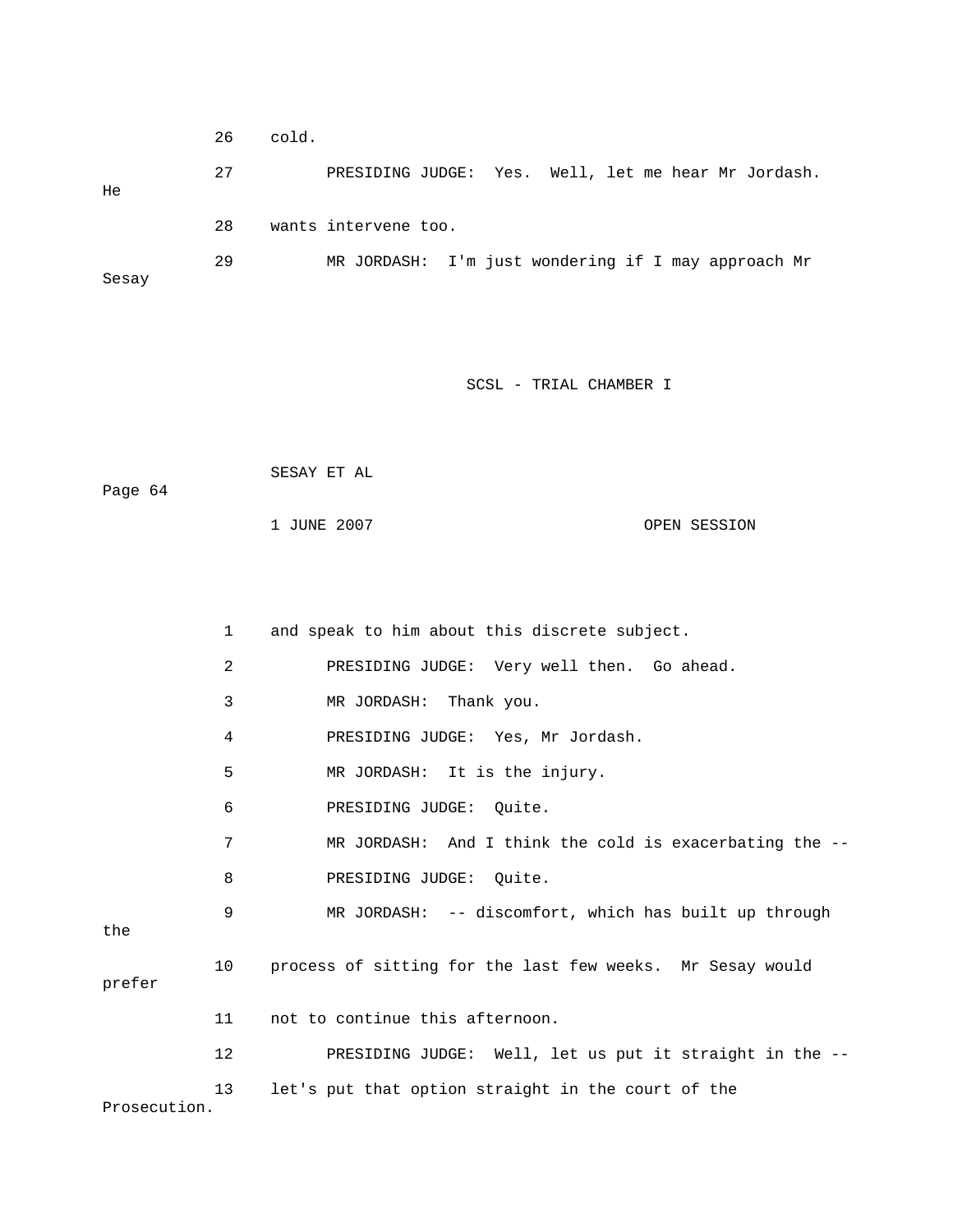|       | 26 | cold. |                                                     |  |  |  |  |
|-------|----|-------|-----------------------------------------------------|--|--|--|--|
| He    | 27 |       | PRESIDING JUDGE: Yes. Well, let me hear Mr Jordash. |  |  |  |  |
|       | 28 |       | wants intervene too.                                |  |  |  |  |
| Sesay | 29 |       | MR JORDASH: I'm just wondering if I may approach Mr |  |  |  |  |

 SESAY ET AL Page 64 1 JUNE 2007 OPEN SESSION

 1 and speak to him about this discrete subject. 2 **PRESIDING JUDGE:** Very well then. Go ahead. 3 MR JORDASH: Thank you. 5 MR JORDASH: It is the injury. 6 PRESIDING JUDGE: Quite. 7 MR JORDASH: And I think the cold is exacerbating the -- 8 PRESIDING JUDGE: Quite. 9 MR JORDASH: -- discomfort, which has built up through 10 process of sitting for the last few weeks. Mr Sesay would 11 not to continue this afternoon. 12 PRESIDING JUDGE: Well, let us put it straight in the --13 let's put that option straight in the court of the 4 PRESIDING JUDGE: Yes, Mr Jordash. the prefer Prosecution.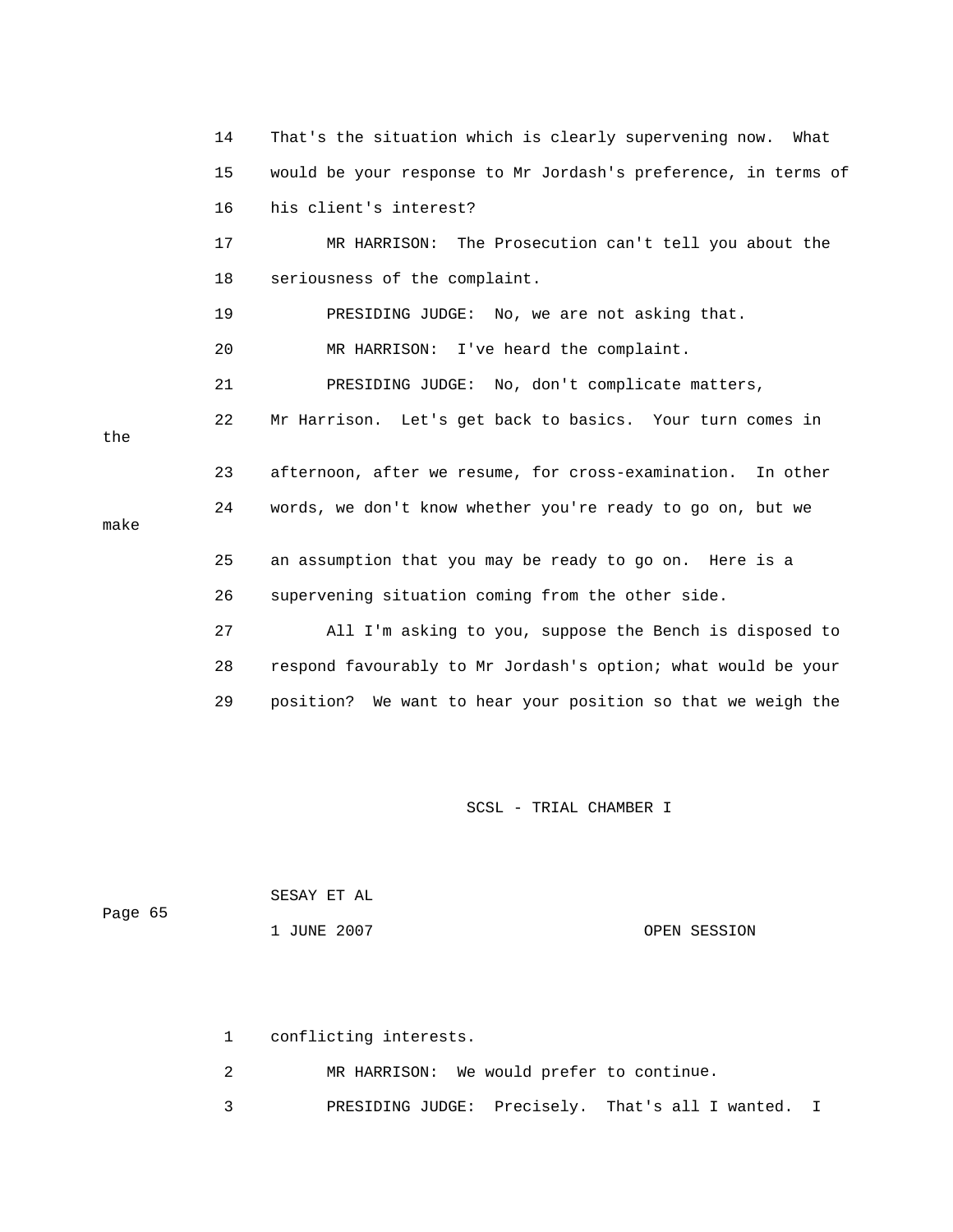14 That's the situation which is clearly supervening now. What 16 his client's interest? 17 MR HARRISON: The Prosecution can't tell you about the 21 PRESIDING JUDGE: No, don't complicate matters, 22 Mr Harrison. Let's get back to basics. Your turn comes in 23 afternoon, after we resume, for cross-examination. In other make 25 an assumption that you may be ready to go on. Here is a 26 supervening situation coming from the other side. 27 All I'm asking to you, suppose the Bench is disposed to 28 respond favourably to Mr Jordash's option; what would be your 29 position? We want to hear your position so that we weigh the 15 would be your response to Mr Jordash's preference, in terms of 18 seriousness of the complaint. 19 PRESIDING JUDGE: No, we are not asking that. 20 MR HARRISON: I've heard the complaint. the 24 words, we don't know whether you're ready to go on, but we

SCSL - TRIAL CHAMBER I

| Page 65 | SESAY ET AL |              |
|---------|-------------|--------------|
|         | 1 JUNE 2007 | OPEN SESSION |

1 conflicting interests.

2 MR HARRISON: We would prefer to continue.

3 PRESIDING JUDGE: Precisely. That's all I wanted. I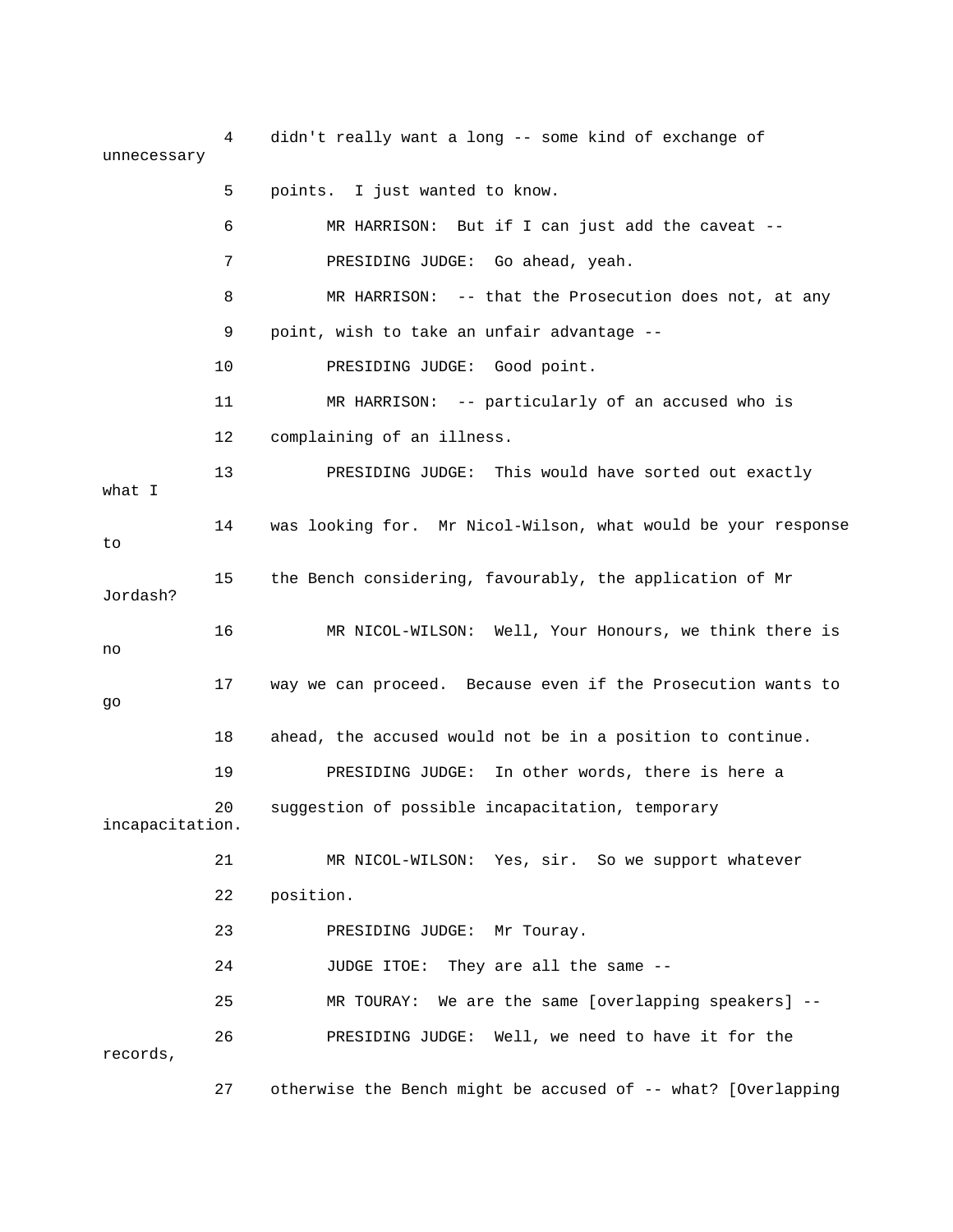4 didn't really want a long -- some kind of exchange of unnecessary 5 points. I just wanted to know. 6 MR HARRISON: But if I can just add the caveat -- 7 PRESIDING JUDGE: Go ahead, yeah. 8 MR HARRISON: -- that the Prosecution does not, at any 11 MR HARRISON: -- particularly of an accused who is 12 complaining of an illness. 13 PRESIDING JUDGE: This would have sorted out exactly 14 was looking for. Mr Nicol-Wilson, what would be your response 15 the Bench considering, favourably, the application of Mr 16 MR NICOL-WILSON: Well, Your Honours, we think there is 17 way we can proceed. Because even if the Prosecution wants to 19 PRESIDING JUDGE: In other words, there is here a 20 suggestion of possible incapacitation, temporary incapacitation. 21 MR NICOL-WILSON: Yes, sir. So we support whatever 23 PRESIDING JUDGE: Mr Touray. 24 JUDGE ITOE: They are all the same -- 27 otherwise the Bench might be accused of -- what? [Overlapping 9 point, wish to take an unfair advantage -- 10 PRESIDING JUDGE: Good point. what I to Jordash? no go 18 ahead, the accused would not be in a position to continue. 22 position. 25 MR TOURAY: We are the same [overlapping speakers] -- 26 PRESIDING JUDGE: Well, we need to have it for the records,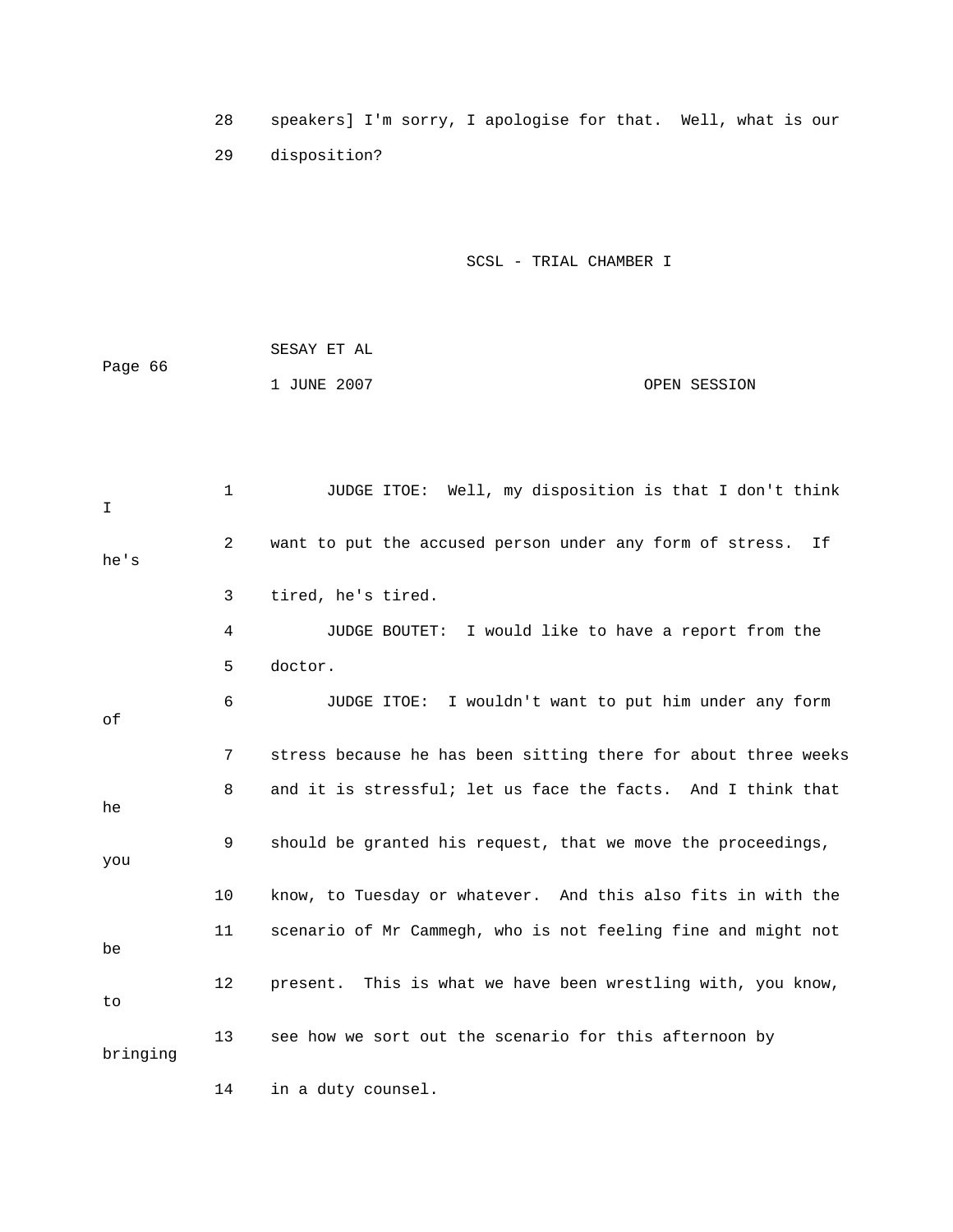28 speakers] I'm sorry, I apologise for that. Well, what is our 29 disposition?

|         | SESAY ET AL |              |
|---------|-------------|--------------|
| Page 66 |             |              |
|         | 1 JUNE 2007 | OPEN SESSION |

| I        | $\mathbf{1}$   | JUDGE ITOE: Well, my disposition is that I don't think         |
|----------|----------------|----------------------------------------------------------------|
| he's     | $\overline{2}$ | want to put the accused person under any form of stress.<br>If |
|          | 3              | tired, he's tired.                                             |
|          | 4              | JUDGE BOUTET: I would like to have a report from the           |
|          | 5              | doctor.                                                        |
| оf       | 6              | JUDGE ITOE: I wouldn't want to put him under any form          |
|          | 7              | stress because he has been sitting there for about three weeks |
| he       | 8              | and it is stressful; let us face the facts. And I think that   |
| you      | 9              | should be granted his request, that we move the proceedings,   |
|          | 10             | know, to Tuesday or whatever. And this also fits in with the   |
| be       | 11             | scenario of Mr Cammegh, who is not feeling fine and might not  |
| to       | 12             | present. This is what we have been wrestling with, you know,   |
| bringing | 13             | see how we sort out the scenario for this afternoon by         |
|          | 14             | in a duty counsel.                                             |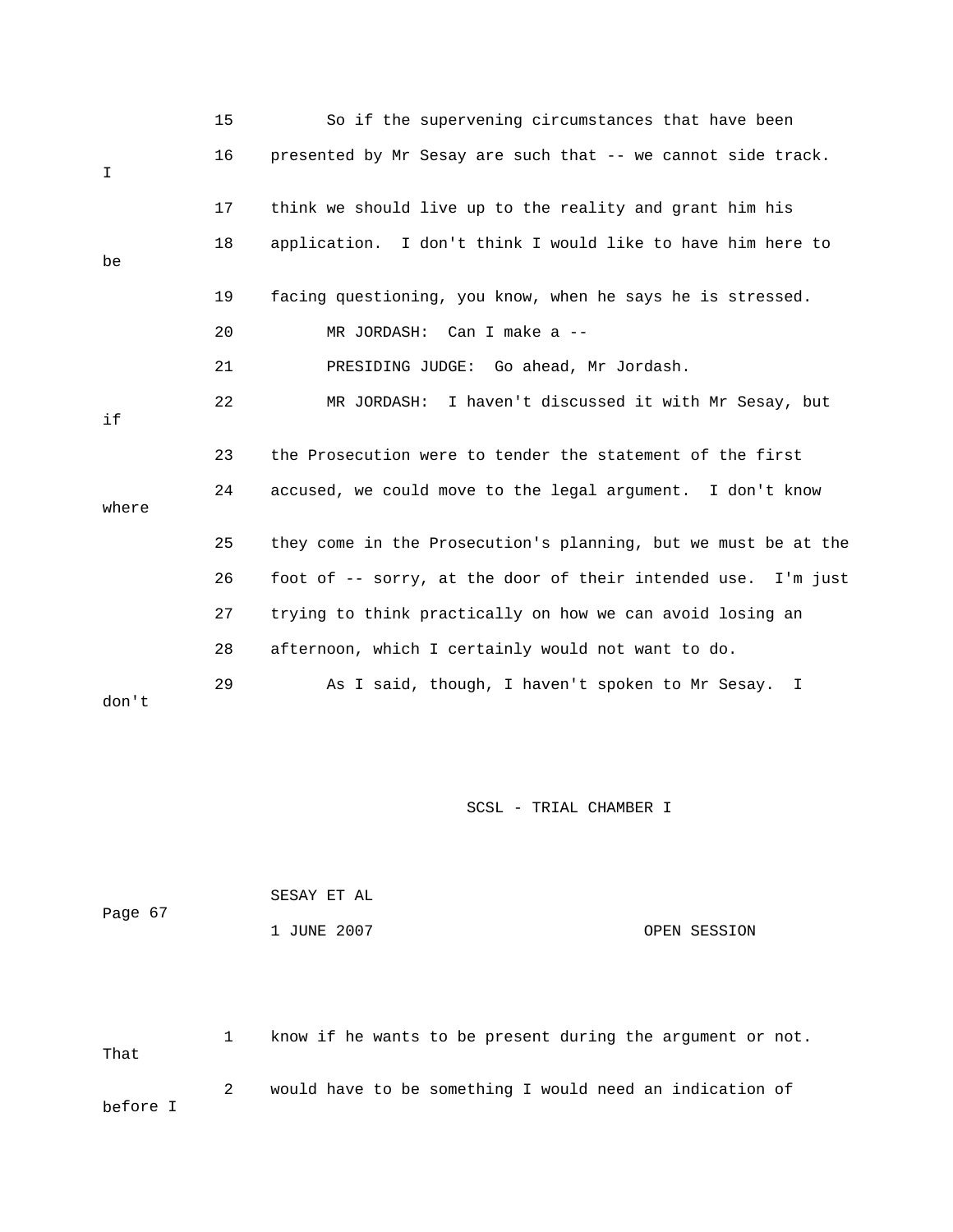|       | 15 | So if the supervening circumstances that have been             |
|-------|----|----------------------------------------------------------------|
| I     | 16 | presented by Mr Sesay are such that -- we cannot side track.   |
|       | 17 | think we should live up to the reality and grant him his       |
| be    | 18 | application. I don't think I would like to have him here to    |
|       | 19 | facing questioning, you know, when he says he is stressed.     |
|       | 20 | MR JORDASH: Can I make a --                                    |
|       | 21 | PRESIDING JUDGE: Go ahead, Mr Jordash.                         |
| if    | 22 | MR JORDASH: I haven't discussed it with Mr Sesay, but          |
|       | 23 | the Prosecution were to tender the statement of the first      |
| where | 24 | accused, we could move to the legal argument. I don't know     |
|       | 25 | they come in the Prosecution's planning, but we must be at the |
|       | 26 | foot of -- sorry, at the door of their intended use. I'm just  |
|       | 27 | trying to think practically on how we can avoid losing an      |
|       | 28 | afternoon, which I certainly would not want to do.             |
| don't | 29 | As I said, though, I haven't spoken to Mr Sesay. I             |

|         | SESAY ET AL |  |              |
|---------|-------------|--|--------------|
| Page 67 |             |  |              |
|         | 1 JUNE 2007 |  | OPEN SESSION |

 1 know if he wants to be present during the argument or not. at 2 would have to be something I would need an indication of before I Th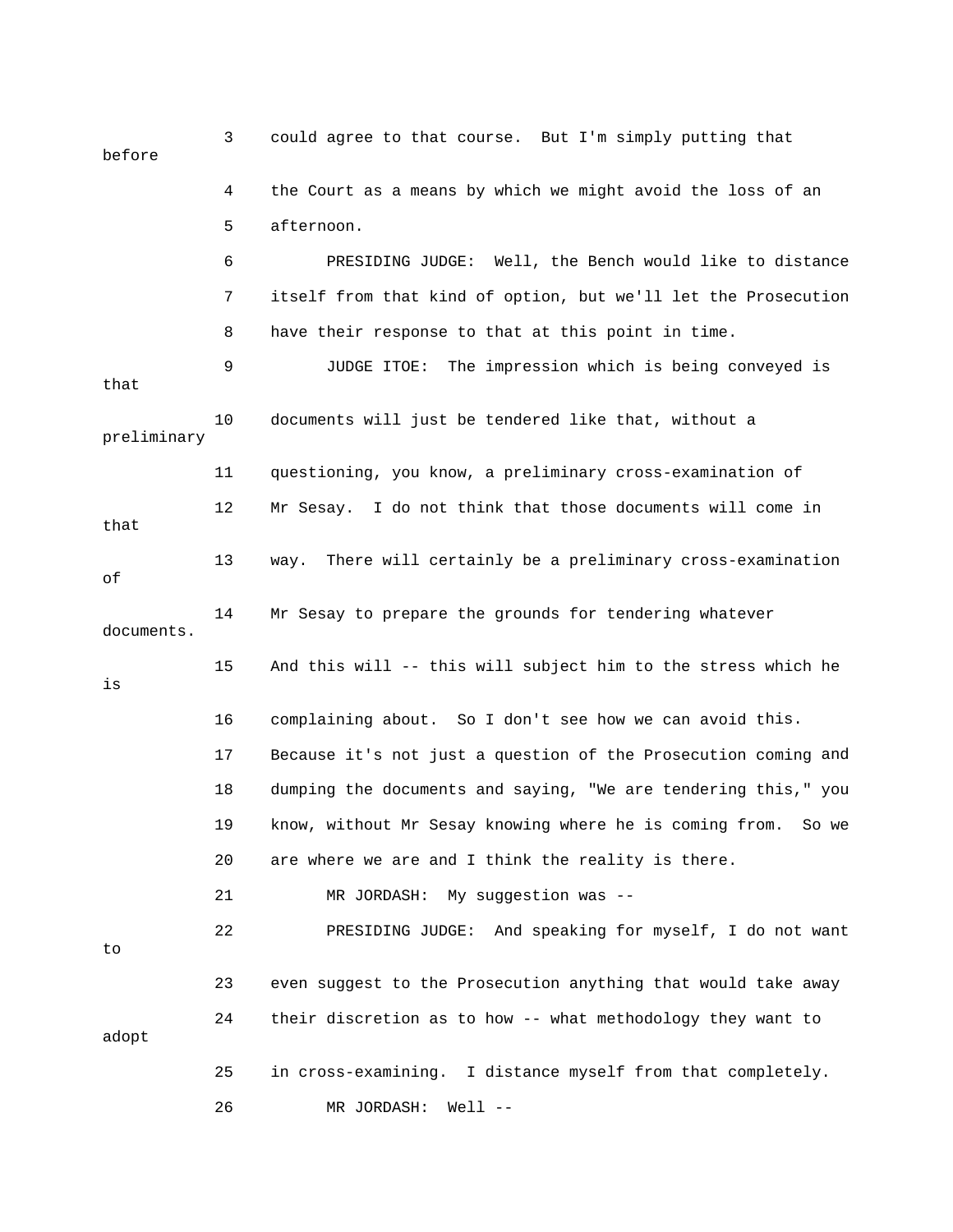3 could agree to that course. But I'm simply putting that before 4 the Court as a means by which we might avoid the loss of an 5 afternoon. 6 PRESIDING JUDGE: Well, the Bench would like to distance 7 itself from that kind of option, but we'll let the Prosecution 8 have their response to that at this point in time. 9 JUDGE ITOE: The impression which is being conveyed is preliminary 12 Mr Sesay. I do not think that those documents will come in that 14 Mr Sesay to prepare the grounds for tendering whatever documents. 16 complaining about. So I don't see how we can avoid this. 17 Because it's not just a question of the Prosecution coming and 18 dumping the documents and saying, "We are tendering this," you 19 know, without Mr Sesay knowing where he is coming from. So we 20 are where we are and I think the reality is there. 22 PRESIDING JUDGE: And speaking for myself, I do not want 23 even suggest to the Prosecution anything that would take away 24 their discretion as to how -- what methodology they want to that 10 documents will just be tendered like that, without a 11 questioning, you know, a preliminary cross-examination of 13 way. There will certainly be a preliminary cross-examination of 15 And this will -- this will subject him to the stress which he is 21 MR JORDASH: My suggestion was - to adopt 25 in cross-examining. I distance myself from that completely. 26 MR JORDASH: Well --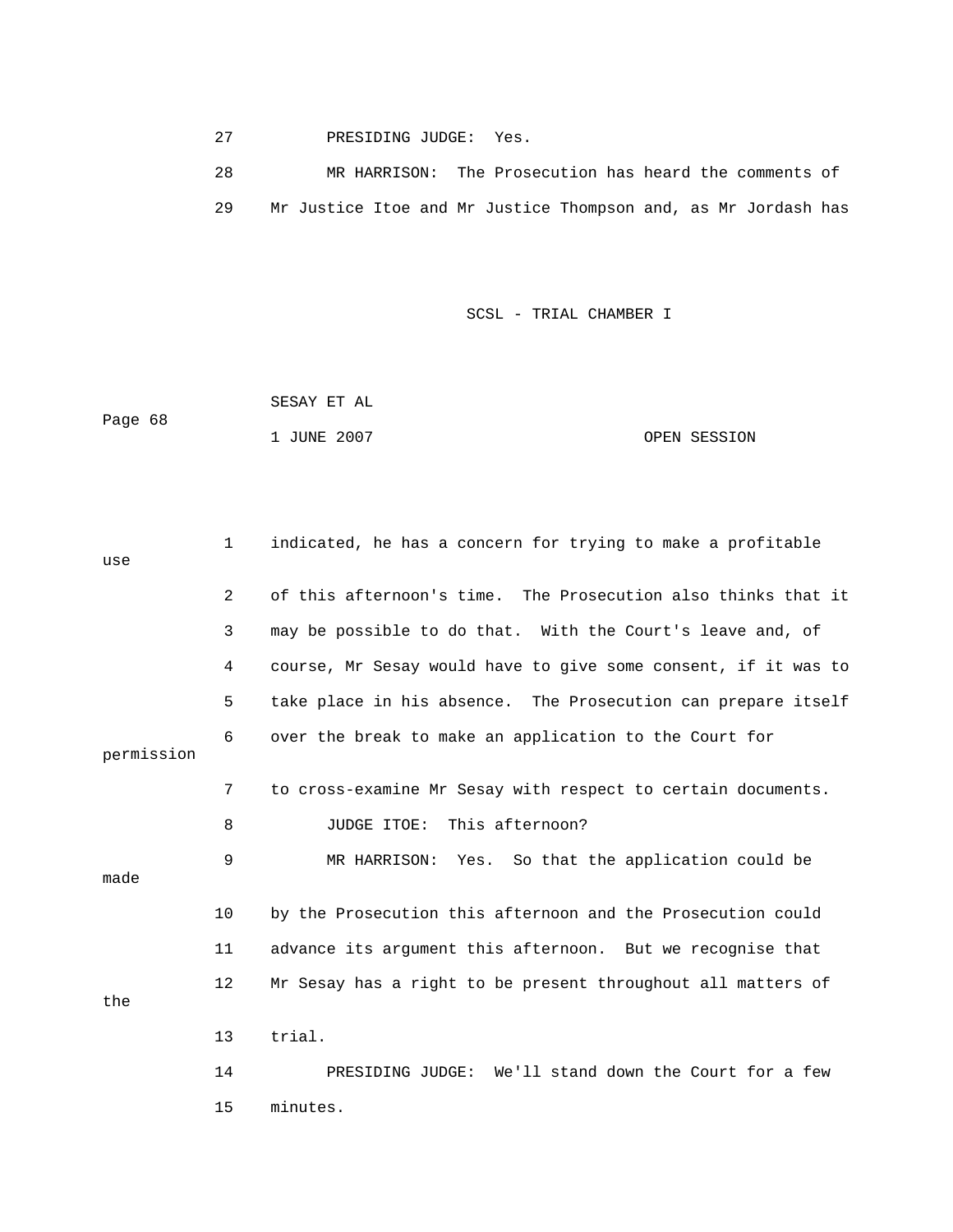27 PRESIDING JUDGE: Yes.

 28 MR HARRISON: The Prosecution has heard the comments of 29 Mr Justice Itoe and Mr Justice Thompson and, as Mr Jordash has

SCSL - TRIAL CHAMBER I

 1 JUNE 2007 OPEN SESSION SESAY ET AL Page 68

 1 indicated, he has a concern for trying to make a profitable use 2 of this afternoon's time. The Prosecution also thinks that it 3 may be possible to do that. With the Court's leave and, of 4 course, Mr Sesay would have to give some consent, if it was to 5 take place in his absence. The Prosecution can prepare itself 6 over the break to make an application to the Court for permission 7 to cross-examine Mr Sesay with respect to certain documents. 9 MR HARRISON: Yes. So that the application could be the 8 JUDGE ITOE: This afternoon? made 10 by the Prosecution this afternoon and the Prosecution could 11 advance its argument this afternoon. But we recognise that 12 Mr Sesay has a right to be present throughout all matters of 13 trial. 14 PRESIDING JUDGE: We'll stand down the Court for a few 15 minutes.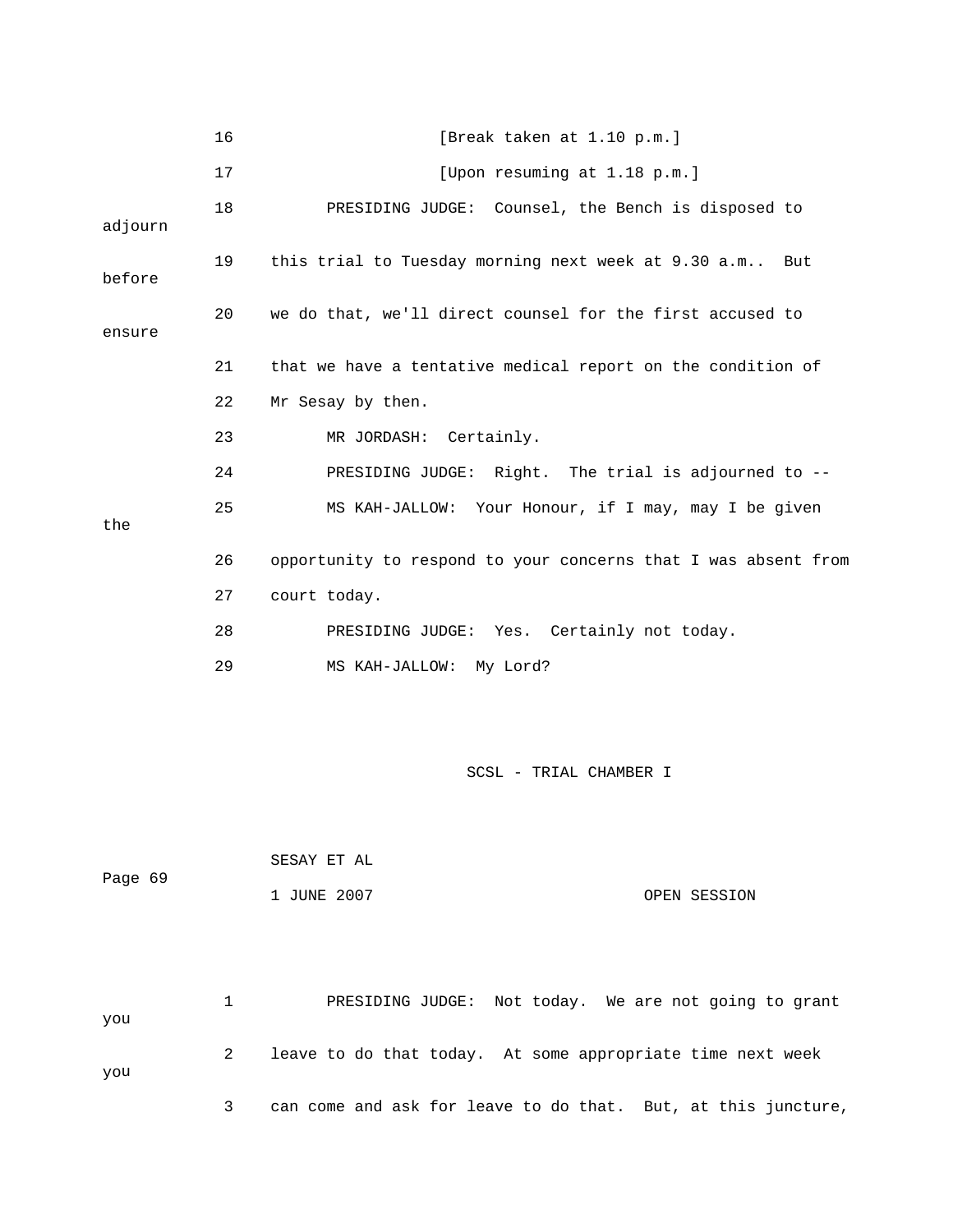|         | 16 | [Break taken at 1.10 p.m.]                                     |
|---------|----|----------------------------------------------------------------|
|         | 17 | [Upon resuming at 1.18 p.m.]                                   |
| adjourn | 18 | PRESIDING JUDGE: Counsel, the Bench is disposed to             |
| before  | 19 | this trial to Tuesday morning next week at 9.30 a.m But        |
| ensure  | 20 | we do that, we'll direct counsel for the first accused to      |
|         | 21 | that we have a tentative medical report on the condition of    |
|         | 22 | Mr Sesay by then.                                              |
|         | 23 | MR JORDASH:<br>Certainly.                                      |
|         | 24 | PRESIDING JUDGE: Right. The trial is adjourned to --           |
| the     | 25 | MS KAH-JALLOW: Your Honour, if I may, may I be given           |
|         | 26 | opportunity to respond to your concerns that I was absent from |
|         | 27 | court today.                                                   |
|         | 28 | PRESIDING JUDGE: Yes. Certainly not today.                     |
|         | 29 | MS KAH-JALLOW: My Lord?                                        |
|         |    |                                                                |
|         |    | SCSL - TRIAL CHAMBER I                                         |
|         |    |                                                                |
| Page 69 |    | SESAY ET AL                                                    |
|         |    | 1 JUNE 2007<br>OPEN SESSION                                    |
|         |    |                                                                |
| you     | 1  | PRESIDING JUDGE: Not today. We are not going to grant          |
| you     | 2  | leave to do that today. At some appropriate time next week     |
|         | 3  | can come and ask for leave to do that. But, at this juncture,  |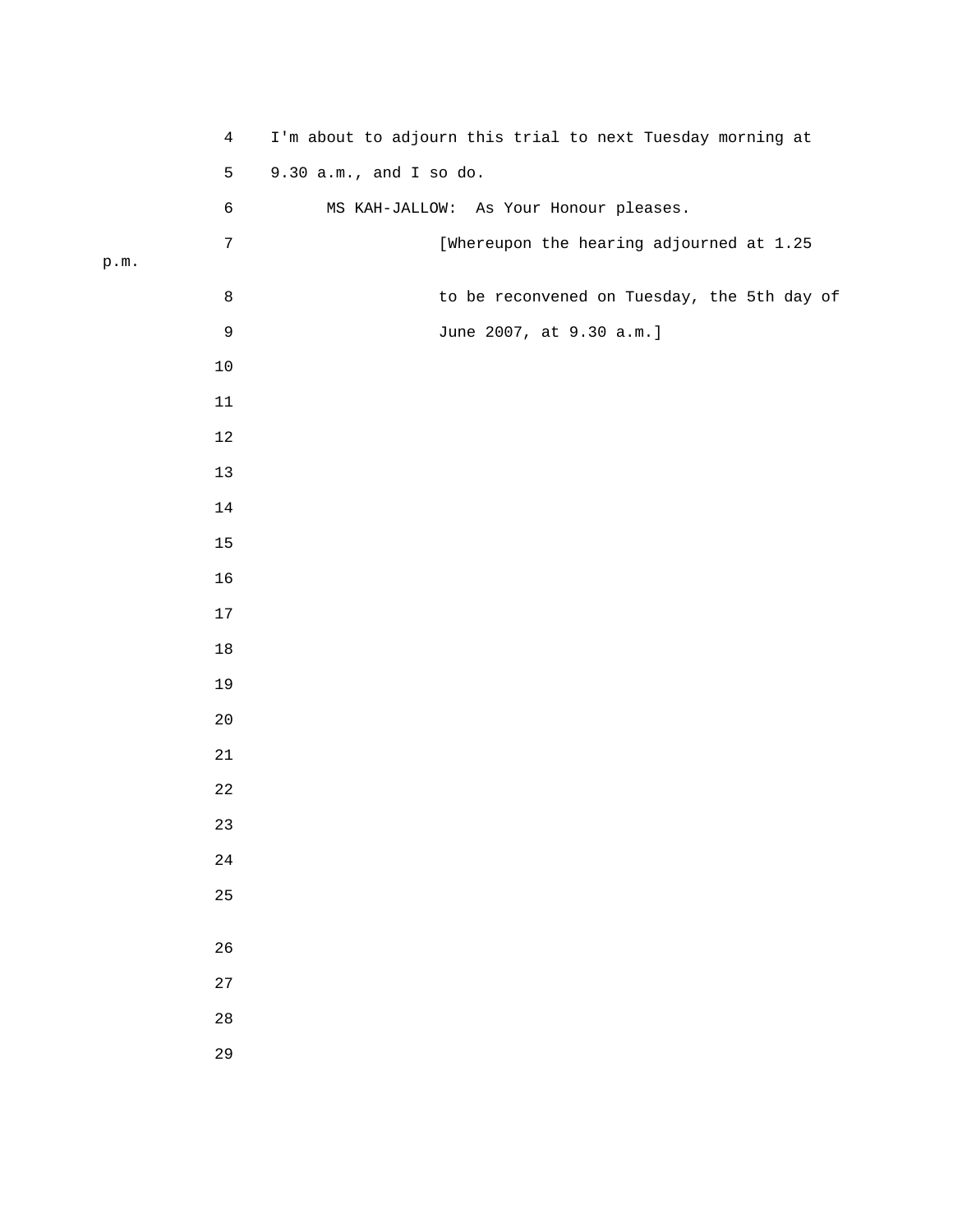| $\overline{4}$  | I'm about to adjourn this trial to next Tuesday morning at |  |  |  |
|-----------------|------------------------------------------------------------|--|--|--|
|                 | 5<br>9.30 a.m., and I so do.                               |  |  |  |
|                 | $\epsilon$<br>MS KAH-JALLOW: As Your Honour pleases.       |  |  |  |
|                 | $\sqrt{ }$<br>[Whereupon the hearing adjourned at 1.25     |  |  |  |
| $\texttt{p.m.}$ |                                                            |  |  |  |
|                 | $\,8\,$<br>to be reconvened on Tuesday, the 5th day of     |  |  |  |
|                 | $\mathsf 9$<br>June 2007, at 9.30 a.m.]                    |  |  |  |
| $10$            |                                                            |  |  |  |
| $11\,$          |                                                            |  |  |  |
| $12\,$          |                                                            |  |  |  |
| $13$            |                                                            |  |  |  |
| $14\,$          |                                                            |  |  |  |
| $15\,$          |                                                            |  |  |  |
| 16              |                                                            |  |  |  |
| $17\,$          |                                                            |  |  |  |
| $18\,$          |                                                            |  |  |  |
| 19              |                                                            |  |  |  |
| $20\,$          |                                                            |  |  |  |
| $2\sqrt{1}$     |                                                            |  |  |  |
| $2\sqrt{2}$     |                                                            |  |  |  |
| 23              |                                                            |  |  |  |
| 24              |                                                            |  |  |  |
| 25              |                                                            |  |  |  |
|                 |                                                            |  |  |  |
| 26              |                                                            |  |  |  |
| 27              |                                                            |  |  |  |
| $2\,8$          |                                                            |  |  |  |
| 29              |                                                            |  |  |  |